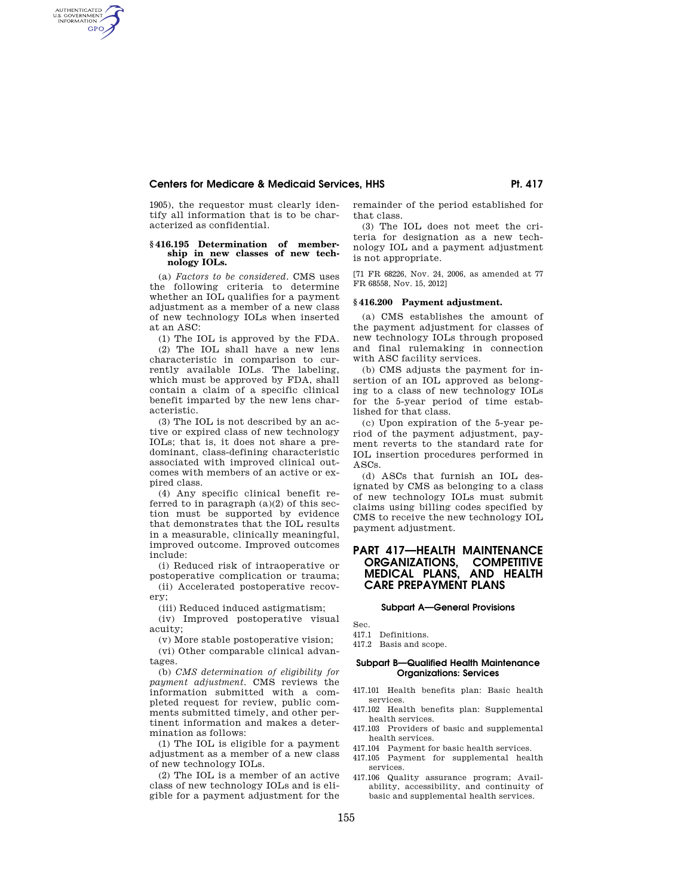1905), the requestor must clearly identify all information that is to be characterized as confidential.

#### **§ 416.195 Determination of membership in new classes of new technology IOLs.**

(a) *Factors to be considered*. CMS uses the following criteria to determine whether an IOL qualifies for a payment adjustment as a member of a new class of new technology IOLs when inserted at an ASC:

(1) The IOL is approved by the FDA. (2) The IOL shall have a new lens characteristic in comparison to currently available IOLs. The labeling, which must be approved by FDA, shall contain a claim of a specific clinical benefit imparted by the new lens char-

(3) The IOL is not described by an active or expired class of new technology IOLs; that is, it does not share a predominant, class-defining characteristic associated with improved clinical outcomes with members of an active or expired class.

acteristic.

AUTHENTICATED<br>U.S. GOVERNMENT<br>INFORMATION GPO

> (4) Any specific clinical benefit referred to in paragraph (a)(2) of this section must be supported by evidence that demonstrates that the IOL results in a measurable, clinically meaningful, improved outcome. Improved outcomes include:

> (i) Reduced risk of intraoperative or postoperative complication or trauma;

> (ii) Accelerated postoperative recovery;

(iii) Reduced induced astigmatism;

(iv) Improved postoperative visual acuity;

(v) More stable postoperative vision;

(vi) Other comparable clinical advantages.

(b) *CMS determination of eligibility for payment adjustment*. CMS reviews the information submitted with a completed request for review, public comments submitted timely, and other pertinent information and makes a determination as follows:

(1) The IOL is eligible for a payment adjustment as a member of a new class of new technology IOLs.

(2) The IOL is a member of an active class of new technology IOLs and is eligible for a payment adjustment for the remainder of the period established for that class.

(3) The IOL does not meet the criteria for designation as a new technology IOL and a payment adjustment is not appropriate.

[71 FR 68226, Nov. 24, 2006, as amended at 77 FR 68558, Nov. 15, 2012]

#### **§ 416.200 Payment adjustment.**

(a) CMS establishes the amount of the payment adjustment for classes of new technology IOLs through proposed and final rulemaking in connection with ASC facility services.

(b) CMS adjusts the payment for insertion of an IOL approved as belonging to a class of new technology IOLs for the 5-year period of time established for that class.

(c) Upon expiration of the 5-year period of the payment adjustment, payment reverts to the standard rate for IOL insertion procedures performed in ASCs.

(d) ASCs that furnish an IOL designated by CMS as belonging to a class of new technology IOLs must submit claims using billing codes specified by CMS to receive the new technology IOL payment adjustment.

# **PART 417—HEALTH MAINTENANCE ORGANIZATIONS, COMPETITIVE MEDICAL PLANS, CARE PREPAYMENT PLANS**

#### **Subpart A—General Provisions**

Sec.

- 417.1 Definitions.
- 417.2 Basis and scope.

## **Subpart B—Qualified Health Maintenance Organizations: Services**

- 417.101 Health benefits plan: Basic health services.
- 417.102 Health benefits plan: Supplemental health services.
- 417.103 Providers of basic and supplemental health services.
- 417.104 Payment for basic health services.
- 417.105 Payment for supplemental health services.
- 417.106 Quality assurance program; Availability, accessibility, and continuity of basic and supplemental health services.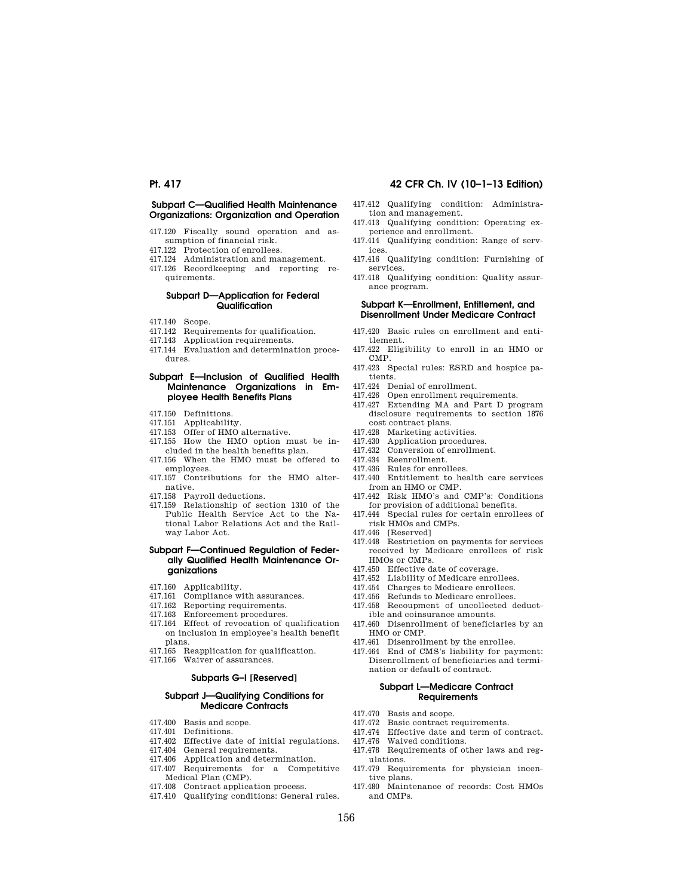# **Pt. 417 42 CFR Ch. IV (10–1–13 Edition)**

# **Subpart C—Qualified Health Maintenance Organizations: Organization and Operation**

- 417.120 Fiscally sound operation and assumption of financial risk.
- 417.122 Protection of enrollees.
- 417.124 Administration and management.
- 417.126 Recordkeeping and reporting requirements.

# **Subpart D—Application for Federal Qualification**

- 417.140 Scope.
- 417.142 Requirements for qualification.
- 417.143 Application requirements.
- 417.144 Evaluation and determination procedures.

## **Subpart E—Inclusion of Qualified Health Maintenance Organizations in Employee Health Benefits Plans**

- 417.150 Definitions.
- 417.151 Applicability.
- 417.153 Offer of HMO alternative.
- 417.155 How the HMO option must be in-
- cluded in the health benefits plan. 417.156 When the HMO must be offered to
- employees. 417.157 Contributions for the HMO alternative.
- 417.158 Payroll deductions.
- 417.159 Relationship of section 1310 of the Public Health Service Act to the National Labor Relations Act and the Rail-

# **Subpart F—Continued Regulation of Federally Qualified Health Maintenance Organizations**

417.160 Applicability.

way Labor Act.

- 417.161 Compliance with assurances.
- 417.162 Reporting requirements.
- 417.163 Enforcement procedures.
- 417.164 Effect of revocation of qualification on inclusion in employee's health benefit plans.
- 417.165 Reapplication for qualification.<br>417.166 Waiver of assurances.
- Waiver of assurances.

# **Subparts G–I [Reserved]**

#### **Subpart J—Qualifying Conditions for Medicare Contracts**

- 417.400 Basis and scope.
- 417.401 Definitions.<br>417.402 Effective da
- Effective date of initial regulations.
- 417.404 General requirements.<br>417.406 Application and detern
- Application and determination.
- 417.407 Requirements for a Competitive Medical Plan (CMP).
- 417.408 Contract application process. 417.410 Qualifying conditions: General rules.
- 417.412 Qualifying condition: Administration and management.
- 417.413 Qualifying condition: Operating experience and enrollment.
- 417.414 Qualifying condition: Range of services.
- 417.416 Qualifying condition: Furnishing of services.
- 417.418 Qualifying condition: Quality assurance program.

## **Subpart K—Enrollment, Entitlement, and Disenrollment Under Medicare Contract**

- 417.420 Basic rules on enrollment and entitlement.
- 417.422 Eligibility to enroll in an HMO or CMP.
- 417.423 Special rules: ESRD and hospice patients.
- 417.424 Denial of enrollment.
- 417.426 Open enrollment requirements.
- 417.427 Extending MA and Part D program disclosure requirements to section 1876 cost contract plans.
- 417.428 Marketing activities.
- 417.430 Application procedures.
- 417.432 Conversion of enrollment.
- 417.434 Reenrollment.
- 417.436 Rules for enrollees.
- 417.440 Entitlement to health care services from an HMO or CMP.
- 417.442 Risk HMO's and CMP's: Conditions for provision of additional benefits.
- 417.444 Special rules for certain enrollees of risk HMOs and CMPs.
- 417.446 [Reserved]
- 417.448 Restriction on payments for services received by Medicare enrollees of risk HMOs or CMPs.
- 417.450 Effective date of coverage.
- 417.452 Liability of Medicare enrollees.
- 417.454 Charges to Medicare enrollees.<br>417.456 Befunds to Medicare enrollees
- Refunds to Medicare enrollees.
- 417.458 Recoupment of uncollected deduct-
- ible and coinsurance amounts. 417.460 Disenrollment of beneficiaries by an
- HMO or CMP.
- 417.461 Disenrollment by the enrollee.
- 417.464 End of CMS's liability for payment: Disenrollment of beneficiaries and termination or default of contract.

## **Subpart L—Medicare Contract Requirements**

- 417.470 Basis and scope.<br>417.472 Basic contract r
- Basic contract requirements.
- 417.474 Effective date and term of contract.
- 417.476 Waived conditions.
- 417.478 Requirements of other laws and regulations.
- 417.479 Requirements for physician incentive plans.
- 417.480 Maintenance of records: Cost HMOs and CMPs.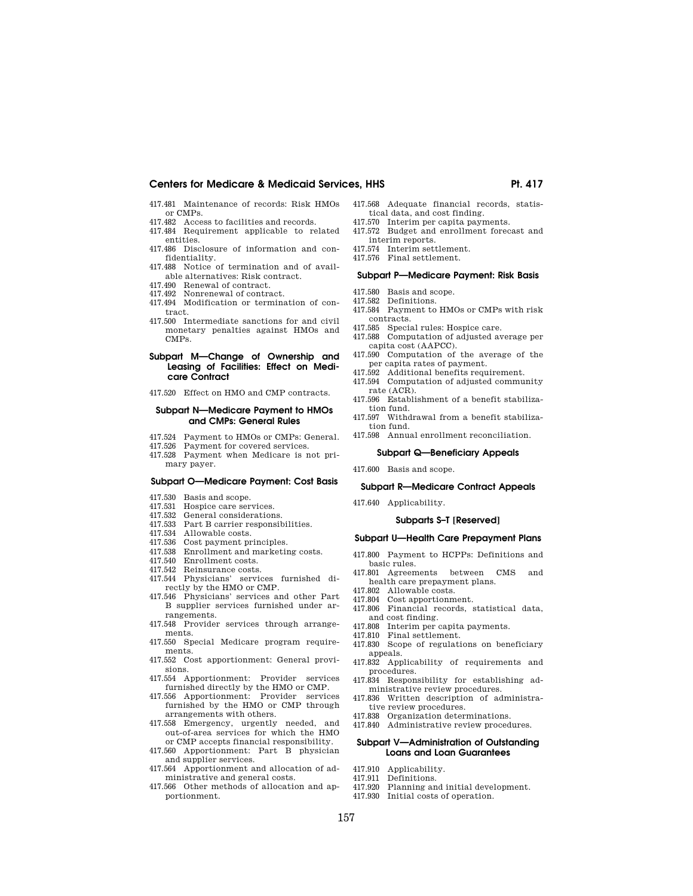- 417.481 Maintenance of records: Risk HMOs or CMPs.
- 417.482 Access to facilities and records. 417.484 Requirement applicable to related
- entities.
- 417.486 Disclosure of information and confidentiality.
- 417.488 Notice of termination and of available alternatives: Risk contract.
- 417.490 Renewal of contract. 417.492 Nonrenewal of contract.
- 417.494 Modification or termination of contract.
- 417.500 Intermediate sanctions for and civil monetary penalties against HMOs and CMPs.

### **Subpart M—Change of Ownership and Leasing of Facilities: Effect on Medicare Contract**

417.520 Effect on HMO and CMP contracts.

## **Subpart N—Medicare Payment to HMOs and CMPs: General Rules**

- 417.524 Payment to HMOs or CMPs: General.<br>417.526 Payment for covered services
- Payment for covered services. 417.528 Payment when Medicare is not primary payer.

# **Subpart O—Medicare Payment: Cost Basis**

- 417.530 Basis and scope.
- 
- 417.531 Hospice care services.<br>417.532 General consideration General considerations.
- 417.533 Part B carrier responsibilities.
- 417.534 Allowable costs.<br>417.536 Cost payment pr
- Cost payment principles.
- 417.538 Enrollment and marketing costs.
- 417.540 Enrollment costs.
- 417.542 Reinsurance costs.<br>417.544 Physicians' servi
- 417.544 Physicians' services furnished directly by the HMO or CMP.
- 417.546 Physicians' services and other Part B supplier services furnished under arrangements.
- 417.548 Provider services through arrangements.
- 417.550 Special Medicare program requirements.
- 417.552 Cost apportionment: General provisions.
- 417.554 Apportionment: Provider services furnished directly by the HMO or CMP.
- 417.556 Apportionment: Provider services furnished by the HMO or CMP through arrangements with others.
- 417.558 Emergency, urgently needed, and out-of-area services for which the HMO or CMP accepts financial responsibility.
- 417.560 Apportionment: Part B physician and supplier services.
- 417.564 Apportionment and allocation of administrative and general costs.
- 417.566 Other methods of allocation and apportionment.
- 417.568 Adequate financial records, statistical data, and cost finding. 417.570 Interim per capita payments.
- 417.572 Budget and enrollment forecast and
- interim reports. 417.574 Interim settlement.
- 417.576 Final settlement.

#### **Subpart P—Medicare Payment: Risk Basis**

- 417.580 Basis and scope.
- 417.582 Definitions.
- 417.584 Payment to HMOs or CMPs with risk contracts.
- 417.585 Special rules: Hospice care.
- 417.588 Computation of adjusted average per capita cost (AAPCC).
- 417.590 Computation of the average of the per capita rates of payment.
- 417.592 Additional benefits requirement.
- 417.594 Computation of adjusted community
- rate (ACR). 417.596 Establishment of a benefit stabilization fund.
- 417.597 Withdrawal from a benefit stabilization fund.
- 417.598 Annual enrollment reconciliation.

#### **Subpart Q—Beneficiary Appeals**

417.600 Basis and scope.

## **Subpart R—Medicare Contract Appeals**

417.640 Applicability.

# **Subparts S–T [Reserved]**

- **Subpart U—Health Care Prepayment Plans**
- 417.800 Payment to HCPPs: Definitions and
- basic rules. 417.801 Agreements between CMS and health care prepayment plans.
- 417.802 Allowable costs.
- 417.804 Cost apportionment.
- 417.806 Financial records, statistical data, and cost finding.
- 417.808 Interim per capita payments.
- 417.810 Final settlement.
- 417.830 Scope of regulations on beneficiary appeals.
- 417.832 Applicability of requirements and procedures.
- 417.834 Responsibility for establishing administrative review procedures.
- 417.836 Written description of administrative review procedures.
- 417.838 Organization determinations.
- 417.840 Administrative review procedures.

#### **Subpart V—Administration of Outstanding Loans and Loan Guarantees**

- 417.910 Applicability.
- 417.911 Definitions.
- 417.920 Planning and initial development.
- 417.930 Initial costs of operation.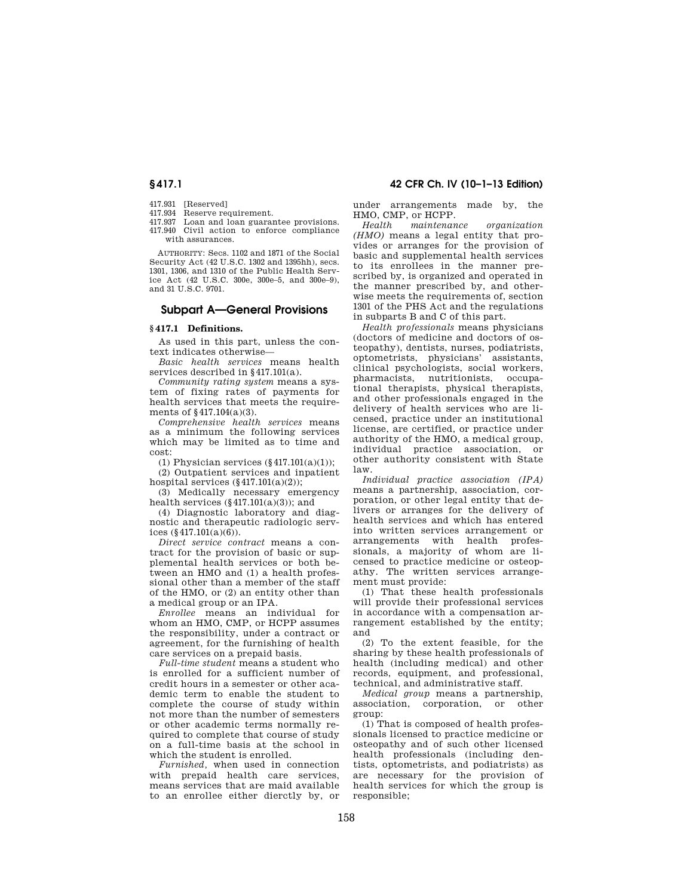- 417.931 [Reserved]
- 417.934 Reserve requirement.<br>417.937 Loan and loan guaral
- Loan and loan guarantee provisions. 417.940 Civil action to enforce compliance with assurances.

AUTHORITY: Secs. 1102 and 1871 of the Social Security Act (42 U.S.C. 1302 and 1395hh), secs. 1301, 1306, and 1310 of the Public Health Service Act (42 U.S.C. 300e, 300e–5, and 300e–9), and 31 U.S.C. 9701.

# **Subpart A—General Provisions**

### **§ 417.1 Definitions.**

As used in this part, unless the context indicates otherwise—

*Basic health services* means health services described in §417.101(a).

*Community rating system* means a system of fixing rates of payments for health services that meets the requirements of §417.104(a)(3).

*Comprehensive health services* means as a minimum the following services which may be limited as to time and cost:

(1) Physician services  $(\S 417.101(a)(1));$ 

(2) Outpatient services and inpatient hospital services  $(\S 417.101(a)(2))$ ;

(3) Medically necessary emergency health services  $(\S 417.101(a)(3))$ ; and

(4) Diagnostic laboratory and diagnostic and therapeutic radiologic services (§417.101(a)(6)).

*Direct service contract* means a contract for the provision of basic or supplemental health services or both between an HMO and (1) a health professional other than a member of the staff of the HMO, or (2) an entity other than a medical group or an IPA.

*Enrollee* means an individual for whom an HMO, CMP, or HCPP assumes the responsibility, under a contract or agreement, for the furnishing of health care services on a prepaid basis.

*Full-time student* means a student who is enrolled for a sufficient number of credit hours in a semester or other academic term to enable the student to complete the course of study within not more than the number of semesters or other academic terms normally required to complete that course of study on a full-time basis at the school in which the student is enrolled.

*Furnished,* when used in connection with prepaid health care services, means services that are maid available to an enrollee either dierctly by, or

# **§ 417.1 42 CFR Ch. IV (10–1–13 Edition)**

under arrangements made by, the HMO, CMP, or HCPP.

*Health maintenance organization (HMO)* means a legal entity that provides or arranges for the provision of basic and supplemental health services to its enrollees in the manner prescribed by, is organized and operated in the manner prescribed by, and otherwise meets the requirements of, section 1301 of the PHS Act and the regulations in subparts B and C of this part.

*Health professionals* means physicians (doctors of medicine and doctors of osteopathy), dentists, nurses, podiatrists, optometrists, physicians' assistants, clinical psychologists, social workers, pharmacists, nutritionists, occupational therapists, physical therapists, and other professionals engaged in the delivery of health services who are licensed, practice under an institutional license, are certified, or practice under authority of the HMO, a medical group, individual practice association, or other authority consistent with State law.

*Individual practice association (IPA)*  means a partnership, association, corporation, or other legal entity that delivers or arranges for the delivery of health services and which has entered into written services arrangement or arrangements with health professionals, a majority of whom are licensed to practice medicine or osteopathy. The written services arrangement must provide:

(1) That these health professionals will provide their professional services in accordance with a compensation arrangement established by the entity; and

(2) To the extent feasible, for the sharing by these health professionals of health (including medical) and other records, equipment, and professional, technical, and administrative staff.

*Medical group* means a partnership, association, corporation, or other group:

(1) That is composed of health professionals licensed to practice medicine or osteopathy and of such other licensed health professionals (including dentists, optometrists, and podiatrists) as are necessary for the provision of health services for which the group is responsible;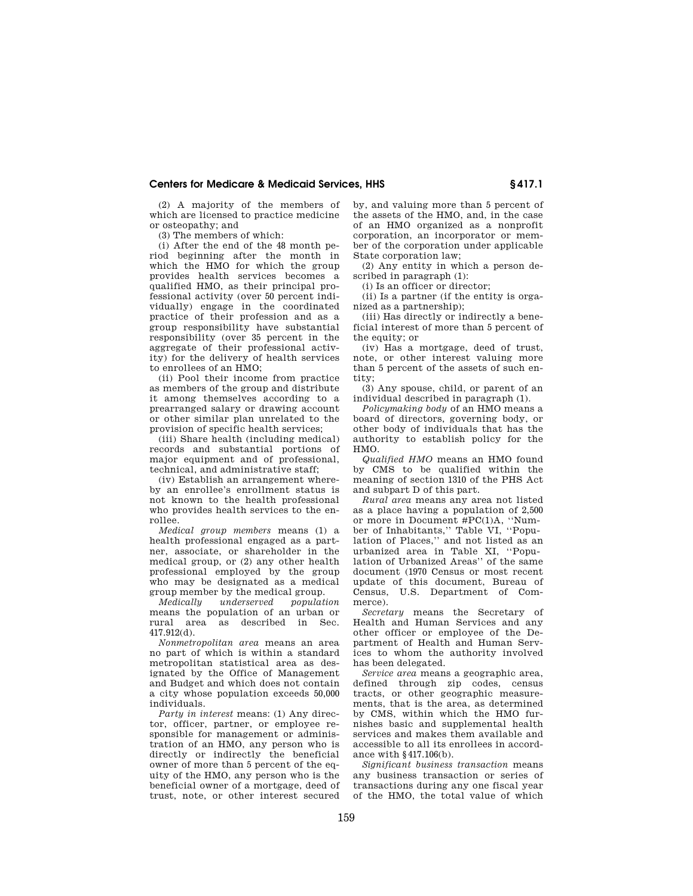(2) A majority of the members of which are licensed to practice medicine or osteopathy; and

(3) The members of which:

(i) After the end of the 48 month period beginning after the month in which the HMO for which the group provides health services becomes a qualified HMO, as their principal professional activity (over 50 percent individually) engage in the coordinated practice of their profession and as a group responsibility have substantial responsibility (over 35 percent in the aggregate of their professional activity) for the delivery of health services to enrollees of an HMO;

(ii) Pool their income from practice as members of the group and distribute it among themselves according to a prearranged salary or drawing account or other similar plan unrelated to the provision of specific health services;

(iii) Share health (including medical) records and substantial portions of major equipment and of professional, technical, and administrative staff;

(iv) Establish an arrangement whereby an enrollee's enrollment status is not known to the health professional who provides health services to the enrollee.

*Medical group members* means (1) a health professional engaged as a partner, associate, or shareholder in the medical group, or (2) any other health professional employed by the group who may be designated as a medical group member by the medical group.<br> *Medically underserved populat* 

*Medically underserved population*  means the population of an urban or rural area as described in Sec. 417.912(d).

*Nonmetropolitan area* means an area no part of which is within a standard metropolitan statistical area as designated by the Office of Management and Budget and which does not contain a city whose population exceeds 50,000 individuals.

*Party in interest* means: (1) Any director, officer, partner, or employee responsible for management or administration of an HMO, any person who is directly or indirectly the beneficial owner of more than 5 percent of the equity of the HMO, any person who is the beneficial owner of a mortgage, deed of trust, note, or other interest secured

by, and valuing more than 5 percent of the assets of the HMO, and, in the case of an HMO organized as a nonprofit corporation, an incorporator or member of the corporation under applicable State corporation law;

(2) Any entity in which a person described in paragraph (1):

(i) Is an officer or director;

(ii) Is a partner (if the entity is organized as a partnership);

(iii) Has directly or indirectly a beneficial interest of more than 5 percent of the equity; or

(iv) Has a mortgage, deed of trust, note, or other interest valuing more than 5 percent of the assets of such entity;

(3) Any spouse, child, or parent of an individual described in paragraph (1).

*Policymaking body* of an HMO means a board of directors, governing body, or other body of individuals that has the authority to establish policy for the HMO.

*Qualified HMO* means an HMO found by CMS to be qualified within the meaning of section 1310 of the PHS Act and subpart D of this part.

*Rural area* means any area not listed as a place having a population of 2,500 or more in Document #PC(1)A, ''Number of Inhabitants,'' Table VI, ''Population of Places,'' and not listed as an urbanized area in Table XI, ''Population of Urbanized Areas'' of the same document (1970 Census or most recent update of this document, Bureau of Census, U.S. Department of Commerce).

*Secretary* means the Secretary of Health and Human Services and any other officer or employee of the Department of Health and Human Services to whom the authority involved has been delegated.

*Service area* means a geographic area, defined through zip codes, census tracts, or other geographic measurements, that is the area, as determined by CMS, within which the HMO furnishes basic and supplemental health services and makes them available and accessible to all its enrollees in accordance with §417.106(b).

*Significant business transaction* means any business transaction or series of transactions during any one fiscal year of the HMO, the total value of which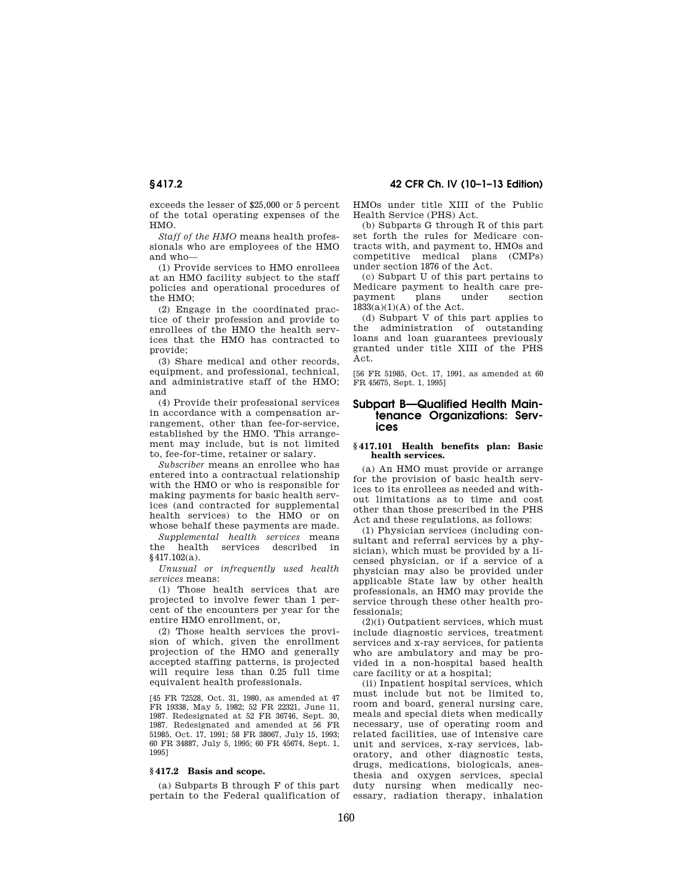exceeds the lesser of \$25,000 or 5 percent of the total operating expenses of the HMO.

*Staff of the HMO* means health professionals who are employees of the HMO and who—

(1) Provide services to HMO enrollees at an HMO facility subject to the staff policies and operational procedures of the HMO;

(2) Engage in the coordinated practice of their profession and provide to enrollees of the HMO the health services that the HMO has contracted to provide;

(3) Share medical and other records, equipment, and professional, technical, and administrative staff of the HMO; and

(4) Provide their professional services in accordance with a compensation arrangement, other than fee-for-service, established by the HMO. This arrangement may include, but is not limited to, fee-for-time, retainer or salary.

*Subscriber* means an enrollee who has entered into a contractual relationship with the HMO or who is responsible for making payments for basic health services (and contracted for supplemental health services) to the HMO or on whose behalf these payments are made.

*Supplemental health services* means the health services described in §417.102(a).

*Unusual or infrequently used health services* means:

(1) Those health services that are projected to involve fewer than 1 percent of the encounters per year for the entire HMO enrollment, or,

(2) Those health services the provision of which, given the enrollment projection of the HMO and generally accepted staffing patterns, is projected will require less than 0.25 full time equivalent health professionals.

[45 FR 72528, Oct. 31, 1980, as amended at 47 FR 19338, May 5, 1982; 52 FR 22321, June 11, 1987. Redesignated at 52 FR 36746, Sept. 30, 1987. Redesignated and amended at 56 FR 51985, Oct. 17, 1991; 58 FR 38067, July 15, 1993; 60 FR 34887, July 5, 1995; 60 FR 45674, Sept. 1, 1995]

# **§ 417.2 Basis and scope.**

(a) Subparts B through F of this part pertain to the Federal qualification of HMOs under title XIII of the Public Health Service (PHS) Act.

(b) Subparts G through R of this part set forth the rules for Medicare contracts with, and payment to, HMOs and competitive medical plans (CMPs) under section 1876 of the Act.

(c) Subpart U of this part pertains to Medicare payment to health care prepayment plans under section 1833(a)(1)(A) of the Act.

(d) Subpart V of this part applies to the administration of outstanding loans and loan guarantees previously granted under title XIII of the PHS Act.

[56 FR 51985, Oct. 17, 1991, as amended at 60 FR 45675, Sept. 1, 1995]

# **Subpart B—Qualified Health Maintenance Organizations: Services**

#### **§ 417.101 Health benefits plan: Basic health services.**

(a) An HMO must provide or arrange for the provision of basic health services to its enrollees as needed and without limitations as to time and cost other than those prescribed in the PHS Act and these regulations, as follows:

(1) Physician services (including consultant and referral services by a physician), which must be provided by a licensed physician, or if a service of a physician may also be provided under applicable State law by other health professionals, an HMO may provide the service through these other health professionals;

(2)(i) Outpatient services, which must include diagnostic services, treatment services and x-ray services, for patients who are ambulatory and may be provided in a non-hospital based health care facility or at a hospital;

(ii) Inpatient hospital services, which must include but not be limited to, room and board, general nursing care, meals and special diets when medically necessary, use of operating room and related facilities, use of intensive care unit and services, x-ray services, laboratory, and other diagnostic tests, drugs, medications, biologicals, anesthesia and oxygen services, special duty nursing when medically necessary, radiation therapy, inhalation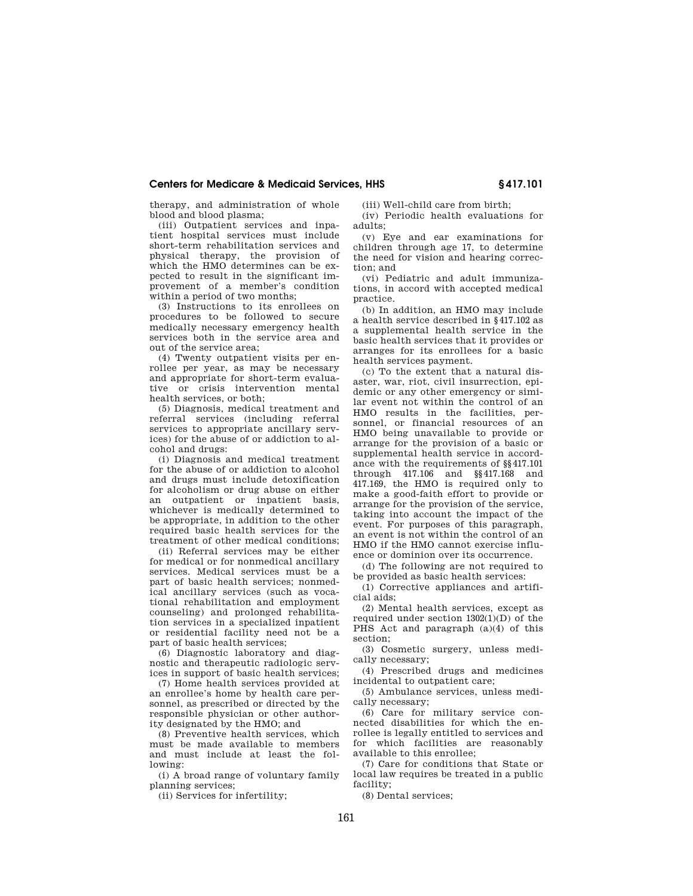therapy, and administration of whole blood and blood plasma;

(iii) Outpatient services and inpatient hospital services must include short-term rehabilitation services and physical therapy, the provision of which the HMO determines can be expected to result in the significant improvement of a member's condition within a period of two months:

(3) Instructions to its enrollees on procedures to be followed to secure medically necessary emergency health services both in the service area and out of the service area;

(4) Twenty outpatient visits per enrollee per year, as may be necessary and appropriate for short-term evaluative or crisis intervention mental health services, or both;

(5) Diagnosis, medical treatment and referral services (including referral services to appropriate ancillary services) for the abuse of or addiction to alcohol and drugs:

(i) Diagnosis and medical treatment for the abuse of or addiction to alcohol and drugs must include detoxification for alcoholism or drug abuse on either an outpatient or inpatient basis, whichever is medically determined to be appropriate, in addition to the other required basic health services for the treatment of other medical conditions;

(ii) Referral services may be either for medical or for nonmedical ancillary services. Medical services must be a part of basic health services; nonmedical ancillary services (such as vocational rehabilitation and employment counseling) and prolonged rehabilitation services in a specialized inpatient or residential facility need not be a part of basic health services;

(6) Diagnostic laboratory and diagnostic and therapeutic radiologic services in support of basic health services;

(7) Home health services provided at an enrollee's home by health care personnel, as prescribed or directed by the responsible physician or other authority designated by the HMO; and

(8) Preventive health services, which must be made available to members and must include at least the following:

(i) A broad range of voluntary family planning services;

(ii) Services for infertility;

(iii) Well-child care from birth; (iv) Periodic health evaluations for adults;

(v) Eye and ear examinations for children through age 17, to determine the need for vision and hearing correction; and

(vi) Pediatric and adult immunizations, in accord with accepted medical practice.

(b) In addition, an HMO may include a health service described in §417.102 as a supplemental health service in the basic health services that it provides or arranges for its enrollees for a basic health services payment.

(c) To the extent that a natural disaster, war, riot, civil insurrection, epidemic or any other emergency or similar event not within the control of an HMO results in the facilities, personnel, or financial resources of an HMO being unavailable to provide or arrange for the provision of a basic or supplemental health service in accordance with the requirements of §§417.101 through 417.106 and §§417.168 and 417.169, the HMO is required only to make a good-faith effort to provide or arrange for the provision of the service, taking into account the impact of the event. For purposes of this paragraph, an event is not within the control of an HMO if the HMO cannot exercise influence or dominion over its occurrence.

(d) The following are not required to be provided as basic health services:

(1) Corrective appliances and artificial aids;

(2) Mental health services, except as required under section 1302(1)(D) of the PHS Act and paragraph (a)(4) of this section;

(3) Cosmetic surgery, unless medically necessary;

(4) Prescribed drugs and medicines incidental to outpatient care;

(5) Ambulance services, unless medically necessary;

(6) Care for military service connected disabilities for which the enrollee is legally entitled to services and for which facilities are reasonably available to this enrollee;

(7) Care for conditions that State or local law requires be treated in a public facility;

(8) Dental services;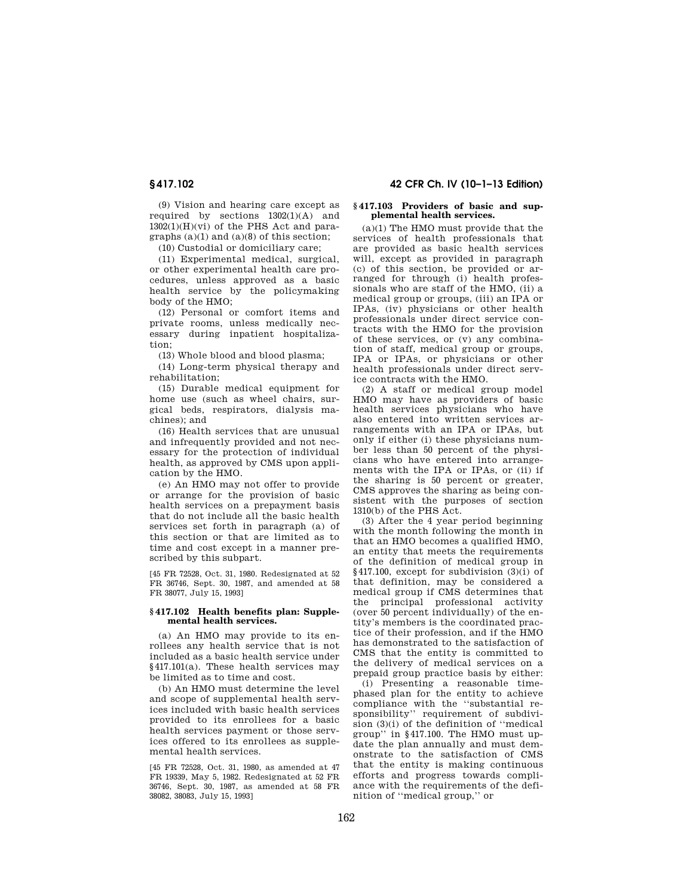(9) Vision and hearing care except as required by sections  $1302(1)(A)$  and  $1302(1)(H)(Vi)$  of the PHS Act and paragraphs  $(a)(1)$  and  $(a)(8)$  of this section;

(10) Custodial or domiciliary care;

(11) Experimental medical, surgical, or other experimental health care procedures, unless approved as a basic health service by the policymaking body of the HMO;

(12) Personal or comfort items and private rooms, unless medically necessary during inpatient hospitalization;

(13) Whole blood and blood plasma;

(14) Long-term physical therapy and rehabilitation;

(15) Durable medical equipment for home use (such as wheel chairs, surgical beds, respirators, dialysis machines); and

(16) Health services that are unusual and infrequently provided and not necessary for the protection of individual health, as approved by CMS upon application by the HMO.

(e) An HMO may not offer to provide or arrange for the provision of basic health services on a prepayment basis that do not include all the basic health services set forth in paragraph (a) of this section or that are limited as to time and cost except in a manner prescribed by this subpart.

[45 FR 72528, Oct. 31, 1980. Redesignated at 52 FR 36746, Sept. 30, 1987, and amended at 58 FR 38077, July 15, 1993]

#### **§ 417.102 Health benefits plan: Supplemental health services.**

(a) An HMO may provide to its enrollees any health service that is not included as a basic health service under §417.101(a). These health services may be limited as to time and cost.

(b) An HMO must determine the level and scope of supplemental health services included with basic health services provided to its enrollees for a basic health services payment or those services offered to its enrollees as supplemental health services.

[45 FR 72528, Oct. 31, 1980, as amended at 47 FR 19339, May 5, 1982. Redesignated at 52 FR 36746, Sept. 30, 1987, as amended at 58 FR 38082, 38083, July 15, 1993]

# **§ 417.102 42 CFR Ch. IV (10–1–13 Edition)**

### **§ 417.103 Providers of basic and supplemental health services.**

(a)(1) The HMO must provide that the services of health professionals that are provided as basic health services will, except as provided in paragraph (c) of this section, be provided or arranged for through (i) health professionals who are staff of the HMO, (ii) a medical group or groups, (iii) an IPA or IPAs, (iv) physicians or other health professionals under direct service contracts with the HMO for the provision of these services, or (v) any combination of staff, medical group or groups, IPA or IPAs, or physicians or other health professionals under direct service contracts with the HMO.

(2) A staff or medical group model HMO may have as providers of basic health services physicians who have also entered into written services arrangements with an IPA or IPAs, but only if either (i) these physicians number less than 50 percent of the physicians who have entered into arrangements with the IPA or IPAs, or (ii) if the sharing is 50 percent or greater, CMS approves the sharing as being consistent with the purposes of section 1310(b) of the PHS Act.

(3) After the 4 year period beginning with the month following the month in that an HMO becomes a qualified HMO, an entity that meets the requirements of the definition of medical group in §417.100, except for subdivision (3)(i) of that definition, may be considered a medical group if CMS determines that the principal professional activity (over 50 percent individually) of the entity's members is the coordinated practice of their profession, and if the HMO has demonstrated to the satisfaction of CMS that the entity is committed to the delivery of medical services on a prepaid group practice basis by either:

(i) Presenting a reasonable timephased plan for the entity to achieve compliance with the ''substantial responsibility'' requirement of subdivision  $(3)(i)$  of the definition of "medical" group'' in §417.100. The HMO must update the plan annually and must demonstrate to the satisfaction of CMS that the entity is making continuous efforts and progress towards compliance with the requirements of the definition of ''medical group,'' or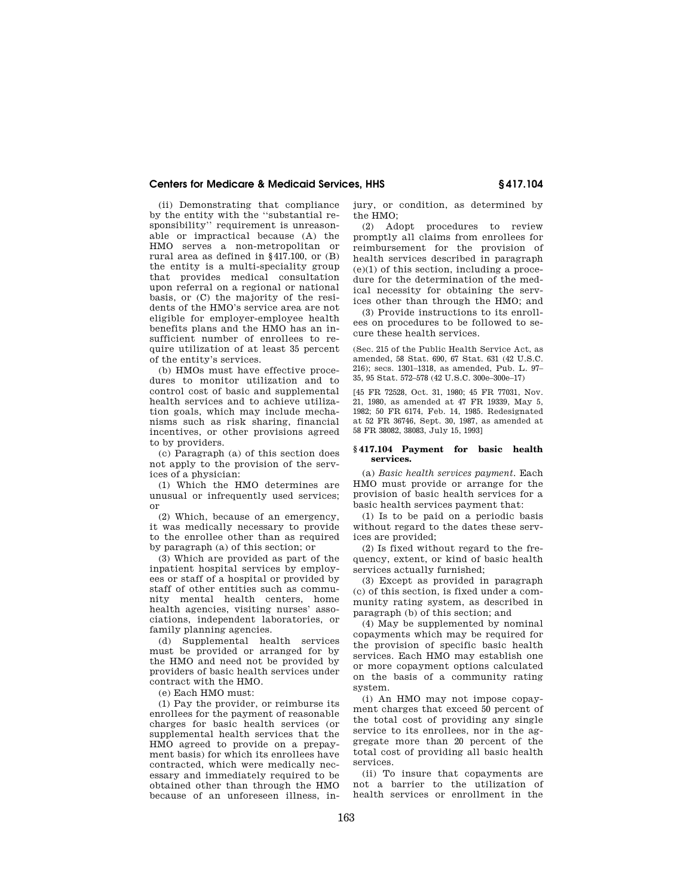(ii) Demonstrating that compliance by the entity with the ''substantial responsibility'' requirement is unreasonable or impractical because (A) the HMO serves a non-metropolitan or rural area as defined in §417.100, or (B) the entity is a multi-speciality group that provides medical consultation upon referral on a regional or national basis, or (C) the majority of the residents of the HMO's service area are not eligible for employer-employee health benefits plans and the HMO has an insufficient number of enrollees to require utilization of at least 35 percent of the entity's services.

(b) HMOs must have effective procedures to monitor utilization and to control cost of basic and supplemental health services and to achieve utilization goals, which may include mechanisms such as risk sharing, financial incentives, or other provisions agreed to by providers.

(c) Paragraph (a) of this section does not apply to the provision of the services of a physician:

(1) Which the HMO determines are unusual or infrequently used services; or

(2) Which, because of an emergency, it was medically necessary to provide to the enrollee other than as required by paragraph (a) of this section; or

(3) Which are provided as part of the inpatient hospital services by employees or staff of a hospital or provided by staff of other entities such as community mental health centers, home health agencies, visiting nurses' associations, independent laboratories, or family planning agencies.

(d) Supplemental health services must be provided or arranged for by the HMO and need not be provided by providers of basic health services under contract with the HMO.

(e) Each HMO must:

(1) Pay the provider, or reimburse its enrollees for the payment of reasonable charges for basic health services (or supplemental health services that the HMO agreed to provide on a prepayment basis) for which its enrollees have contracted, which were medically necessary and immediately required to be obtained other than through the HMO because of an unforeseen illness, injury, or condition, as determined by the HMO;

(2) Adopt procedures to review promptly all claims from enrollees for reimbursement for the provision of health services described in paragraph (e)(1) of this section, including a procedure for the determination of the medical necessity for obtaining the services other than through the HMO; and

(3) Provide instructions to its enrollees on procedures to be followed to secure these health services.

(Sec. 215 of the Public Health Service Act, as amended, 58 Stat. 690, 67 Stat. 631 (42 U.S.C. 216); secs. 1301–1318, as amended, Pub. L. 97– 35, 95 Stat. 572–578 (42 U.S.C. 300e–300e–17)

[45 FR 72528, Oct. 31, 1980; 45 FR 77031, Nov. 21, 1980, as amended at 47 FR 19339, May 5, 1982; 50 FR 6174, Feb. 14, 1985. Redesignated at 52 FR 36746, Sept. 30, 1987, as amended at 58 FR 38082, 38083, July 15, 1993]

#### **§ 417.104 Payment for basic health services.**

(a) *Basic health services payment.* Each HMO must provide or arrange for the provision of basic health services for a basic health services payment that:

(1) Is to be paid on a periodic basis without regard to the dates these services are provided;

(2) Is fixed without regard to the frequency, extent, or kind of basic health services actually furnished;

(3) Except as provided in paragraph (c) of this section, is fixed under a community rating system, as described in paragraph (b) of this section; and

(4) May be supplemented by nominal copayments which may be required for the provision of specific basic health services. Each HMO may establish one or more copayment options calculated on the basis of a community rating system.

(i) An HMO may not impose copayment charges that exceed 50 percent of the total cost of providing any single service to its enrollees, nor in the aggregate more than 20 percent of the total cost of providing all basic health services.

(ii) To insure that copayments are not a barrier to the utilization of health services or enrollment in the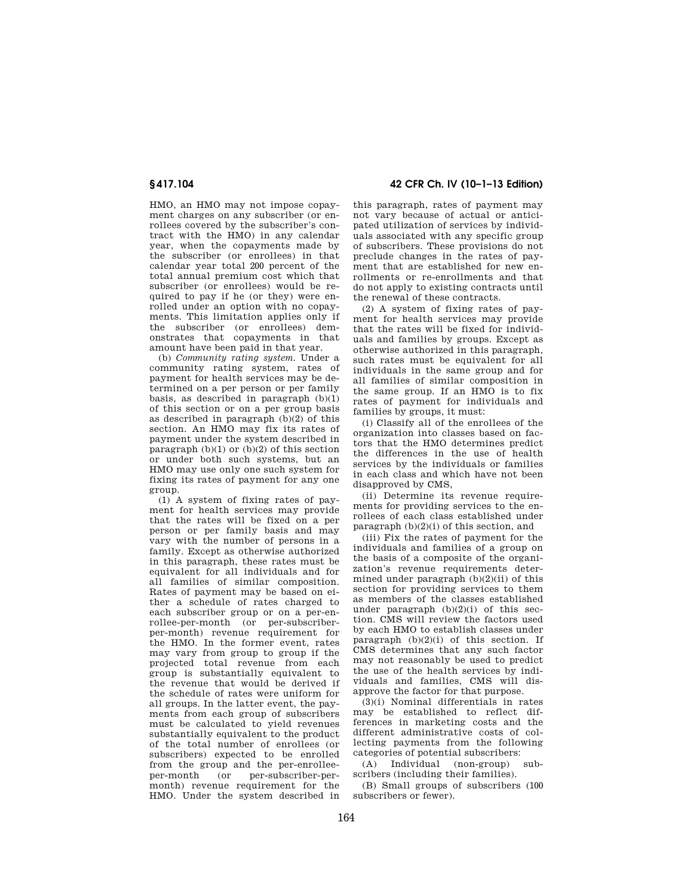HMO, an HMO may not impose copayment charges on any subscriber (or enrollees covered by the subscriber's contract with the HMO) in any calendar year, when the copayments made by the subscriber (or enrollees) in that calendar year total 200 percent of the total annual premium cost which that subscriber (or enrollees) would be required to pay if he (or they) were enrolled under an option with no copayments. This limitation applies only if the subscriber (or enrollees) demonstrates that copayments in that amount have been paid in that year.

(b) *Community rating system.* Under a community rating system, rates of payment for health services may be determined on a per person or per family basis, as described in paragraph  $(b)(1)$ of this section or on a per group basis as described in paragraph (b)(2) of this section. An HMO may fix its rates of payment under the system described in paragraph  $(b)(1)$  or  $(b)(2)$  of this section or under both such systems, but an HMO may use only one such system for fixing its rates of payment for any one group.

(1) A system of fixing rates of payment for health services may provide that the rates will be fixed on a per person or per family basis and may vary with the number of persons in a family. Except as otherwise authorized in this paragraph, these rates must be equivalent for all individuals and for all families of similar composition. Rates of payment may be based on either a schedule of rates charged to each subscriber group or on a per-enrollee-per-month (or per-subscriberper-month) revenue requirement for the HMO. In the former event, rates may vary from group to group if the projected total revenue from each group is substantially equivalent to the revenue that would be derived if the schedule of rates were uniform for all groups. In the latter event, the payments from each group of subscribers must be calculated to yield revenues substantially equivalent to the product of the total number of enrollees (or subscribers) expected to be enrolled from the group and the per-enrolleeper-month (or per-subscriber-permonth) revenue requirement for the HMO. Under the system described in

**§ 417.104 42 CFR Ch. IV (10–1–13 Edition)** 

this paragraph, rates of payment may not vary because of actual or anticipated utilization of services by individuals associated with any specific group of subscribers. These provisions do not preclude changes in the rates of payment that are established for new enrollments or re-enrollments and that do not apply to existing contracts until the renewal of these contracts.

(2) A system of fixing rates of payment for health services may provide that the rates will be fixed for individuals and families by groups. Except as otherwise authorized in this paragraph, such rates must be equivalent for all individuals in the same group and for all families of similar composition in the same group. If an HMO is to fix rates of payment for individuals and families by groups, it must:

(i) Classify all of the enrollees of the organization into classes based on factors that the HMO determines predict the differences in the use of health services by the individuals or families in each class and which have not been disapproved by CMS,

(ii) Determine its revenue requirements for providing services to the enrollees of each class established under paragraph (b)(2)(i) of this section, and

(iii) Fix the rates of payment for the individuals and families of a group on the basis of a composite of the organization's revenue requirements determined under paragraph  $(b)(2)(ii)$  of this section for providing services to them as members of the classes established under paragraph  $(b)(2)(i)$  of this section. CMS will review the factors used by each HMO to establish classes under paragraph  $(b)(2)(i)$  of this section. If CMS determines that any such factor may not reasonably be used to predict the use of the health services by individuals and families, CMS will disapprove the factor for that purpose.

(3)(i) Nominal differentials in rates may be established to reflect differences in marketing costs and the different administrative costs of collecting payments from the following categories of potential subscribers:

(A) Individual (non-group) subscribers (including their families).

(B) Small groups of subscribers (100 subscribers or fewer).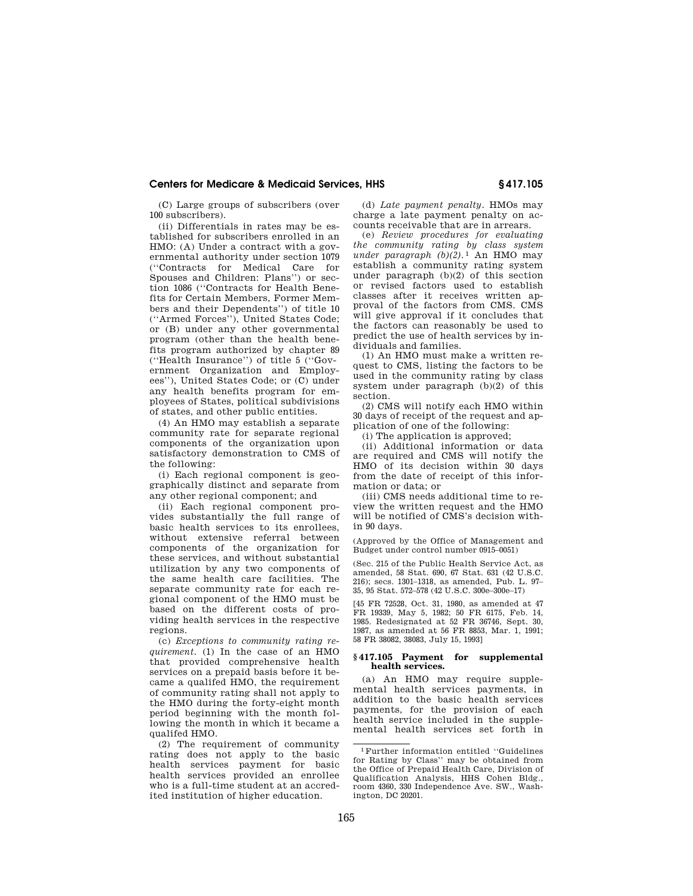(C) Large groups of subscribers (over 100 subscribers).

(ii) Differentials in rates may be established for subscribers enrolled in an HMO: (A) Under a contract with a governmental authority under section 1079 (''Contracts for Medical Care for Spouses and Children: Plans'') or section 1086 (''Contracts for Health Benefits for Certain Members, Former Members and their Dependents'') of title 10 (''Armed Forces''), United States Code; or (B) under any other governmental program (other than the health benefits program authorized by chapter 89 (''Health Insurance'') of title 5 (''Government Organization and Employees''), United States Code; or (C) under any health benefits program for employees of States, political subdivisions of states, and other public entities.

(4) An HMO may establish a separate community rate for separate regional components of the organization upon satisfactory demonstration to CMS of the following:

(i) Each regional component is geographically distinct and separate from any other regional component; and

(ii) Each regional component provides substantially the full range of basic health services to its enrollees, without extensive referral between components of the organization for these services, and without substantial utilization by any two components of the same health care facilities. The separate community rate for each regional component of the HMO must be based on the different costs of providing health services in the respective regions.

(c) *Exceptions to community rating requirement.* (1) In the case of an HMO that provided comprehensive health services on a prepaid basis before it became a qualifed HMO, the requirement of community rating shall not apply to the HMO during the forty-eight month period beginning with the month following the month in which it became a qualifed HMO.

(2) The requirement of community rating does not apply to the basic health services payment for basic health services provided an enrollee who is a full-time student at an accredited institution of higher education.

(d) *Late payment penalty.* HMOs may charge a late payment penalty on accounts receivable that are in arrears.

(e) *Review procedures for evaluating the community rating by class system under paragraph* (b)(2).<sup>1</sup> An HMO may establish a community rating system under paragraph (b)(2) of this section or revised factors used to establish classes after it receives written approval of the factors from CMS. CMS will give approval if it concludes that the factors can reasonably be used to predict the use of health services by individuals and families.

(1) An HMO must make a written request to CMS, listing the factors to be used in the community rating by class system under paragraph (b)(2) of this section.

(2) CMS will notify each HMO within 30 days of receipt of the request and application of one of the following:

(i) The application is approved;

(ii) Additional information or data are required and CMS will notify the HMO of its decision within 30 days from the date of receipt of this information or data; or

(iii) CMS needs additional time to review the written request and the HMO will be notified of CMS's decision within 90 days.

(Approved by the Office of Management and Budget under control number 0915–0051)

(Sec. 215 of the Public Health Service Act, as amended, 58 Stat. 690, 67 Stat. 631 (42 U.S.C. 216); secs. 1301–1318, as amended, Pub. L. 97– 35, 95 Stat. 572–578 (42 U.S.C. 300e–300e–17)

[45 FR 72528, Oct. 31, 1980, as amended at 47 FR 19339, May 5, 1982; 50 FR 6175, Feb. 14, 1985. Redesignated at 52 FR 36746, Sept. 30, 1987, as amended at 56 FR 8853, Mar. 1, 1991; 58 FR 38082, 38083, July 15, 1993]

## **§ 417.105 Payment for supplemental health services.**

(a) An HMO may require supplemental health services payments, in addition to the basic health services payments, for the provision of each health service included in the supplemental health services set forth in

<sup>1</sup>Further information entitled ''Guidelines for Rating by Class'' may be obtained from the Office of Prepaid Health Care, Division of Qualification Analysis, HHS Cohen Bldg., room 4360, 330 Independence Ave. SW., Washington, DC 20201.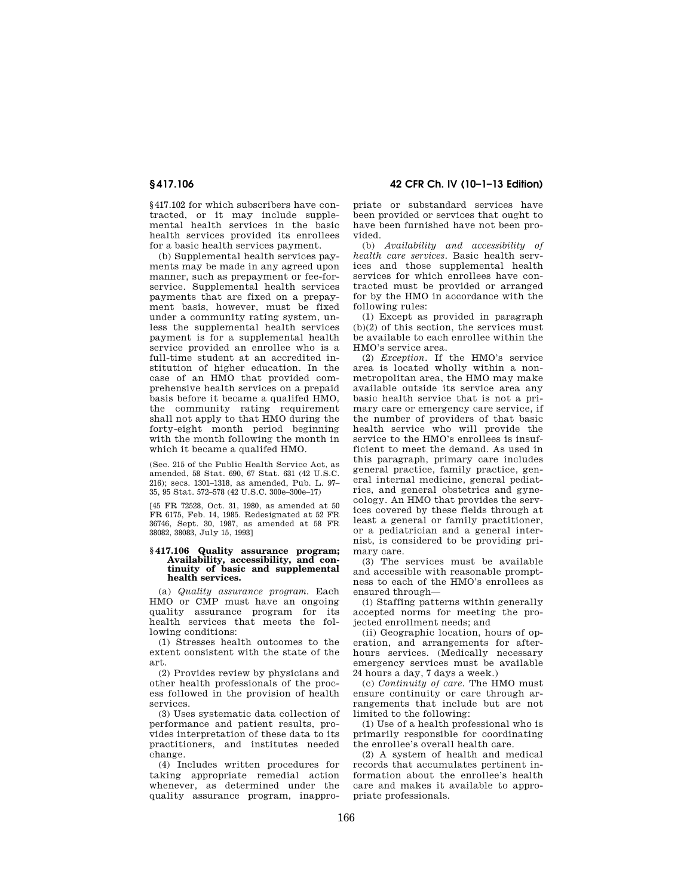§417.102 for which subscribers have contracted, or it may include supplemental health services in the basic health services provided its enrollees for a basic health services payment.

(b) Supplemental health services payments may be made in any agreed upon manner, such as prepayment or fee-forservice. Supplemental health services payments that are fixed on a prepayment basis, however, must be fixed under a community rating system, unless the supplemental health services payment is for a supplemental health service provided an enrollee who is a full-time student at an accredited institution of higher education. In the case of an HMO that provided comprehensive health services on a prepaid basis before it became a qualifed HMO, the community rating requirement shall not apply to that HMO during the forty-eight month period beginning with the month following the month in which it became a qualifed HMO.

(Sec. 215 of the Public Health Service Act, as amended, 58 Stat. 690, 67 Stat. 631 (42 U.S.C. 216); secs. 1301–1318, as amended, Pub. L. 97– 35, 95 Stat. 572–578 (42 U.S.C. 300e–300e–17)

[45 FR 72528, Oct. 31, 1980, as amended at 50 FR 6175, Feb. 14, 1985. Redesignated at 52 FR 36746, Sept. 30, 1987, as amended at 58 FR 38082, 38083, July 15, 1993]

#### **§ 417.106 Quality assurance program; Availability, accessibility, and continuity of basic and supplemental health services.**

(a) *Quality assurance program.* Each HMO or CMP must have an ongoing quality assurance program for its health services that meets the following conditions:

(1) Stresses health outcomes to the extent consistent with the state of the art.

(2) Provides review by physicians and other health professionals of the process followed in the provision of health services.

(3) Uses systematic data collection of performance and patient results, provides interpretation of these data to its practitioners, and institutes needed change.

(4) Includes written procedures for taking appropriate remedial action whenever, as determined under the quality assurance program, inappro-

**§ 417.106 42 CFR Ch. IV (10–1–13 Edition)** 

priate or substandard services have been provided or services that ought to have been furnished have not been provided.

(b) *Availability and accessibility of health care services.* Basic health services and those supplemental health services for which enrollees have contracted must be provided or arranged for by the HMO in accordance with the following rules:

(1) Except as provided in paragraph  $(h)(2)$  of this section, the services must be available to each enrollee within the HMO's service area.

(2) *Exception.* If the HMO's service area is located wholly within a nonmetropolitan area, the HMO may make available outside its service area any basic health service that is not a primary care or emergency care service, if the number of providers of that basic health service who will provide the service to the HMO's enrollees is insufficient to meet the demand. As used in this paragraph, primary care includes general practice, family practice, general internal medicine, general pediatrics, and general obstetrics and gynecology. An HMO that provides the services covered by these fields through at least a general or family practitioner, or a pediatrician and a general internist, is considered to be providing primary care.

(3) The services must be available and accessible with reasonable promptness to each of the HMO's enrollees as ensured through—

(i) Staffing patterns within generally accepted norms for meeting the projected enrollment needs; and

(ii) Geographic location, hours of operation, and arrangements for afterhours services. (Medically necessary emergency services must be available 24 hours a day, 7 days a week.)

(c) *Continuity of care.* The HMO must ensure continuity or care through arrangements that include but are not limited to the following:

(1) Use of a health professional who is primarily responsible for coordinating the enrollee's overall health care.

(2) A system of health and medical records that accumulates pertinent information about the enrollee's health care and makes it available to appropriate professionals.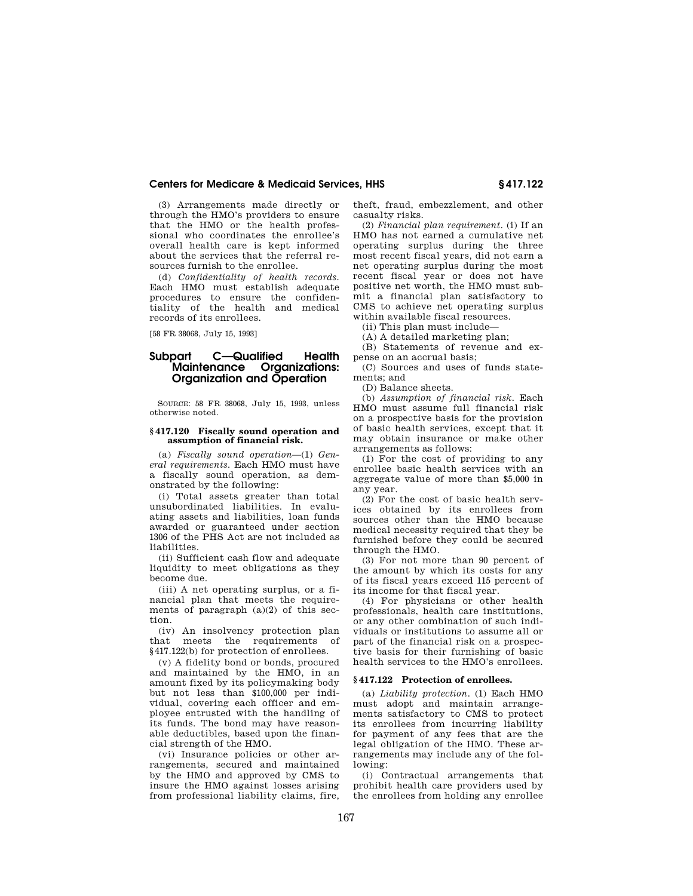(3) Arrangements made directly or through the HMO's providers to ensure that the HMO or the health professional who coordinates the enrollee's overall health care is kept informed about the services that the referral resources furnish to the enrollee.

(d) *Confidentiality of health records.*  Each HMO must establish adequate procedures to ensure the confidentiality of the health and medical records of its enrollees.

[58 FR 38068, July 15, 1993]

# **Subpart C—Qualified Health Maintenance Organizations: Organization and Operation**

SOURCE: 58 FR 38068, July 15, 1993, unless otherwise noted.

### **§ 417.120 Fiscally sound operation and assumption of financial risk.**

(a) *Fiscally sound operation*—(1) *General requirements.* Each HMO must have a fiscally sound operation, as demonstrated by the following:

(i) Total assets greater than total unsubordinated liabilities. In evaluating assets and liabilities, loan funds awarded or guaranteed under section 1306 of the PHS Act are not included as liabilities.

(ii) Sufficient cash flow and adequate liquidity to meet obligations as they become due.

(iii) A net operating surplus, or a financial plan that meets the requirements of paragraph (a)(2) of this section.

(iv) An insolvency protection plan that meets the requirements of §417.122(b) for protection of enrollees.

(v) A fidelity bond or bonds, procured and maintained by the HMO, in an amount fixed by its policymaking body but not less than \$100,000 per individual, covering each officer and employee entrusted with the handling of its funds. The bond may have reasonable deductibles, based upon the financial strength of the HMO.

(vi) Insurance policies or other arrangements, secured and maintained by the HMO and approved by CMS to insure the HMO against losses arising from professional liability claims, fire, theft, fraud, embezzlement, and other casualty risks.

(2) *Financial plan requirement.* (i) If an HMO has not earned a cumulative net operating surplus during the three most recent fiscal years, did not earn a net operating surplus during the most recent fiscal year or does not have positive net worth, the HMO must submit a financial plan satisfactory to CMS to achieve net operating surplus within available fiscal resources.

(ii) This plan must include—

(A) A detailed marketing plan;

(B) Statements of revenue and expense on an accrual basis;

(C) Sources and uses of funds statements; and

(D) Balance sheets.

(b) *Assumption of financial risk.* Each HMO must assume full financial risk on a prospective basis for the provision of basic health services, except that it may obtain insurance or make other arrangements as follows:

(1) For the cost of providing to any enrollee basic health services with an aggregate value of more than \$5,000 in any year.

(2) For the cost of basic health services obtained by its enrollees from sources other than the HMO because medical necessity required that they be furnished before they could be secured through the HMO.

(3) For not more than 90 percent of the amount by which its costs for any of its fiscal years exceed 115 percent of its income for that fiscal year.

(4) For physicians or other health professionals, health care institutions, or any other combination of such individuals or institutions to assume all or part of the financial risk on a prospective basis for their furnishing of basic health services to the HMO's enrollees.

#### **§ 417.122 Protection of enrollees.**

(a) *Liability protection.* (1) Each HMO must adopt and maintain arrangements satisfactory to CMS to protect its enrollees from incurring liability for payment of any fees that are the legal obligation of the HMO. These arrangements may include any of the following:

(i) Contractual arrangements that prohibit health care providers used by the enrollees from holding any enrollee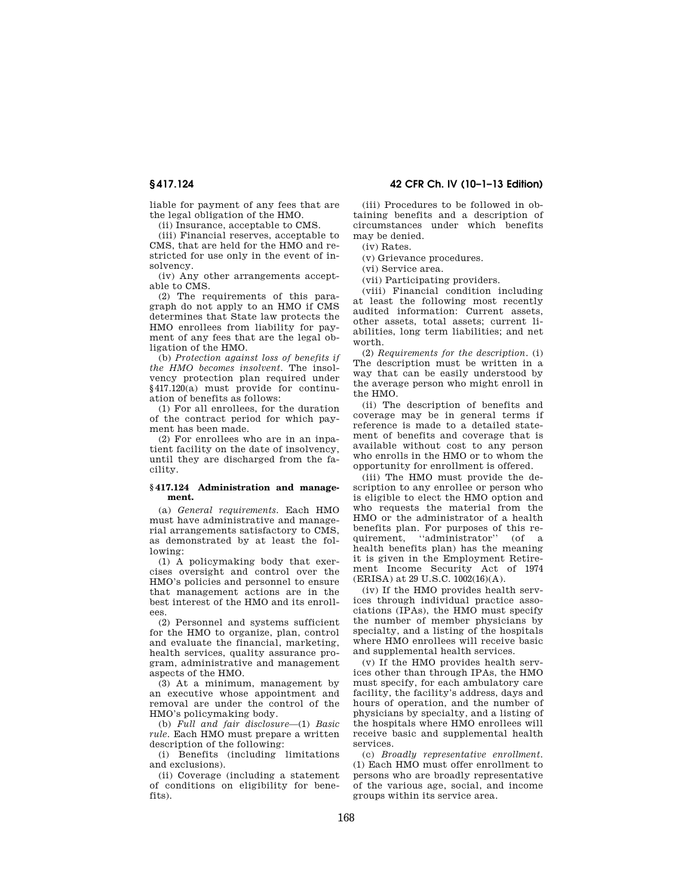liable for payment of any fees that are the legal obligation of the HMO.

(ii) Insurance, acceptable to CMS.

(iii) Financial reserves, acceptable to CMS, that are held for the HMO and restricted for use only in the event of insolvency.

(iv) Any other arrangements acceptable to CMS.

(2) The requirements of this paragraph do not apply to an HMO if CMS determines that State law protects the HMO enrollees from liability for payment of any fees that are the legal obligation of the HMO.

(b) *Protection against loss of benefits if the HMO becomes insolvent.* The insolvency protection plan required under §417.120(a) must provide for continuation of benefits as follows:

(1) For all enrollees, for the duration of the contract period for which payment has been made.

(2) For enrollees who are in an inpatient facility on the date of insolvency, until they are discharged from the facility.

### **§ 417.124 Administration and management.**

(a) *General requirements.* Each HMO must have administrative and managerial arrangements satisfactory to CMS, as demonstrated by at least the following:

(1) A policymaking body that exercises oversight and control over the HMO's policies and personnel to ensure that management actions are in the best interest of the HMO and its enrollees.

(2) Personnel and systems sufficient for the HMO to organize, plan, control and evaluate the financial, marketing, health services, quality assurance program, administrative and management aspects of the HMO.

(3) At a minimum, management by an executive whose appointment and removal are under the control of the HMO's policymaking body.

(b) *Full and fair disclosure*—(1) *Basic rule.* Each HMO must prepare a written description of the following:

(i) Benefits (including limitations and exclusions).

(ii) Coverage (including a statement of conditions on eligibility for benefits).

**§ 417.124 42 CFR Ch. IV (10–1–13 Edition)** 

(iii) Procedures to be followed in obtaining benefits and a description of circumstances under which benefits may be denied.

(iv) Rates.

(v) Grievance procedures.

(vi) Service area.

(vii) Participating providers.

(viii) Financial condition including at least the following most recently audited information: Current assets, other assets, total assets; current liabilities, long term liabilities; and net worth.

(2) *Requirements for the description.* (i) The description must be written in a way that can be easily understood by the average person who might enroll in the HMO.

(ii) The description of benefits and coverage may be in general terms if reference is made to a detailed statement of benefits and coverage that is available without cost to any person who enrolls in the HMO or to whom the opportunity for enrollment is offered.

(iii) The HMO must provide the description to any enrollee or person who is eligible to elect the HMO option and who requests the material from the HMO or the administrator of a health benefits plan. For purposes of this requirement, ''administrator'' (of a health benefits plan) has the meaning it is given in the Employment Retirement Income Security Act of 1974 (ERISA) at 29 U.S.C. 1002(16)(A).

(iv) If the HMO provides health services through individual practice associations (IPAs), the HMO must specify the number of member physicians by specialty, and a listing of the hospitals where HMO enrollees will receive basic and supplemental health services.

(v) If the HMO provides health services other than through IPAs, the HMO must specify, for each ambulatory care facility, the facility's address, days and hours of operation, and the number of physicians by specialty, and a listing of the hospitals where HMO enrollees will receive basic and supplemental health services.

(c) *Broadly representative enrollment.*  (1) Each HMO must offer enrollment to persons who are broadly representative of the various age, social, and income groups within its service area.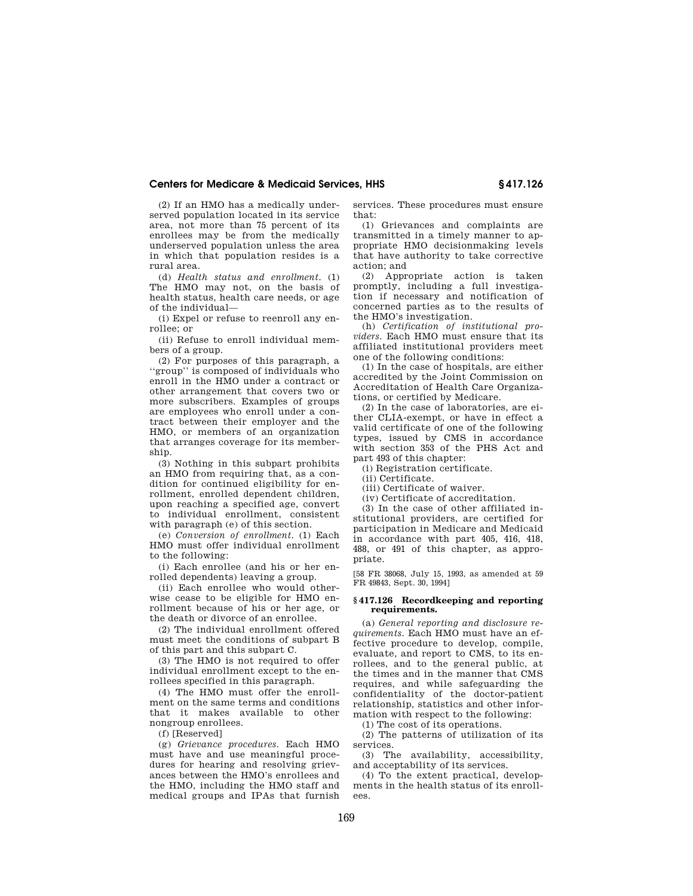(2) If an HMO has a medically underserved population located in its service area, not more than 75 percent of its enrollees may be from the medically underserved population unless the area in which that population resides is a rural area.

(d) *Health status and enrollment.* (1) The HMO may not, on the basis of health status, health care needs, or age of the individual—

(i) Expel or refuse to reenroll any enrollee; or

(ii) Refuse to enroll individual members of a group.

(2) For purposes of this paragraph, a ''group'' is composed of individuals who enroll in the HMO under a contract or other arrangement that covers two or more subscribers. Examples of groups are employees who enroll under a contract between their employer and the HMO, or members of an organization that arranges coverage for its membership.

(3) Nothing in this subpart prohibits an HMO from requiring that, as a condition for continued eligibility for enrollment, enrolled dependent children, upon reaching a specified age, convert to individual enrollment, consistent with paragraph (e) of this section.

(e) *Conversion of enrollment.* (1) Each HMO must offer individual enrollment to the following:

(i) Each enrollee (and his or her enrolled dependents) leaving a group.

(ii) Each enrollee who would otherwise cease to be eligible for HMO enrollment because of his or her age, or the death or divorce of an enrollee.

(2) The individual enrollment offered must meet the conditions of subpart B of this part and this subpart C.

(3) The HMO is not required to offer individual enrollment except to the enrollees specified in this paragraph.

(4) The HMO must offer the enrollment on the same terms and conditions that it makes available to other nongroup enrollees.

(f) [Reserved]

(g) *Grievance procedures.* Each HMO must have and use meaningful procedures for hearing and resolving grievances between the HMO's enrollees and the HMO, including the HMO staff and medical groups and IPAs that furnish services. These procedures must ensure that:

(1) Grievances and complaints are transmitted in a timely manner to appropriate HMO decisionmaking levels that have authority to take corrective action; and

(2) Appropriate action is taken promptly, including a full investigation if necessary and notification of concerned parties as to the results of the HMO's investigation.

(h) *Certification of institutional providers.* Each HMO must ensure that its affiliated institutional providers meet one of the following conditions:

(1) In the case of hospitals, are either accredited by the Joint Commission on Accreditation of Health Care Organizations, or certified by Medicare.

(2) In the case of laboratories, are either CLIA-exempt, or have in effect a valid certificate of one of the following types, issued by CMS in accordance with section 353 of the PHS Act and part 493 of this chapter:

(i) Registration certificate.

(ii) Certificate.

(iii) Certificate of waiver.

(iv) Certificate of accreditation.

(3) In the case of other affiliated institutional providers, are certified for participation in Medicare and Medicaid in accordance with part 405, 416, 418, 488, or 491 of this chapter, as appropriate.

[58 FR 38068, July 15, 1993, as amended at 59 FR 49843, Sept. 30, 1994]

### **§ 417.126 Recordkeeping and reporting requirements.**

(a) *General reporting and disclosure requirements.* Each HMO must have an effective procedure to develop, compile, evaluate, and report to CMS, to its enrollees, and to the general public, at the times and in the manner that CMS requires, and while safeguarding the confidentiality of the doctor-patient relationship, statistics and other information with respect to the following:

(1) The cost of its operations.

(2) The patterns of utilization of its services.

(3) The availability, accessibility, and acceptability of its services.

(4) To the extent practical, developments in the health status of its enrollees.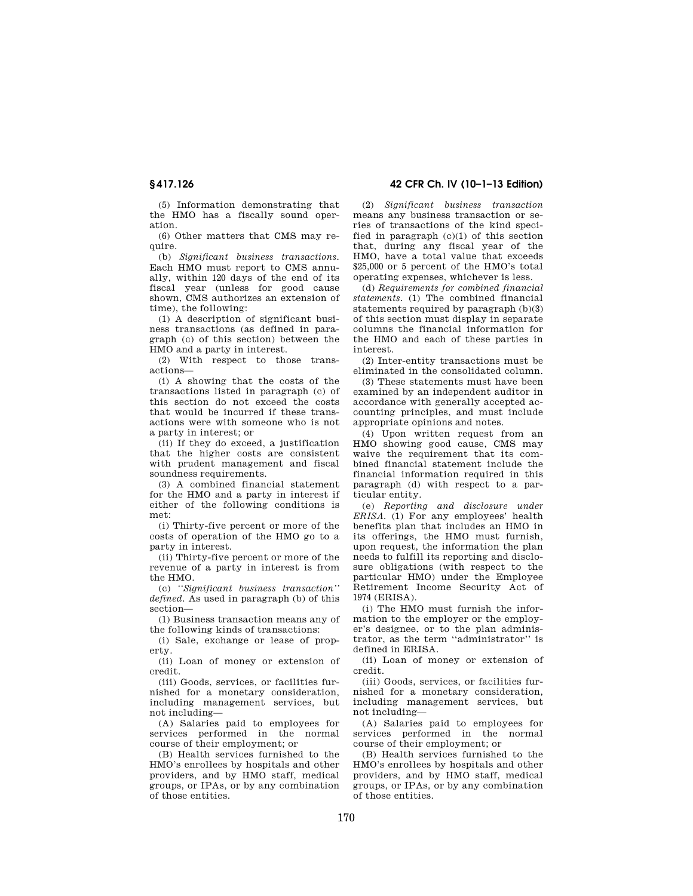# **§ 417.126 42 CFR Ch. IV (10–1–13 Edition)**

(5) Information demonstrating that the HMO has a fiscally sound operation.

(6) Other matters that CMS may require.

(b) *Significant business transactions.*  Each HMO must report to CMS annually, within 120 days of the end of its fiscal year (unless for good cause shown, CMS authorizes an extension of time), the following:

(1) A description of significant business transactions (as defined in paragraph (c) of this section) between the HMO and a party in interest.

(2) With respect to those transactions—

(i) A showing that the costs of the transactions listed in paragraph (c) of this section do not exceed the costs that would be incurred if these transactions were with someone who is not a party in interest; or

(ii) If they do exceed, a justification that the higher costs are consistent with prudent management and fiscal soundness requirements.

(3) A combined financial statement for the HMO and a party in interest if either of the following conditions is met:

(i) Thirty-five percent or more of the costs of operation of the HMO go to a party in interest.

(ii) Thirty-five percent or more of the revenue of a party in interest is from the HMO.

(c) *''Significant business transaction'' defined.* As used in paragraph (b) of this section—

(1) Business transaction means any of the following kinds of transactions:

(i) Sale, exchange or lease of property.

(ii) Loan of money or extension of credit.

(iii) Goods, services, or facilities furnished for a monetary consideration, including management services, but not including—

(A) Salaries paid to employees for services performed in the normal course of their employment; or

(B) Health services furnished to the HMO's enrollees by hospitals and other providers, and by HMO staff, medical groups, or IPAs, or by any combination of those entities.

(2) *Significant business transaction*  means any business transaction or series of transactions of the kind specified in paragraph (c)(1) of this section that, during any fiscal year of the HMO, have a total value that exceeds \$25,000 or 5 percent of the HMO's total operating expenses, whichever is less.

(d) *Requirements for combined financial statements.* (1) The combined financial statements required by paragraph (b)(3) of this section must display in separate columns the financial information for the HMO and each of these parties in interest.

(2) Inter-entity transactions must be eliminated in the consolidated column.

(3) These statements must have been examined by an independent auditor in accordance with generally accepted accounting principles, and must include appropriate opinions and notes.

(4) Upon written request from an HMO showing good cause, CMS may waive the requirement that its combined financial statement include the financial information required in this paragraph (d) with respect to a particular entity.

(e) *Reporting and disclosure under ERISA.* (1) For any employees' health benefits plan that includes an HMO in its offerings, the HMO must furnish, upon request, the information the plan needs to fulfill its reporting and disclosure obligations (with respect to the particular HMO) under the Employee Retirement Income Security Act of 1974 (ERISA).

(i) The HMO must furnish the information to the employer or the employer's designee, or to the plan administrator, as the term ''administrator'' is defined in ERISA.

(ii) Loan of money or extension of credit.

(iii) Goods, services, or facilities furnished for a monetary consideration, including management services, but not including—

(A) Salaries paid to employees for services performed in the normal course of their employment; or

(B) Health services furnished to the HMO's enrollees by hospitals and other providers, and by HMO staff, medical groups, or IPAs, or by any combination of those entities.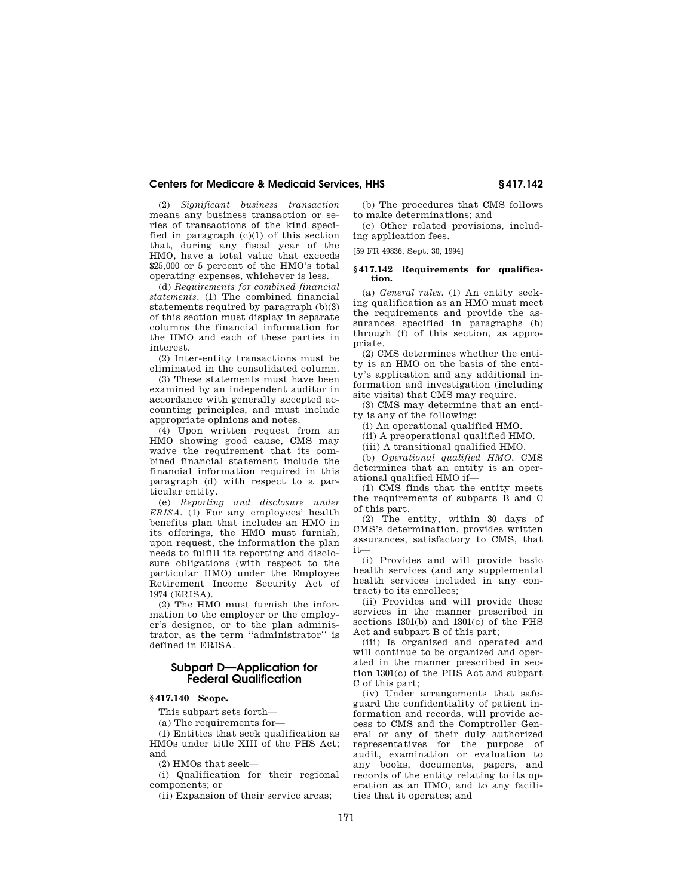(2) *Significant business transaction*  means any business transaction or series of transactions of the kind specified in paragraph (c)(1) of this section that, during any fiscal year of the HMO, have a total value that exceeds \$25,000 or 5 percent of the HMO's total operating expenses, whichever is less.

(d) *Requirements for combined financial statements.* (1) The combined financial statements required by paragraph (b)(3) of this section must display in separate columns the financial information for the HMO and each of these parties in interest.

(2) Inter-entity transactions must be eliminated in the consolidated column.

(3) These statements must have been examined by an independent auditor in accordance with generally accepted accounting principles, and must include appropriate opinions and notes.

(4) Upon written request from an HMO showing good cause, CMS may waive the requirement that its combined financial statement include the financial information required in this paragraph (d) with respect to a particular entity.

(e) *Reporting and disclosure under ERISA.* (1) For any employees' health benefits plan that includes an HMO in its offerings, the HMO must furnish, upon request, the information the plan needs to fulfill its reporting and disclosure obligations (with respect to the particular HMO) under the Employee Retirement Income Security Act of 1974 (ERISA).

(2) The HMO must furnish the information to the employer or the employer's designee, or to the plan administrator, as the term ''administrator'' is defined in ERISA.

# **Subpart D—Application for Federal Qualification**

# **§ 417.140 Scope.**

This subpart sets forth—

(a) The requirements for—

(1) Entities that seek qualification as HMOs under title XIII of the PHS Act; and

(2) HMOs that seek—

(i) Qualification for their regional components; or

(ii) Expansion of their service areas;

(b) The procedures that CMS follows to make determinations; and

(c) Other related provisions, including application fees.

[59 FR 49836, Sept. 30, 1994]

# **§ 417.142 Requirements for qualification.**

(a) *General rules.* (1) An entity seeking qualification as an HMO must meet the requirements and provide the assurances specified in paragraphs (b) through (f) of this section, as appropriate.

(2) CMS determines whether the entity is an HMO on the basis of the entity's application and any additional information and investigation (including site visits) that CMS may require.

(3) CMS may determine that an entity is any of the following:

(i) An operational qualified HMO.

(ii) A preoperational qualified HMO.

(iii) A transitional qualified HMO.

(b) *Operational qualified HMO.* CMS determines that an entity is an operational qualified HMO if—

(1) CMS finds that the entity meets the requirements of subparts B and C of this part.

(2) The entity, within 30 days of CMS's determination, provides written assurances, satisfactory to CMS, that it—

(i) Provides and will provide basic health services (and any supplemental health services included in any contract) to its enrollees;

(ii) Provides and will provide these services in the manner prescribed in sections 1301(b) and 1301(c) of the PHS Act and subpart B of this part;

(iii) Is organized and operated and will continue to be organized and operated in the manner prescribed in section 1301(c) of the PHS Act and subpart C of this part;

(iv) Under arrangements that safeguard the confidentiality of patient information and records, will provide access to CMS and the Comptroller General or any of their duly authorized representatives for the purpose of audit, examination or evaluation to any books, documents, papers, and records of the entity relating to its operation as an HMO, and to any facilities that it operates; and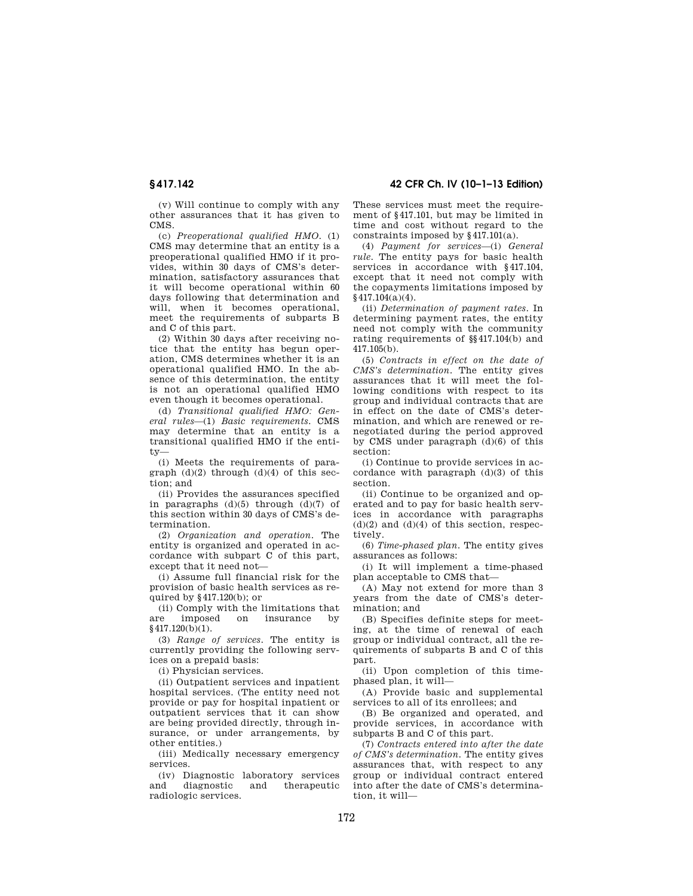(v) Will continue to comply with any other assurances that it has given to CMS.

(c) *Preoperational qualified HMO.* (1) CMS may determine that an entity is a preoperational qualified HMO if it provides, within 30 days of CMS's determination, satisfactory assurances that it will become operational within 60 days following that determination and will, when it becomes operational, meet the requirements of subparts B and C of this part.

(2) Within 30 days after receiving notice that the entity has begun operation, CMS determines whether it is an operational qualified HMO. In the absence of this determination, the entity is not an operational qualified HMO even though it becomes operational.

(d) *Transitional qualified HMO: General rules*—(1) *Basic requirements.* CMS may determine that an entity is a transitional qualified HMO if the entity—

(i) Meets the requirements of paragraph  $(d)(2)$  through  $(d)(4)$  of this section; and

(ii) Provides the assurances specified in paragraphs  $(d)(5)$  through  $(d)(7)$  of this section within 30 days of CMS's determination.

(2) *Organization and operation.* The entity is organized and operated in accordance with subpart C of this part, except that it need not—

(i) Assume full financial risk for the provision of basic health services as required by §417.120(b); or

(ii) Comply with the limitations that are imposed on insurance by §417.120(b)(1).

(3) *Range of services.* The entity is currently providing the following services on a prepaid basis:

(i) Physician services.

(ii) Outpatient services and inpatient hospital services. (The entity need not provide or pay for hospital inpatient or outpatient services that it can show are being provided directly, through insurance, or under arrangements, by other entities.)

(iii) Medically necessary emergency services.

(iv) Diagnostic laboratory services and diagnostic and therapeutic radiologic services.

**§ 417.142 42 CFR Ch. IV (10–1–13 Edition)** 

These services must meet the requirement of §417.101, but may be limited in time and cost without regard to the constraints imposed by §417.101(a).

(4) *Payment for services*—(i) *General rule.* The entity pays for basic health services in accordance with §417.104. except that it need not comply with the copayments limitations imposed by §417.104(a)(4).

(ii) *Determination of payment rates.* In determining payment rates, the entity need not comply with the community rating requirements of §§417.104(b) and 417.105(b).

(5) *Contracts in effect on the date of CMS's determination.* The entity gives assurances that it will meet the following conditions with respect to its group and individual contracts that are in effect on the date of CMS's determination, and which are renewed or renegotiated during the period approved by CMS under paragraph (d)(6) of this section:

(i) Continue to provide services in accordance with paragraph  $(d)(3)$  of this section.

(ii) Continue to be organized and operated and to pay for basic health services in accordance with paragraphs  $(d)(2)$  and  $(d)(4)$  of this section, respectively.

(6) *Time-phased plan.* The entity gives assurances as follows:

(i) It will implement a time-phased plan acceptable to CMS that—

(A) May not extend for more than 3 years from the date of CMS's determination; and

(B) Specifies definite steps for meeting, at the time of renewal of each group or individual contract, all the requirements of subparts B and C of this part.

(ii) Upon completion of this timephased plan, it will—

(A) Provide basic and supplemental services to all of its enrollees; and

(B) Be organized and operated, and provide services, in accordance with subparts B and C of this part.

(7) *Contracts entered into after the date of CMS's determination.* The entity gives assurances that, with respect to any group or individual contract entered into after the date of CMS's determination, it will—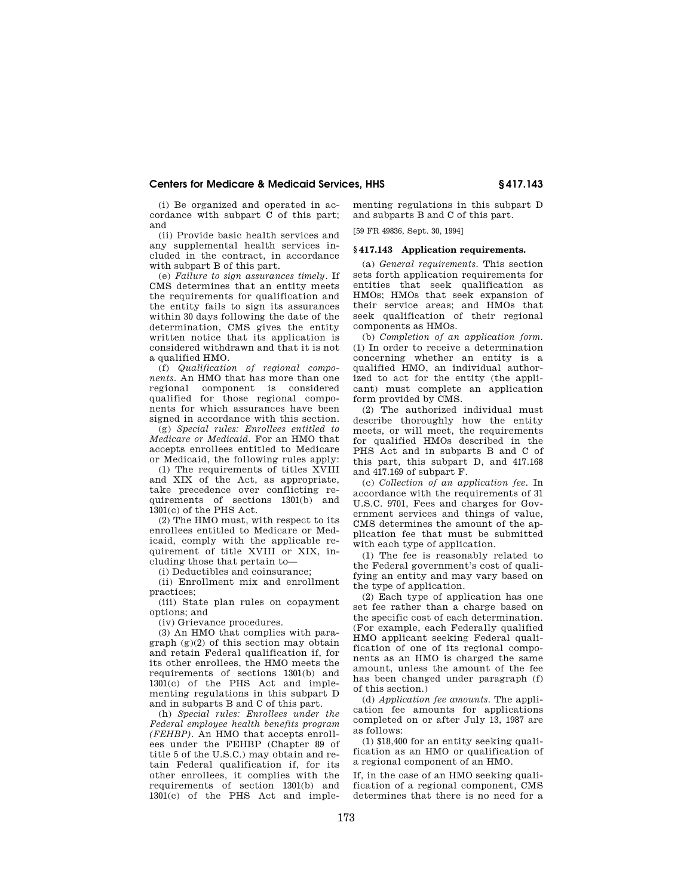(i) Be organized and operated in accordance with subpart C of this part; and

(ii) Provide basic health services and any supplemental health services included in the contract, in accordance with subpart B of this part.

(e) *Failure to sign assurances timely.* If CMS determines that an entity meets the requirements for qualification and the entity fails to sign its assurances within 30 days following the date of the determination, CMS gives the entity written notice that its application is considered withdrawn and that it is not a qualified HMO.

(f) *Qualification of regional components.* An HMO that has more than one regional component is considered qualified for those regional components for which assurances have been signed in accordance with this section.

(g) *Special rules: Enrollees entitled to Medicare or Medicaid.* For an HMO that accepts enrollees entitled to Medicare or Medicaid, the following rules apply:

(1) The requirements of titles XVIII and XIX of the Act, as appropriate, take precedence over conflicting requirements of sections 1301(b) and 1301(c) of the PHS Act.

(2) The HMO must, with respect to its enrollees entitled to Medicare or Medicaid, comply with the applicable requirement of title XVIII or XIX, including those that pertain to—

(i) Deductibles and coinsurance;

(ii) Enrollment mix and enrollment practices;

(iii) State plan rules on copayment options; and

(iv) Grievance procedures.

(3) An HMO that complies with paragraph  $(g)(2)$  of this section may obtain and retain Federal qualification if, for its other enrollees, the HMO meets the requirements of sections 1301(b) and 1301(c) of the PHS Act and implementing regulations in this subpart D and in subparts B and C of this part.

(h) *Special rules: Enrollees under the Federal employee health benefits program (FEHBP).* An HMO that accepts enrollees under the FEHBP (Chapter 89 of title 5 of the U.S.C.) may obtain and retain Federal qualification if, for its other enrollees, it complies with the requirements of section 1301(b) and 1301(c) of the PHS Act and implementing regulations in this subpart D and subparts B and C of this part.

[59 FR 49836, Sept. 30, 1994]

#### **§ 417.143 Application requirements.**

(a) *General requirements.* This section sets forth application requirements for entities that seek qualification as HMOs; HMOs that seek expansion of their service areas; and HMOs that seek qualification of their regional components as HMOs.

(b) *Completion of an application form.*  (1) In order to receive a determination concerning whether an entity is a qualified HMO, an individual authorized to act for the entity (the applicant) must complete an application form provided by CMS.

(2) The authorized individual must describe thoroughly how the entity meets, or will meet, the requirements for qualified HMOs described in the PHS Act and in subparts B and C of this part, this subpart D, and 417.168 and 417.169 of subpart F.

(c) *Collection of an application fee.* In accordance with the requirements of 31 U.S.C. 9701, Fees and charges for Government services and things of value, CMS determines the amount of the application fee that must be submitted with each type of application.

(1) The fee is reasonably related to the Federal government's cost of qualifying an entity and may vary based on the type of application.

(2) Each type of application has one set fee rather than a charge based on the specific cost of each determination. (For example, each Federally qualified HMO applicant seeking Federal qualification of one of its regional components as an HMO is charged the same amount, unless the amount of the fee has been changed under paragraph (f) of this section.)

(d) *Application fee amounts.* The application fee amounts for applications completed on or after July 13, 1987 are as follows:

(1) \$18,400 for an entity seeking qualification as an HMO or qualification of a regional component of an HMO.

If, in the case of an HMO seeking qualification of a regional component, CMS determines that there is no need for a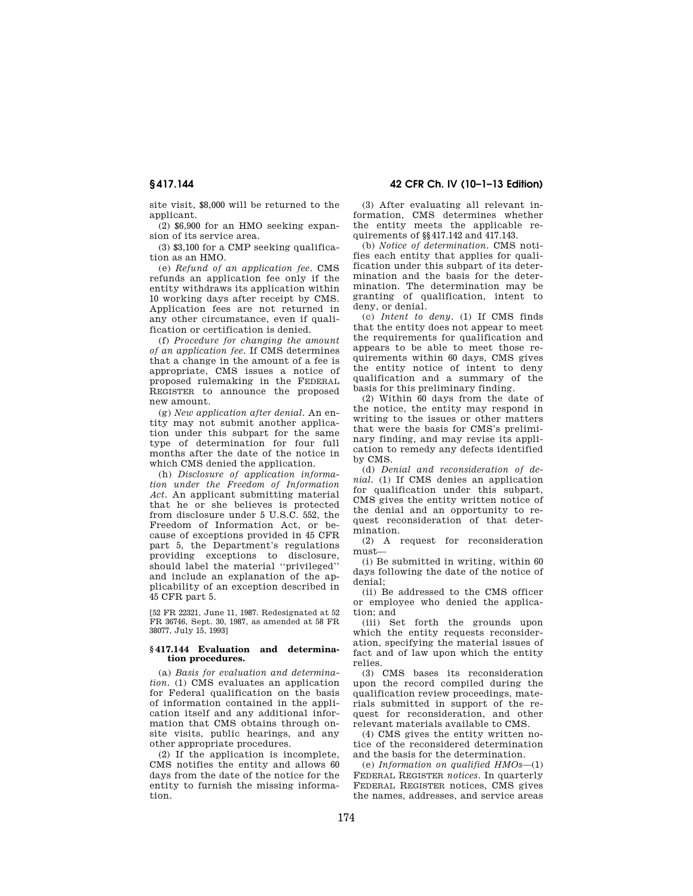site visit, \$8,000 will be returned to the applicant.

(2) \$6,900 for an HMO seeking expansion of its service area.

(3) \$3,100 for a CMP seeking qualification as an HMO.

(e) *Refund of an application fee.* CMS refunds an application fee only if the entity withdraws its application within 10 working days after receipt by CMS. Application fees are not returned in any other circumstance, even if qualification or certification is denied.

(f) *Procedure for changing the amount of an application fee.* If CMS determines that a change in the amount of a fee is appropriate, CMS issues a notice of proposed rulemaking in the FEDERAL REGISTER to announce the proposed new amount.

(g) *New application after denial.* An entity may not submit another application under this subpart for the same type of determination for four full months after the date of the notice in which CMS denied the application.

(h) *Disclosure of application information under the Freedom of Information Act.* An applicant submitting material that he or she believes is protected from disclosure under 5 U.S.C. 552, the Freedom of Information Act, or because of exceptions provided in 45 CFR part 5, the Department's regulations providing exceptions to disclosure, should label the material ''privileged'' and include an explanation of the applicability of an exception described in 45 CFR part 5.

[52 FR 22321, June 11, 1987. Redesignated at 52 FR 36746, Sept. 30, 1987, as amended at 58 FR 38077, July 15, 1993]

#### **§ 417.144 Evaluation and determination procedures.**

(a) *Basis for evaluation and determination.* (1) CMS evaluates an application for Federal qualification on the basis of information contained in the application itself and any additional information that CMS obtains through onsite visits, public hearings, and any other appropriate procedures.

(2) If the application is incomplete, CMS notifies the entity and allows 60 days from the date of the notice for the entity to furnish the missing information.

**§ 417.144 42 CFR Ch. IV (10–1–13 Edition)** 

(3) After evaluating all relevant information, CMS determines whether the entity meets the applicable requirements of §§417.142 and 417.143.

(b) *Notice of determination.* CMS notifies each entity that applies for qualification under this subpart of its determination and the basis for the determination. The determination may be granting of qualification, intent to deny, or denial.

(c) *Intent to deny.* (1) If CMS finds that the entity does not appear to meet the requirements for qualification and appears to be able to meet those requirements within 60 days, CMS gives the entity notice of intent to deny qualification and a summary of the basis for this preliminary finding.

(2) Within 60 days from the date of the notice, the entity may respond in writing to the issues or other matters that were the basis for CMS's preliminary finding, and may revise its application to remedy any defects identified by CMS.

(d) *Denial and reconsideration of denial.* (1) If CMS denies an application for qualification under this subpart, CMS gives the entity written notice of the denial and an opportunity to request reconsideration of that determination.

(2) A request for reconsideration must—

(i) Be submitted in writing, within 60 days following the date of the notice of denial;

(ii) Be addressed to the CMS officer or employee who denied the application; and

(iii) Set forth the grounds upon which the entity requests reconsideration, specifying the material issues of fact and of law upon which the entity relies.

(3) CMS bases its reconsideration upon the record compiled during the qualification review proceedings, materials submitted in support of the request for reconsideration, and other relevant materials available to CMS.

(4) CMS gives the entity written notice of the reconsidered determination and the basis for the determination.

(e) *Information on qualified HMOs*—(1) FEDERAL REGISTER *notices.* In quarterly FEDERAL REGISTER notices, CMS gives the names, addresses, and service areas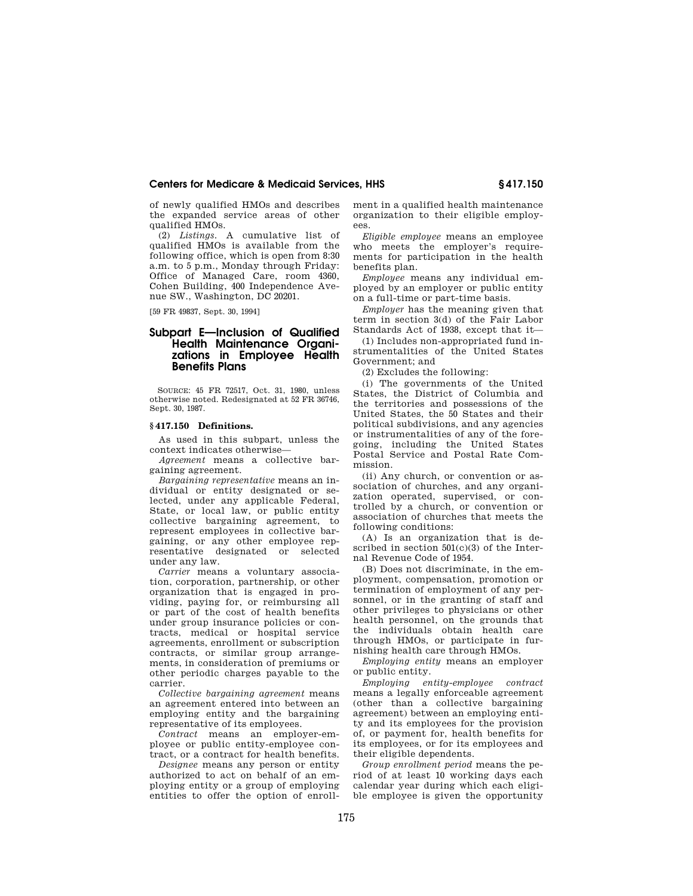of newly qualified HMOs and describes the expanded service areas of other qualified HMOs.

(2) *Listings.* A cumulative list of qualified HMOs is available from the following office, which is open from 8:30 a.m. to 5 p.m., Monday through Friday: Office of Managed Care, room 4360, Cohen Building, 400 Independence Avenue SW., Washington, DC 20201.

[59 FR 49837, Sept. 30, 1994]

# **Subpart E—Inclusion of Qualified Health Maintenance Organizations in Employee Health Benefits Plans**

SOURCE: 45 FR 72517, Oct. 31, 1980, unless otherwise noted. Redesignated at 52 FR 36746, Sept. 30, 1987.

#### **§ 417.150 Definitions.**

As used in this subpart, unless the context indicates otherwise—

*Agreement* means a collective bargaining agreement.

*Bargaining representative* means an individual or entity designated or selected, under any applicable Federal, State, or local law, or public entity collective bargaining agreement, to represent employees in collective bargaining, or any other employee representative designated or selected under any law.

*Carrier* means a voluntary association, corporation, partnership, or other organization that is engaged in providing, paying for, or reimbursing all or part of the cost of health benefits under group insurance policies or contracts, medical or hospital service agreements, enrollment or subscription contracts, or similar group arrangements, in consideration of premiums or other periodic charges payable to the carrier.

*Collective bargaining agreement* means an agreement entered into between an employing entity and the bargaining representative of its employees.

*Contract* means an employer-employee or public entity-employee contract, or a contract for health benefits.

*Designee* means any person or entity authorized to act on behalf of an employing entity or a group of employing entities to offer the option of enrollment in a qualified health maintenance organization to their eligible employees.

*Eligible employee* means an employee who meets the employer's requirements for participation in the health benefits plan.

*Employee* means any individual employed by an employer or public entity on a full-time or part-time basis.

*Employer* has the meaning given that term in section 3(d) of the Fair Labor Standards Act of 1938, except that it—

(1) Includes non-appropriated fund instrumentalities of the United States Government; and

(2) Excludes the following:

(i) The governments of the United States, the District of Columbia and the territories and possessions of the United States, the 50 States and their political subdivisions, and any agencies or instrumentalities of any of the foregoing, including the United States Postal Service and Postal Rate Commission.

(ii) Any church, or convention or association of churches, and any organization operated, supervised, or controlled by a church, or convention or association of churches that meets the following conditions:

(A) Is an organization that is described in section 501(c)(3) of the Internal Revenue Code of 1954.

(B) Does not discriminate, in the employment, compensation, promotion or termination of employment of any personnel, or in the granting of staff and other privileges to physicians or other health personnel, on the grounds that the individuals obtain health care through HMOs, or participate in furnishing health care through HMOs.

*Employing entity* means an employer or public entity.

*Employing entity-employee contract*  means a legally enforceable agreement (other than a collective bargaining agreement) between an employing entity and its employees for the provision of, or payment for, health benefits for its employees, or for its employees and their eligible dependents.

*Group enrollment period* means the period of at least 10 working days each calendar year during which each eligible employee is given the opportunity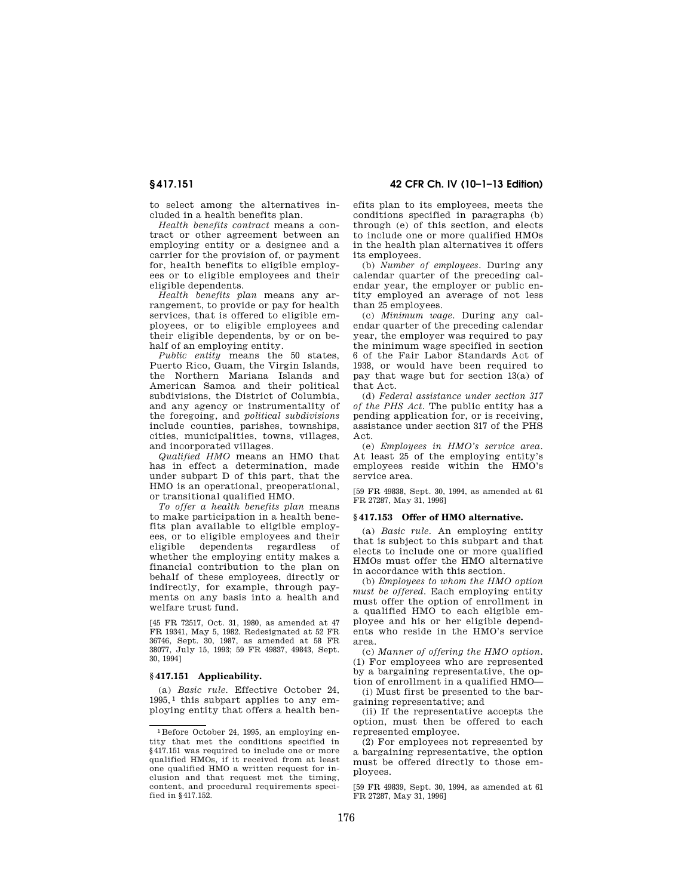**§ 417.151 42 CFR Ch. IV (10–1–13 Edition)** 

to select among the alternatives included in a health benefits plan.

*Health benefits contract* means a contract or other agreement between an employing entity or a designee and a carrier for the provision of, or payment for, health benefits to eligible employees or to eligible employees and their eligible dependents.

*Health benefits plan* means any arrangement, to provide or pay for health services, that is offered to eligible employees, or to eligible employees and their eligible dependents, by or on behalf of an employing entity.

*Public entity* means the 50 states, Puerto Rico, Guam, the Virgin Islands, the Northern Mariana Islands and American Samoa and their political subdivisions, the District of Columbia, and any agency or instrumentality of the foregoing, and *political subdivisions*  include counties, parishes, townships, cities, municipalities, towns, villages, and incorporated villages.

*Qualified HMO* means an HMO that has in effect a determination, made under subpart D of this part, that the HMO is an operational, preoperational, or transitional qualified HMO.

*To offer a health benefits plan* means to make participation in a health benefits plan available to eligible employees, or to eligible employees and their eligible dependents regardless of whether the employing entity makes a financial contribution to the plan on behalf of these employees, directly or indirectly, for example, through payments on any basis into a health and welfare trust fund.

[45 FR 72517, Oct. 31, 1980, as amended at 47 FR 19341, May 5, 1982. Redesignated at 52 FR 36746, Sept. 30, 1987, as amended at 58 FR 38077, July 15, 1993; 59 FR 49837, 49843, Sept. 30, 1994]

# **§ 417.151 Applicability.**

(a) *Basic rule.* Effective October 24, 1995, 1 this subpart applies to any employing entity that offers a health benefits plan to its employees, meets the conditions specified in paragraphs (b) through (e) of this section, and elects to include one or more qualified HMOs in the health plan alternatives it offers its employees.

(b) *Number of employees.* During any calendar quarter of the preceding calendar year, the employer or public entity employed an average of not less than 25 employees.

(c) *Minimum wage.* During any calendar quarter of the preceding calendar year, the employer was required to pay the minimum wage specified in section 6 of the Fair Labor Standards Act of 1938, or would have been required to pay that wage but for section 13(a) of that Act.

(d) *Federal assistance under section 317 of the PHS Act.* The public entity has a pending application for, or is receiving, assistance under section 317 of the PHS Act.

(e) *Employees in HMO's service area.*  At least 25 of the employing entity's employees reside within the HMO's service area.

[59 FR 49838, Sept. 30, 1994, as amended at 61 FR 27287, May 31, 1996]

### **§ 417.153 Offer of HMO alternative.**

(a) *Basic rule.* An employing entity that is subject to this subpart and that elects to include one or more qualified HMOs must offer the HMO alternative in accordance with this section.

(b) *Employees to whom the HMO option must be offered.* Each employing entity must offer the option of enrollment in a qualified HMO to each eligible employee and his or her eligible dependents who reside in the HMO's service area.

(c) *Manner of offering the HMO option.*  (1) For employees who are represented by a bargaining representative, the option of enrollment in a qualified HMO—

(i) Must first be presented to the bargaining representative; and

(ii) If the representative accepts the option, must then be offered to each represented employee.

(2) For employees not represented by a bargaining representative, the option must be offered directly to those employees.

[59 FR 49839, Sept. 30, 1994, as amended at 61 FR 27287, May 31, 1996]

<sup>1</sup>Before October 24, 1995, an employing entity that met the conditions specified in §417.151 was required to include one or more qualified HMOs, if it received from at least one qualified HMO a written request for inclusion and that request met the timing, content, and procedural requirements specified in §417.152.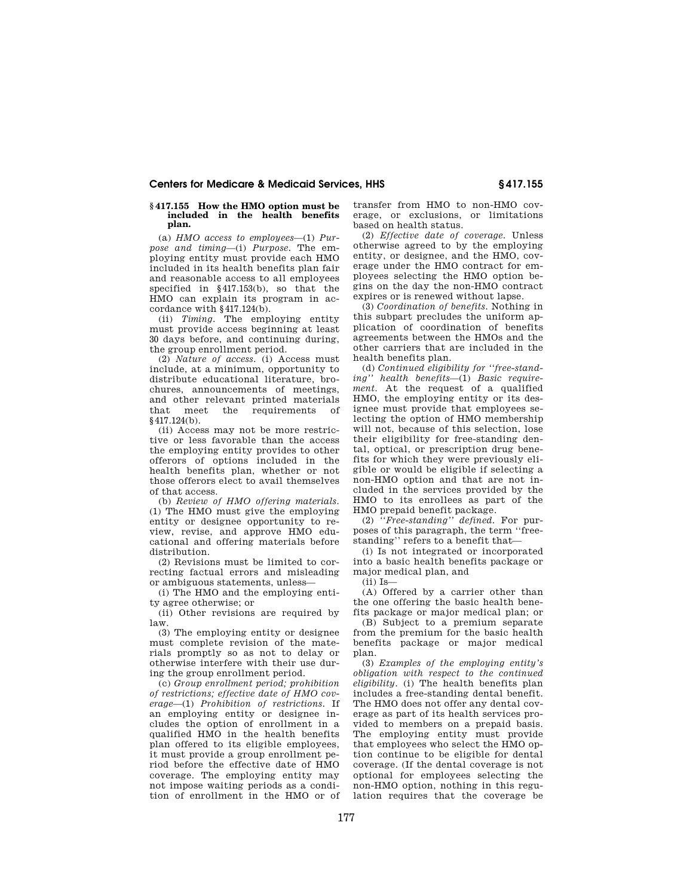#### **§ 417.155 How the HMO option must be included in the health benefits plan.**

(a) *HMO access to employees*—(1) *Purpose and timing*—(i) *Purpose.* The employing entity must provide each HMO included in its health benefits plan fair and reasonable access to all employees specified in §417.153(b), so that the HMO can explain its program in accordance with §417.124(b).

(ii) *Timing.* The employing entity must provide access beginning at least 30 days before, and continuing during, the group enrollment period.

(2) *Nature of access.* (i) Access must include, at a minimum, opportunity to distribute educational literature, brochures, announcements of meetings, and other relevant printed materials that meet the requirements of §417.124(b).

(ii) Access may not be more restrictive or less favorable than the access the employing entity provides to other offerors of options included in the health benefits plan, whether or not those offerors elect to avail themselves of that access.

(b) *Review of HMO offering materials.*  (1) The HMO must give the employing entity or designee opportunity to review, revise, and approve HMO educational and offering materials before distribution.

(2) Revisions must be limited to correcting factual errors and misleading or ambiguous statements, unless—

(i) The HMO and the employing entity agree otherwise; or

(ii) Other revisions are required by law.

(3) The employing entity or designee must complete revision of the materials promptly so as not to delay or otherwise interfere with their use during the group enrollment period.

(c) *Group enrollment period; prohibition of restrictions; effective date of HMO coverage*—(1) *Prohibition of restrictions.* If an employing entity or designee includes the option of enrollment in a qualified HMO in the health benefits plan offered to its eligible employees, it must provide a group enrollment period before the effective date of HMO coverage. The employing entity may not impose waiting periods as a condition of enrollment in the HMO or of transfer from HMO to non-HMO coverage, or exclusions, or limitations based on health status.

(2) *Effective date of coverage.* Unless otherwise agreed to by the employing entity, or designee, and the HMO, coverage under the HMO contract for employees selecting the HMO option begins on the day the non-HMO contract expires or is renewed without lapse.

(3) *Coordination of benefits.* Nothing in this subpart precludes the uniform application of coordination of benefits agreements between the HMOs and the other carriers that are included in the health benefits plan.

(d) *Continued eligibility for ''free-standing'' health benefits*—(1) *Basic requirement.* At the request of a qualified HMO, the employing entity or its designee must provide that employees selecting the option of HMO membership will not, because of this selection, lose their eligibility for free-standing dental, optical, or prescription drug benefits for which they were previously eligible or would be eligible if selecting a non-HMO option and that are not included in the services provided by the HMO to its enrollees as part of the HMO prepaid benefit package.

(2) *''Free-standing'' defined.* For purposes of this paragraph, the term ''freestanding'' refers to a benefit that—

(i) Is not integrated or incorporated into a basic health benefits package or major medical plan, and

(ii) Is—

(A) Offered by a carrier other than the one offering the basic health benefits package or major medical plan; or

(B) Subject to a premium separate from the premium for the basic health benefits package or major medical plan.

(3) *Examples of the employing entity's obligation with respect to the continued eligibility.* (i) The health benefits plan includes a free-standing dental benefit. The HMO does not offer any dental coverage as part of its health services provided to members on a prepaid basis. The employing entity must provide that employees who select the HMO option continue to be eligible for dental coverage. (If the dental coverage is not optional for employees selecting the non-HMO option, nothing in this regulation requires that the coverage be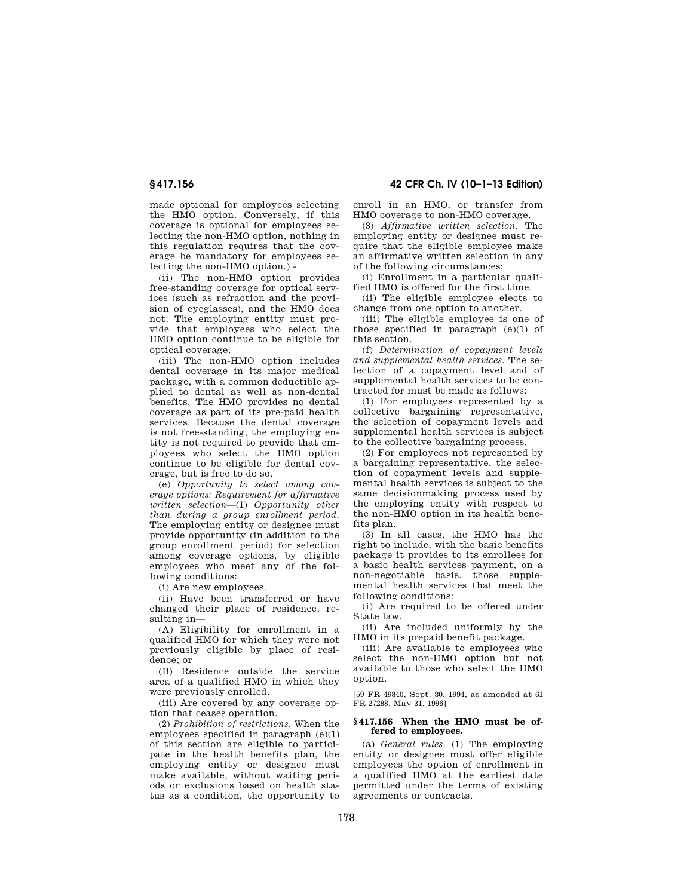made optional for employees selecting the HMO option. Conversely, if this coverage is optional for employees selecting the non-HMO option, nothing in this regulation requires that the coverage be mandatory for employees selecting the non-HMO option.) -

(ii) The non-HMO option provides free-standing coverage for optical services (such as refraction and the provision of eyeglasses), and the HMO does not. The employing entity must provide that employees who select the HMO option continue to be eligible for optical coverage.

(iii) The non-HMO option includes dental coverage in its major medical package, with a common deductible applied to dental as well as non-dental benefits. The HMO provides no dental coverage as part of its pre-paid health services. Because the dental coverage is not free-standing, the employing entity is not required to provide that employees who select the HMO option continue to be eligible for dental coverage, but is free to do so.

(e) *Opportunity to select among coverage options: Requirement for affirmative written selection*—(1) *Opportunity other than during a group enrollment period.*  The employing entity or designee must provide opportunity (in addition to the group enrollment period) for selection among coverage options, by eligible employees who meet any of the following conditions:

(i) Are new employees.

(ii) Have been transferred or have changed their place of residence, resulting in—

(A) Eligibility for enrollment in a qualified HMO for which they were not previously eligible by place of residence; or

(B) Residence outside the service area of a qualified HMO in which they were previously enrolled.

(iii) Are covered by any coverage option that ceases operation.

(2) *Prohibition of restrictions.* When the employees specified in paragraph  $(e)(1)$ of this section are eligible to participate in the health benefits plan, the employing entity or designee must make available, without waiting periods or exclusions based on health status as a condition, the opportunity to

**§ 417.156 42 CFR Ch. IV (10–1–13 Edition)** 

enroll in an HMO, or transfer from HMO coverage to non-HMO coverage.

(3) *Affirmative written selection.* The employing entity or designee must require that the eligible employee make an affirmative written selection in any of the following circumstances:

(i) Enrollment in a particular qualified HMO is offered for the first time.

(ii) The eligible employee elects to change from one option to another.

(iii) The eligible employee is one of those specified in paragraph (e)(1) of this section.

(f) *Determination of copayment levels and supplemental health services.* The selection of a copayment level and of supplemental health services to be contracted for must be made as follows:

(1) For employees represented by a collective bargaining representative, the selection of copayment levels and supplemental health services is subject to the collective bargaining process.

(2) For employees not represented by a bargaining representative, the selection of copayment levels and supplemental health services is subject to the same decisionmaking process used by the employing entity with respect to the non-HMO option in its health benefits plan.

(3) In all cases, the HMO has the right to include, with the basic benefits package it provides to its enrollees for a basic health services payment, on a non-negotiable basis, those supplemental health services that meet the following conditions:

(i) Are required to be offered under State law.

(ii) Are included uniformly by the HMO in its prepaid benefit package.

(iii) Are available to employees who select the non-HMO option but not available to those who select the HMO option.

[59 FR 49840, Sept. 30, 1994, as amended at 61 FR 27288, May 31, 1996]

# **§ 417.156 When the HMO must be offered to employees.**

(a) *General rules.* (1) The employing entity or designee must offer eligible employees the option of enrollment in a qualified HMO at the earliest date permitted under the terms of existing agreements or contracts.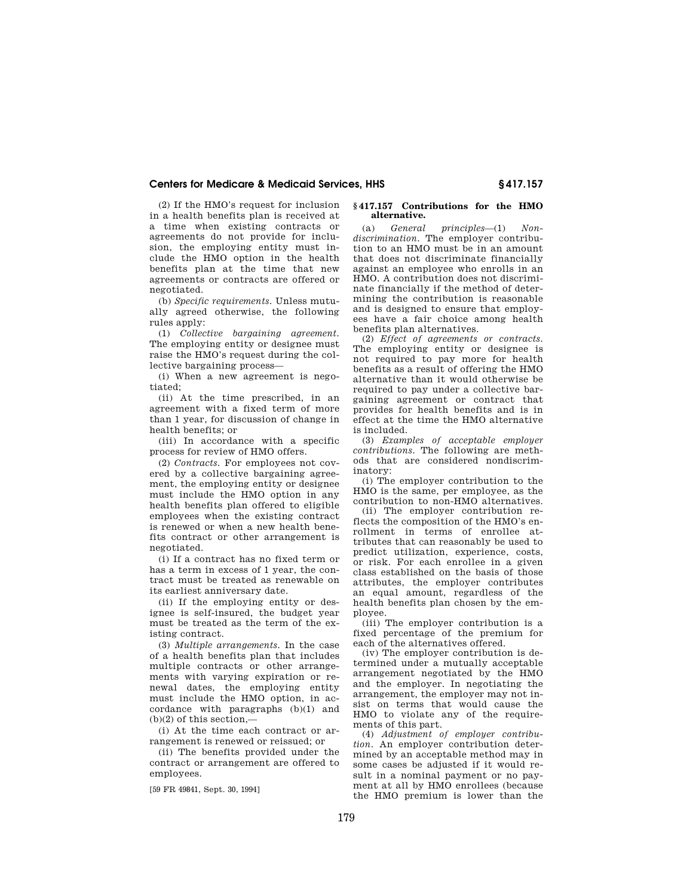(2) If the HMO's request for inclusion in a health benefits plan is received at a time when existing contracts or agreements do not provide for inclusion, the employing entity must include the HMO option in the health benefits plan at the time that new agreements or contracts are offered or negotiated.

(b) *Specific requirements.* Unless mutually agreed otherwise, the following rules apply:

(1) *Collective bargaining agreement.*  The employing entity or designee must raise the HMO's request during the collective bargaining process—

(i) When a new agreement is negotiated;

(ii) At the time prescribed, in an agreement with a fixed term of more than 1 year, for discussion of change in health benefits; or

(iii) In accordance with a specific process for review of HMO offers.

(2) *Contracts.* For employees not covered by a collective bargaining agreement, the employing entity or designee must include the HMO option in any health benefits plan offered to eligible employees when the existing contract is renewed or when a new health benefits contract or other arrangement is negotiated.

(i) If a contract has no fixed term or has a term in excess of 1 year, the contract must be treated as renewable on its earliest anniversary date.

(ii) If the employing entity or designee is self-insured, the budget year must be treated as the term of the existing contract.

(3) *Multiple arrangements.* In the case of a health benefits plan that includes multiple contracts or other arrangements with varying expiration or renewal dates, the employing entity must include the HMO option, in accordance with paragraphs (b)(1) and  $(b)(2)$  of this section,-

(i) At the time each contract or arrangement is renewed or reissued; or

(ii) The benefits provided under the contract or arrangement are offered to employees.

[59 FR 49841, Sept. 30, 1994]

#### **§ 417.157 Contributions for the HMO alternative.**

(a) *General principles*—(1) *Nondiscrimination.* The employer contribution to an HMO must be in an amount that does not discriminate financially against an employee who enrolls in an HMO. A contribution does not discriminate financially if the method of determining the contribution is reasonable and is designed to ensure that employees have a fair choice among health benefits plan alternatives.

(2) *Effect of agreements or contracts.*  The employing entity or designee is not required to pay more for health benefits as a result of offering the HMO alternative than it would otherwise be required to pay under a collective bargaining agreement or contract that provides for health benefits and is in effect at the time the HMO alternative is included.

(3) *Examples of acceptable employer contributions.* The following are methods that are considered nondiscriminatory:

(i) The employer contribution to the HMO is the same, per employee, as the contribution to non-HMO alternatives.

(ii) The employer contribution reflects the composition of the HMO's enrollment in terms of enrollee attributes that can reasonably be used to predict utilization, experience, costs, or risk. For each enrollee in a given class established on the basis of those attributes, the employer contributes an equal amount, regardless of the health benefits plan chosen by the employee.

(iii) The employer contribution is a fixed percentage of the premium for each of the alternatives offered.

(iv) The employer contribution is determined under a mutually acceptable arrangement negotiated by the HMO and the employer. In negotiating the arrangement, the employer may not insist on terms that would cause the HMO to violate any of the requirements of this part.

(4) *Adjustment of employer contribution.* An employer contribution determined by an acceptable method may in some cases be adjusted if it would result in a nominal payment or no payment at all by HMO enrollees (because the HMO premium is lower than the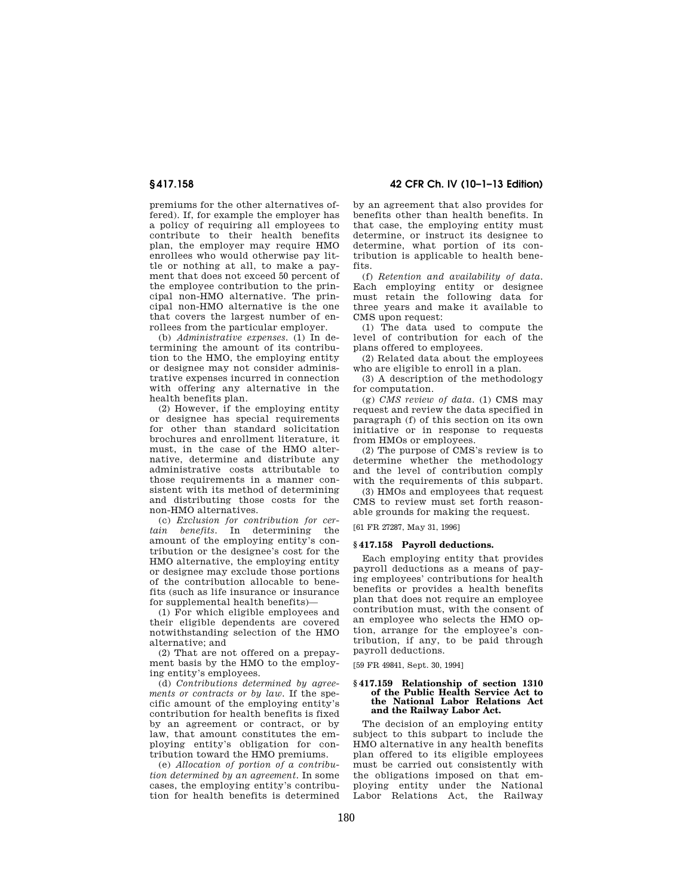premiums for the other alternatives offered). If, for example the employer has a policy of requiring all employees to contribute to their health benefits plan, the employer may require HMO enrollees who would otherwise pay little or nothing at all, to make a payment that does not exceed 50 percent of the employee contribution to the principal non-HMO alternative. The principal non-HMO alternative is the one that covers the largest number of enrollees from the particular employer.

(b) *Administrative expenses.* (1) In determining the amount of its contribution to the HMO, the employing entity or designee may not consider administrative expenses incurred in connection with offering any alternative in the health benefits plan.

(2) However, if the employing entity or designee has special requirements for other than standard solicitation brochures and enrollment literature, it must, in the case of the HMO alternative, determine and distribute any administrative costs attributable to those requirements in a manner consistent with its method of determining and distributing those costs for the non-HMO alternatives.

(c) *Exclusion for contribution for certain benefits.* In determining the amount of the employing entity's contribution or the designee's cost for the HMO alternative, the employing entity or designee may exclude those portions of the contribution allocable to benefits (such as life insurance or insurance for supplemental health benefits)—

(1) For which eligible employees and their eligible dependents are covered notwithstanding selection of the HMO alternative; and

(2) That are not offered on a prepayment basis by the HMO to the employing entity's employees.

(d) *Contributions determined by agreements or contracts or by law.* If the specific amount of the employing entity's contribution for health benefits is fixed by an agreement or contract, or by law, that amount constitutes the employing entity's obligation for contribution toward the HMO premiums.

(e) *Allocation of portion of a contribution determined by an agreement.* In some cases, the employing entity's contribution for health benefits is determined

**§ 417.158 42 CFR Ch. IV (10–1–13 Edition)** 

by an agreement that also provides for benefits other than health benefits. In that case, the employing entity must determine, or instruct its designee to determine, what portion of its contribution is applicable to health benefits.

(f) *Retention and availability of data.*  Each employing entity or designee must retain the following data for three years and make it available to CMS upon request:

(1) The data used to compute the level of contribution for each of the plans offered to employees.

(2) Related data about the employees who are eligible to enroll in a plan.

(3) A description of the methodology for computation.

(g) *CMS review of data.* (1) CMS may request and review the data specified in paragraph (f) of this section on its own initiative or in response to requests from HMOs or employees.

(2) The purpose of CMS's review is to determine whether the methodology and the level of contribution comply with the requirements of this subpart.

(3) HMOs and employees that request CMS to review must set forth reasonable grounds for making the request.

[61 FR 27287, May 31, 1996]

### **§ 417.158 Payroll deductions.**

Each employing entity that provides payroll deductions as a means of paying employees' contributions for health benefits or provides a health benefits plan that does not require an employee contribution must, with the consent of an employee who selects the HMO option, arrange for the employee's contribution, if any, to be paid through payroll deductions.

[59 FR 49841, Sept. 30, 1994]

#### **§ 417.159 Relationship of section 1310 of the Public Health Service Act to the National Labor Relations Act and the Railway Labor Act.**

The decision of an employing entity subject to this subpart to include the HMO alternative in any health benefits plan offered to its eligible employees must be carried out consistently with the obligations imposed on that employing entity under the National Labor Relations Act, the Railway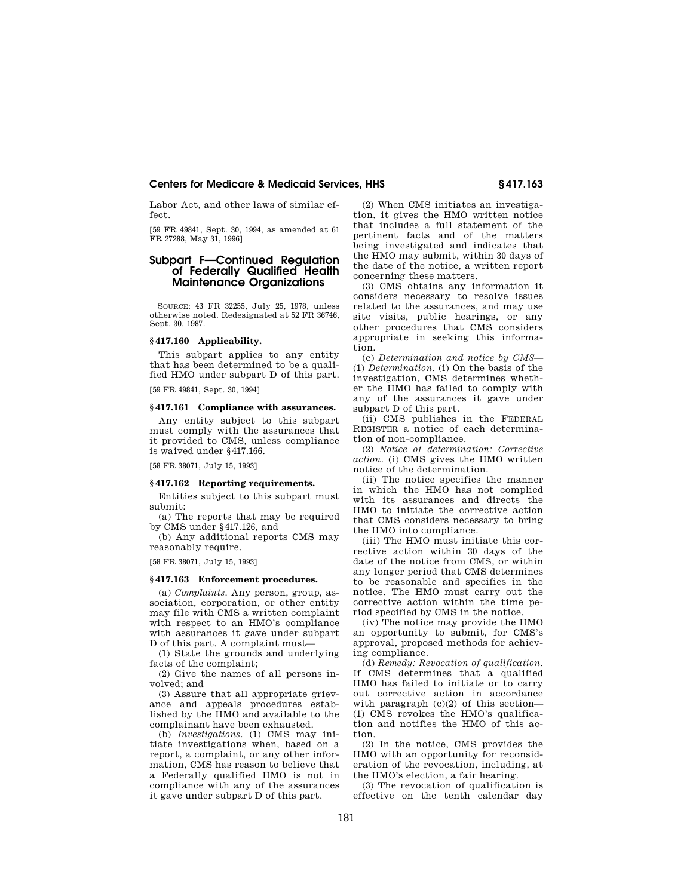Labor Act, and other laws of similar effect.

[59 FR 49841, Sept. 30, 1994, as amended at 61 FR 27288, May 31, 1996]

# **Subpart F—Continued Regulation of Federally Qualified Health Maintenance Organizations**

SOURCE: 43 FR 32255, July 25, 1978, unless otherwise noted. Redesignated at 52 FR 36746, Sept. 30, 1987.

# **§ 417.160 Applicability.**

This subpart applies to any entity that has been determined to be a qualified HMO under subpart D of this part.

[59 FR 49841, Sept. 30, 1994]

# **§ 417.161 Compliance with assurances.**

Any entity subject to this subpart must comply with the assurances that it provided to CMS, unless compliance is waived under §417.166.

[58 FR 38071, July 15, 1993]

# **§ 417.162 Reporting requirements.**

Entities subject to this subpart must submit:

(a) The reports that may be required by CMS under §417.126, and

(b) Any additional reports CMS may reasonably require.

[58 FR 38071, July 15, 1993]

# **§ 417.163 Enforcement procedures.**

(a) *Complaints.* Any person, group, association, corporation, or other entity may file with CMS a written complaint with respect to an HMO's compliance with assurances it gave under subpart D of this part. A complaint must—

(1) State the grounds and underlying facts of the complaint;

(2) Give the names of all persons involved; and

(3) Assure that all appropriate grievance and appeals procedures established by the HMO and available to the complainant have been exhausted.

(b) *Investigations.* (1) CMS may initiate investigations when, based on a report, a complaint, or any other information, CMS has reason to believe that a Federally qualified HMO is not in compliance with any of the assurances it gave under subpart D of this part.

(2) When CMS initiates an investigation, it gives the HMO written notice that includes a full statement of the pertinent facts and of the matters being investigated and indicates that the HMO may submit, within 30 days of the date of the notice, a written report concerning these matters.

(3) CMS obtains any information it considers necessary to resolve issues related to the assurances, and may use site visits, public hearings, or any other procedures that CMS considers appropriate in seeking this information.

(c) *Determination and notice by CMS*— (1) *Determination.* (i) On the basis of the investigation, CMS determines whether the HMO has failed to comply with any of the assurances it gave under subpart D of this part.

(ii) CMS publishes in the FEDERAL REGISTER a notice of each determination of non-compliance.

(2) *Notice of determination: Corrective action.* (i) CMS gives the HMO written notice of the determination.

(ii) The notice specifies the manner in which the HMO has not complied with its assurances and directs the HMO to initiate the corrective action that CMS considers necessary to bring the HMO into compliance.

(iii) The HMO must initiate this corrective action within 30 days of the date of the notice from CMS, or within any longer period that CMS determines to be reasonable and specifies in the notice. The HMO must carry out the corrective action within the time period specified by CMS in the notice.

(iv) The notice may provide the HMO an opportunity to submit, for CMS's approval, proposed methods for achieving compliance.

(d) *Remedy: Revocation of qualification.*  If CMS determines that a qualified HMO has failed to initiate or to carry out corrective action in accordance with paragraph  $(c)(2)$  of this section-(1) CMS revokes the HMO's qualification and notifies the HMO of this action.

(2) In the notice, CMS provides the HMO with an opportunity for reconsideration of the revocation, including, at the HMO's election, a fair hearing.

(3) The revocation of qualification is effective on the tenth calendar day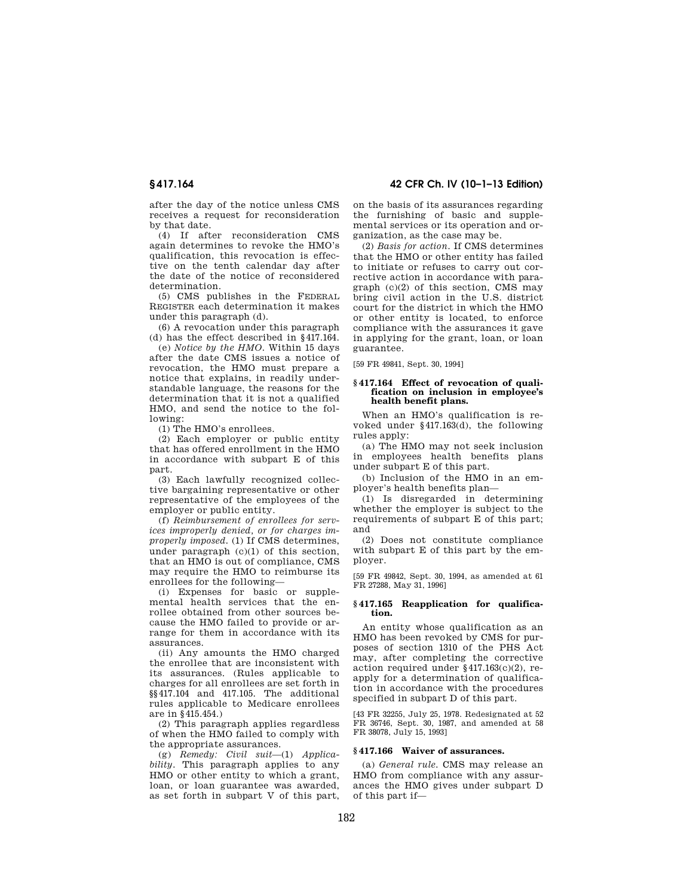after the day of the notice unless CMS receives a request for reconsideration by that date.

(4) If after reconsideration CMS again determines to revoke the HMO's qualification, this revocation is effective on the tenth calendar day after the date of the notice of reconsidered determination.

(5) CMS publishes in the FEDERAL REGISTER each determination it makes under this paragraph (d).

(6) A revocation under this paragraph (d) has the effect described in §417.164.

(e) *Notice by the HMO.* Within 15 days after the date CMS issues a notice of revocation, the HMO must prepare a notice that explains, in readily understandable language, the reasons for the determination that it is not a qualified HMO, and send the notice to the following:

(1) The HMO's enrollees.

(2) Each employer or public entity that has offered enrollment in the HMO in accordance with subpart E of this part.

(3) Each lawfully recognized collective bargaining representative or other representative of the employees of the employer or public entity.

(f) *Reimbursement of enrollees for services improperly denied, or for charges improperly imposed.* (1) If CMS determines, under paragraph  $(c)(1)$  of this section, that an HMO is out of compliance, CMS may require the HMO to reimburse its enrollees for the following—

(i) Expenses for basic or supplemental health services that the enrollee obtained from other sources because the HMO failed to provide or arrange for them in accordance with its assurances.

(ii) Any amounts the HMO charged the enrollee that are inconsistent with its assurances. (Rules applicable to charges for all enrollees are set forth in §§417.104 and 417.105. The additional rules applicable to Medicare enrollees are in §415.454.)

(2) This paragraph applies regardless of when the HMO failed to comply with the appropriate assurances.

(g) *Remedy: Civil suit*—(1) *Applicability.* This paragraph applies to any HMO or other entity to which a grant, loan, or loan guarantee was awarded, as set forth in subpart V of this part,

**§ 417.164 42 CFR Ch. IV (10–1–13 Edition)** 

on the basis of its assurances regarding the furnishing of basic and supplemental services or its operation and organization, as the case may be.

(2) *Basis for action.* If CMS determines that the HMO or other entity has failed to initiate or refuses to carry out corrective action in accordance with paragraph  $(c)(2)$  of this section, CMS may bring civil action in the U.S. district court for the district in which the HMO or other entity is located, to enforce compliance with the assurances it gave in applying for the grant, loan, or loan guarantee.

[59 FR 49841, Sept. 30, 1994]

#### **§ 417.164 Effect of revocation of qualification on inclusion in employee's health benefit plans.**

When an HMO's qualification is revoked under §417.163(d), the following rules apply:

(a) The HMO may not seek inclusion in employees health benefits plans under subpart E of this part.

(b) Inclusion of the HMO in an employer's health benefits plan—

(1) Is disregarded in determining whether the employer is subject to the requirements of subpart E of this part; and

(2) Does not constitute compliance with subpart E of this part by the employer.

[59 FR 49842, Sept. 30, 1994, as amended at 61 FR 27288, May 31, 1996]

#### **§ 417.165 Reapplication for qualification.**

An entity whose qualification as an HMO has been revoked by CMS for purposes of section 1310 of the PHS Act may, after completing the corrective action required under §417.163(c)(2), reapply for a determination of qualification in accordance with the procedures specified in subpart D of this part.

[43 FR 32255, July 25, 1978. Redesignated at 52 FR 36746, Sept. 30, 1987, and amended at 58 FR 38078, July 15, 1993]

## **§ 417.166 Waiver of assurances.**

(a) *General rule.* CMS may release an HMO from compliance with any assurances the HMO gives under subpart D of this part if—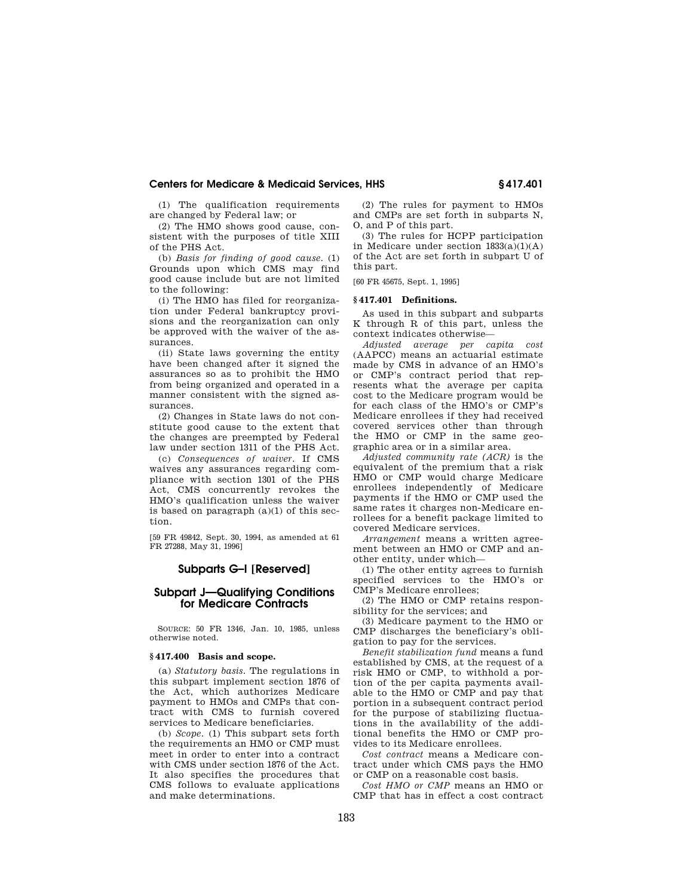(1) The qualification requirements are changed by Federal law; or

(2) The HMO shows good cause, consistent with the purposes of title XIII of the PHS Act.

(b) *Basis for finding of good cause.* (1) Grounds upon which CMS may find good cause include but are not limited to the following:

(i) The HMO has filed for reorganization under Federal bankruptcy provisions and the reorganization can only be approved with the waiver of the assurances.

(ii) State laws governing the entity have been changed after it signed the assurances so as to prohibit the HMO from being organized and operated in a manner consistent with the signed assurances.

(2) Changes in State laws do not constitute good cause to the extent that the changes are preempted by Federal law under section 1311 of the PHS Act.

(c) *Consequences of waiver.* If CMS waives any assurances regarding compliance with section 1301 of the PHS Act, CMS concurrently revokes the HMO's qualification unless the waiver is based on paragraph  $(a)(1)$  of this section.

[59 FR 49842, Sept. 30, 1994, as amended at 61 FR 27288, May 31, 1996]

# **Subparts G–I [Reserved]**

# **Subpart J—Qualifying Conditions for Medicare Contracts**

SOURCE: 50 FR 1346, Jan. 10, 1985, unless otherwise noted.

#### **§ 417.400 Basis and scope.**

(a) *Statutory basis.* The regulations in this subpart implement section 1876 of the Act, which authorizes Medicare payment to HMOs and CMPs that contract with CMS to furnish covered services to Medicare beneficiaries.

(b) *Scope.* (1) This subpart sets forth the requirements an HMO or CMP must meet in order to enter into a contract with CMS under section 1876 of the Act. It also specifies the procedures that CMS follows to evaluate applications and make determinations.

(2) The rules for payment to HMOs and CMPs are set forth in subparts N, O, and P of this part.

(3) The rules for HCPP participation in Medicare under section  $1833(a)(1)(A)$ of the Act are set forth in subpart U of this part.

[60 FR 45675, Sept. 1, 1995]

#### **§ 417.401 Definitions.**

As used in this subpart and subparts K through R of this part, unless the context indicates otherwise—

*Adjusted average per capita cost*  (AAPCC) means an actuarial estimate made by CMS in advance of an HMO's or CMP's contract period that represents what the average per capita cost to the Medicare program would be for each class of the HMO's or CMP's Medicare enrollees if they had received covered services other than through the HMO or CMP in the same geographic area or in a similar area.

*Adjusted community rate (ACR)* is the equivalent of the premium that a risk HMO or CMP would charge Medicare enrollees independently of Medicare payments if the HMO or CMP used the same rates it charges non-Medicare enrollees for a benefit package limited to covered Medicare services.

*Arrangement* means a written agreement between an HMO or CMP and another entity, under which—

(1) The other entity agrees to furnish specified services to the HMO's or CMP's Medicare enrollees;

(2) The HMO or CMP retains responsibility for the services; and

(3) Medicare payment to the HMO or CMP discharges the beneficiary's obligation to pay for the services.

*Benefit stabilization fund* means a fund established by CMS, at the request of a risk HMO or CMP, to withhold a portion of the per capita payments available to the HMO or CMP and pay that portion in a subsequent contract period for the purpose of stabilizing fluctuations in the availability of the additional benefits the HMO or CMP provides to its Medicare enrollees.

*Cost contract* means a Medicare contract under which CMS pays the HMO or CMP on a reasonable cost basis.

*Cost HMO or CMP* means an HMO or CMP that has in effect a cost contract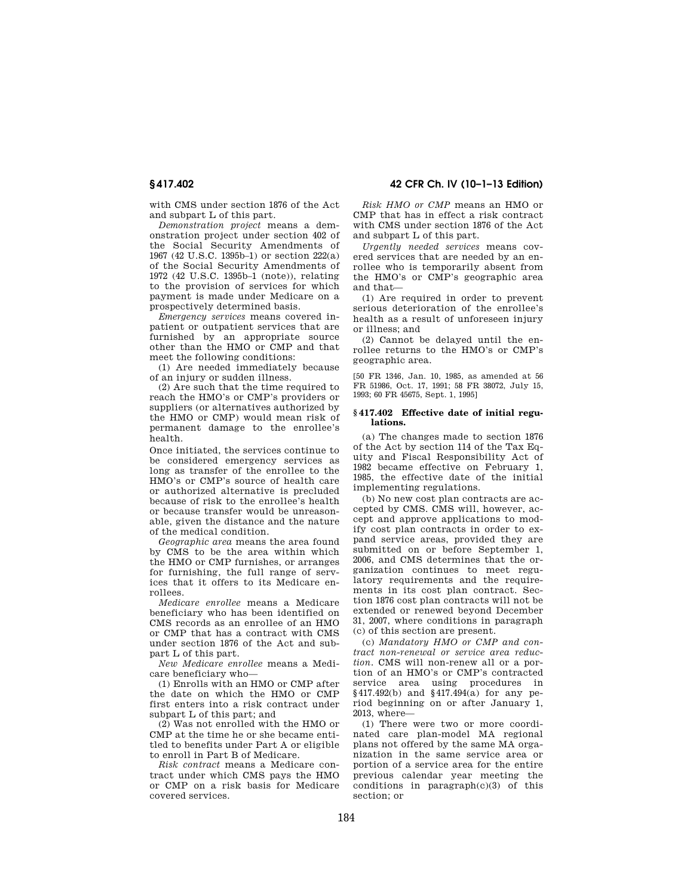with CMS under section 1876 of the Act and subpart L of this part.

*Demonstration project* means a demonstration project under section 402 of the Social Security Amendments of 1967 (42 U.S.C. 1395b–1) or section 222(a) of the Social Security Amendments of 1972 (42 U.S.C. 1395b–1 (note)), relating to the provision of services for which payment is made under Medicare on a prospectively determined basis.

*Emergency services* means covered inpatient or outpatient services that are furnished by an appropriate source other than the HMO or CMP and that meet the following conditions:

(1) Are needed immediately because of an injury or sudden illness.

(2) Are such that the time required to reach the HMO's or CMP's providers or suppliers (or alternatives authorized by the HMO or CMP) would mean risk of permanent damage to the enrollee's health.

Once initiated, the services continue to be considered emergency services as long as transfer of the enrollee to the HMO's or CMP's source of health care or authorized alternative is precluded because of risk to the enrollee's health or because transfer would be unreasonable, given the distance and the nature of the medical condition.

*Geographic area* means the area found by CMS to be the area within which the HMO or CMP furnishes, or arranges for furnishing, the full range of services that it offers to its Medicare enrollees.

*Medicare enrollee* means a Medicare beneficiary who has been identified on CMS records as an enrollee of an HMO or CMP that has a contract with CMS under section 1876 of the Act and subpart L of this part.

*New Medicare enrollee* means a Medicare beneficiary who—

(1) Enrolls with an HMO or CMP after the date on which the HMO or CMP first enters into a risk contract under subpart L of this part; and

(2) Was not enrolled with the HMO or CMP at the time he or she became entitled to benefits under Part A or eligible to enroll in Part B of Medicare.

*Risk contract* means a Medicare contract under which CMS pays the HMO or CMP on a risk basis for Medicare covered services.

*Risk HMO or CMP* means an HMO or CMP that has in effect a risk contract with CMS under section 1876 of the Act and subpart L of this part.

*Urgently needed services* means covered services that are needed by an enrollee who is temporarily absent from the HMO's or CMP's geographic area and that—

(1) Are required in order to prevent serious deterioration of the enrollee's health as a result of unforeseen injury or illness; and

(2) Cannot be delayed until the enrollee returns to the HMO's or CMP's geographic area.

[50 FR 1346, Jan. 10, 1985, as amended at 56 FR 51986, Oct. 17, 1991; 58 FR 38072, July 15, 1993; 60 FR 45675, Sept. 1, 1995]

## **§ 417.402 Effective date of initial regulations.**

(a) The changes made to section 1876 of the Act by section 114 of the Tax Equity and Fiscal Responsibility Act of 1982 became effective on February 1, 1985, the effective date of the initial implementing regulations.

(b) No new cost plan contracts are accepted by CMS. CMS will, however, accept and approve applications to modify cost plan contracts in order to expand service areas, provided they are submitted on or before September 1, 2006, and CMS determines that the organization continues to meet regulatory requirements and the requirements in its cost plan contract. Section 1876 cost plan contracts will not be extended or renewed beyond December 31, 2007, where conditions in paragraph (c) of this section are present.

(c) *Mandatory HMO or CMP and contract non-renewal or service area reduction.* CMS will non-renew all or a portion of an HMO's or CMP's contracted service area using procedures in §417.492(b) and §417.494(a) for any period beginning on or after January 1, 2013, where—

(1) There were two or more coordinated care plan-model MA regional plans not offered by the same MA organization in the same service area or portion of a service area for the entire previous calendar year meeting the conditions in paragraph(c)(3) of this section; or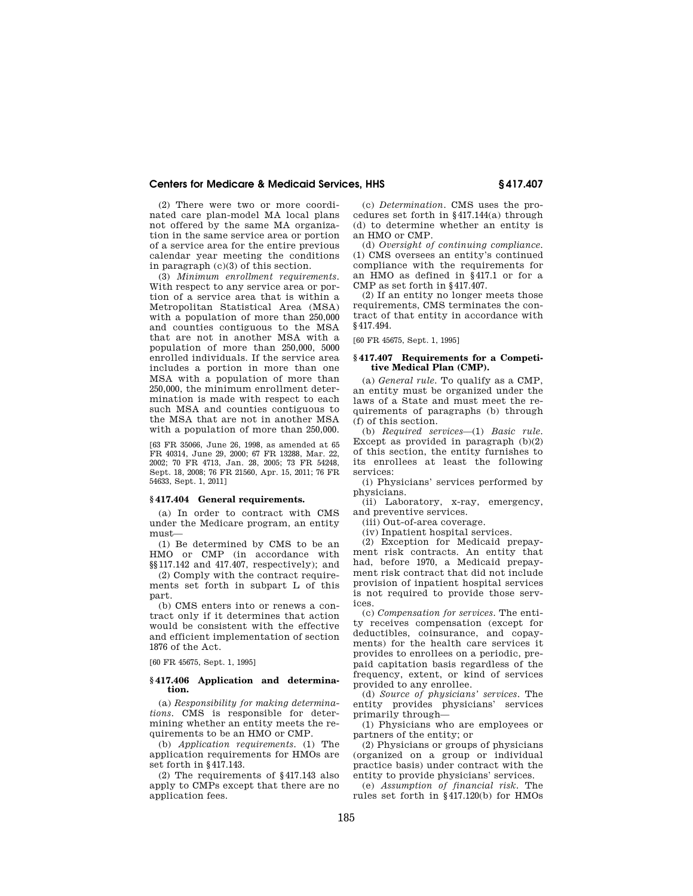(2) There were two or more coordinated care plan-model MA local plans not offered by the same MA organization in the same service area or portion of a service area for the entire previous calendar year meeting the conditions in paragraph (c)(3) of this section.

(3) *Minimum enrollment requirements*. With respect to any service area or portion of a service area that is within a Metropolitan Statistical Area (MSA) with a population of more than 250,000 and counties contiguous to the MSA that are not in another MSA with a population of more than 250,000, 5000 enrolled individuals. If the service area includes a portion in more than one MSA with a population of more than 250,000, the minimum enrollment determination is made with respect to each such MSA and counties contiguous to the MSA that are not in another MSA with a population of more than 250,000.

[63 FR 35066, June 26, 1998, as amended at 65 FR 40314, June 29, 2000; 67 FR 13288, Mar. 22, 2002; 70 FR 4713, Jan. 28, 2005; 73 FR 54248, Sept. 18, 2008; 76 FR 21560, Apr. 15, 2011; 76 FR 54633, Sept. 1, 2011]

#### **§ 417.404 General requirements.**

(a) In order to contract with CMS under the Medicare program, an entity must—

(1) Be determined by CMS to be an HMO or CMP (in accordance with §§117.142 and 417.407, respectively); and

(2) Comply with the contract requirements set forth in subpart L of this part.

(b) CMS enters into or renews a contract only if it determines that action would be consistent with the effective and efficient implementation of section 1876 of the Act.

[60 FR 45675, Sept. 1, 1995]

#### **§ 417.406 Application and determination.**

(a) *Responsibility for making determinations.* CMS is responsible for determining whether an entity meets the requirements to be an HMO or CMP.

(b) *Application requirements.* (1) The application requirements for HMOs are set forth in §417.143.

(2) The requirements of §417.143 also apply to CMPs except that there are no application fees.

(c) *Determination.* CMS uses the procedures set forth in §417.144(a) through (d) to determine whether an entity is an HMO or CMP.

(d) *Oversight of continuing compliance.*  (1) CMS oversees an entity's continued compliance with the requirements for an HMO as defined in §417.1 or for a CMP as set forth in §417.407.

(2) If an entity no longer meets those requirements, CMS terminates the contract of that entity in accordance with §417.494.

[60 FR 45675, Sept. 1, 1995]

#### **§ 417.407 Requirements for a Competitive Medical Plan (CMP).**

(a) *General rule.* To qualify as a CMP, an entity must be organized under the laws of a State and must meet the requirements of paragraphs (b) through (f) of this section.

(b) *Required services*—(1) *Basic rule.*  Except as provided in paragraph  $(b)(2)$ of this section, the entity furnishes to its enrollees at least the following services:

(i) Physicians' services performed by physicians.

(ii) Laboratory, x-ray, emergency, and preventive services.

(iii) Out-of-area coverage.

(iv) Inpatient hospital services.

(2) Exception for Medicaid prepayment risk contracts. An entity that had, before 1970, a Medicaid prepayment risk contract that did not include provision of inpatient hospital services is not required to provide those services.

(c) *Compensation for services.* The entity receives compensation (except for deductibles, coinsurance, and copayments) for the health care services it provides to enrollees on a periodic, prepaid capitation basis regardless of the frequency, extent, or kind of services provided to any enrollee.

(d) *Source of physicians' services.* The entity provides physicians' services primarily through—

(1) Physicians who are employees or partners of the entity; or

(2) Physicians or groups of physicians (organized on a group or individual practice basis) under contract with the entity to provide physicians' services.

(e) *Assumption of financial risk.* The rules set forth in §417.120(b) for HMOs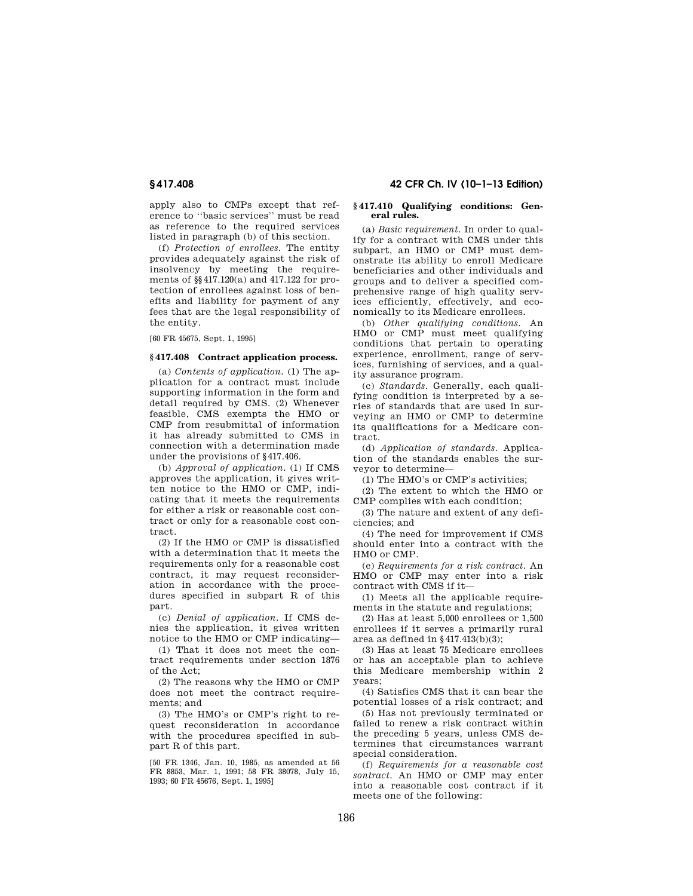apply also to CMPs except that reference to ''basic services'' must be read as reference to the required services listed in paragraph (b) of this section.

(f) *Protection of enrollees.* The entity provides adequately against the risk of insolvency by meeting the requirements of §§417.120(a) and 417.122 for protection of enrollees against loss of benefits and liability for payment of any fees that are the legal responsibility of the entity.

[60 FR 45675, Sept. 1, 1995]

#### **§ 417.408 Contract application process.**

(a) *Contents of application.* (1) The application for a contract must include supporting information in the form and detail required by CMS. (2) Whenever feasible, CMS exempts the HMO or CMP from resubmittal of information it has already submitted to CMS in connection with a determination made under the provisions of §417.406.

(b) *Approval of application.* (1) If CMS approves the application, it gives written notice to the HMO or CMP, indicating that it meets the requirements for either a risk or reasonable cost contract or only for a reasonable cost contract.

(2) If the HMO or CMP is dissatisfied with a determination that it meets the requirements only for a reasonable cost contract, it may request reconsideration in accordance with the procedures specified in subpart R of this part.

(c) *Denial of application.* If CMS denies the application, it gives written notice to the HMO or CMP indicating—

(1) That it does not meet the contract requirements under section 1876 of the Act;

(2) The reasons why the HMO or CMP does not meet the contract requirements; and

(3) The HMO's or CMP's right to request reconsideration in accordance with the procedures specified in subpart R of this part.

[50 FR 1346, Jan. 10, 1985, as amended at 56 FR 8853, Mar. 1, 1991; 58 FR 38078, July 15, 1993; 60 FR 45676, Sept. 1, 1995]

# **§ 417.408 42 CFR Ch. IV (10–1–13 Edition)**

#### **§ 417.410 Qualifying conditions: General rules.**

(a) *Basic requirement.* In order to qualify for a contract with CMS under this subpart, an HMO or CMP must demonstrate its ability to enroll Medicare beneficiaries and other individuals and groups and to deliver a specified comprehensive range of high quality services efficiently, effectively, and economically to its Medicare enrollees.

(b) *Other qualifying conditions.* An HMO or CMP must meet qualifying conditions that pertain to operating experience, enrollment, range of services, furnishing of services, and a quality assurance program.

(c) *Standards.* Generally, each qualifying condition is interpreted by a series of standards that are used in surveying an HMO or CMP to determine its qualifications for a Medicare contract.

(d) *Application of standards.* Application of the standards enables the surveyor to determine—

(1) The HMO's or CMP's activities;

(2) The extent to which the HMO or CMP complies with each condition;

(3) The nature and extent of any deficiencies; and

(4) The need for improvement if CMS should enter into a contract with the HMO or CMP.

(e) *Requirements for a risk contract.* An HMO or CMP may enter into a risk contract with CMS if it—

(1) Meets all the applicable requirements in the statute and regulations;

(2) Has at least 5,000 enrollees or 1,500 enrollees if it serves a primarily rural area as defined in  $§$ 417.413(b)(3);

(3) Has at least 75 Medicare enrollees or has an acceptable plan to achieve this Medicare membership within 2 years;

(4) Satisfies CMS that it can bear the potential losses of a risk contract; and

(5) Has not previously terminated or failed to renew a risk contract within the preceding 5 years, unless CMS determines that circumstances warrant special consideration.

(f) *Requirements for a reasonable cost sontract.* An HMO or CMP may enter into a reasonable cost contract if it meets one of the following: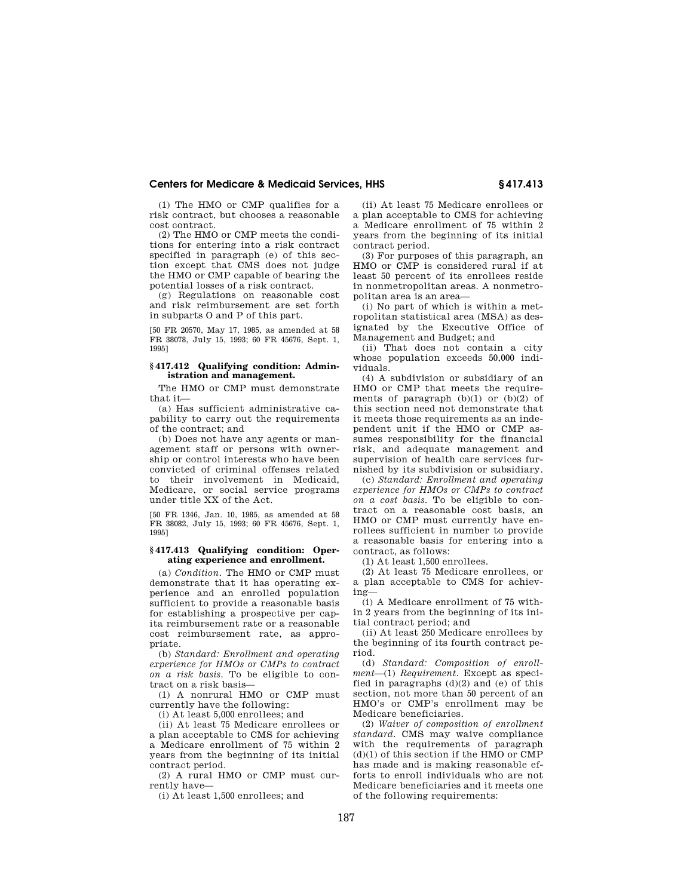(1) The HMO or CMP qualifies for a risk contract, but chooses a reasonable cost contract.

(2) The HMO or CMP meets the conditions for entering into a risk contract specified in paragraph (e) of this section except that CMS does not judge the HMO or CMP capable of bearing the potential losses of a risk contract.

(g) Regulations on reasonable cost and risk reimbursement are set forth in subparts O and P of this part.

[50 FR 20570, May 17, 1985, as amended at 58 FR 38078, July 15, 1993; 60 FR 45676, Sept. 1, 1995]

## **§ 417.412 Qualifying condition: Administration and management.**

The HMO or CMP must demonstrate that it—

(a) Has sufficient administrative capability to carry out the requirements of the contract; and

(b) Does not have any agents or management staff or persons with ownership or control interests who have been convicted of criminal offenses related to their involvement in Medicaid, Medicare, or social service programs under title XX of the Act.

[50 FR 1346, Jan. 10, 1985, as amended at 58 FR 38082, July 15, 1993; 60 FR 45676, Sept. 1, 1995]

#### **§ 417.413 Qualifying condition: Operating experience and enrollment.**

(a) *Condition.* The HMO or CMP must demonstrate that it has operating experience and an enrolled population sufficient to provide a reasonable basis for establishing a prospective per capita reimbursement rate or a reasonable cost reimbursement rate, as appropriate.

(b) *Standard: Enrollment and operating experience for HMOs or CMPs to contract on a risk basis.* To be eligible to contract on a risk basis—

(1) A nonrural HMO or CMP must currently have the following:

(i) At least 5,000 enrollees; and

(ii) At least 75 Medicare enrollees or a plan acceptable to CMS for achieving a Medicare enrollment of 75 within 2 years from the beginning of its initial contract period.

(2) A rural HMO or CMP must currently have—

(i) At least 1,500 enrollees; and

(ii) At least 75 Medicare enrollees or a plan acceptable to CMS for achieving a Medicare enrollment of 75 within 2 years from the beginning of its initial contract period.

(3) For purposes of this paragraph, an HMO or CMP is considered rural if at least 50 percent of its enrollees reside in nonmetropolitan areas. A nonmetropolitan area is an area—

(i) No part of which is within a metropolitan statistical area (MSA) as designated by the Executive Office of Management and Budget; and

(ii) That does not contain a city whose population exceeds 50,000 individuals.

(4) A subdivision or subsidiary of an HMO or CMP that meets the requirements of paragraph  $(b)(1)$  or  $(b)(2)$  of this section need not demonstrate that it meets those requirements as an independent unit if the HMO or CMP assumes responsibility for the financial risk, and adequate management and supervision of health care services furnished by its subdivision or subsidiary.

(c) *Standard: Enrollment and operating experience for HMOs or CMPs to contract on a cost basis.* To be eligible to contract on a reasonable cost basis, an HMO or CMP must currently have enrollees sufficient in number to provide a reasonable basis for entering into a contract, as follows:

(1) At least 1,500 enrollees.

(2) At least 75 Medicare enrollees, or a plan acceptable to CMS for achieving—

(i) A Medicare enrollment of 75 within 2 years from the beginning of its initial contract period; and

(ii) At least 250 Medicare enrollees by the beginning of its fourth contract period.

(d) *Standard: Composition of enrollment*—(1) *Requirement.* Except as specified in paragraphs  $(d)(2)$  and  $(e)$  of this section, not more than 50 percent of an HMO's or CMP's enrollment may be Medicare beneficiaries.

(2) *Waiver of composition of enrollment standard.* CMS may waive compliance with the requirements of paragraph  $(d)(1)$  of this section if the HMO or CMP has made and is making reasonable efforts to enroll individuals who are not Medicare beneficiaries and it meets one of the following requirements: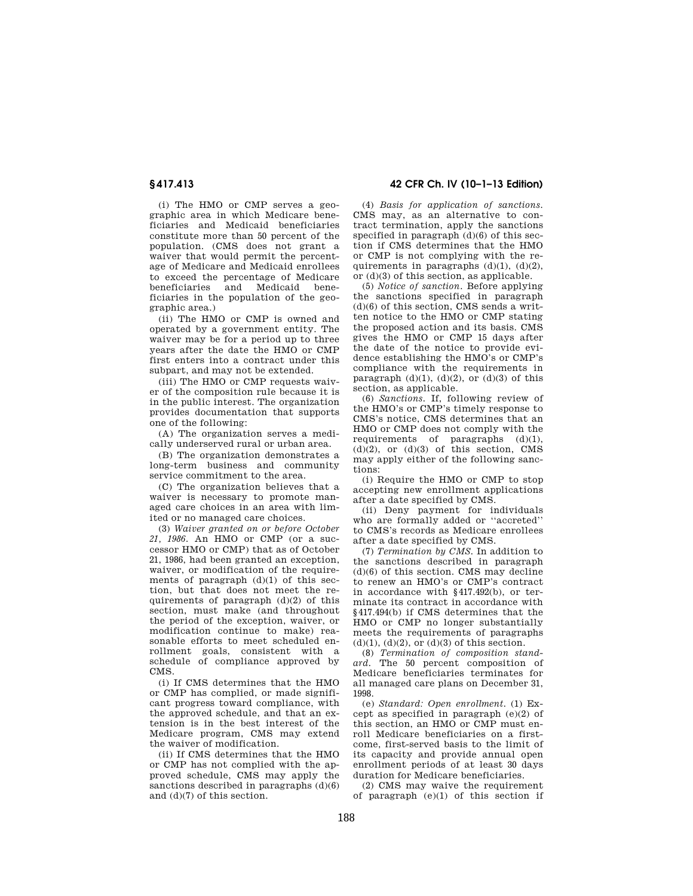(i) The HMO or CMP serves a geographic area in which Medicare beneficiaries and Medicaid beneficiaries constitute more than 50 percent of the population. (CMS does not grant a waiver that would permit the percentage of Medicare and Medicaid enrollees to exceed the percentage of Medicare<br>beneficiaries and Medicaid benebeneficiaries and Medicaid ficiaries in the population of the geographic area.)

(ii) The HMO or CMP is owned and operated by a government entity. The waiver may be for a period up to three years after the date the HMO or CMP first enters into a contract under this subpart, and may not be extended.

(iii) The HMO or CMP requests waiver of the composition rule because it is in the public interest. The organization provides documentation that supports one of the following:

(A) The organization serves a medically underserved rural or urban area.

(B) The organization demonstrates a long-term business and community service commitment to the area.

(C) The organization believes that a waiver is necessary to promote managed care choices in an area with limited or no managed care choices.

(3) *Waiver granted on or before October 21, 1986.* An HMO or CMP (or a successor HMO or CMP) that as of October 21, 1986, had been granted an exception, waiver, or modification of the requirements of paragraph  $(d)(1)$  of this section, but that does not meet the requirements of paragraph  $(d)(2)$  of this section, must make (and throughout the period of the exception, waiver, or modification continue to make) reasonable efforts to meet scheduled enrollment goals, consistent with a schedule of compliance approved by CMS.

(i) If CMS determines that the HMO or CMP has complied, or made significant progress toward compliance, with the approved schedule, and that an extension is in the best interest of the Medicare program, CMS may extend the waiver of modification.

(ii) If CMS determines that the HMO or CMP has not complied with the approved schedule, CMS may apply the sanctions described in paragraphs  $(d)(6)$ and (d)(7) of this section.

**§ 417.413 42 CFR Ch. IV (10–1–13 Edition)** 

(4) *Basis for application of sanctions.*  CMS may, as an alternative to contract termination, apply the sanctions specified in paragraph  $(d)(6)$  of this section if CMS determines that the HMO or CMP is not complying with the requirements in paragraphs  $(d)(1)$ ,  $(d)(2)$ , or (d)(3) of this section, as applicable.

(5) *Notice of sanction.* Before applying the sanctions specified in paragraph  $(d)(6)$  of this section, CMS sends a written notice to the HMO or CMP stating the proposed action and its basis. CMS gives the HMO or CMP 15 days after the date of the notice to provide evidence establishing the HMO's or CMP's compliance with the requirements in paragraph  $(d)(1)$ ,  $(d)(2)$ , or  $(d)(3)$  of this section, as applicable.

(6) *Sanctions.* If, following review of the HMO's or CMP's timely response to CMS's notice, CMS determines that an HMO or CMP does not comply with the requirements of paragraphs (d)(1),  $(d)(2)$ , or  $(d)(3)$  of this section, CMS may apply either of the following sanctions:

(i) Require the HMO or CMP to stop accepting new enrollment applications after a date specified by CMS.

(ii) Deny payment for individuals who are formally added or ''accreted'' to CMS's records as Medicare enrollees after a date specified by CMS.

(7) *Termination by CMS.* In addition to the sanctions described in paragraph (d)(6) of this section. CMS may decline to renew an HMO's or CMP's contract in accordance with §417.492(b), or terminate its contract in accordance with §417.494(b) if CMS determines that the HMO or CMP no longer substantially meets the requirements of paragraphs  $(d)(1), (d)(2),$  or  $(d)(3)$  of this section.

(8) *Termination of composition standard.* The 50 percent composition of Medicare beneficiaries terminates for all managed care plans on December 31, 1998.

(e) *Standard: Open enrollment.* (1) Except as specified in paragraph (e)(2) of this section, an HMO or CMP must enroll Medicare beneficiaries on a firstcome, first-served basis to the limit of its capacity and provide annual open enrollment periods of at least 30 days duration for Medicare beneficiaries.

(2) CMS may waive the requirement of paragraph  $(e)(1)$  of this section if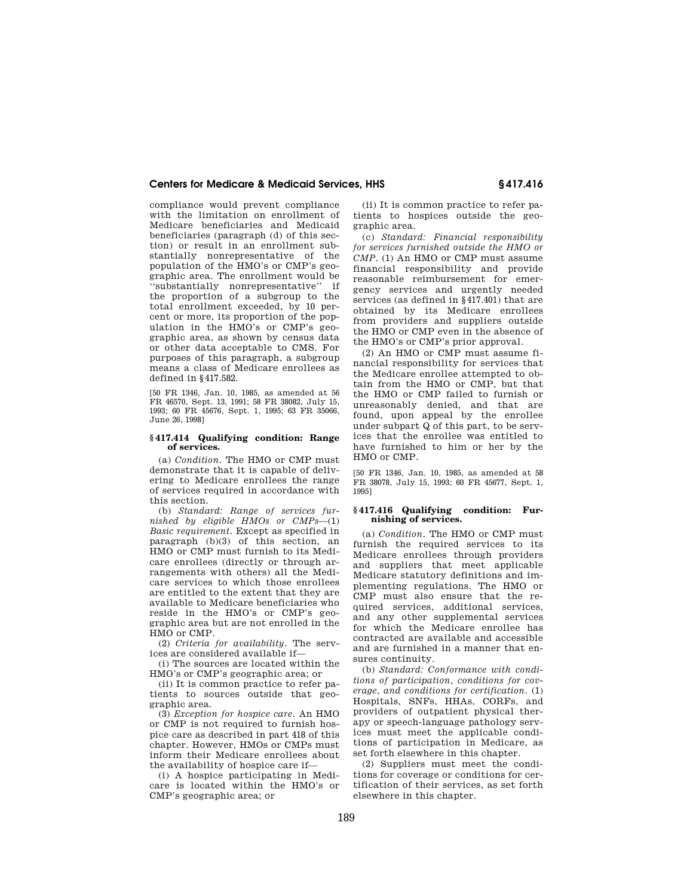compliance would prevent compliance with the limitation on enrollment of Medicare beneficiaries and Medicaid beneficiaries (paragraph (d) of this section) or result in an enrollment substantially nonrepresentative of the population of the HMO's or CMP's geographic area. The enrollment would be ''substantially nonrepresentative'' if the proportion of a subgroup to the total enrollment exceeded, by 10 percent or more, its proportion of the population in the HMO's or CMP's geographic area, as shown by census data or other data acceptable to CMS. For purposes of this paragraph, a subgroup means a class of Medicare enrollees as defined in §417.582.

[50 FR 1346, Jan. 10, 1985, as amended at 56 FR 46570, Sept. 13, 1991; 58 FR 38082, July 15, 1993; 60 FR 45676, Sept. 1, 1995; 63 FR 35066, June 26, 1998]

#### **§ 417.414 Qualifying condition: Range of services.**

(a) *Condition.* The HMO or CMP must demonstrate that it is capable of delivering to Medicare enrollees the range of services required in accordance with this section.

(b) *Standard: Range of services furnished by eligible HMOs or CMPs*—(1) *Basic requirement.* Except as specified in paragraph (b)(3) of this section, an HMO or CMP must furnish to its Medicare enrollees (directly or through arrangements with others) all the Medicare services to which those enrollees are entitled to the extent that they are available to Medicare beneficiaries who reside in the HMO's or CMP's geographic area but are not enrolled in the HMO or CMP.

(2) *Criteria for availability.* The services are considered available if—

(i) The sources are located within the HMO's or CMP's geographic area; or

(ii) It is common practice to refer patients to sources outside that geographic area.

(3) *Exception for hospice care.* An HMO or CMP is not required to furnish hospice care as described in part 418 of this chapter. However, HMOs or CMPs must inform their Medicare enrollees about the availability of hospice care if—

(i) A hospice participating in Medicare is located within the HMO's or CMP's geographic area; or

(ii) It is common practice to refer patients to hospices outside the geographic area.

(c) *Standard: Financial responsibility for services furnished outside the HMO or CMP.* (1) An HMO or CMP must assume financial responsibility and provide reasonable reimbursement for emergency services and urgently needed services (as defined in §417.401) that are obtained by its Medicare enrollees from providers and suppliers outside the HMO or CMP even in the absence of the HMO's or CMP's prior approval.

(2) An HMO or CMP must assume financial responsibility for services that the Medicare enrollee attempted to obtain from the HMO or CMP, but that the HMO or CMP failed to furnish or unreasonably denied, and that are found, upon appeal by the enrollee under subpart Q of this part, to be services that the enrollee was entitled to have furnished to him or her by the HMO or CMP.

[50 FR 1346, Jan. 10, 1985, as amended at 58 FR 38078, July 15, 1993; 60 FR 45677, Sept. 1, 1995]

#### **§ 417.416 Qualifying condition: Furnishing of services.**

(a) *Condition.* The HMO or CMP must furnish the required services to its Medicare enrollees through providers and suppliers that meet applicable Medicare statutory definitions and implementing regulations. The HMO or CMP must also ensure that the required services, additional services, and any other supplemental services for which the Medicare enrollee has contracted are available and accessible and are furnished in a manner that ensures continuity.

(b) *Standard: Conformance with conditions of participation, conditions for coverage, and conditions for certification.* (1) Hospitals, SNFs, HHAs, CORFs, and providers of outpatient physical therapy or speech-language pathology services must meet the applicable conditions of participation in Medicare, as set forth elsewhere in this chapter.

(2) Suppliers must meet the conditions for coverage or conditions for certification of their services, as set forth elsewhere in this chapter.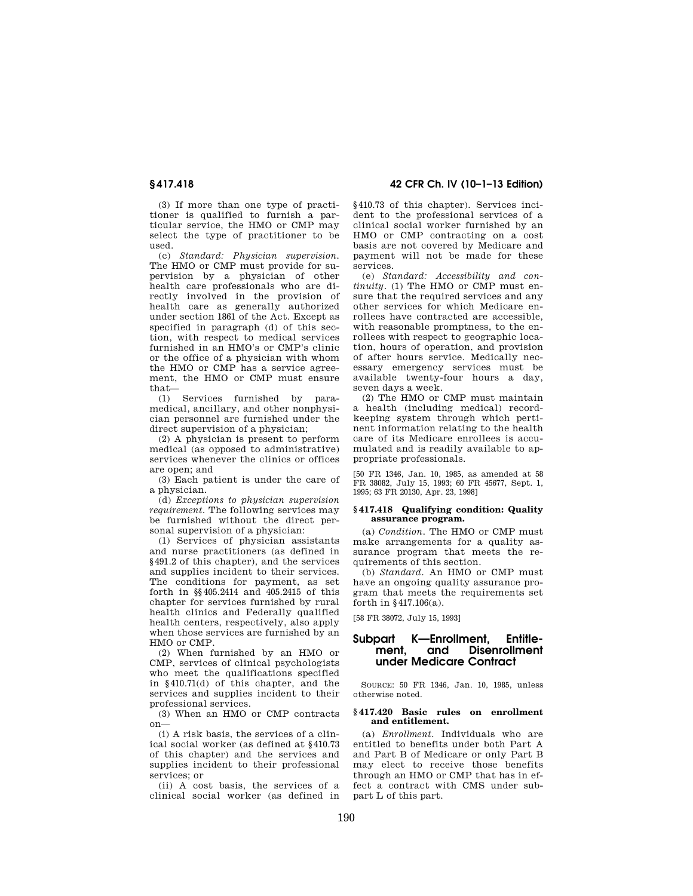(3) If more than one type of practitioner is qualified to furnish a particular service, the HMO or CMP may select the type of practitioner to be used.

(c) *Standard: Physician supervision.*  The HMO or CMP must provide for supervision by a physician of other health care professionals who are directly involved in the provision of health care as generally authorized under section 1861 of the Act. Except as specified in paragraph (d) of this section, with respect to medical services furnished in an HMO's or CMP's clinic or the office of a physician with whom the HMO or CMP has a service agreement, the HMO or CMP must ensure that—

(1) Services furnished by paramedical, ancillary, and other nonphysician personnel are furnished under the direct supervision of a physician;

(2) A physician is present to perform medical (as opposed to administrative) services whenever the clinics or offices are open; and

(3) Each patient is under the care of a physician.

(d) *Exceptions to physician supervision requirement.* The following services may be furnished without the direct personal supervision of a physician:

(1) Services of physician assistants and nurse practitioners (as defined in §491.2 of this chapter), and the services and supplies incident to their services. The conditions for payment, as set forth in §§405.2414 and 405.2415 of this chapter for services furnished by rural health clinics and Federally qualified health centers, respectively, also apply when those services are furnished by an HMO or CMP.

(2) When furnished by an HMO or CMP, services of clinical psychologists who meet the qualifications specified in §410.71(d) of this chapter, and the services and supplies incident to their professional services.

(3) When an HMO or CMP contracts on—

(i) A risk basis, the services of a clinical social worker (as defined at §410.73 of this chapter) and the services and supplies incident to their professional services; or

(ii) A cost basis, the services of a clinical social worker (as defined in

# **§ 417.418 42 CFR Ch. IV (10–1–13 Edition)**

§410.73 of this chapter). Services incident to the professional services of a clinical social worker furnished by an HMO or CMP contracting on a cost basis are not covered by Medicare and payment will not be made for these services.

(e) *Standard: Accessibility and continuity.* (1) The HMO or CMP must ensure that the required services and any other services for which Medicare enrollees have contracted are accessible, with reasonable promptness, to the enrollees with respect to geographic location, hours of operation, and provision of after hours service. Medically necessary emergency services must be available twenty-four hours a day, seven days a week.

(2) The HMO or CMP must maintain a health (including medical) recordkeeping system through which pertinent information relating to the health care of its Medicare enrollees is accumulated and is readily available to appropriate professionals.

[50 FR 1346, Jan. 10, 1985, as amended at 58 FR 38082, July 15, 1993; 60 FR 45677, Sept. 1, 1995; 63 FR 20130, Apr. 23, 1998]

#### **§ 417.418 Qualifying condition: Quality assurance program.**

(a) *Condition.* The HMO or CMP must make arrangements for a quality assurance program that meets the requirements of this section.

(b) *Standard.* An HMO or CMP must have an ongoing quality assurance program that meets the requirements set forth in §417.106(a).

[58 FR 38072, July 15, 1993]

# **Subpart K—Enrollment, Entitlement, and Disenrollment under Medicare Contract**

SOURCE: 50 FR 1346, Jan. 10, 1985, unless otherwise noted.

### **§ 417.420 Basic rules on enrollment and entitlement.**

(a) *Enrollment.* Individuals who are entitled to benefits under both Part A and Part B of Medicare or only Part B may elect to receive those benefits through an HMO or CMP that has in effect a contract with CMS under subpart L of this part.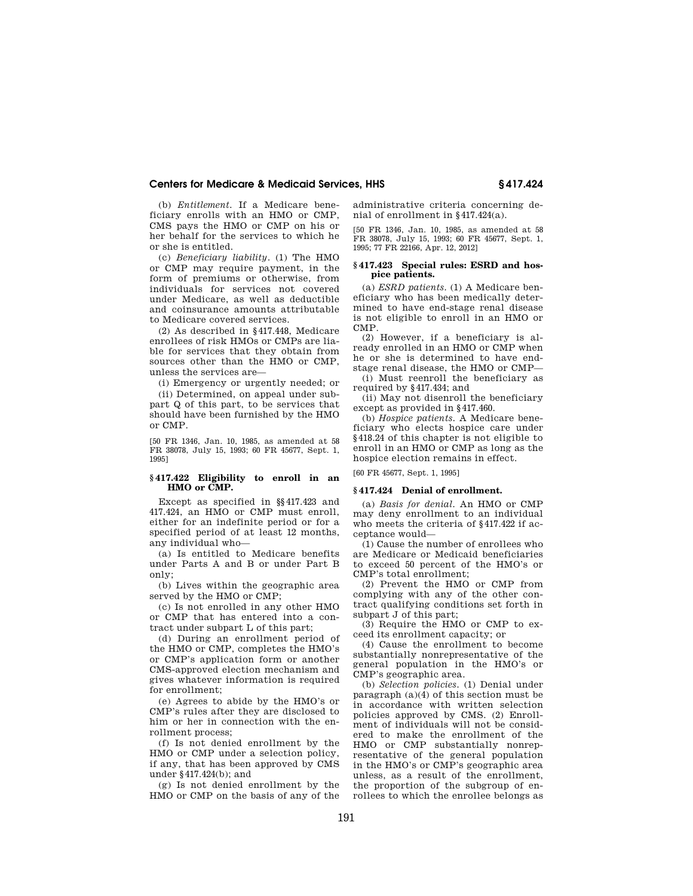(b) *Entitlement.* If a Medicare beneficiary enrolls with an HMO or CMP, CMS pays the HMO or CMP on his or her behalf for the services to which he or she is entitled.

(c) *Beneficiary liability.* (1) The HMO or CMP may require payment, in the form of premiums or otherwise, from individuals for services not covered under Medicare, as well as deductible and coinsurance amounts attributable to Medicare covered services.

(2) As described in §417.448, Medicare enrollees of risk HMOs or CMPs are liable for services that they obtain from sources other than the HMO or CMP, unless the services are—

(i) Emergency or urgently needed; or

(ii) Determined, on appeal under subpart Q of this part, to be services that should have been furnished by the HMO or CMP.

[50 FR 1346, Jan. 10, 1985, as amended at 58 FR 38078, July 15, 1993; 60 FR 45677, Sept. 1, 1995]

# **§ 417.422 Eligibility to enroll in an HMO or CMP.**

Except as specified in §§417.423 and 417.424, an HMO or CMP must enroll, either for an indefinite period or for a specified period of at least 12 months, any individual who—

(a) Is entitled to Medicare benefits under Parts A and B or under Part B only;

(b) Lives within the geographic area served by the HMO or CMP;

(c) Is not enrolled in any other HMO or CMP that has entered into a contract under subpart L of this part;

(d) During an enrollment period of the HMO or CMP, completes the HMO's or CMP's application form or another CMS-approved election mechanism and gives whatever information is required for enrollment;

(e) Agrees to abide by the HMO's or CMP's rules after they are disclosed to him or her in connection with the enrollment process;

(f) Is not denied enrollment by the HMO or CMP under a selection policy, if any, that has been approved by CMS under §417.424(b); and

(g) Is not denied enrollment by the HMO or CMP on the basis of any of the administrative criteria concerning denial of enrollment in §417.424(a).

[50 FR 1346, Jan. 10, 1985, as amended at 58 FR 38078, July 15, 1993; 60 FR 45677, Sept. 1, 1995; 77 FR 22166, Apr. 12, 2012]

#### **§ 417.423 Special rules: ESRD and hospice patients.**

(a) *ESRD patients.* (1) A Medicare beneficiary who has been medically determined to have end-stage renal disease is not eligible to enroll in an HMO or CMP.

(2) However, if a beneficiary is already enrolled in an HMO or CMP when he or she is determined to have endstage renal disease, the HMO or CMP—

(i) Must reenroll the beneficiary as required by §417.434; and

(ii) May not disenroll the beneficiary except as provided in §417.460.

(b) *Hospice patients.* A Medicare beneficiary who elects hospice care under §418.24 of this chapter is not eligible to enroll in an HMO or CMP as long as the hospice election remains in effect.

[60 FR 45677, Sept. 1, 1995]

## **§ 417.424 Denial of enrollment.**

(a) *Basis for denial.* An HMO or CMP may deny enrollment to an individual who meets the criteria of §417.422 if acceptance would—

(1) Cause the number of enrollees who are Medicare or Medicaid beneficiaries to exceed 50 percent of the HMO's or CMP's total enrollment;

(2) Prevent the HMO or CMP from complying with any of the other contract qualifying conditions set forth in subpart J of this part;

(3) Require the HMO or CMP to exceed its enrollment capacity; or

(4) Cause the enrollment to become substantially nonrepresentative of the general population in the HMO's or CMP's geographic area.

(b) *Selection policies.* (1) Denial under paragraph (a)(4) of this section must be in accordance with written selection policies approved by CMS. (2) Enrollment of individuals will not be considered to make the enrollment of the HMO or CMP substantially nonrepresentative of the general population in the HMO's or CMP's geographic area unless, as a result of the enrollment, the proportion of the subgroup of enrollees to which the enrollee belongs as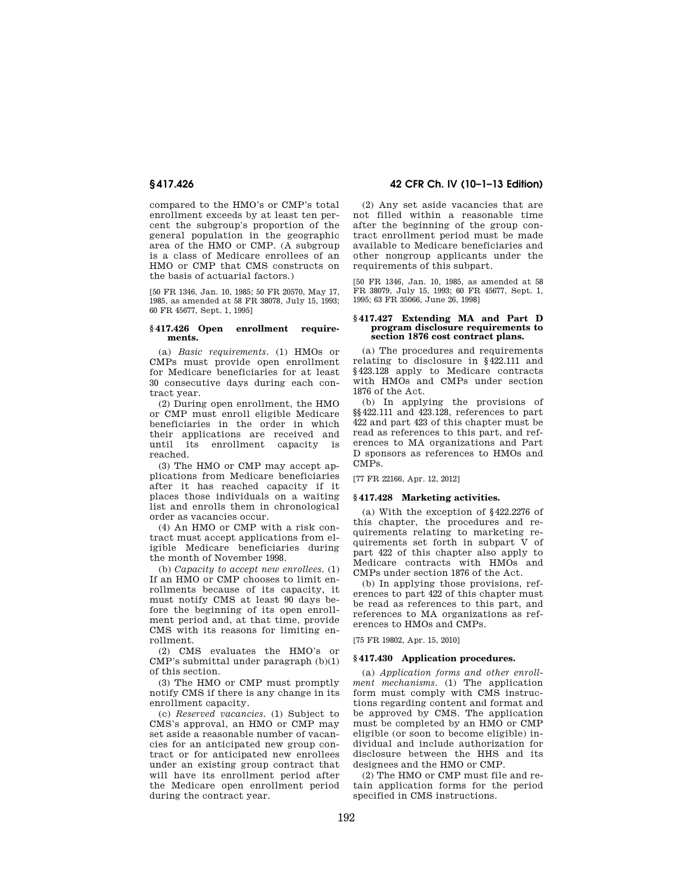compared to the HMO's or CMP's total enrollment exceeds by at least ten percent the subgroup's proportion of the general population in the geographic area of the HMO or CMP. (A subgroup is a class of Medicare enrollees of an HMO or CMP that CMS constructs on the basis of actuarial factors.)

[50 FR 1346, Jan. 10, 1985; 50 FR 20570, May 17, 1985, as amended at 58 FR 38078, July 15, 1993; 60 FR 45677, Sept. 1, 1995]

# **§ 417.426 Open enrollment requirements.**

(a) *Basic requirements.* (1) HMOs or CMPs must provide open enrollment for Medicare beneficiaries for at least 30 consecutive days during each contract year.

(2) During open enrollment, the HMO or CMP must enroll eligible Medicare beneficiaries in the order in which their applications are received and until its enrollment capacity is reached.

(3) The HMO or CMP may accept applications from Medicare beneficiaries after it has reached capacity if it places those individuals on a waiting list and enrolls them in chronological order as vacancies occur.

(4) An HMO or CMP with a risk contract must accept applications from eligible Medicare beneficiaries during the month of November 1998.

(b) *Capacity to accept new enrollees.* (1) If an HMO or CMP chooses to limit enrollments because of its capacity, it must notify CMS at least 90 days before the beginning of its open enrollment period and, at that time, provide CMS with its reasons for limiting enrollment.

(2) CMS evaluates the HMO's or  $\widehat{\text{CMP}}$ 's submittal under paragraph  $(b)(1)$ of this section.

(3) The HMO or CMP must promptly notify CMS if there is any change in its enrollment capacity.

(c) *Reserved vacancies.* (1) Subject to CMS's approval, an HMO or CMP may set aside a reasonable number of vacancies for an anticipated new group contract or for anticipated new enrollees under an existing group contract that will have its enrollment period after the Medicare open enrollment period during the contract year.

**§ 417.426 42 CFR Ch. IV (10–1–13 Edition)** 

(2) Any set aside vacancies that are not filled within a reasonable time after the beginning of the group contract enrollment period must be made available to Medicare beneficiaries and other nongroup applicants under the requirements of this subpart.

[50 FR 1346, Jan. 10, 1985, as amended at 58 FR 38079, July 15, 1993; 60 FR 45677, Sept. 1, 1995; 63 FR 35066, June 26, 1998]

#### **§ 417.427 Extending MA and Part D program disclosure requirements to section 1876 cost contract plans.**

(a) The procedures and requirements relating to disclosure in §422.111 and §423.128 apply to Medicare contracts with HMOs and CMPs under section 1876 of the Act.

(b) In applying the provisions of §§422.111 and 423.128, references to part 422 and part 423 of this chapter must be read as references to this part, and references to MA organizations and Part D sponsors as references to HMOs and CMPs.

[77 FR 22166, Apr. 12, 2012]

## **§ 417.428 Marketing activities.**

(a) With the exception of §422.2276 of this chapter, the procedures and requirements relating to marketing requirements set forth in subpart V of part 422 of this chapter also apply to Medicare contracts with HMOs and CMPs under section 1876 of the Act.

(b) In applying those provisions, references to part 422 of this chapter must be read as references to this part, and references to MA organizations as references to HMOs and CMPs.

[75 FR 19802, Apr. 15, 2010]

#### **§ 417.430 Application procedures.**

(a) *Application forms and other enrollment mechanisms.* (1) The application form must comply with CMS instructions regarding content and format and be approved by CMS. The application must be completed by an HMO or CMP eligible (or soon to become eligible) individual and include authorization for disclosure between the HHS and its designees and the HMO or CMP.

(2) The HMO or CMP must file and retain application forms for the period specified in CMS instructions.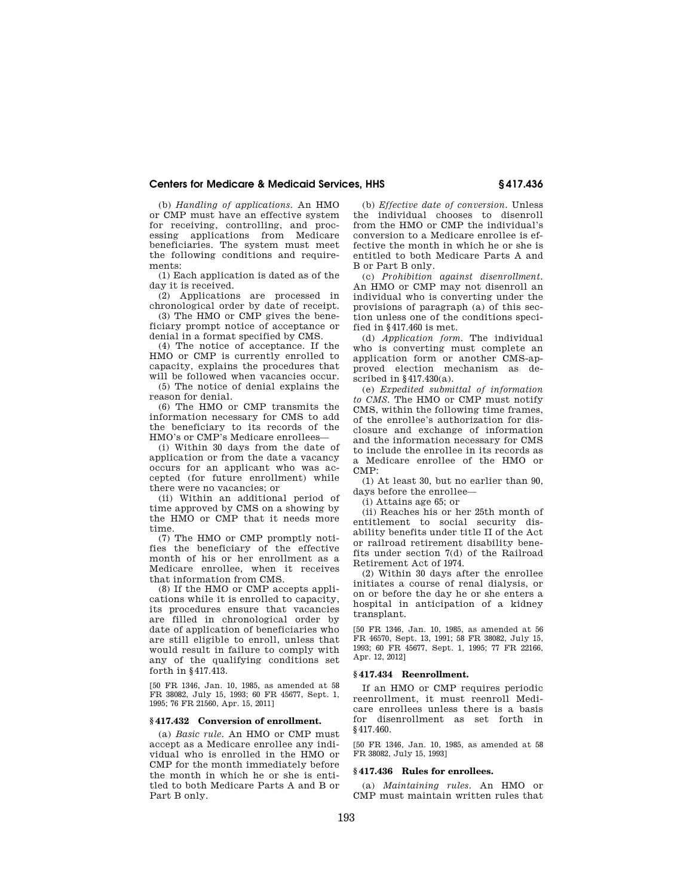(b) *Handling of applications.* An HMO or CMP must have an effective system for receiving, controlling, and processing applications from Medicare beneficiaries. The system must meet the following conditions and requirements:

(1) Each application is dated as of the day it is received.

(2) Applications are processed in chronological order by date of receipt.

(3) The HMO or CMP gives the beneficiary prompt notice of acceptance or denial in a format specified by CMS.

(4) The notice of acceptance. If the HMO or CMP is currently enrolled to capacity, explains the procedures that will be followed when vacancies occur.

(5) The notice of denial explains the reason for denial.

(6) The HMO or CMP transmits the information necessary for CMS to add the beneficiary to its records of the HMO's or CMP's Medicare enrollees—

(i) Within 30 days from the date of application or from the date a vacancy occurs for an applicant who was accepted (for future enrollment) while there were no vacancies; or

(ii) Within an additional period of time approved by CMS on a showing by the HMO or CMP that it needs more time.

(7) The HMO or CMP promptly notifies the beneficiary of the effective month of his or her enrollment as a Medicare enrollee, when it receives that information from CMS.

(8) If the HMO or CMP accepts applications while it is enrolled to capacity, its procedures ensure that vacancies are filled in chronological order by date of application of beneficiaries who are still eligible to enroll, unless that would result in failure to comply with any of the qualifying conditions set forth in §417.413.

[50 FR 1346, Jan. 10, 1985, as amended at 58 FR 38082, July 15, 1993; 60 FR 45677, Sept. 1, 1995; 76 FR 21560, Apr. 15, 2011]

## **§ 417.432 Conversion of enrollment.**

(a) *Basic rule.* An HMO or CMP must accept as a Medicare enrollee any individual who is enrolled in the HMO or CMP for the month immediately before the month in which he or she is entitled to both Medicare Parts A and B or Part B only.

(b) *Effective date of conversion.* Unless the individual chooses to disenroll from the HMO or CMP the individual's conversion to a Medicare enrollee is effective the month in which he or she is entitled to both Medicare Parts A and B or Part B only.

(c) *Prohibition against disenrollment.*  An HMO or CMP may not disenroll an individual who is converting under the provisions of paragraph (a) of this section unless one of the conditions specified in §417.460 is met.

(d) *Application form.* The individual who is converting must complete an application form or another CMS-approved election mechanism as described in §417.430(a).

(e) *Expedited submittal of information to CMS.* The HMO or CMP must notify CMS, within the following time frames, of the enrollee's authorization for disclosure and exchange of information and the information necessary for CMS to include the enrollee in its records as a Medicare enrollee of the HMO or CMP:

(1) At least 30, but no earlier than 90, days before the enrollee—

(i) Attains age 65; or

(ii) Reaches his or her 25th month of entitlement to social security disability benefits under title II of the Act or railroad retirement disability benefits under section 7(d) of the Railroad Retirement Act of 1974.

(2) Within 30 days after the enrollee initiates a course of renal dialysis, or on or before the day he or she enters a hospital in anticipation of a kidney transplant.

[50 FR 1346, Jan. 10, 1985, as amended at 56 FR 46570, Sept. 13, 1991; 58 FR 38082, July 15, 1993; 60 FR 45677, Sept. 1, 1995; 77 FR 22166, Apr. 12, 2012]

#### **§ 417.434 Reenrollment.**

If an HMO or CMP requires periodic reenrollment, it must reenroll Medicare enrollees unless there is a basis for disenrollment as set forth in §417.460.

[50 FR 1346, Jan. 10, 1985, as amended at 58 FR 38082, July 15, 1993]

## **§ 417.436 Rules for enrollees.**

(a) *Maintaining rules.* An HMO or CMP must maintain written rules that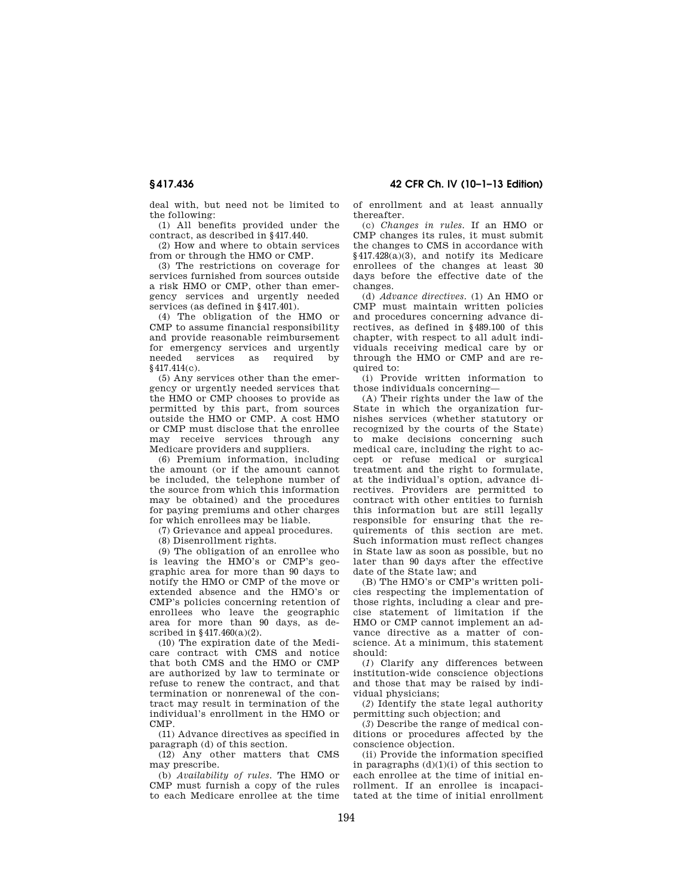**§ 417.436 42 CFR Ch. IV (10–1–13 Edition)** 

deal with, but need not be limited to the following:

(1) All benefits provided under the contract, as described in §417.440.

(2) How and where to obtain services from or through the HMO or CMP.

(3) The restrictions on coverage for services furnished from sources outside a risk HMO or CMP, other than emergency services and urgently needed services (as defined in §417.401).

(4) The obligation of the HMO or CMP to assume financial responsibility and provide reasonable reimbursement for emergency services and urgently needed services as required by §417.414(c).

(5) Any services other than the emergency or urgently needed services that the HMO or CMP chooses to provide as permitted by this part, from sources outside the HMO or CMP. A cost HMO or CMP must disclose that the enrollee may receive services through any Medicare providers and suppliers.

(6) Premium information, including the amount (or if the amount cannot be included, the telephone number of the source from which this information may be obtained) and the procedures for paying premiums and other charges for which enrollees may be liable.

(7) Grievance and appeal procedures.

(8) Disenrollment rights.

(9) The obligation of an enrollee who is leaving the HMO's or CMP's geographic area for more than 90 days to notify the HMO or CMP of the move or extended absence and the HMO's or CMP's policies concerning retention of enrollees who leave the geographic area for more than 90 days, as described in §417.460(a)(2).

(10) The expiration date of the Medicare contract with CMS and notice that both CMS and the HMO or CMP are authorized by law to terminate or refuse to renew the contract, and that termination or nonrenewal of the contract may result in termination of the individual's enrollment in the HMO or CMP.

(11) Advance directives as specified in paragraph (d) of this section.

(12) Any other matters that CMS may prescribe.

(b) *Availability of rules.* The HMO or CMP must furnish a copy of the rules to each Medicare enrollee at the time of enrollment and at least annually thereafter.

(c) *Changes in rules.* If an HMO or CMP changes its rules, it must submit the changes to CMS in accordance with §417.428(a)(3), and notify its Medicare enrollees of the changes at least 30 days before the effective date of the changes.

(d) *Advance directives.* (1) An HMO or CMP must maintain written policies and procedures concerning advance directives, as defined in §489.100 of this chapter, with respect to all adult individuals receiving medical care by or through the HMO or CMP and are required to:

(i) Provide written information to those individuals concerning—

(A) Their rights under the law of the State in which the organization furnishes services (whether statutory or recognized by the courts of the State) to make decisions concerning such medical care, including the right to accept or refuse medical or surgical treatment and the right to formulate, at the individual's option, advance directives. Providers are permitted to contract with other entities to furnish this information but are still legally responsible for ensuring that the requirements of this section are met. Such information must reflect changes in State law as soon as possible, but no later than 90 days after the effective date of the State law; and

(B) The HMO's or CMP's written policies respecting the implementation of those rights, including a clear and precise statement of limitation if the HMO or CMP cannot implement an advance directive as a matter of conscience. At a minimum, this statement should:

(*1*) Clarify any differences between institution-wide conscience objections and those that may be raised by individual physicians;

(*2*) Identify the state legal authority permitting such objection; and

(*3*) Describe the range of medical conditions or procedures affected by the conscience objection.

(ii) Provide the information specified in paragraphs  $(d)(1)(i)$  of this section to each enrollee at the time of initial enrollment. If an enrollee is incapacitated at the time of initial enrollment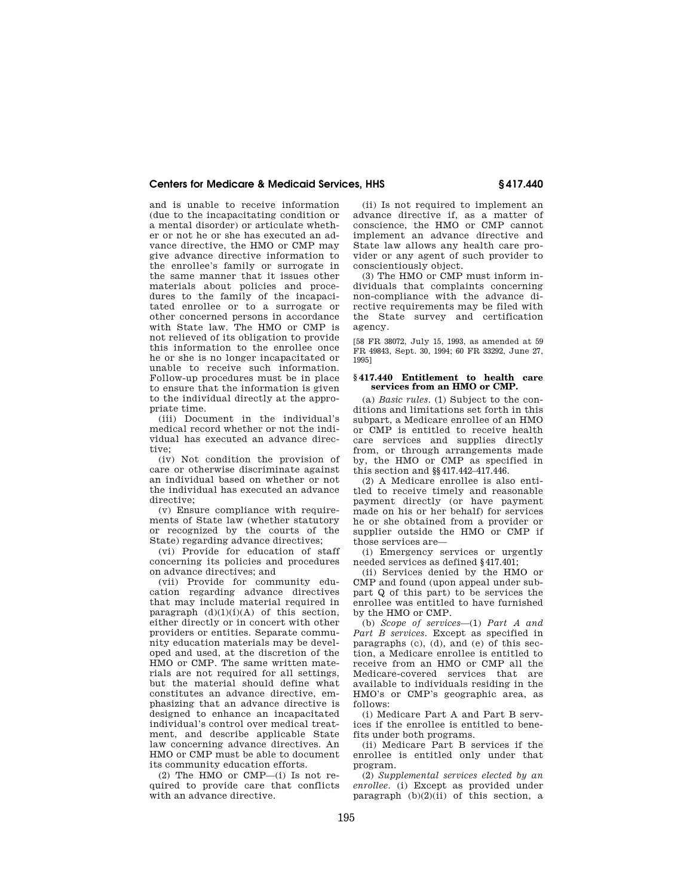and is unable to receive information (due to the incapacitating condition or a mental disorder) or articulate whether or not he or she has executed an advance directive, the HMO or CMP may give advance directive information to the enrollee's family or surrogate in the same manner that it issues other materials about policies and procedures to the family of the incapacitated enrollee or to a surrogate or other concerned persons in accordance with State law. The HMO or CMP is not relieved of its obligation to provide this information to the enrollee once he or she is no longer incapacitated or unable to receive such information. Follow-up procedures must be in place to ensure that the information is given to the individual directly at the appropriate time.

(iii) Document in the individual's medical record whether or not the individual has executed an advance directive;

(iv) Not condition the provision of care or otherwise discriminate against an individual based on whether or not the individual has executed an advance directive;

(v) Ensure compliance with requirements of State law (whether statutory or recognized by the courts of the State) regarding advance directives;

(vi) Provide for education of staff concerning its policies and procedures on advance directives; and

(vii) Provide for community education regarding advance directives that may include material required in paragraph  $(d)(1)(i)(A)$  of this section, either directly or in concert with other providers or entities. Separate community education materials may be developed and used, at the discretion of the HMO or CMP. The same written materials are not required for all settings, but the material should define what constitutes an advance directive, emphasizing that an advance directive is designed to enhance an incapacitated individual's control over medical treatment, and describe applicable State law concerning advance directives. An HMO or CMP must be able to document its community education efforts.

(2) The HMO or CMP—(i) Is not required to provide care that conflicts with an advance directive.

(ii) Is not required to implement an advance directive if, as a matter of conscience, the HMO or CMP cannot implement an advance directive and State law allows any health care provider or any agent of such provider to conscientiously object.

(3) The HMO or CMP must inform individuals that complaints concerning non-compliance with the advance directive requirements may be filed with the State survey and certification agency.

[58 FR 38072, July 15, 1993, as amended at 59 FR 49843, Sept. 30, 1994; 60 FR 33292, June 27, 1995]

#### **§ 417.440 Entitlement to health care services from an HMO or CMP.**

(a) *Basic rules.* (1) Subject to the conditions and limitations set forth in this subpart, a Medicare enrollee of an HMO or CMP is entitled to receive health care services and supplies directly from, or through arrangements made by, the HMO or CMP as specified in this section and §§417.442–417.446.

(2) A Medicare enrollee is also entitled to receive timely and reasonable payment directly (or have payment made on his or her behalf) for services he or she obtained from a provider or supplier outside the HMO or CMP if those services are—

(i) Emergency services or urgently needed services as defined §417.401;

(ii) Services denied by the HMO or CMP and found (upon appeal under subpart Q of this part) to be services the enrollee was entitled to have furnished by the HMO or CMP.

(b) *Scope of services*—(1) *Part A and Part B services.* Except as specified in paragraphs (c), (d), and (e) of this section, a Medicare enrollee is entitled to receive from an HMO or CMP all the Medicare-covered services that are available to individuals residing in the HMO's or CMP's geographic area, as follows:

(i) Medicare Part A and Part B services if the enrollee is entitled to benefits under both programs.

(ii) Medicare Part B services if the enrollee is entitled only under that program.

(2) *Supplemental services elected by an enrollee.* (i) Except as provided under paragraph  $(b)(2)(ii)$  of this section, a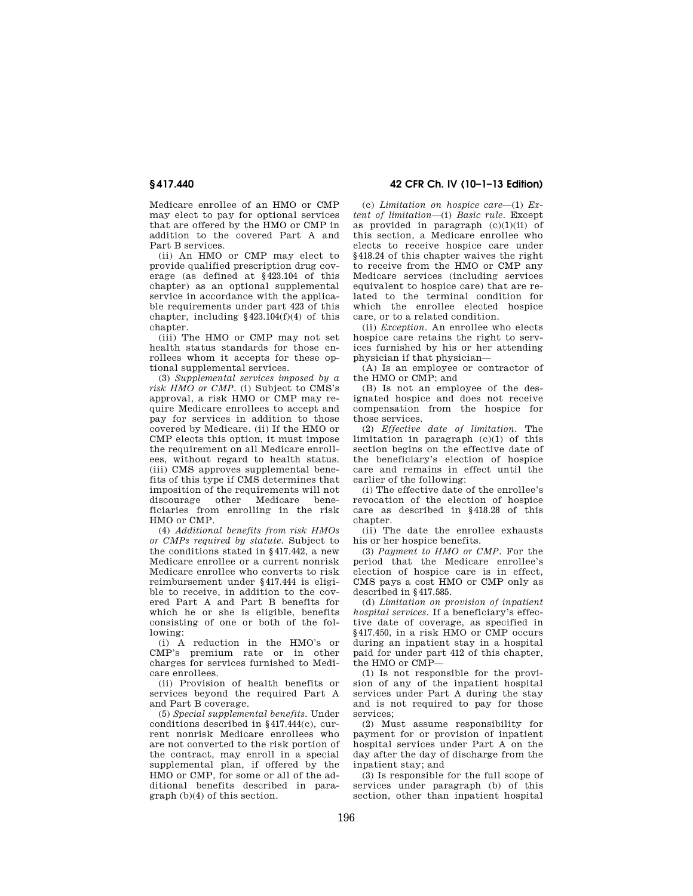Medicare enrollee of an HMO or CMP may elect to pay for optional services that are offered by the HMO or CMP in addition to the covered Part A and Part B services.

(ii) An HMO or CMP may elect to provide qualified prescription drug coverage (as defined at §423.104 of this chapter) as an optional supplemental service in accordance with the applicable requirements under part 423 of this chapter, including  $§423.104(f)(4)$  of this chapter.

(iii) The HMO or CMP may not set health status standards for those enrollees whom it accepts for these optional supplemental services.

(3) *Supplemental services imposed by a risk HMO or CMP.* (i) Subject to CMS's approval, a risk HMO or CMP may require Medicare enrollees to accept and pay for services in addition to those covered by Medicare. (ii) If the HMO or CMP elects this option, it must impose the requirement on all Medicare enrollees, without regard to health status. (iii) CMS approves supplemental benefits of this type if CMS determines that imposition of the requirements will not discourage other Medicare beneficiaries from enrolling in the risk HMO or CMP.

(4) *Additional benefits from risk HMOs or CMPs required by statute.* Subject to the conditions stated in §417.442, a new Medicare enrollee or a current nonrisk Medicare enrollee who converts to risk reimbursement under §417.444 is eligible to receive, in addition to the covered Part A and Part B benefits for which he or she is eligible, benefits consisting of one or both of the following:

(i) A reduction in the HMO's or CMP's premium rate or in other charges for services furnished to Medicare enrollees.

(ii) Provision of health benefits or services beyond the required Part A and Part B coverage.

(5) *Special supplemental benefits.* Under conditions described in §417.444(c), current nonrisk Medicare enrollees who are not converted to the risk portion of the contract, may enroll in a special supplemental plan, if offered by the HMO or CMP, for some or all of the additional benefits described in paragraph (b)(4) of this section.

**§ 417.440 42 CFR Ch. IV (10–1–13 Edition)** 

(c) *Limitation on hospice care*—(1) *Extent of limitation*—(i) *Basic rule.* Except as provided in paragraph  $(c)(1)(ii)$  of this section, a Medicare enrollee who elects to receive hospice care under §418.24 of this chapter waives the right to receive from the HMO or CMP any Medicare services (including services equivalent to hospice care) that are related to the terminal condition for which the enrollee elected hospice care, or to a related condition.

(ii) *Exception.* An enrollee who elects hospice care retains the right to services furnished by his or her attending physician if that physician—

(A) Is an employee or contractor of the HMO or CMP; and

(B) Is not an employee of the designated hospice and does not receive compensation from the hospice for those services.

(2) *Effective date of limitation.* The limitation in paragraph (c)(1) of this section begins on the effective date of the beneficiary's election of hospice care and remains in effect until the earlier of the following:

(i) The effective date of the enrollee's revocation of the election of hospice care as described in §418.28 of this chapter.

(ii) The date the enrollee exhausts his or her hospice benefits.

(3) *Payment to HMO or CMP.* For the period that the Medicare enrollee's election of hospice care is in effect, CMS pays a cost HMO or CMP only as described in §417.585.

(d) *Limitation on provision of inpatient hospital services.* If a beneficiary's effective date of coverage, as specified in §417.450, in a risk HMO or CMP occurs during an inpatient stay in a hospital paid for under part 412 of this chapter, the HMO or CMP—

(1) Is not responsible for the provision of any of the inpatient hospital services under Part A during the stay and is not required to pay for those services;

(2) Must assume responsibility for payment for or provision of inpatient hospital services under Part A on the day after the day of discharge from the inpatient stay; and

(3) Is responsible for the full scope of services under paragraph (b) of this section, other than inpatient hospital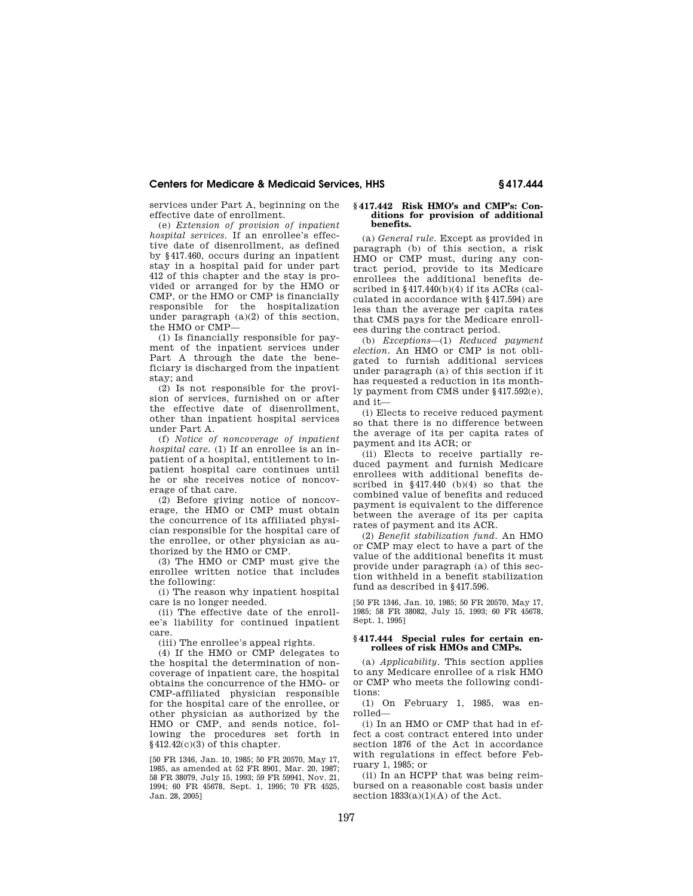services under Part A, beginning on the effective date of enrollment.

(e) *Extension of provision of inpatient hospital services.* If an enrollee's effective date of disenrollment, as defined by §417.460, occurs during an inpatient stay in a hospital paid for under part 412 of this chapter and the stay is provided or arranged for by the HMO or CMP, or the HMO or CMP is financially responsible for the hospitalization under paragraph (a)(2) of this section, the HMO or CMP—

(1) Is financially responsible for payment of the inpatient services under Part A through the date the beneficiary is discharged from the inpatient stay; and

(2) Is not responsible for the provision of services, furnished on or after the effective date of disenrollment, other than inpatient hospital services under Part A.

(f) *Notice of noncoverage of inpatient hospital care.* (1) If an enrollee is an inpatient of a hospital, entitlement to inpatient hospital care continues until he or she receives notice of noncoverage of that care.

(2) Before giving notice of noncoverage, the HMO or CMP must obtain the concurrence of its affiliated physician responsible for the hospital care of the enrollee, or other physician as authorized by the HMO or CMP.

(3) The HMO or CMP must give the enrollee written notice that includes the following:

(i) The reason why inpatient hospital care is no longer needed.

(ii) The effective date of the enrollee's liability for continued inpatient care.

(iii) The enrollee's appeal rights.

(4) If the HMO or CMP delegates to the hospital the determination of noncoverage of inpatient care, the hospital obtains the concurrence of the HMO- or CMP-affiliated physician responsible for the hospital care of the enrollee, or other physician as authorized by the HMO or CMP, and sends notice, following the procedures set forth in §412.42(c)(3) of this chapter.

[50 FR 1346, Jan. 10, 1985; 50 FR 20570, May 17, 1985, as amended at 52 FR 8901, Mar. 20, 1987; 58 FR 38079, July 15, 1993; 59 FR 59941, Nov. 21, 1994; 60 FR 45678, Sept. 1, 1995; 70 FR 4525, Jan. 28, 2005]

#### **§ 417.442 Risk HMO's and CMP's: Conditions for provision of additional benefits.**

(a) *General rule.* Except as provided in paragraph (b) of this section, a risk HMO or CMP must, during any contract period, provide to its Medicare enrollees the additional benefits described in §417.440(b)(4) if its ACRs (calculated in accordance with §417.594) are less than the average per capita rates that CMS pays for the Medicare enrollees during the contract period.

(b) *Exceptions*—(1) *Reduced payment election.* An HMO or CMP is not obligated to furnish additional services under paragraph (a) of this section if it has requested a reduction in its monthly payment from CMS under §417.592(e), and it—

(i) Elects to receive reduced payment so that there is no difference between the average of its per capita rates of payment and its ACR; or

(ii) Elects to receive partially reduced payment and furnish Medicare enrollees with additional benefits described in §417.440 (b)(4) so that the combined value of benefits and reduced payment is equivalent to the difference between the average of its per capita rates of payment and its ACR.

(2) *Benefit stabilization fund.* An HMO or CMP may elect to have a part of the value of the additional benefits it must provide under paragraph (a) of this section withheld in a benefit stabilization fund as described in §417.596.

[50 FR 1346, Jan. 10, 1985; 50 FR 20570, May 17, 1985; 58 FR 38082, July 15, 1993; 60 FR 45678, Sept. 1, 1995]

### **§ 417.444 Special rules for certain enrollees of risk HMOs and CMPs.**

(a) *Applicability.* This section applies to any Medicare enrollee of a risk HMO or CMP who meets the following conditions:

(1) On February 1, 1985, was enrolled—

(i) In an HMO or CMP that had in effect a cost contract entered into under section 1876 of the Act in accordance with regulations in effect before February 1, 1985; or

(ii) In an HCPP that was being reimbursed on a reasonable cost basis under section  $1833(a)(1)(A)$  of the Act.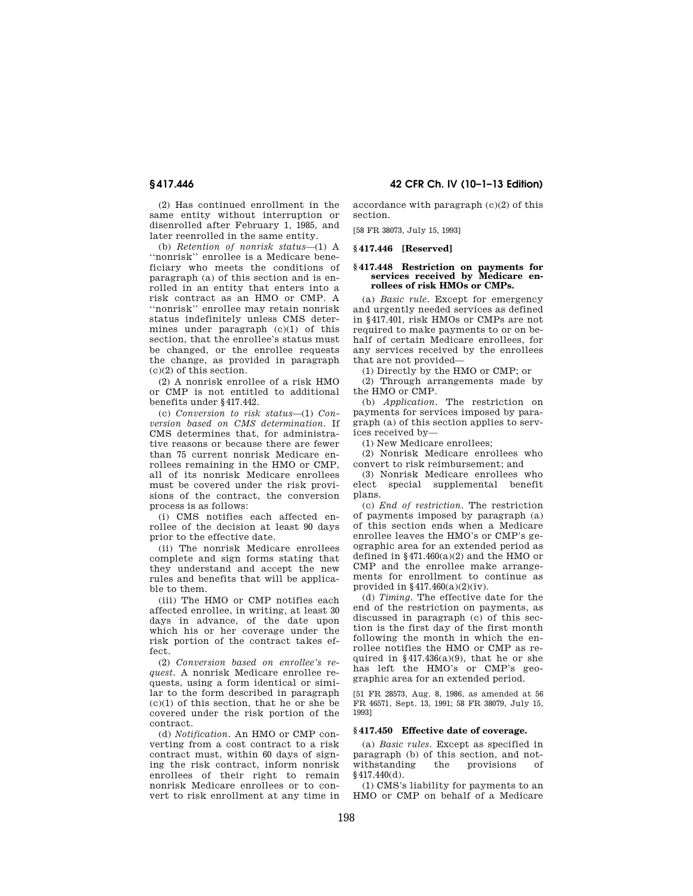(2) Has continued enrollment in the same entity without interruption or disenrolled after February 1, 1985, and later reenrolled in the same entity.

(b) *Retention of nonrisk status*—(1) A ''nonrisk'' enrollee is a Medicare beneficiary who meets the conditions of paragraph (a) of this section and is enrolled in an entity that enters into a risk contract as an HMO or CMP. A ''nonrisk'' enrollee may retain nonrisk status indefinitely unless CMS determines under paragraph (c)(1) of this section, that the enrollee's status must be changed, or the enrollee requests the change, as provided in paragraph (c)(2) of this section.

(2) A nonrisk enrollee of a risk HMO or CMP is not entitled to additional benefits under §417.442.

(c) *Conversion to risk status*—(1) *Conversion based on CMS determination.* If CMS determines that, for administrative reasons or because there are fewer than 75 current nonrisk Medicare enrollees remaining in the HMO or CMP, all of its nonrisk Medicare enrollees must be covered under the risk provisions of the contract, the conversion process is as follows:

(i) CMS notifies each affected enrollee of the decision at least 90 days prior to the effective date.

(ii) The nonrisk Medicare enrollees complete and sign forms stating that they understand and accept the new rules and benefits that will be applicable to them.

(iii) The HMO or CMP notifies each affected enrollee, in writing, at least 30 days in advance, of the date upon which his or her coverage under the risk portion of the contract takes effect.

(2) *Conversion based on enrollee's request.* A nonrisk Medicare enrollee requests, using a form identical or similar to the form described in paragraph  $(c)(1)$  of this section, that he or she be covered under the risk portion of the contract.

(d) *Notification.* An HMO or CMP converting from a cost contract to a risk contract must, within 60 days of signing the risk contract, inform nonrisk enrollees of their right to remain nonrisk Medicare enrollees or to convert to risk enrollment at any time in

**§ 417.446 42 CFR Ch. IV (10–1–13 Edition)** 

accordance with paragraph (c)(2) of this section.

[58 FR 38073, July 15, 1993]

## **§ 417.446 [Reserved]**

#### **§ 417.448 Restriction on payments for services received by Medicare enrollees of risk HMOs or CMPs.**

(a) *Basic rule.* Except for emergency and urgently needed services as defined in §417.401, risk HMOs or CMPs are not required to make payments to or on behalf of certain Medicare enrollees, for any services received by the enrollees that are not provided—

(1) Directly by the HMO or CMP; or

(2) Through arrangements made by the HMO or CMP.

(b) *Application.* The restriction on payments for services imposed by paragraph (a) of this section applies to services received by—

(1) New Medicare enrollees;

(2) Nonrisk Medicare enrollees who convert to risk reimbursement; and

(3) Nonrisk Medicare enrollees who elect special supplemental benefit plans.

(c) *End of restriction.* The restriction of payments imposed by paragraph (a) of this section ends when a Medicare enrollee leaves the HMO's or CMP's geographic area for an extended period as defined in  $§471.460(a)(2)$  and the HMO or CMP and the enrollee make arrangements for enrollment to continue as provided in  $§417.460(a)(2)(iv)$ .

(d) *Timing.* The effective date for the end of the restriction on payments, as discussed in paragraph (c) of this section is the first day of the first month following the month in which the enrollee notifies the HMO or CMP as required in  $§417.436(a)(9)$ , that he or she has left the HMO's or CMP's geographic area for an extended period.

[51 FR 28573, Aug. 8, 1986, as amended at 56 FR 46571, Sept. 13, 1991; 58 FR 38079, July 15, 1993]

#### **§ 417.450 Effective date of coverage.**

(a) *Basic rules.* Except as specified in paragraph (b) of this section, and notwithstanding the provisions of §417.440(d).

(1) CMS's liability for payments to an HMO or CMP on behalf of a Medicare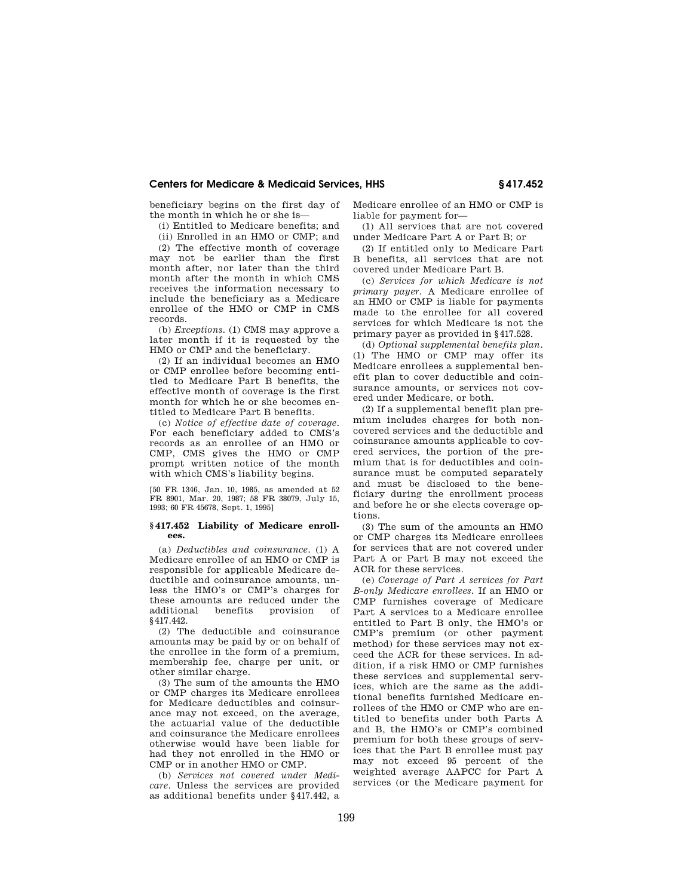beneficiary begins on the first day of the month in which he or she is—

(i) Entitled to Medicare benefits; and

(ii) Enrolled in an HMO or CMP; and

(2) The effective month of coverage may not be earlier than the first month after, nor later than the third month after the month in which CMS receives the information necessary to include the beneficiary as a Medicare enrollee of the HMO or CMP in CMS records.

(b) *Exceptions.* (1) CMS may approve a later month if it is requested by the HMO or CMP and the beneficiary.

(2) If an individual becomes an HMO or CMP enrollee before becoming entitled to Medicare Part B benefits, the effective month of coverage is the first month for which he or she becomes entitled to Medicare Part B benefits.

(c) *Notice of effective date of coverage.*  For each beneficiary added to CMS's records as an enrollee of an HMO or CMP, CMS gives the HMO or CMP prompt written notice of the month with which CMS's liability begins.

[50 FR 1346, Jan. 10, 1985, as amended at 52 FR 8901, Mar. 20, 1987; 58 FR 38079, July 15, 1993; 60 FR 45678, Sept. 1, 1995]

## **§ 417.452 Liability of Medicare enrollees.**

(a) *Deductibles and coinsurance.* (1) A Medicare enrollee of an HMO or CMP is responsible for applicable Medicare deductible and coinsurance amounts, unless the HMO's or CMP's charges for these amounts are reduced under the<br>additional benefits provision of additional benefits provision of §417.442.

(2) The deductible and coinsurance amounts may be paid by or on behalf of the enrollee in the form of a premium, membership fee, charge per unit, or other similar charge.

(3) The sum of the amounts the HMO or CMP charges its Medicare enrollees for Medicare deductibles and coinsurance may not exceed, on the average, the actuarial value of the deductible and coinsurance the Medicare enrollees otherwise would have been liable for had they not enrolled in the HMO or CMP or in another HMO or CMP.

(b) *Services not covered under Medicare.* Unless the services are provided as additional benefits under §417.442, a Medicare enrollee of an HMO or CMP is liable for payment for—

(1) All services that are not covered under Medicare Part A or Part B; or

(2) If entitled only to Medicare Part B benefits, all services that are not covered under Medicare Part B.

(c) *Services for which Medicare is not primary payer.* A Medicare enrollee of an HMO or CMP is liable for payments made to the enrollee for all covered services for which Medicare is not the primary payer as provided in §417.528.

(d) *Optional supplemental benefits plan.*  (1) The HMO or CMP may offer its Medicare enrollees a supplemental benefit plan to cover deductible and coinsurance amounts, or services not covered under Medicare, or both.

(2) If a supplemental benefit plan premium includes charges for both noncovered services and the deductible and coinsurance amounts applicable to covered services, the portion of the premium that is for deductibles and coinsurance must be computed separately and must be disclosed to the beneficiary during the enrollment process and before he or she elects coverage options.

(3) The sum of the amounts an HMO or CMP charges its Medicare enrollees for services that are not covered under Part A or Part B may not exceed the ACR for these services.

(e) *Coverage of Part A services for Part B-only Medicare enrollees.* If an HMO or CMP furnishes coverage of Medicare Part A services to a Medicare enrollee entitled to Part B only, the HMO's or CMP's premium (or other payment method) for these services may not exceed the ACR for these services. In addition, if a risk HMO or CMP furnishes these services and supplemental services, which are the same as the additional benefits furnished Medicare enrollees of the HMO or CMP who are entitled to benefits under both Parts A and B, the HMO's or CMP's combined premium for both these groups of services that the Part B enrollee must pay may not exceed 95 percent of the weighted average AAPCC for Part A services (or the Medicare payment for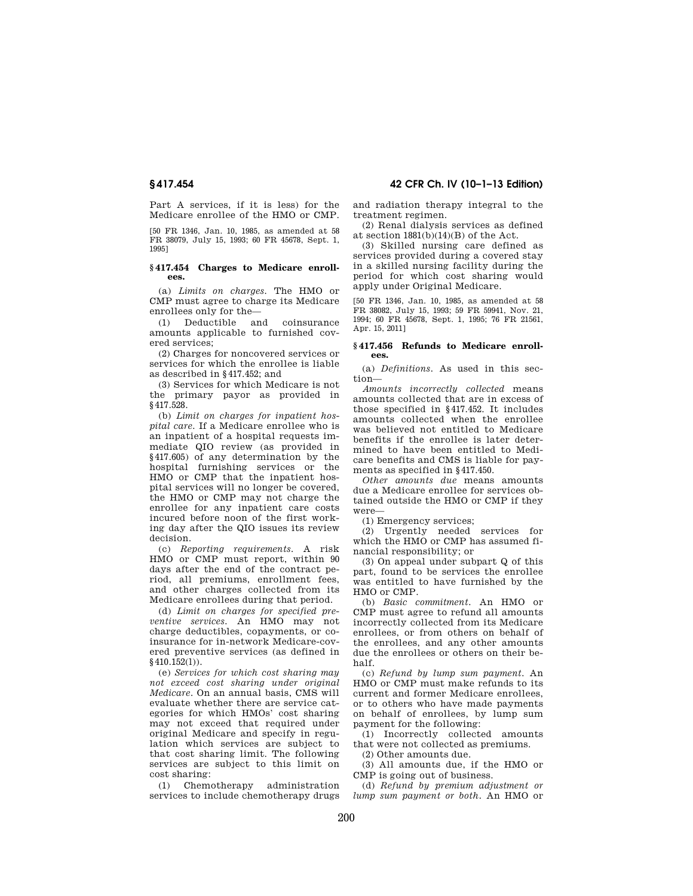Part A services, if it is less) for the Medicare enrollee of the HMO or CMP.

[50 FR 1346, Jan. 10, 1985, as amended at 58 FR 38079, July 15, 1993; 60 FR 45678, Sept. 1, 1995]

## **§ 417.454 Charges to Medicare enrollees.**

(a) *Limits on charges.* The HMO or CMP must agree to charge its Medicare enrollees only for the—

(1) Deductible and coinsurance amounts applicable to furnished covered services;

(2) Charges for noncovered services or services for which the enrollee is liable as described in §417.452; and

(3) Services for which Medicare is not the primary payor as provided in §417.528.

(b) *Limit on charges for inpatient hospital care.* If a Medicare enrollee who is an inpatient of a hospital requests immediate QIO review (as provided in §417.605) of any determination by the hospital furnishing services or the HMO or CMP that the inpatient hospital services will no longer be covered, the HMO or CMP may not charge the enrollee for any inpatient care costs incured before noon of the first working day after the QIO issues its review decision.

(c) *Reporting requirements.* A risk HMO or CMP must report, within 90 days after the end of the contract period, all premiums, enrollment fees, and other charges collected from its Medicare enrollees during that period.

(d) *Limit on charges for specified preventive services.* An HMO may not charge deductibles, copayments, or coinsurance for in-network Medicare-covered preventive services (as defined in  $§$ 410.152(1)).

(e) *Services for which cost sharing may not exceed cost sharing under original Medicare.* On an annual basis, CMS will evaluate whether there are service categories for which HMOs' cost sharing may not exceed that required under original Medicare and specify in regulation which services are subject to that cost sharing limit. The following services are subject to this limit on cost sharing:

(1) Chemotherapy administration services to include chemotherapy drugs and radiation therapy integral to the treatment regimen.

(2) Renal dialysis services as defined at section 1881(b)(14)(B) of the Act.

(3) Skilled nursing care defined as services provided during a covered stay in a skilled nursing facility during the period for which cost sharing would apply under Original Medicare.

[50 FR 1346, Jan. 10, 1985, as amended at 58 FR 38082, July 15, 1993; 59 FR 59941, Nov. 21, 1994; 60 FR 45678, Sept. 1, 1995; 76 FR 21561, Apr. 15, 2011]

#### **§ 417.456 Refunds to Medicare enrollees.**

(a) *Definitions.* As used in this section—

*Amounts incorrectly collected* means amounts collected that are in excess of those specified in §417.452. It includes amounts collected when the enrollee was believed not entitled to Medicare benefits if the enrollee is later determined to have been entitled to Medicare benefits and CMS is liable for payments as specified in §417.450.

*Other amounts due* means amounts due a Medicare enrollee for services obtained outside the HMO or CMP if they were—

(1) Emergency services;

(2) Urgently needed services for which the HMO or CMP has assumed financial responsibility; or

(3) On appeal under subpart Q of this part, found to be services the enrollee was entitled to have furnished by the HMO or CMP.

(b) *Basic commitment.* An HMO or CMP must agree to refund all amounts incorrectly collected from its Medicare enrollees, or from others on behalf of the enrollees, and any other amounts due the enrollees or others on their behalf.

(c) *Refund by lump sum payment.* An HMO or CMP must make refunds to its current and former Medicare enrollees, or to others who have made payments on behalf of enrollees, by lump sum payment for the following:

(1) Incorrectly collected amounts that were not collected as premiums.

(2) Other amounts due.

(3) All amounts due, if the HMO or CMP is going out of business.

(d) *Refund by premium adjustment or lump sum payment or both.* An HMO or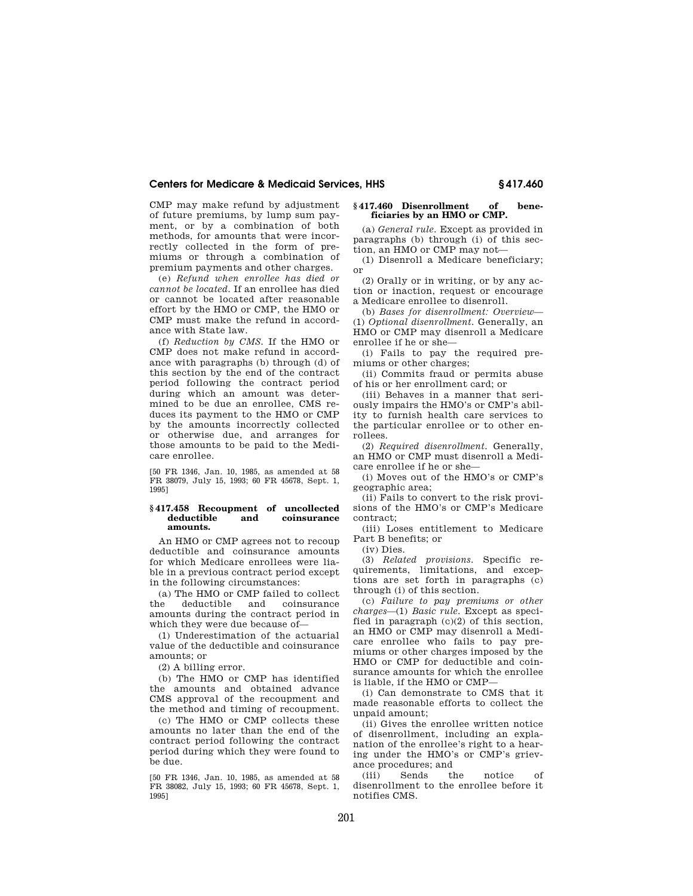CMP may make refund by adjustment of future premiums, by lump sum payment, or by a combination of both methods, for amounts that were incorrectly collected in the form of premiums or through a combination of premium payments and other charges.

(e) *Refund when enrollee has died or cannot be located.* If an enrollee has died or cannot be located after reasonable effort by the HMO or CMP, the HMO or CMP must make the refund in accordance with State law.

(f) *Reduction by CMS.* If the HMO or CMP does not make refund in accordance with paragraphs (b) through (d) of this section by the end of the contract period following the contract period during which an amount was determined to be due an enrollee, CMS reduces its payment to the HMO or CMP by the amounts incorrectly collected or otherwise due, and arranges for those amounts to be paid to the Medicare enrollee.

[50 FR 1346, Jan. 10, 1985, as amended at 58 FR 38079, July 15, 1993; 60 FR 45678, Sept. 1, 1995]

#### **§ 417.458 Recoupment of uncollected deductible and coinsurance amounts.**

An HMO or CMP agrees not to recoup deductible and coinsurance amounts for which Medicare enrollees were liable in a previous contract period except in the following circumstances:

(a) The HMO or CMP failed to collect the deductible and coinsurance amounts during the contract period in which they were due because of—

(1) Underestimation of the actuarial value of the deductible and coinsurance amounts; or

(2) A billing error.

(b) The HMO or CMP has identified the amounts and obtained advance CMS approval of the recoupment and the method and timing of recoupment.

(c) The HMO or CMP collects these amounts no later than the end of the contract period following the contract period during which they were found to be due.

[50 FR 1346, Jan. 10, 1985, as amended at 58 FR 38082, July 15, 1993; 60 FR 45678, Sept. 1, 1995]

## **§ 417.460 Disenrollment of beneficiaries by an HMO or CMP.**

(a) *General rule.* Except as provided in paragraphs (b) through (i) of this section, an HMO or CMP may not—

(1) Disenroll a Medicare beneficiary; or

(2) Orally or in writing, or by any action or inaction, request or encourage a Medicare enrollee to disenroll.

(b) *Bases for disenrollment: Overview*— (1) *Optional disenrollment.* Generally, an HMO or CMP may disenroll a Medicare enrollee if he or she—

(i) Fails to pay the required premiums or other charges;

(ii) Commits fraud or permits abuse of his or her enrollment card; or

(iii) Behaves in a manner that seriously impairs the HMO's or CMP's ability to furnish health care services to the particular enrollee or to other enrollees.

(2) *Required disenrollment.* Generally, an HMO or CMP must disenroll a Medicare enrollee if he or she—

(i) Moves out of the HMO's or CMP's geographic area;

(ii) Fails to convert to the risk provisions of the HMO's or CMP's Medicare contract;

(iii) Loses entitlement to Medicare Part B benefits; or

(iv) Dies.

(3) *Related provisions.* Specific requirements, limitations, and exceptions are set forth in paragraphs (c) through (i) of this section.

(c) *Failure to pay premiums or other charges*—(1) *Basic rule.* Except as specified in paragraph  $(c)(2)$  of this section, an HMO or CMP may disenroll a Medicare enrollee who fails to pay premiums or other charges imposed by the HMO or CMP for deductible and coinsurance amounts for which the enrollee is liable, if the HMO or CMP—

(i) Can demonstrate to CMS that it made reasonable efforts to collect the unpaid amount;

(ii) Gives the enrollee written notice of disenrollment, including an explanation of the enrollee's right to a hearing under the HMO's or CMP's grievance procedures; and

(iii) Sends the notice of disenrollment to the enrollee before it notifies CMS.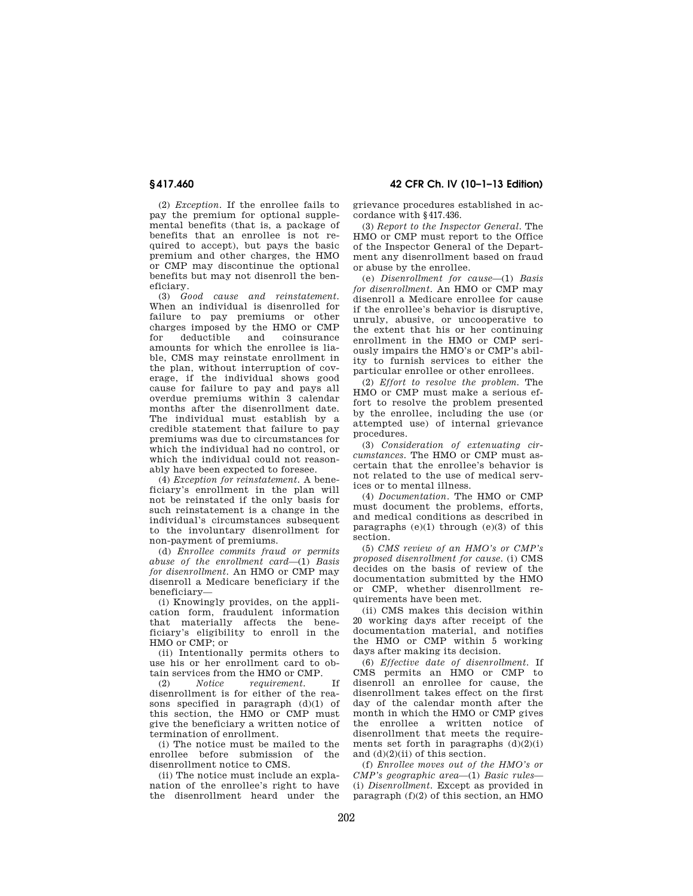**§ 417.460 42 CFR Ch. IV (10–1–13 Edition)** 

(2) *Exception.* If the enrollee fails to pay the premium for optional supplemental benefits (that is, a package of benefits that an enrollee is not required to accept), but pays the basic premium and other charges, the HMO or CMP may discontinue the optional benefits but may not disenroll the beneficiary.

(3) *Good cause and reinstatement.*  When an individual is disenrolled for failure to pay premiums or other charges imposed by the HMO or CMP<br>for deductible and coinsurance for deductible and coinsurance amounts for which the enrollee is liable, CMS may reinstate enrollment in the plan, without interruption of coverage, if the individual shows good cause for failure to pay and pays all overdue premiums within 3 calendar months after the disenrollment date. The individual must establish by a credible statement that failure to pay premiums was due to circumstances for which the individual had no control, or which the individual could not reasonably have been expected to foresee.

(4) *Exception for reinstatement.* A beneficiary's enrollment in the plan will not be reinstated if the only basis for such reinstatement is a change in the individual's circumstances subsequent to the involuntary disenrollment for non-payment of premiums.

(d) *Enrollee commits fraud or permits abuse of the enrollment card*—(1) *Basis for disenrollment.* An HMO or CMP may disenroll a Medicare beneficiary if the beneficiary—

(i) Knowingly provides, on the application form, fraudulent information that materially affects the beneficiary's eligibility to enroll in the HMO or CMP; or

(ii) Intentionally permits others to use his or her enrollment card to obtain services from the HMO or CMP.<br>(2)  $Notice$  requirement

(2) *Notice requirement.* If disenrollment is for either of the reasons specified in paragraph (d)(1) of this section, the HMO or CMP must give the beneficiary a written notice of termination of enrollment.

(i) The notice must be mailed to the enrollee before submission of the disenrollment notice to CMS.

(ii) The notice must include an explanation of the enrollee's right to have the disenrollment heard under the grievance procedures established in accordance with §417.436.

(3) *Report to the Inspector General.* The HMO or CMP must report to the Office of the Inspector General of the Department any disenrollment based on fraud or abuse by the enrollee.

(e) *Disenrollment for cause*—(1) *Basis for disenrollment.* An HMO or CMP may disenroll a Medicare enrollee for cause if the enrollee's behavior is disruptive, unruly, abusive, or uncooperative to the extent that his or her continuing enrollment in the HMO or CMP seriously impairs the HMO's or CMP's ability to furnish services to either the particular enrollee or other enrollees.

(2) *Effort to resolve the problem.* The HMO or CMP must make a serious effort to resolve the problem presented by the enrollee, including the use (or attempted use) of internal grievance procedures.

(3) *Consideration of extenuating circumstances.* The HMO or CMP must ascertain that the enrollee's behavior is not related to the use of medical services or to mental illness.

(4) *Documentation.* The HMO or CMP must document the problems, efforts, and medical conditions as described in paragraphs (e)(1) through (e)(3) of this section.

(5) *CMS review of an HMO's or CMP's proposed disenrollment for cause.* (i) CMS decides on the basis of review of the documentation submitted by the HMO or CMP, whether disenrollment requirements have been met.

(ii) CMS makes this decision within 20 working days after receipt of the documentation material, and notifies the HMO or CMP within 5 working days after making its decision.

(6) *Effective date of disenrollment.* If CMS permits an HMO or CMP to disenroll an enrollee for cause, the disenrollment takes effect on the first day of the calendar month after the month in which the HMO or CMP gives the enrollee a written notice of disenrollment that meets the requirements set forth in paragraphs  $(d)(2)(i)$ and (d)(2)(ii) of this section.

(f) *Enrollee moves out of the HMO's or CMP's geographic area*—(1) *Basic rules*— (i) *Disenrollment.* Except as provided in paragraph  $(f)(2)$  of this section, an HMO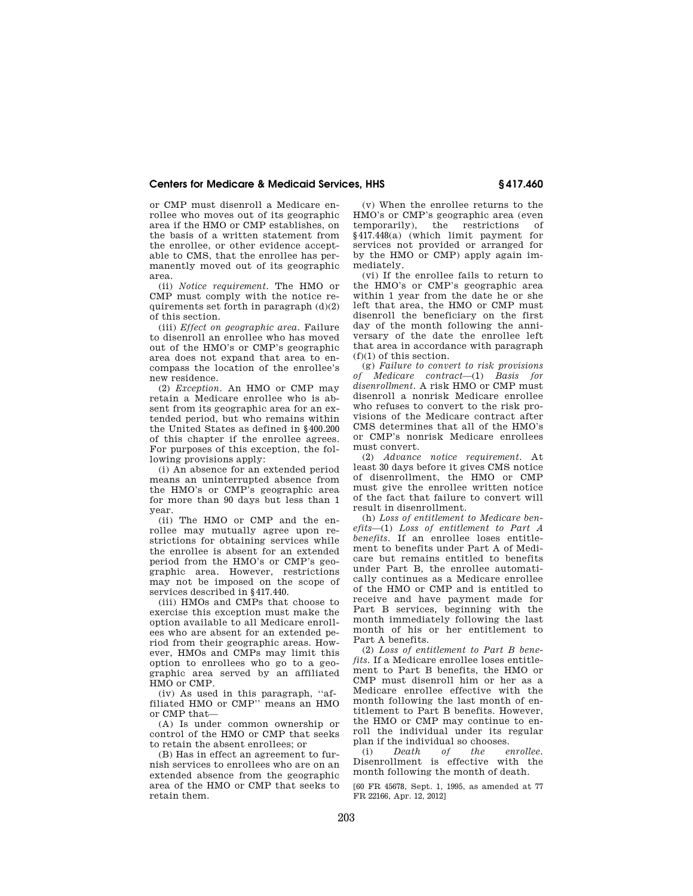or CMP must disenroll a Medicare enrollee who moves out of its geographic area if the HMO or CMP establishes, on the basis of a written statement from the enrollee, or other evidence acceptable to CMS, that the enrollee has permanently moved out of its geographic area.

(ii) *Notice requirement.* The HMO or CMP must comply with the notice requirements set forth in paragraph  $(d)(2)$ of this section.

(iii) *Effect on geographic area.* Failure to disenroll an enrollee who has moved out of the HMO's or CMP's geographic area does not expand that area to encompass the location of the enrollee's new residence.

(2) *Exception.* An HMO or CMP may retain a Medicare enrollee who is absent from its geographic area for an extended period, but who remains within the United States as defined in §400.200 of this chapter if the enrollee agrees. For purposes of this exception, the following provisions apply:

(i) An absence for an extended period means an uninterrupted absence from the HMO's or CMP's geographic area for more than 90 days but less than 1 year.

(ii) The HMO or CMP and the enrollee may mutually agree upon restrictions for obtaining services while the enrollee is absent for an extended period from the HMO's or CMP's geographic area. However, restrictions may not be imposed on the scope of services described in §417.440.

(iii) HMOs and CMPs that choose to exercise this exception must make the option available to all Medicare enrollees who are absent for an extended period from their geographic areas. However, HMOs and CMPs may limit this option to enrollees who go to a geographic area served by an affiliated HMO or CMP.

(iv) As used in this paragraph, ''affiliated HMO or CMP'' means an HMO or CMP that—

(A) Is under common ownership or control of the HMO or CMP that seeks to retain the absent enrollees; or

(B) Has in effect an agreement to furnish services to enrollees who are on an extended absence from the geographic area of the HMO or CMP that seeks to retain them.

(v) When the enrollee returns to the HMO's or CMP's geographic area (even temporarily), the restrictions of §417.448(a) (which limit payment for services not provided or arranged for by the HMO or CMP) apply again immediately.

(vi) If the enrollee fails to return to the HMO's or CMP's geographic area within 1 year from the date he or she left that area, the HMO or CMP must disenroll the beneficiary on the first day of the month following the anniversary of the date the enrollee left that area in accordance with paragraph (f)(1) of this section.

(g) *Failure to convert to risk provisions of Medicare contract*—(1) *Basis for disenrollment.* A risk HMO or CMP must disenroll a nonrisk Medicare enrollee who refuses to convert to the risk provisions of the Medicare contract after CMS determines that all of the HMO's or CMP's nonrisk Medicare enrollees must convert.

(2) *Advance notice requirement.* At least 30 days before it gives CMS notice of disenrollment, the HMO or CMP must give the enrollee written notice of the fact that failure to convert will result in disenrollment.

(h) *Loss of entitlement to Medicare benefits*—(1) *Loss of entitlement to Part A benefits.* If an enrollee loses entitlement to benefits under Part A of Medicare but remains entitled to benefits under Part B, the enrollee automatically continues as a Medicare enrollee of the HMO or CMP and is entitled to receive and have payment made for Part B services, beginning with the month immediately following the last month of his or her entitlement to Part A benefits.

(2) *Loss of entitlement to Part B benefits.* If a Medicare enrollee loses entitlement to Part B benefits, the HMO or CMP must disenroll him or her as a Medicare enrollee effective with the month following the last month of entitlement to Part B benefits. However, the HMO or CMP may continue to enroll the individual under its regular plan if the individual so chooses.

(i) *Death of the enrollee.*  Disenrollment is effective with the month following the month of death.

[60 FR 45678, Sept. 1, 1995, as amended at 77 FR 22166, Apr. 12, 2012]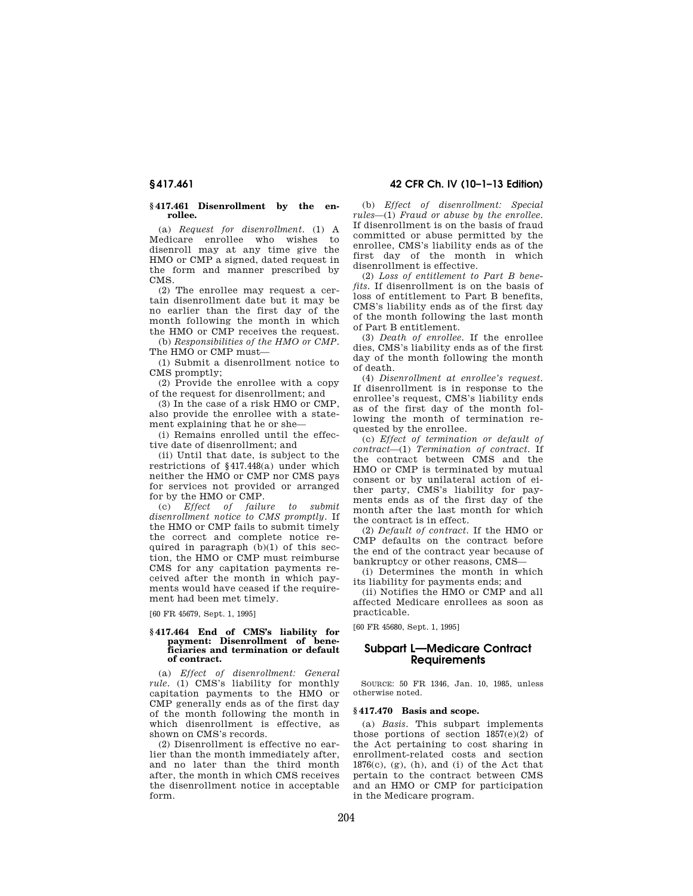## **§ 417.461 Disenrollment by the enrollee.**

(a) *Request for disenrollment.* (1) A Medicare enrollee who wishes to disenroll may at any time give the HMO or CMP a signed, dated request in the form and manner prescribed by CMS.

(2) The enrollee may request a certain disenrollment date but it may be no earlier than the first day of the month following the month in which the HMO or CMP receives the request.

(b) *Responsibilities of the HMO or CMP.*  The HMO or CMP must—

(1) Submit a disenrollment notice to CMS promptly;

(2) Provide the enrollee with a copy of the request for disenrollment; and

(3) In the case of a risk HMO or CMP, also provide the enrollee with a statement explaining that he or she—

(i) Remains enrolled until the effective date of disenrollment; and

(ii) Until that date, is subject to the restrictions of §417.448(a) under which neither the HMO or CMP nor CMS pays for services not provided or arranged for by the HMO or CMP.

(c) *Effect of failure to submit disenrollment notice to CMS promptly.* If the HMO or CMP fails to submit timely the correct and complete notice required in paragraph  $(b)(1)$  of this section, the HMO or CMP must reimburse CMS for any capitation payments received after the month in which payments would have ceased if the requirement had been met timely.

[60 FR 45679, Sept. 1, 1995]

#### **§ 417.464 End of CMS's liability for payment: Disenrollment of beneficiaries and termination or default of contract.**

(a) *Effect of disenrollment: General rule.* (1) CMS's liability for monthly capitation payments to the HMO or CMP generally ends as of the first day of the month following the month in which disenrollment is effective, as shown on CMS's records.

(2) Disenrollment is effective no earlier than the month immediately after, and no later than the third month after, the month in which CMS receives the disenrollment notice in acceptable form.

(b) *Effect of disenrollment: Special rules*—(1) *Fraud or abuse by the enrollee.*  If disenrollment is on the basis of fraud committed or abuse permitted by the enrollee, CMS's liability ends as of the first day of the month in which disenrollment is effective.

(2) *Loss of entitlement to Part B benefits.* If disenrollment is on the basis of loss of entitlement to Part B benefits, CMS's liability ends as of the first day of the month following the last month of Part B entitlement.

(3) *Death of enrollee.* If the enrollee dies, CMS's liability ends as of the first day of the month following the month of death.

(4) *Disenrollment at enrollee's request.*  If disenrollment is in response to the enrollee's request, CMS's liability ends as of the first day of the month following the month of termination requested by the enrollee.

(c) *Effect of termination or default of contract*—(1) *Termination of contract.* If the contract between CMS and the HMO or CMP is terminated by mutual consent or by unilateral action of either party, CMS's liability for payments ends as of the first day of the month after the last month for which the contract is in effect.

(2) *Default of contract.* If the HMO or CMP defaults on the contract before the end of the contract year because of bankruptcy or other reasons, CMS—

(i) Determines the month in which its liability for payments ends; and

(ii) Notifies the HMO or CMP and all affected Medicare enrollees as soon as practicable.

[60 FR 45680, Sept. 1, 1995]

# **Subpart L—Medicare Contract Requirements**

SOURCE: 50 FR 1346, Jan. 10, 1985, unless otherwise noted.

# **§ 417.470 Basis and scope.**

(a) *Basis.* This subpart implements those portions of section  $1857(e)(2)$  of the Act pertaining to cost sharing in enrollment-related costs and section  $1876(c)$ , (g), (h), and (i) of the Act that pertain to the contract between CMS and an HMO or CMP for participation in the Medicare program.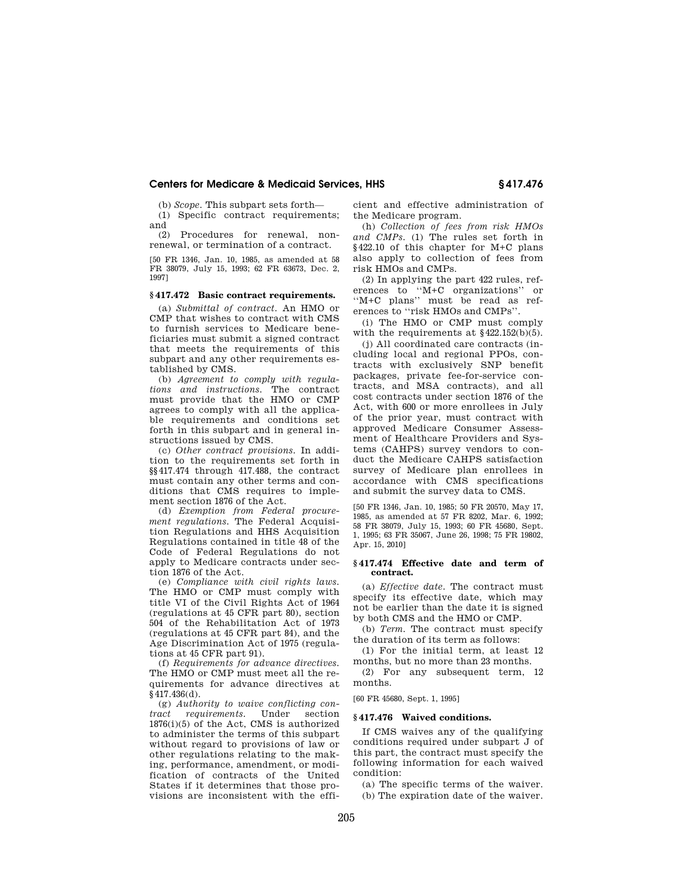(b) *Scope.* This subpart sets forth—

(1) Specific contract requirements; and

(2) Procedures for renewal, nonrenewal, or termination of a contract.

[50 FR 1346, Jan. 10, 1985, as amended at 58 FR 38079, July 15, 1993; 62 FR 63673, Dec. 2, 1997]

## **§ 417.472 Basic contract requirements.**

(a) *Submittal of contract.* An HMO or CMP that wishes to contract with CMS to furnish services to Medicare beneficiaries must submit a signed contract that meets the requirements of this subpart and any other requirements established by CMS.

(b) *Agreement to comply with regulations and instructions.* The contract must provide that the HMO or CMP agrees to comply with all the applicable requirements and conditions set forth in this subpart and in general instructions issued by CMS.

(c) *Other contract provisions.* In addition to the requirements set forth in §§417.474 through 417.488, the contract must contain any other terms and conditions that CMS requires to implement section 1876 of the Act.

(d) *Exemption from Federal procurement regulations.* The Federal Acquisition Regulations and HHS Acquisition Regulations contained in title 48 of the Code of Federal Regulations do not apply to Medicare contracts under section 1876 of the Act.

(e) *Compliance with civil rights laws.*  The HMO or CMP must comply with title VI of the Civil Rights Act of 1964 (regulations at 45 CFR part 80), section 504 of the Rehabilitation Act of 1973 (regulations at 45 CFR part 84), and the Age Discrimination Act of 1975 (regulations at 45 CFR part 91).

(f) *Requirements for advance directives.*  The HMO or CMP must meet all the requirements for advance directives at §417.436(d).

(g) *Authority to waive conflicting contract requirements.* Under section  $1876(i)(5)$  of the Act, CMS is authorized to administer the terms of this subpart without regard to provisions of law or other regulations relating to the making, performance, amendment, or modification of contracts of the United States if it determines that those provisions are inconsistent with the efficient and effective administration of the Medicare program.

(h) *Collection of fees from risk HMOs and CMPs.* (1) The rules set forth in §422.10 of this chapter for M+C plans also apply to collection of fees from risk HMOs and CMPs.

(2) In applying the part 422 rules, references to ''M+C organizations'' or ''M+C plans'' must be read as references to ''risk HMOs and CMPs''.

(i) The HMO or CMP must comply with the requirements at  $§422.152(b)(5)$ .

(j) All coordinated care contracts (including local and regional PPOs, contracts with exclusively SNP benefit packages, private fee-for-service contracts, and MSA contracts), and all cost contracts under section 1876 of the Act, with 600 or more enrollees in July of the prior year, must contract with approved Medicare Consumer Assessment of Healthcare Providers and Systems (CAHPS) survey vendors to conduct the Medicare CAHPS satisfaction survey of Medicare plan enrollees in accordance with CMS specifications and submit the survey data to CMS.

[50 FR 1346, Jan. 10, 1985; 50 FR 20570, May 17, 1985, as amended at 57 FR 8202, Mar. 6, 1992; 58 FR 38079, July 15, 1993; 60 FR 45680, Sept. 1, 1995; 63 FR 35067, June 26, 1998; 75 FR 19802, Apr. 15, 2010]

## **§ 417.474 Effective date and term of contract.**

(a) *Effective date.* The contract must specify its effective date, which may not be earlier than the date it is signed by both CMS and the HMO or CMP.

(b) *Term.* The contract must specify the duration of its term as follows:

(1) For the initial term, at least 12 months, but no more than 23 months.

(2) For any subsequent term, 12 months.

[60 FR 45680, Sept. 1, 1995]

# **§ 417.476 Waived conditions.**

If CMS waives any of the qualifying conditions required under subpart J of this part, the contract must specify the following information for each waived condition:

(a) The specific terms of the waiver. (b) The expiration date of the waiver.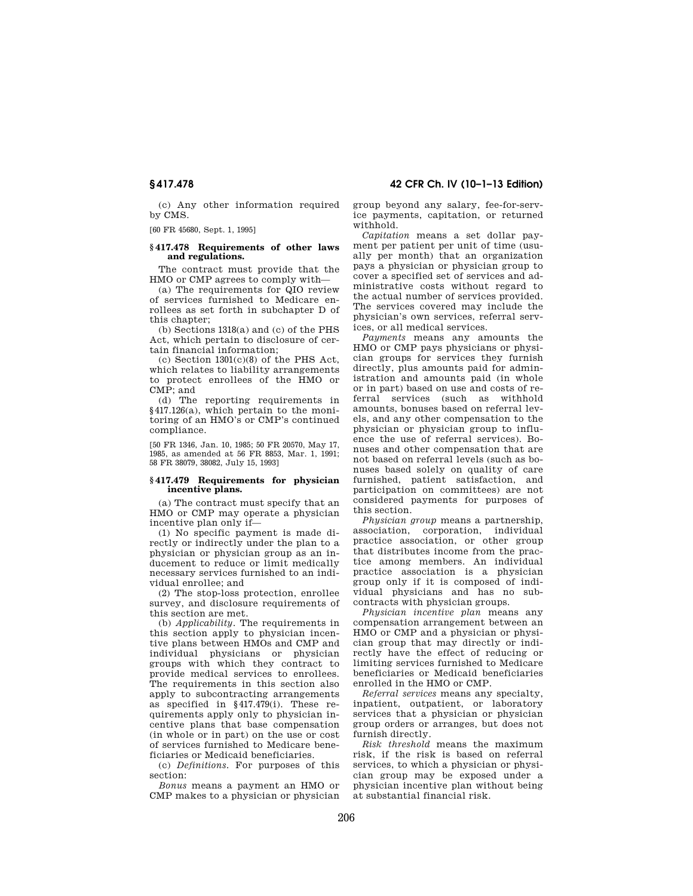(c) Any other information required by CMS.

[60 FR 45680, Sept. 1, 1995]

## **§ 417.478 Requirements of other laws and regulations.**

The contract must provide that the HMO or CMP agrees to comply with—

(a) The requirements for QIO review of services furnished to Medicare enrollees as set forth in subchapter D of this chapter;

(b) Sections 1318(a) and (c) of the PHS Act, which pertain to disclosure of certain financial information;

(c) Section 1301(c)(8) of the PHS Act, which relates to liability arrangements to protect enrollees of the HMO or CMP; and

(d) The reporting requirements in §417.126(a), which pertain to the monitoring of an HMO's or CMP's continued compliance.

[50 FR 1346, Jan. 10, 1985; 50 FR 20570, May 17, 1985, as amended at 56 FR 8853, Mar. 1, 1991; 58 FR 38079, 38082, July 15, 1993]

## **§ 417.479 Requirements for physician incentive plans.**

(a) The contract must specify that an HMO or CMP may operate a physician incentive plan only if—

(1) No specific payment is made directly or indirectly under the plan to a physician or physician group as an inducement to reduce or limit medically necessary services furnished to an individual enrollee; and

(2) The stop-loss protection, enrollee survey, and disclosure requirements of this section are met.

(b) *Applicability.* The requirements in this section apply to physician incentive plans between HMOs and CMP and individual physicians or physician groups with which they contract to provide medical services to enrollees. The requirements in this section also apply to subcontracting arrangements as specified in §417.479(i). These requirements apply only to physician incentive plans that base compensation (in whole or in part) on the use or cost of services furnished to Medicare beneficiaries or Medicaid beneficiaries.

(c) *Definitions.* For purposes of this section:

*Bonus* means a payment an HMO or CMP makes to a physician or physician

# **§ 417.478 42 CFR Ch. IV (10–1–13 Edition)**

group beyond any salary, fee-for-service payments, capitation, or returned withhold.

*Capitation* means a set dollar payment per patient per unit of time (usually per month) that an organization pays a physician or physician group to cover a specified set of services and administrative costs without regard to the actual number of services provided. The services covered may include the physician's own services, referral services, or all medical services.

*Payments* means any amounts the HMO or CMP pays physicians or physician groups for services they furnish directly, plus amounts paid for administration and amounts paid (in whole or in part) based on use and costs of referral services (such as withhold amounts, bonuses based on referral levels, and any other compensation to the physician or physician group to influence the use of referral services). Bonuses and other compensation that are not based on referral levels (such as bonuses based solely on quality of care furnished, patient satisfaction, and participation on committees) are not considered payments for purposes of this section.

*Physician group* means a partnership, association, corporation, individual practice association, or other group that distributes income from the practice among members. An individual practice association is a physician group only if it is composed of individual physicians and has no subcontracts with physician groups.

*Physician incentive plan* means any compensation arrangement between an HMO or CMP and a physician or physician group that may directly or indirectly have the effect of reducing or limiting services furnished to Medicare beneficiaries or Medicaid beneficiaries enrolled in the HMO or CMP.

*Referral services* means any specialty, inpatient, outpatient, or laboratory services that a physician or physician group orders or arranges, but does not furnish directly.

*Risk threshold* means the maximum risk, if the risk is based on referral services, to which a physician or physician group may be exposed under a physician incentive plan without being at substantial financial risk.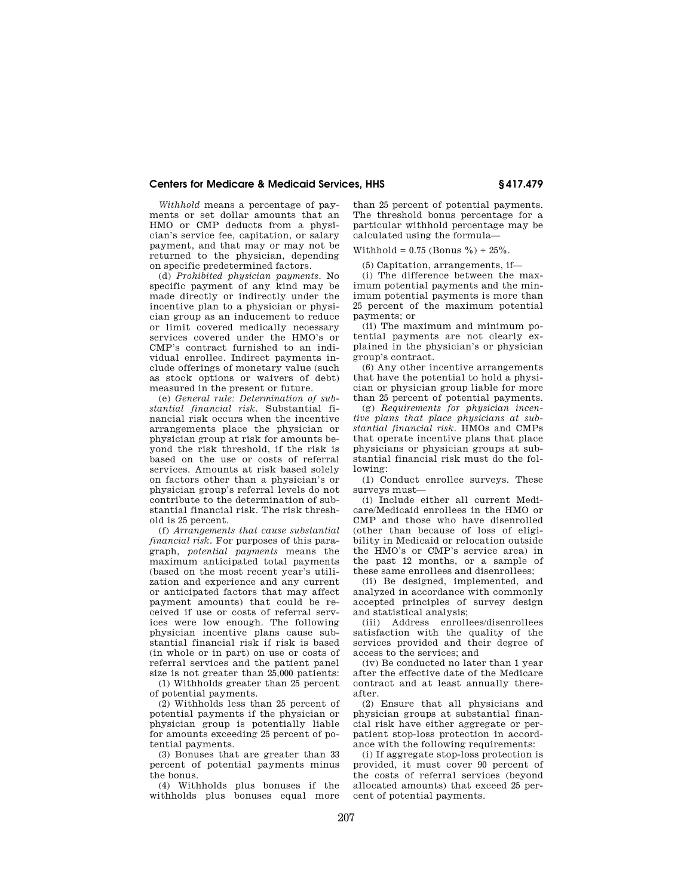*Withhold* means a percentage of payments or set dollar amounts that an HMO or CMP deducts from a physician's service fee, capitation, or salary payment, and that may or may not be returned to the physician, depending on specific predetermined factors.

(d) *Prohibited physician payments.* No specific payment of any kind may be made directly or indirectly under the incentive plan to a physician or physician group as an inducement to reduce or limit covered medically necessary services covered under the HMO's or CMP's contract furnished to an individual enrollee. Indirect payments include offerings of monetary value (such as stock options or waivers of debt) measured in the present or future.

(e) *General rule: Determination of substantial financial risk.* Substantial financial risk occurs when the incentive arrangements place the physician or physician group at risk for amounts beyond the risk threshold, if the risk is based on the use or costs of referral services. Amounts at risk based solely on factors other than a physician's or physician group's referral levels do not contribute to the determination of substantial financial risk. The risk threshold is 25 percent.

(f) *Arrangements that cause substantial financial risk.* For purposes of this paragraph, *potential payments* means the maximum anticipated total payments (based on the most recent year's utilization and experience and any current or anticipated factors that may affect payment amounts) that could be received if use or costs of referral services were low enough. The following physician incentive plans cause substantial financial risk if risk is based (in whole or in part) on use or costs of referral services and the patient panel size is not greater than 25,000 patients:

(1) Withholds greater than 25 percent of potential payments.

(2) Withholds less than 25 percent of potential payments if the physician or physician group is potentially liable for amounts exceeding 25 percent of potential payments.

(3) Bonuses that are greater than 33 percent of potential payments minus the bonus.

(4) Withholds plus bonuses if the withholds plus bonuses equal more

than 25 percent of potential payments. The threshold bonus percentage for a particular withhold percentage may be calculated using the formula—

Withhold =  $0.75$  (Bonus %) +  $25\%$ .

(5) Capitation, arrangements, if—

(i) The difference between the maximum potential payments and the minimum potential payments is more than 25 percent of the maximum potential payments; or

(ii) The maximum and minimum potential payments are not clearly explained in the physician's or physician group's contract.

(6) Any other incentive arrangements that have the potential to hold a physician or physician group liable for more than 25 percent of potential payments.

(g) *Requirements for physician incentive plans that place physicians at substantial financial risk.* HMOs and CMPs that operate incentive plans that place physicians or physician groups at substantial financial risk must do the following:

(1) Conduct enrollee surveys. These surveys must—

(i) Include either all current Medicare/Medicaid enrollees in the HMO or CMP and those who have disenrolled (other than because of loss of eligibility in Medicaid or relocation outside the HMO's or CMP's service area) in the past 12 months, or a sample of these same enrollees and disenrollees;

(ii) Be designed, implemented, and analyzed in accordance with commonly accepted principles of survey design and statistical analysis;

(iii) Address enrollees/disenrollees satisfaction with the quality of the services provided and their degree of access to the services; and

(iv) Be conducted no later than 1 year after the effective date of the Medicare contract and at least annually thereafter.

(2) Ensure that all physicians and physician groups at substantial financial risk have either aggregate or perpatient stop-loss protection in accordance with the following requirements:

(i) If aggregate stop-loss protection is provided, it must cover 90 percent of the costs of referral services (beyond allocated amounts) that exceed 25 percent of potential payments.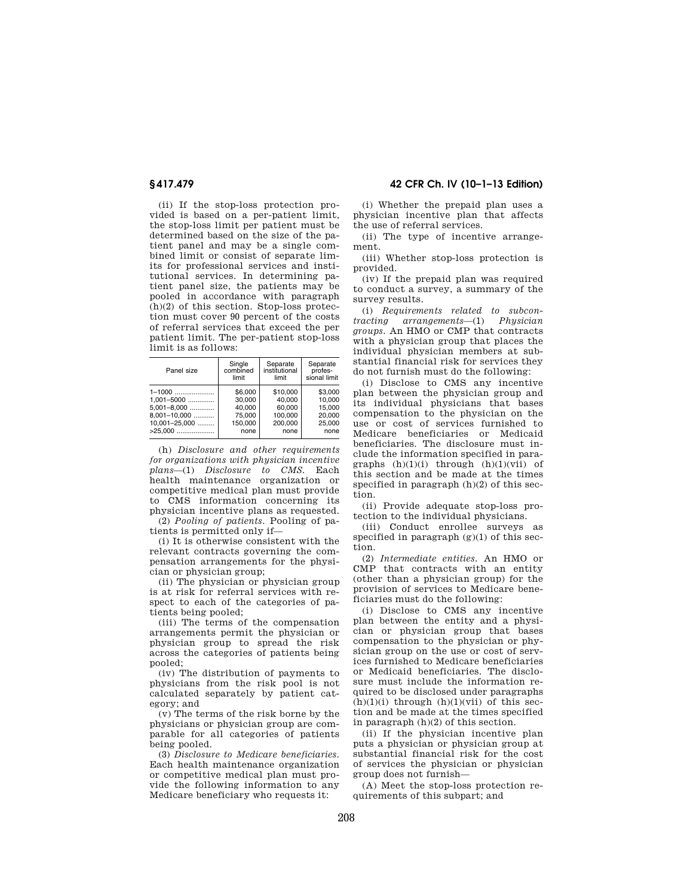(ii) If the stop-loss protection provided is based on a per-patient limit, the stop-loss limit per patient must be determined based on the size of the patient panel and may be a single combined limit or consist of separate limits for professional services and institutional services. In determining patient panel size, the patients may be pooled in accordance with paragraph (h)(2) of this section. Stop-loss protection must cover 90 percent of the costs of referral services that exceed the per patient limit. The per-patient stop-loss limit is as follows:

| Panel size        | Single   | Separate      | Separate     |
|-------------------|----------|---------------|--------------|
|                   | combined | institutional | profes-      |
|                   | limit    | limit         | sional limit |
| $1-1000$          | \$6,000  | \$10,000      | \$3.000      |
| $1.001 - 5000$    | 30.000   | 40.000        | 10.000       |
| $5.001 - 8.000$   | 40.000   | 60.000        | 15.000       |
| $8.001 - 10.000$  | 75,000   | 100.000       | 20.000       |
| $10.001 - 25.000$ | 150.000  | 200.000       | 25,000       |
| $>25.000$         | none     | none          | none         |

(h) *Disclosure and other requirements for organizations with physician incentive plans*—(1) *Disclosure to CMS.* Each health maintenance organization or competitive medical plan must provide to CMS information concerning its physician incentive plans as requested.

(2) *Pooling of patients.* Pooling of patients is permitted only if—

(i) It is otherwise consistent with the relevant contracts governing the compensation arrangements for the physician or physician group;

(ii) The physician or physician group is at risk for referral services with respect to each of the categories of patients being pooled;

(iii) The terms of the compensation arrangements permit the physician or physician group to spread the risk across the categories of patients being pooled;

(iv) The distribution of payments to physicians from the risk pool is not calculated separately by patient category; and

(v) The terms of the risk borne by the physicians or physician group are comparable for all categories of patients being pooled.

(3) *Disclosure to Medicare beneficiaries.*  Each health maintenance organization or competitive medical plan must provide the following information to any Medicare beneficiary who requests it:

**§ 417.479 42 CFR Ch. IV (10–1–13 Edition)** 

(i) Whether the prepaid plan uses a physician incentive plan that affects the use of referral services.

(ii) The type of incentive arrangement.

(iii) Whether stop-loss protection is provided.

(iv) If the prepaid plan was required to conduct a survey, a summary of the survey results.

(i) *Requirements related to subcontracting arrangements*—(1) *Physician groups.* An HMO or CMP that contracts with a physician group that places the individual physician members at substantial financial risk for services they do not furnish must do the following:

(i) Disclose to CMS any incentive plan between the physician group and its individual physicians that bases compensation to the physician on the use or cost of services furnished to Medicare beneficiaries or Medicaid beneficiaries. The disclosure must include the information specified in paragraphs  $(h)(1)(i)$  through  $(h)(1)(vii)$  of this section and be made at the times specified in paragraph (h)(2) of this section.

(ii) Provide adequate stop-loss protection to the individual physicians.

(iii) Conduct enrollee surveys as specified in paragraph  $(g)(1)$  of this section.

(2) *Intermediate entities.* An HMO or CMP that contracts with an entity (other than a physician group) for the provision of services to Medicare beneficiaries must do the following:

(i) Disclose to CMS any incentive plan between the entity and a physician or physician group that bases compensation to the physician or physician group on the use or cost of services furnished to Medicare beneficiaries or Medicaid beneficiaries. The disclosure must include the information required to be disclosed under paragraphs  $(h)(1)(i)$  through  $(h)(1)(vii)$  of this section and be made at the times specified in paragraph (h)(2) of this section.

(ii) If the physician incentive plan puts a physician or physician group at substantial financial risk for the cost of services the physician or physician group does not furnish—

(A) Meet the stop-loss protection requirements of this subpart; and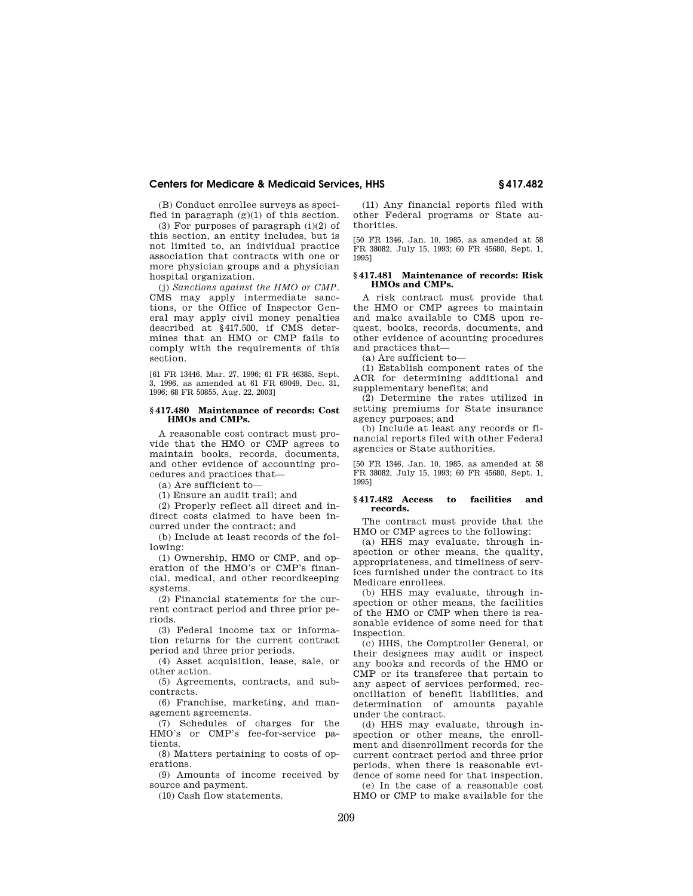(B) Conduct enrollee surveys as specified in paragraph  $(g)(1)$  of this section.

(3) For purposes of paragraph  $(i)(2)$  of this section, an entity includes, but is not limited to, an individual practice association that contracts with one or more physician groups and a physician hospital organization.

(j) *Sanctions against the HMO or CMP.*  CMS may apply intermediate sanctions, or the Office of Inspector General may apply civil money penalties described at §417.500, if CMS determines that an HMO or CMP fails to comply with the requirements of this section.

[61 FR 13446, Mar. 27, 1996; 61 FR 46385, Sept. 3, 1996, as amended at 61 FR 69049, Dec. 31, 1996; 68 FR 50855, Aug. 22, 2003]

## **§ 417.480 Maintenance of records: Cost HMOs and CMPs.**

A reasonable cost contract must provide that the HMO or CMP agrees to maintain books, records, documents, and other evidence of accounting procedures and practices that—

(a) Are sufficient to—

(1) Ensure an audit trail; and

(2) Properly reflect all direct and indirect costs claimed to have been incurred under the contract; and

(b) Include at least records of the following:

(1) Ownership, HMO or CMP, and operation of the HMO's or CMP's financial, medical, and other recordkeeping systems.

(2) Financial statements for the current contract period and three prior periods.

(3) Federal income tax or information returns for the current contract period and three prior periods.

(4) Asset acquisition, lease, sale, or other action.

(5) Agreements, contracts, and subcontracts.

(6) Franchise, marketing, and management agreements.

(7) Schedules of charges for the HMO's or CMP's fee-for-service patients.

(8) Matters pertaining to costs of operations.

(9) Amounts of income received by source and payment.

(10) Cash flow statements.

(11) Any financial reports filed with other Federal programs or State authorities.

[50 FR 1346, Jan. 10, 1985, as amended at 58 FR 38082, July 15, 1993; 60 FR 45680, Sept. 1, 1995]

#### **§ 417.481 Maintenance of records: Risk HMOs and CMPs.**

A risk contract must provide that the HMO or CMP agrees to maintain and make available to CMS upon request, books, records, documents, and other evidence of acounting procedures and practices that—

(a) Are sufficient to—

(1) Establish component rates of the ACR for determining additional and supplementary benefits; and

(2) Determine the rates utilized in setting premiums for State insurance agency purposes; and

(b) Include at least any records or financial reports filed with other Federal agencies or State authorities.

[50 FR 1346, Jan. 10, 1985, as amended at 58 FR 38082, July 15, 1993; 60 FR 45680, Sept. 1, 1995]

#### **§ 417.482 Access to facilities and records.**

The contract must provide that the HMO or CMP agrees to the following:

(a) HHS may evaluate, through inspection or other means, the quality, appropriateness, and timeliness of services furnished under the contract to its Medicare enrollees.

(b) HHS may evaluate, through inspection or other means, the facilities of the HMO or CMP when there is reasonable evidence of some need for that inspection.

(c) HHS, the Comptroller General, or their designees may audit or inspect any books and records of the HMO or CMP or its transferee that pertain to any aspect of services performed, reconciliation of benefit liabilities, and determination of amounts payable under the contract.

(d) HHS may evaluate, through inspection or other means, the enrollment and disenrollment records for the current contract period and three prior periods, when there is reasonable evidence of some need for that inspection. (e) In the case of a reasonable cost

HMO or CMP to make available for the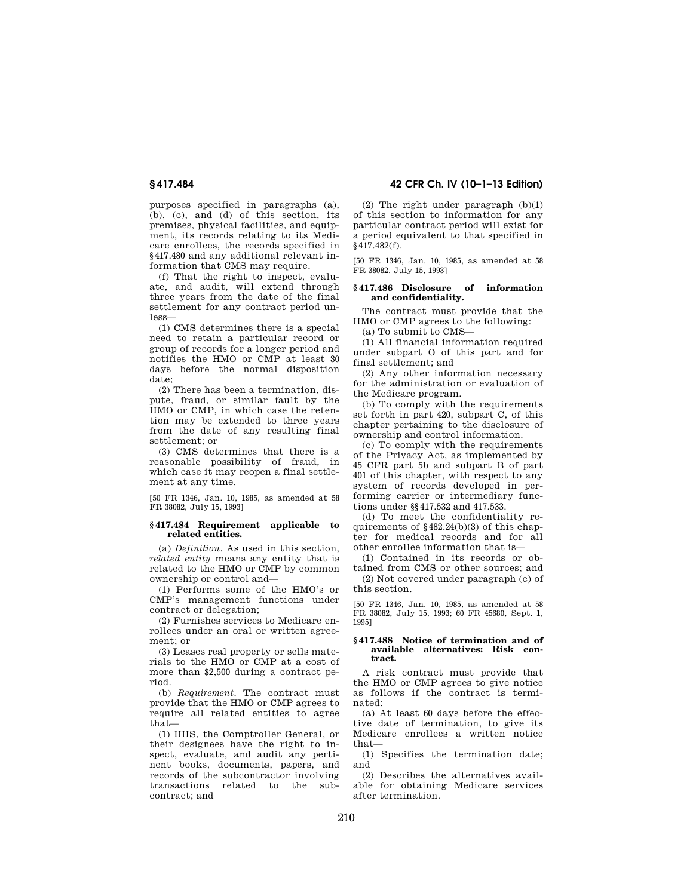purposes specified in paragraphs (a), (b), (c), and (d) of this section, its premises, physical facilities, and equipment, its records relating to its Medicare enrollees, the records specified in §417.480 and any additional relevant information that CMS may require.

(f) That the right to inspect, evaluate, and audit, will extend through three years from the date of the final settlement for any contract period unless—

(1) CMS determines there is a special need to retain a particular record or group of records for a longer period and notifies the HMO or CMP at least 30 days before the normal disposition date;

(2) There has been a termination, dispute, fraud, or similar fault by the HMO or CMP, in which case the retention may be extended to three years from the date of any resulting final settlement; or

(3) CMS determines that there is a reasonable possibility of fraud, in which case it may reopen a final settlement at any time.

[50 FR 1346, Jan. 10, 1985, as amended at 58 FR 38082, July 15, 1993]

#### **§ 417.484 Requirement applicable to related entities.**

(a) *Definition.* As used in this section, *related entity* means any entity that is related to the HMO or CMP by common ownership or control and—

(1) Performs some of the HMO's or CMP's management functions under contract or delegation;

(2) Furnishes services to Medicare enrollees under an oral or written agreement; or

(3) Leases real property or sells materials to the HMO or CMP at a cost of more than \$2,500 during a contract period.

(b) *Requirement.* The contract must provide that the HMO or CMP agrees to require all related entities to agree that—

(1) HHS, the Comptroller General, or their designees have the right to inspect, evaluate, and audit any pertinent books, documents, papers, and records of the subcontractor involving transactions related to the subcontract; and

**§ 417.484 42 CFR Ch. IV (10–1–13 Edition)** 

(2) The right under paragraph (b)(1) of this section to information for any particular contract period will exist for a period equivalent to that specified in §417.482(f).

[50 FR 1346, Jan. 10, 1985, as amended at 58 FR 38082, July 15, 1993]

## **§ 417.486 Disclosure of information and confidentiality.**

The contract must provide that the HMO or CMP agrees to the following:

(a) To submit to CMS—

(1) All financial information required under subpart O of this part and for final settlement; and

(2) Any other information necessary for the administration or evaluation of the Medicare program.

(b) To comply with the requirements set forth in part 420, subpart C, of this chapter pertaining to the disclosure of ownership and control information.

(c) To comply with the requirements of the Privacy Act, as implemented by 45 CFR part 5b and subpart B of part 401 of this chapter, with respect to any system of records developed in performing carrier or intermediary functions under §§417.532 and 417.533.

(d) To meet the confidentiality requirements of §482.24(b)(3) of this chapter for medical records and for all other enrollee information that is—

(1) Contained in its records or obtained from CMS or other sources; and (2) Not covered under paragraph (c) of this section.

[50 FR 1346, Jan. 10, 1985, as amended at 58 FR 38082, July 15, 1993; 60 FR 45680, Sept. 1, 1995]

### **§ 417.488 Notice of termination and of available alternatives: Risk contract.**

A risk contract must provide that the HMO or CMP agrees to give notice as follows if the contract is terminated:

(a) At least 60 days before the effective date of termination, to give its Medicare enrollees a written notice that—

(1) Specifies the termination date; and

(2) Describes the alternatives available for obtaining Medicare services after termination.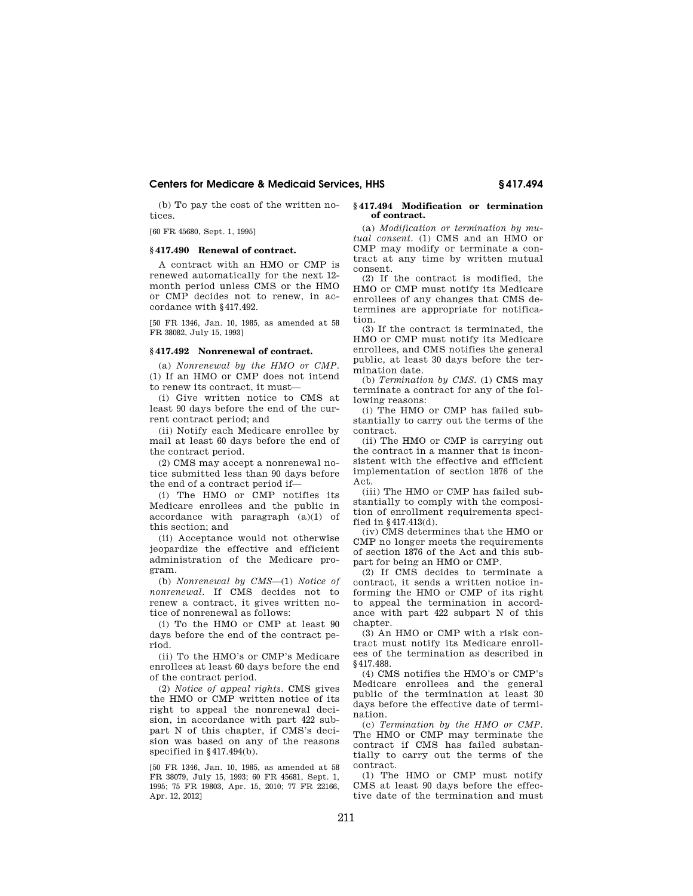(b) To pay the cost of the written notices.

[60 FR 45680, Sept. 1, 1995]

# **§ 417.490 Renewal of contract.**

A contract with an HMO or CMP is renewed automatically for the next 12 month period unless CMS or the HMO or CMP decides not to renew, in accordance with §417.492.

[50 FR 1346, Jan. 10, 1985, as amended at 58 FR 38082, July 15, 1993]

#### **§ 417.492 Nonrenewal of contract.**

(a) *Nonrenewal by the HMO or CMP.*  (1) If an HMO or CMP does not intend to renew its contract, it must—

(i) Give written notice to CMS at least 90 days before the end of the current contract period; and

(ii) Notify each Medicare enrollee by mail at least 60 days before the end of the contract period.

(2) CMS may accept a nonrenewal notice submitted less than 90 days before the end of a contract period if—

(i) The HMO or CMP notifies its Medicare enrollees and the public in accordance with paragraph (a)(1) of this section; and

(ii) Acceptance would not otherwise jeopardize the effective and efficient administration of the Medicare program.

(b) *Nonrenewal by CMS*—(1) *Notice of nonrenewal.* If CMS decides not to renew a contract, it gives written notice of nonrenewal as follows:

(i) To the HMO or CMP at least 90 days before the end of the contract period.

(ii) To the HMO's or CMP's Medicare enrollees at least 60 days before the end of the contract period.

(2) *Notice of appeal rights.* CMS gives the HMO or CMP written notice of its right to appeal the nonrenewal decision, in accordance with part 422 subpart N of this chapter, if CMS's decision was based on any of the reasons specified in §417.494(b).

[50 FR 1346, Jan. 10, 1985, as amended at 58 FR 38079, July 15, 1993; 60 FR 45681, Sept. 1, 1995; 75 FR 19803, Apr. 15, 2010; 77 FR 22166, Apr. 12, 2012]

#### **§ 417.494 Modification or termination of contract.**

(a) *Modification or termination by mutual consent.* (1) CMS and an HMO or CMP may modify or terminate a contract at any time by written mutual consent.

(2) If the contract is modified, the HMO or CMP must notify its Medicare enrollees of any changes that CMS determines are appropriate for notification.

(3) If the contract is terminated, the HMO or CMP must notify its Medicare enrollees, and CMS notifies the general public, at least 30 days before the termination date.

(b) *Termination by CMS.* (1) CMS may terminate a contract for any of the following reasons:

(i) The HMO or CMP has failed substantially to carry out the terms of the contract.

(ii) The HMO or CMP is carrying out the contract in a manner that is inconsistent with the effective and efficient implementation of section 1876 of the Act.

(iii) The HMO or CMP has failed substantially to comply with the composition of enrollment requirements specified in §417.413(d).

(iv) CMS determines that the HMO or CMP no longer meets the requirements of section 1876 of the Act and this subpart for being an HMO or CMP.

(2) If CMS decides to terminate a contract, it sends a written notice informing the HMO or CMP of its right to appeal the termination in accordance with part 422 subpart N of this chapter.

(3) An HMO or CMP with a risk contract must notify its Medicare enrollees of the termination as described in §417.488.

(4) CMS notifies the HMO's or CMP's Medicare enrollees and the general public of the termination at least 30 days before the effective date of termination.

(c) *Termination by the HMO or CMP.*  The HMO or CMP may terminate the contract if CMS has failed substantially to carry out the terms of the contract.

(1) The HMO or CMP must notify CMS at least 90 days before the effective date of the termination and must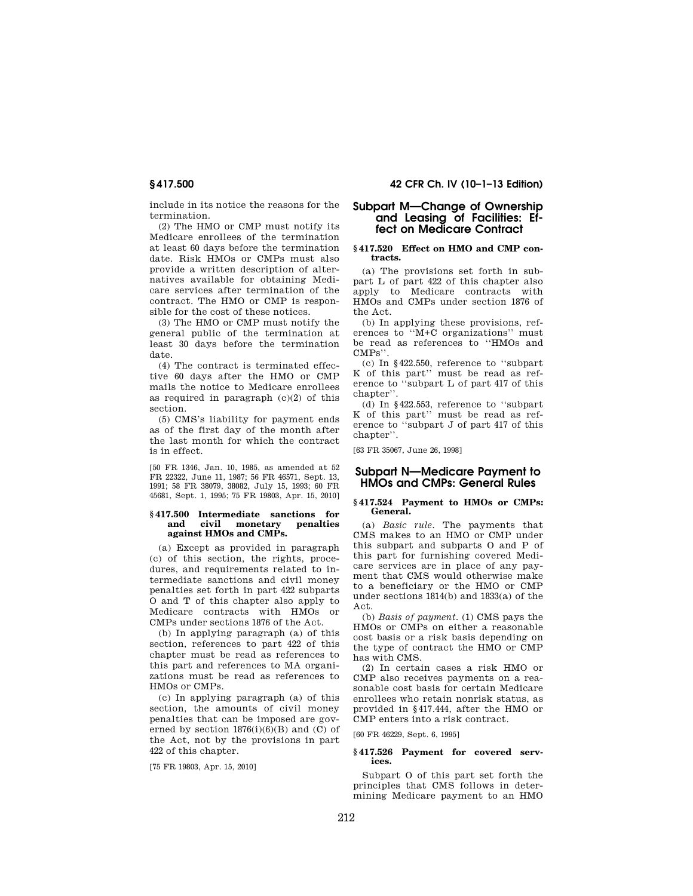include in its notice the reasons for the termination.

(2) The HMO or CMP must notify its Medicare enrollees of the termination at least 60 days before the termination date. Risk HMOs or CMPs must also provide a written description of alternatives available for obtaining Medicare services after termination of the contract. The HMO or CMP is responsible for the cost of these notices.

(3) The HMO or CMP must notify the general public of the termination at least 30 days before the termination date.

(4) The contract is terminated effective 60 days after the HMO or CMP mails the notice to Medicare enrollees as required in paragraph (c)(2) of this section.

(5) CMS's liability for payment ends as of the first day of the month after the last month for which the contract is in effect.

[50 FR 1346, Jan. 10, 1985, as amended at 52 FR 22322, June 11, 1987; 56 FR 46571, Sept. 13, 1991; 58 FR 38079, 38082, July 15, 1993; 60 FR 45681, Sept. 1, 1995; 75 FR 19803, Apr. 15, 2010]

## **§ 417.500 Intermediate sanctions for**  civil monetary **against HMOs and CMPs.**

(a) Except as provided in paragraph (c) of this section, the rights, procedures, and requirements related to intermediate sanctions and civil money penalties set forth in part 422 subparts O and T of this chapter also apply to Medicare contracts with HMOs or CMPs under sections 1876 of the Act.

(b) In applying paragraph (a) of this section, references to part 422 of this chapter must be read as references to this part and references to MA organizations must be read as references to HMOs or CMPs.

(c) In applying paragraph (a) of this section, the amounts of civil money penalties that can be imposed are governed by section  $1876(i)(6)(B)$  and (C) of the Act, not by the provisions in part 422 of this chapter.

[75 FR 19803, Apr. 15, 2010]

# **§ 417.500 42 CFR Ch. IV (10–1–13 Edition)**

# **Subpart M—Change of Ownership and Leasing of Facilities: Effect on Medicare Contract**

## **§ 417.520 Effect on HMO and CMP contracts.**

(a) The provisions set forth in subpart L of part 422 of this chapter also apply to Medicare contracts with HMOs and CMPs under section 1876 of the Act.

(b) In applying these provisions, references to ''M+C organizations'' must be read as references to ''HMOs and CMPs''.

(c) In §422.550, reference to ''subpart K of this part'' must be read as reference to ''subpart L of part 417 of this chapter''.

(d) In §422.553, reference to ''subpart K of this part'' must be read as reference to ''subpart J of part 417 of this chapter''.

[63 FR 35067, June 26, 1998]

# **Subpart N—Medicare Payment to HMOs and CMPs: General Rules**

## **§ 417.524 Payment to HMOs or CMPs: General.**

(a) *Basic rule.* The payments that CMS makes to an HMO or CMP under this subpart and subparts O and P of this part for furnishing covered Medicare services are in place of any payment that CMS would otherwise make to a beneficiary or the HMO or CMP under sections 1814(b) and 1833(a) of the Act.

(b) *Basis of payment.* (1) CMS pays the HMOs or CMPs on either a reasonable cost basis or a risk basis depending on the type of contract the HMO or CMP has with CMS.

(2) In certain cases a risk HMO or CMP also receives payments on a reasonable cost basis for certain Medicare enrollees who retain nonrisk status, as provided in §417.444, after the HMO or CMP enters into a risk contract.

[60 FR 46229, Sept. 6, 1995]

#### **§ 417.526 Payment for covered services.**

Subpart O of this part set forth the principles that CMS follows in determining Medicare payment to an HMO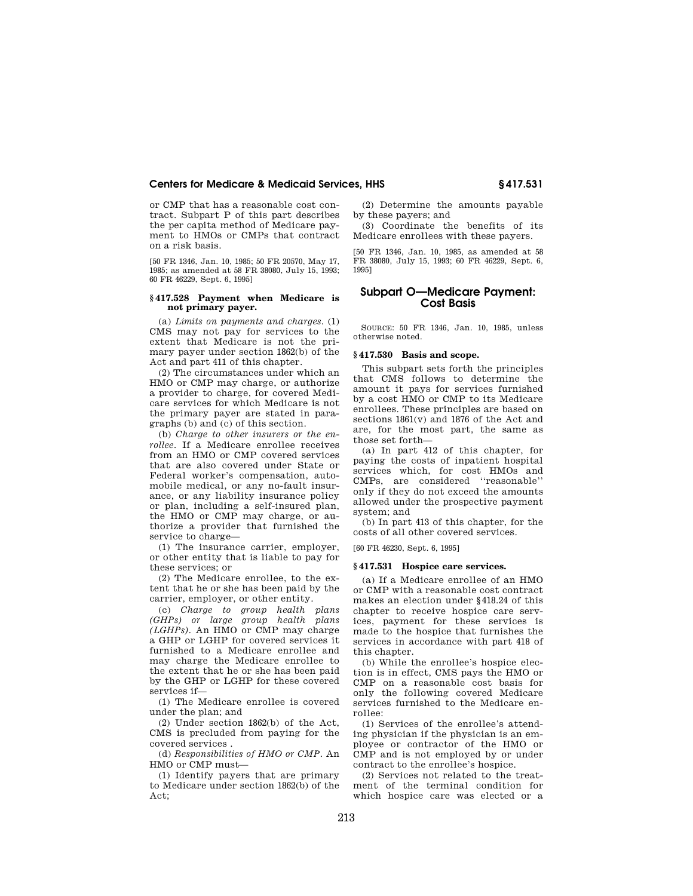or CMP that has a reasonable cost contract. Subpart P of this part describes the per capita method of Medicare payment to HMOs or CMPs that contract on a risk basis.

[50 FR 1346, Jan. 10, 1985; 50 FR 20570, May 17, 1985; as amended at 58 FR 38080, July 15, 1993; 60 FR 46229, Sept. 6, 1995]

#### **§ 417.528 Payment when Medicare is not primary payer.**

(a) *Limits on payments and charges.* (1) CMS may not pay for services to the extent that Medicare is not the primary payer under section 1862(b) of the Act and part 411 of this chapter.

(2) The circumstances under which an HMO or CMP may charge, or authorize a provider to charge, for covered Medicare services for which Medicare is not the primary payer are stated in paragraphs (b) and (c) of this section.

(b) *Charge to other insurers or the enrollee.* If a Medicare enrollee receives from an HMO or CMP covered services that are also covered under State or Federal worker's compensation, automobile medical, or any no-fault insurance, or any liability insurance policy or plan, including a self-insured plan, the HMO or CMP may charge, or authorize a provider that furnished the service to charge—

(1) The insurance carrier, employer, or other entity that is liable to pay for these services; or

(2) The Medicare enrollee, to the extent that he or she has been paid by the carrier, employer, or other entity.

(c) *Charge to group health plans (GHPs) or large group health plans (LGHPs).* An HMO or CMP may charge a GHP or LGHP for covered services it furnished to a Medicare enrollee and may charge the Medicare enrollee to the extent that he or she has been paid by the GHP or LGHP for these covered services if—

(1) The Medicare enrollee is covered under the plan; and

(2) Under section 1862(b) of the Act, CMS is precluded from paying for the covered services .

(d) *Responsibilities of HMO or CMP.* An HMO or CMP must—

(1) Identify payers that are primary to Medicare under section 1862(b) of the Act;

(2) Determine the amounts payable by these payers; and

(3) Coordinate the benefits of its Medicare enrollees with these payers.

[50 FR 1346, Jan. 10, 1985, as amended at 58 FR 38080, July 15, 1993; 60 FR 46229, Sept. 6, 1995]

# **Subpart O—Medicare Payment: Cost Basis**

SOURCE: 50 FR 1346, Jan. 10, 1985, unless otherwise noted.

# **§ 417.530 Basis and scope.**

This subpart sets forth the principles that CMS follows to determine the amount it pays for services furnished by a cost HMO or CMP to its Medicare enrollees. These principles are based on sections 1861(v) and 1876 of the Act and are, for the most part, the same as those set forth—

(a) In part 412 of this chapter, for paying the costs of inpatient hospital services which, for cost HMOs and CMPs, are considered ''reasonable'' only if they do not exceed the amounts allowed under the prospective payment system; and

(b) In part 413 of this chapter, for the costs of all other covered services.

[60 FR 46230, Sept. 6, 1995]

#### **§ 417.531 Hospice care services.**

(a) If a Medicare enrollee of an HMO or CMP with a reasonable cost contract makes an election under §418.24 of this chapter to receive hospice care services, payment for these services is made to the hospice that furnishes the services in accordance with part 418 of this chapter.

(b) While the enrollee's hospice election is in effect, CMS pays the HMO or CMP on a reasonable cost basis for only the following covered Medicare services furnished to the Medicare enrollee:

(1) Services of the enrollee's attending physician if the physician is an employee or contractor of the HMO or CMP and is not employed by or under contract to the enrollee's hospice.

(2) Services not related to the treatment of the terminal condition for which hospice care was elected or a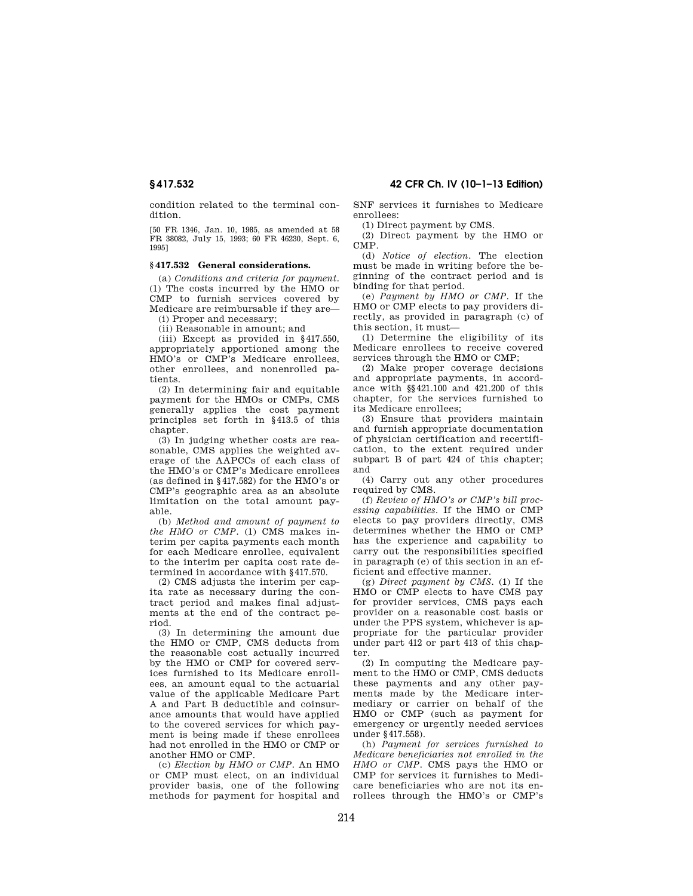condition related to the terminal condition.

[50 FR 1346, Jan. 10, 1985, as amended at 58 FR 38082, July 15, 1993; 60 FR 46230, Sept. 6, 1995]

## **§ 417.532 General considerations.**

(a) *Conditions and criteria for payment.*  (1) The costs incurred by the HMO or CMP to furnish services covered by Medicare are reimbursable if they are—

(i) Proper and necessary;

(ii) Reasonable in amount; and

(iii) Except as provided in §417.550, appropriately apportioned among the HMO's or CMP's Medicare enrollees, other enrollees, and nonenrolled patients.

(2) In determining fair and equitable payment for the HMOs or CMPs, CMS generally applies the cost payment principles set forth in §413.5 of this chapter.

(3) In judging whether costs are reasonable, CMS applies the weighted average of the AAPCCs of each class of the HMO's or CMP's Medicare enrollees (as defined in §417.582) for the HMO's or CMP's geographic area as an absolute limitation on the total amount payable.

(b) *Method and amount of payment to the HMO or CMP.* (1) CMS makes interim per capita payments each month for each Medicare enrollee, equivalent to the interim per capita cost rate determined in accordance with §417.570.

(2) CMS adjusts the interim per capita rate as necessary during the contract period and makes final adjustments at the end of the contract period.

(3) In determining the amount due the HMO or CMP, CMS deducts from the reasonable cost actually incurred by the HMO or CMP for covered services furnished to its Medicare enrollees, an amount equal to the actuarial value of the applicable Medicare Part A and Part B deductible and coinsurance amounts that would have applied to the covered services for which payment is being made if these enrollees had not enrolled in the HMO or CMP or another HMO or CMP.

(c) *Election by HMO or CMP.* An HMO or CMP must elect, on an individual provider basis, one of the following methods for payment for hospital and SNF services it furnishes to Medicare enrollees:

(1) Direct payment by CMS.

(2) Direct payment by the HMO or CMP.

(d) *Notice of election.* The election must be made in writing before the beginning of the contract period and is binding for that period.

(e) *Payment by HMO or CMP.* If the HMO or CMP elects to pay providers directly, as provided in paragraph (c) of this section, it must—

(1) Determine the eligibility of its Medicare enrollees to receive covered services through the HMO or CMP;

(2) Make proper coverage decisions and appropriate payments, in accordance with §§421.100 and 421.200 of this chapter, for the services furnished to its Medicare enrollees;

(3) Ensure that providers maintain and furnish appropriate documentation of physician certification and recertification, to the extent required under subpart B of part 424 of this chapter; and

(4) Carry out any other procedures required by CMS.

(f) *Review of HMO's or CMP's bill processing capabilities.* If the HMO or CMP elects to pay providers directly, CMS determines whether the HMO or CMP has the experience and capability to carry out the responsibilities specified in paragraph (e) of this section in an efficient and effective manner.

(g) *Direct payment by CMS.* (1) If the HMO or CMP elects to have CMS pay for provider services, CMS pays each provider on a reasonable cost basis or under the PPS system, whichever is appropriate for the particular provider under part 412 or part 413 of this chapter.

(2) In computing the Medicare payment to the HMO or CMP, CMS deducts these payments and any other payments made by the Medicare intermediary or carrier on behalf of the HMO or CMP (such as payment for emergency or urgently needed services under §417.558).

(h) *Payment for services furnished to Medicare beneficiaries not enrolled in the HMO or CMP.* CMS pays the HMO or CMP for services it furnishes to Medicare beneficiaries who are not its enrollees through the HMO's or CMP's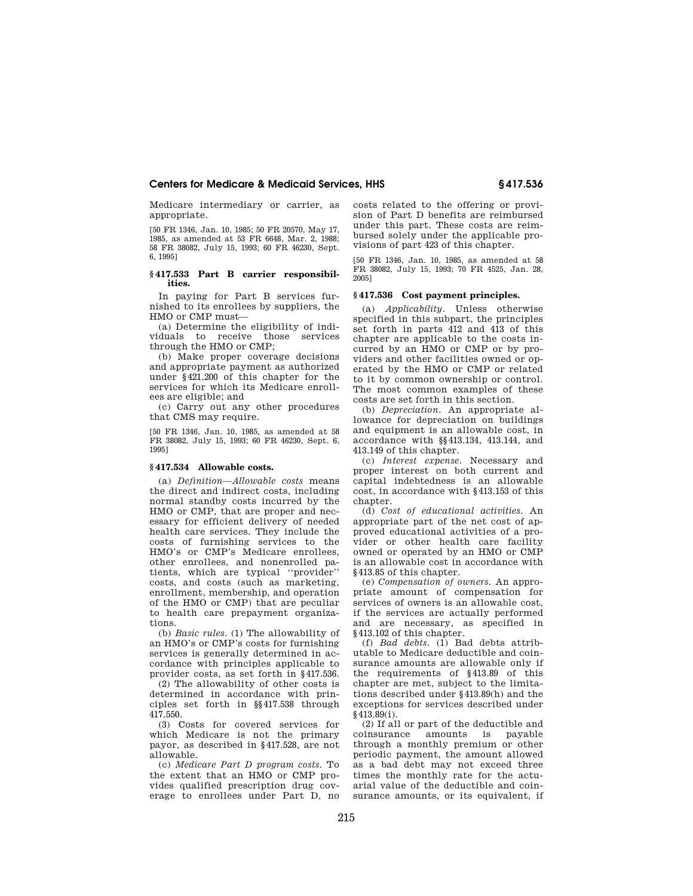Medicare intermediary or carrier, as appropriate.

[50 FR 1346, Jan. 10, 1985; 50 FR 20570, May 17, 1985, as amended at 53 FR 6648, Mar. 2, 1988; 58 FR 38082, July 15, 1993; 60 FR 46230, Sept. 6, 1995]

### **§ 417.533 Part B carrier responsibilities.**

In paying for Part B services furnished to its enrollees by suppliers, the HMO or CMP must—

(a) Determine the eligibility of individuals to receive those services through the HMO or CMP;

(b) Make proper coverage decisions and appropriate payment as authorized under §421.200 of this chapter for the services for which its Medicare enrollees are eligible; and

(c) Carry out any other procedures that CMS may require.

[50 FR 1346, Jan. 10, 1985, as amended at 58 FR 38082, July 15, 1993; 60 FR 46230, Sept. 6, 1995]

### **§ 417.534 Allowable costs.**

(a) *Definition—Allowable costs* means the direct and indirect costs, including normal standby costs incurred by the HMO or CMP, that are proper and necessary for efficient delivery of needed health care services. They include the costs of furnishing services to the HMO's or CMP's Medicare enrollees, other enrollees, and nonenrolled patients, which are typical ''provider'' costs, and costs (such as marketing, enrollment, membership, and operation of the HMO or CMP) that are peculiar to health care prepayment organizations.

(b) *Basic rules.* (1) The allowability of an HMO's or CMP's costs for furnishing services is generally determined in accordance with principles applicable to provider costs, as set forth in §417.536.

(2) The allowability of other costs is determined in accordance with principles set forth in §§417.538 through 417.550.

(3) Costs for covered services for which Medicare is not the primary payor, as described in §417.528, are not allowable.

(c) *Medicare Part D program costs.* To the extent that an HMO or CMP provides qualified prescription drug coverage to enrollees under Part D, no costs related to the offering or provision of Part D benefits are reimbursed under this part. These costs are reimbursed solely under the applicable provisions of part 423 of this chapter.

[50 FR 1346, Jan. 10, 1985, as amended at 58 FR 38082, July 15, 1993; 70 FR 4525, Jan. 28, 2005]

# **§ 417.536 Cost payment principles.**

(a) *Applicability.* Unless otherwise specified in this subpart, the principles set forth in parts 412 and 413 of this chapter are applicable to the costs incurred by an HMO or CMP or by providers and other facilities owned or operated by the HMO or CMP or related to it by common ownership or control. The most common examples of these costs are set forth in this section.

(b) *Depreciation.* An appropriate allowance for depreciation on buildings and equipment is an allowable cost, in accordance with §§413.134, 413.144, and 413.149 of this chapter.

(c) *Interest expense.* Necessary and proper interest on both current and capital indebtedness is an allowable cost, in accordance with §413.153 of this chapter.

(d) *Cost of educational activities.* An appropriate part of the net cost of approved educational activities of a provider or other health care facility owned or operated by an HMO or CMP is an allowable cost in accordance with §413.85 of this chapter.

(e) *Compensation of owners.* An appropriate amount of compensation for services of owners is an allowable cost, if the services are actually performed and are necessary, as specified in §413.102 of this chapter.

(f) *Bad debts.* (1) Bad debts attributable to Medicare deductible and coinsurance amounts are allowable only if the requirements of §413.89 of this chapter are met, subject to the limitations described under §413.89(h) and the exceptions for services described under §413.89(i).

(2) If all or part of the deductible and coinsurance amounts is payable through a monthly premium or other periodic payment, the amount allowed as a bad debt may not exceed three times the monthly rate for the actuarial value of the deductible and coinsurance amounts, or its equivalent, if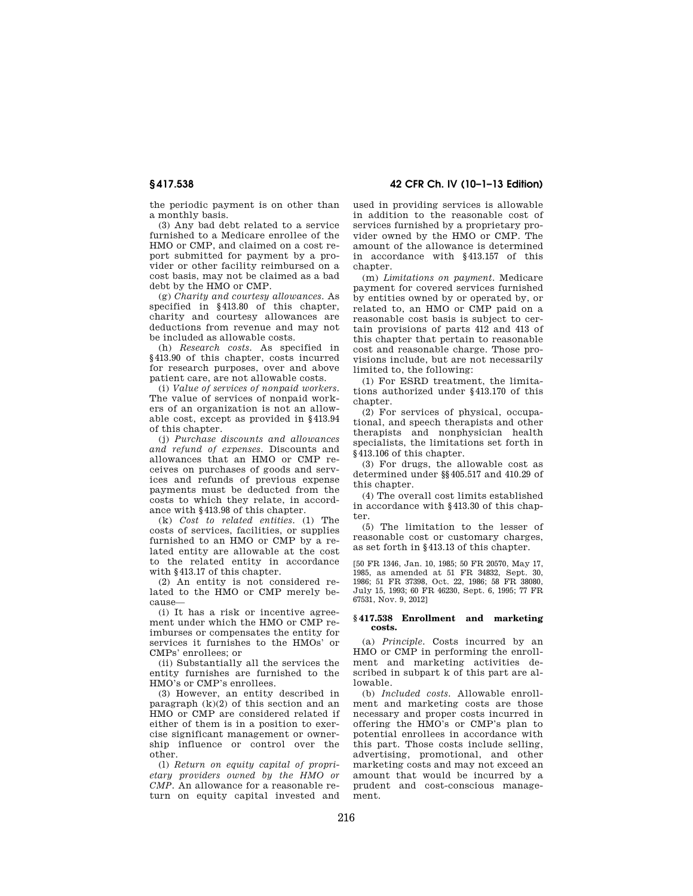**§ 417.538 42 CFR Ch. IV (10–1–13 Edition)** 

the periodic payment is on other than a monthly basis.

(3) Any bad debt related to a service furnished to a Medicare enrollee of the HMO or CMP, and claimed on a cost report submitted for payment by a provider or other facility reimbursed on a cost basis, may not be claimed as a bad debt by the HMO or CMP.

(g) *Charity and courtesy allowances.* As specified in §413.80 of this chapter, charity and courtesy allowances are deductions from revenue and may not be included as allowable costs.

(h) *Research costs.* As specified in §413.90 of this chapter, costs incurred for research purposes, over and above patient care, are not allowable costs.

(i) *Value of services of nonpaid workers.*  The value of services of nonpaid workers of an organization is not an allowable cost, except as provided in §413.94 of this chapter.

(j) *Purchase discounts and allowances and refund of expenses.* Discounts and allowances that an HMO or CMP receives on purchases of goods and services and refunds of previous expense payments must be deducted from the costs to which they relate, in accordance with §413.98 of this chapter.

(k) *Cost to related entities.* (1) The costs of services, facilities, or supplies furnished to an HMO or CMP by a related entity are allowable at the cost to the related entity in accordance with  $8413.17$  of this chapter.

(2) An entity is not considered related to the HMO or CMP merely because—

(i) It has a risk or incentive agreement under which the HMO or CMP reimburses or compensates the entity for services it furnishes to the HMOs' or CMPs' enrollees; or

(ii) Substantially all the services the entity furnishes are furnished to the HMO's or CMP's enrollees.

(3) However, an entity described in paragraph  $(k)(2)$  of this section and an HMO or CMP are considered related if either of them is in a position to exercise significant management or ownership influence or control over the other.

(l) *Return on equity capital of proprietary providers owned by the HMO or CMP.* An allowance for a reasonable return on equity capital invested and used in providing services is allowable in addition to the reasonable cost of services furnished by a proprietary provider owned by the HMO or CMP. The amount of the allowance is determined in accordance with §413.157 of this chapter.

(m) *Limitations on payment.* Medicare payment for covered services furnished by entities owned by or operated by, or related to, an HMO or CMP paid on a reasonable cost basis is subject to certain provisions of parts 412 and 413 of this chapter that pertain to reasonable cost and reasonable charge. Those provisions include, but are not necessarily limited to, the following:

(1) For ESRD treatment, the limitations authorized under §413.170 of this chapter.

(2) For services of physical, occupational, and speech therapists and other therapists and nonphysician health specialists, the limitations set forth in §413.106 of this chapter.

(3) For drugs, the allowable cost as determined under §§405.517 and 410.29 of this chapter.

(4) The overall cost limits established in accordance with §413.30 of this chapter.

(5) The limitation to the lesser of reasonable cost or customary charges, as set forth in §413.13 of this chapter.

[50 FR 1346, Jan. 10, 1985; 50 FR 20570, May 17, 1985, as amended at 51 FR 34832, Sept. 30, 1986; 51 FR 37398, Oct. 22, 1986; 58 FR 38080, July 15, 1993; 60 FR 46230, Sept. 6, 1995; 77 FR 67531, Nov. 9, 2012]

## **§ 417.538 Enrollment and marketing costs.**

(a) *Principle.* Costs incurred by an HMO or CMP in performing the enrollment and marketing activities described in subpart k of this part are allowable.

(b) *Included costs.* Allowable enrollment and marketing costs are those necessary and proper costs incurred in offering the HMO's or CMP's plan to potential enrollees in accordance with this part. Those costs include selling, advertising, promotional, and other marketing costs and may not exceed an amount that would be incurred by a prudent and cost-conscious management.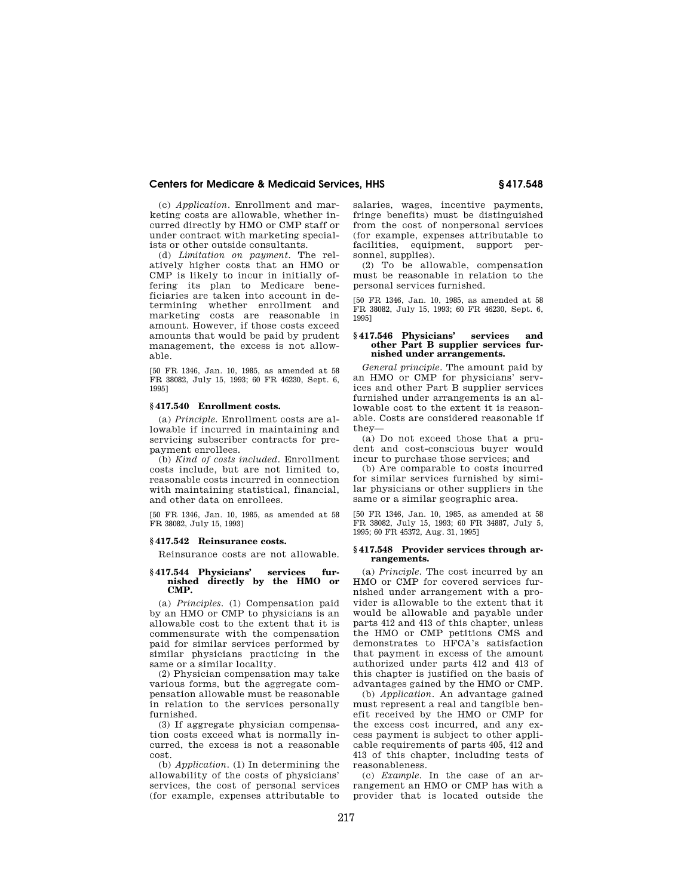(c) *Application.* Enrollment and marketing costs are allowable, whether incurred directly by HMO or CMP staff or under contract with marketing specialists or other outside consultants.

(d) *Limitation on payment.* The relatively higher costs that an HMO or CMP is likely to incur in initially offering its plan to Medicare beneficiaries are taken into account in determining whether enrollment and marketing costs are reasonable in amount. However, if those costs exceed amounts that would be paid by prudent management, the excess is not allowable.

[50 FR 1346, Jan. 10, 1985, as amended at 58 FR 38082, July 15, 1993; 60 FR 46230, Sept. 6, 1995]

## **§ 417.540 Enrollment costs.**

(a) *Principle.* Enrollment costs are allowable if incurred in maintaining and servicing subscriber contracts for prepayment enrollees.

(b) *Kind of costs included.* Enrollment costs include, but are not limited to, reasonable costs incurred in connection with maintaining statistical, financial, and other data on enrollees.

[50 FR 1346, Jan. 10, 1985, as amended at 58 FR 38082, July 15, 1993]

# **§ 417.542 Reinsurance costs.**

Reinsurance costs are not allowable.

#### **§ 417.544 Physicians' services furnished directly by the HMO or CMP.**

(a) *Principles.* (1) Compensation paid by an HMO or CMP to physicians is an allowable cost to the extent that it is commensurate with the compensation paid for similar services performed by similar physicians practicing in the same or a similar locality.

(2) Physician compensation may take various forms, but the aggregate compensation allowable must be reasonable in relation to the services personally furnished.

(3) If aggregate physician compensation costs exceed what is normally incurred, the excess is not a reasonable cost.

(b) *Application.* (1) In determining the allowability of the costs of physicians' services, the cost of personal services (for example, expenses attributable to salaries, wages, incentive payments, fringe benefits) must be distinguished from the cost of nonpersonal services (for example, expenses attributable to facilities, equipment, support personnel, supplies).

(2) To be allowable, compensation must be reasonable in relation to the personal services furnished.

[50 FR 1346, Jan. 10, 1985, as amended at 58 FR 38082, July 15, 1993; 60 FR 46230, Sept. 6, 1995]

## **§ 417.546 Physicians' services and other Part B supplier services furnished under arrangements.**

*General principle.* The amount paid by an HMO or CMP for physicians' services and other Part B supplier services furnished under arrangements is an allowable cost to the extent it is reasonable. Costs are considered reasonable if they—

(a) Do not exceed those that a prudent and cost-conscious buyer would incur to purchase those services; and

(b) Are comparable to costs incurred for similar services furnished by similar physicians or other suppliers in the same or a similar geographic area.

[50 FR 1346, Jan. 10, 1985, as amended at 58 FR 38082, July 15, 1993; 60 FR 34887, July 5, 1995; 60 FR 45372, Aug. 31, 1995]

## **§ 417.548 Provider services through arrangements.**

(a) *Principle.* The cost incurred by an HMO or CMP for covered services furnished under arrangement with a provider is allowable to the extent that it would be allowable and payable under parts 412 and 413 of this chapter, unless the HMO or CMP petitions CMS and demonstrates to HFCA's satisfaction that payment in excess of the amount authorized under parts 412 and 413 of this chapter is justified on the basis of advantages gained by the HMO or CMP.

(b) *Application.* An advantage gained must represent a real and tangible benefit received by the HMO or CMP for the excess cost incurred, and any excess payment is subject to other applicable requirements of parts 405, 412 and 413 of this chapter, including tests of reasonableness.

(c) *Example.* In the case of an arrangement an HMO or CMP has with a provider that is located outside the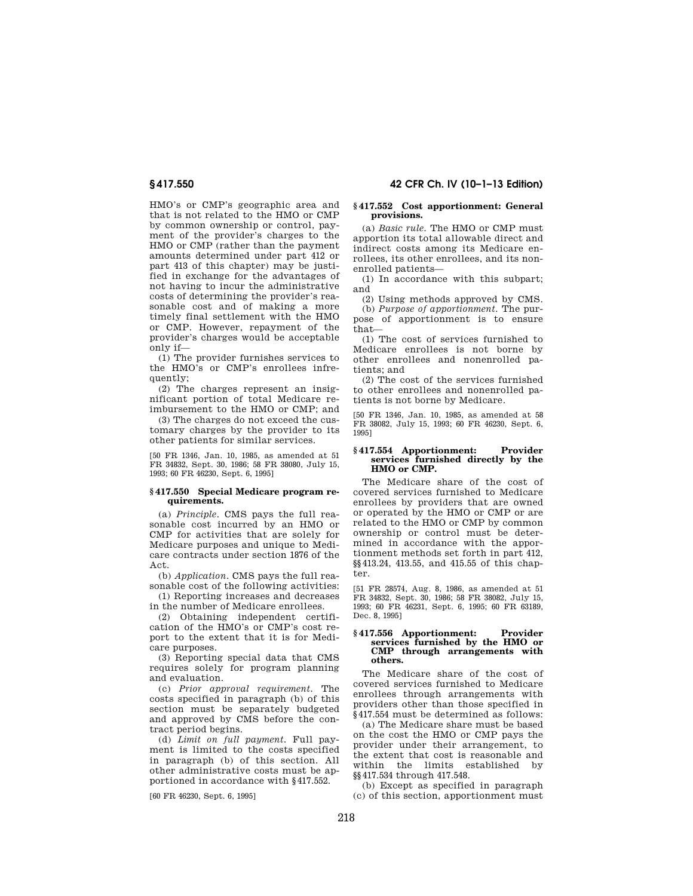HMO's or CMP's geographic area and that is not related to the HMO or CMP by common ownership or control, payment of the provider's charges to the HMO or CMP (rather than the payment amounts determined under part 412 or part 413 of this chapter) may be justified in exchange for the advantages of not having to incur the administrative costs of determining the provider's reasonable cost and of making a more timely final settlement with the HMO or CMP. However, repayment of the provider's charges would be acceptable  $\overline{\text{only if}}$ 

(1) The provider furnishes services to the HMO's or CMP's enrollees infrequently;

(2) The charges represent an insignificant portion of total Medicare reimbursement to the HMO or CMP; and

(3) The charges do not exceed the customary charges by the provider to its other patients for similar services.

[50 FR 1346, Jan. 10, 1985, as amended at 51 FR 34832, Sept. 30, 1986; 58 FR 38080, July 15, 1993; 60 FR 46230, Sept. 6, 1995]

#### **§ 417.550 Special Medicare program requirements.**

(a) *Principle.* CMS pays the full reasonable cost incurred by an HMO or CMP for activities that are solely for Medicare purposes and unique to Medicare contracts under section 1876 of the Act.

(b) *Application.* CMS pays the full reasonable cost of the following activities:

(1) Reporting increases and decreases in the number of Medicare enrollees.

(2) Obtaining independent certification of the HMO's or CMP's cost report to the extent that it is for Medicare purposes.

(3) Reporting special data that CMS requires solely for program planning and evaluation.

(c) *Prior approval requirement.* The costs specified in paragraph (b) of this section must be separately budgeted and approved by CMS before the contract period begins.

(d) *Limit on full payment.* Full payment is limited to the costs specified in paragraph (b) of this section. All other administrative costs must be apportioned in accordance with §417.552.

[60 FR 46230, Sept. 6, 1995]

#### **§ 417.552 Cost apportionment: General provisions.**

(a) *Basic rule.* The HMO or CMP must apportion its total allowable direct and indirect costs among its Medicare enrollees, its other enrollees, and its nonenrolled patients—

(1) In accordance with this subpart; and

(2) Using methods approved by CMS.

(b) *Purpose of apportionment.* The purpose of apportionment is to ensure that—

(1) The cost of services furnished to Medicare enrollees is not borne by other enrollees and nonenrolled patients; and

(2) The cost of the services furnished to other enrollees and nonenrolled patients is not borne by Medicare.

[50 FR 1346, Jan. 10, 1985, as amended at 58 FR 38082, July 15, 1993; 60 FR 46230, Sept. 6, 1995]

#### **§ 417.554 Apportionment: Provider services furnished directly by the HMO or CMP.**

The Medicare share of the cost of covered services furnished to Medicare enrollees by providers that are owned or operated by the HMO or CMP or are related to the HMO or CMP by common ownership or control must be determined in accordance with the apportionment methods set forth in part 412, §§413.24, 413.55, and 415.55 of this chapter.

[51 FR 28574, Aug. 8, 1986, as amended at 51 FR 34832, Sept. 30, 1986; 58 FR 38082, July 15, 1993; 60 FR 46231, Sept. 6, 1995; 60 FR 63189, Dec. 8, 1995]

## **§ 417.556 Apportionment: Provider services furnished by the HMO or CMP through arrangements with others.**

The Medicare share of the cost of covered services furnished to Medicare enrollees through arrangements with providers other than those specified in §417.554 must be determined as follows:

(a) The Medicare share must be based on the cost the HMO or CMP pays the provider under their arrangement, to the extent that cost is reasonable and within the limits established by §§417.534 through 417.548.

(b) Except as specified in paragraph (c) of this section, apportionment must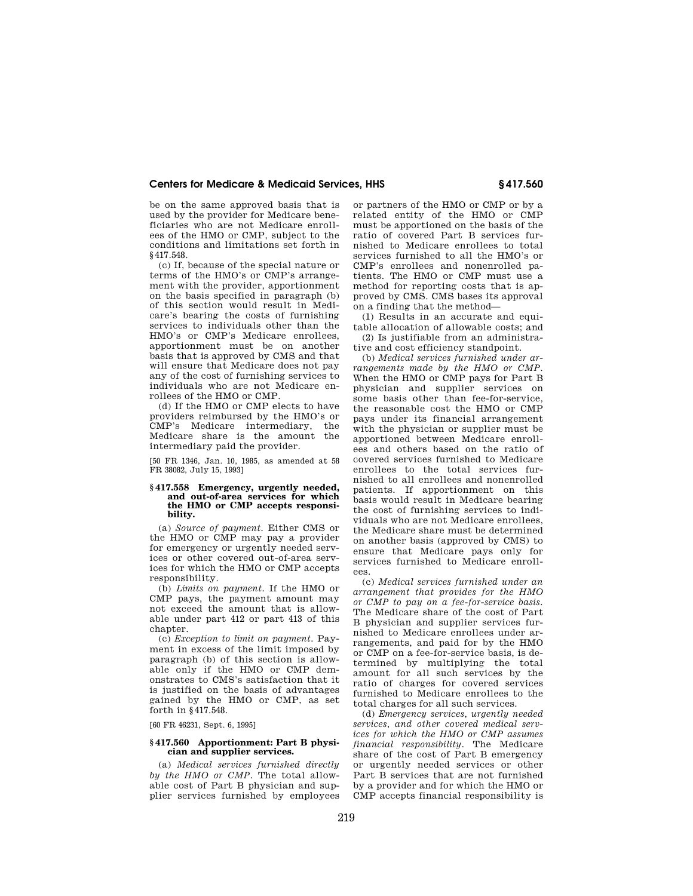be on the same approved basis that is used by the provider for Medicare beneficiaries who are not Medicare enrollees of the HMO or CMP, subject to the conditions and limitations set forth in §417.548.

(c) If, because of the special nature or terms of the HMO's or CMP's arrangement with the provider, apportionment on the basis specified in paragraph (b) of this section would result in Medicare's bearing the costs of furnishing services to individuals other than the HMO's or CMP's Medicare enrollees, apportionment must be on another basis that is approved by CMS and that will ensure that Medicare does not pay any of the cost of furnishing services to individuals who are not Medicare enrollees of the HMO or CMP.

(d) If the HMO or CMP elects to have providers reimbursed by the HMO's or CMP's Medicare intermediary, the Medicare share is the amount the intermediary paid the provider.

[50 FR 1346, Jan. 10, 1985, as amended at 58 FR 38082, July 15, 1993]

## **§ 417.558 Emergency, urgently needed, and out-of-area services for which the HMO or CMP accepts responsibility.**

(a) *Source of payment.* Either CMS or the HMO or CMP may pay a provider for emergency or urgently needed services or other covered out-of-area services for which the HMO or CMP accepts responsibility.

(b) *Limits on payment.* If the HMO or CMP pays, the payment amount may not exceed the amount that is allowable under part 412 or part 413 of this chapter.

(c) *Exception to limit on payment.* Payment in excess of the limit imposed by paragraph (b) of this section is allowable only if the HMO or CMP demonstrates to CMS's satisfaction that it is justified on the basis of advantages gained by the HMO or CMP, as set forth in §417.548.

[60 FR 46231, Sept. 6, 1995]

#### **§ 417.560 Apportionment: Part B physician and supplier services.**

(a) *Medical services furnished directly by the HMO or CMP.* The total allowable cost of Part B physician and supplier services furnished by employees

or partners of the HMO or CMP or by a related entity of the HMO or CMP must be apportioned on the basis of the ratio of covered Part B services furnished to Medicare enrollees to total services furnished to all the HMO's or CMP's enrollees and nonenrolled patients. The HMO or CMP must use a method for reporting costs that is approved by CMS. CMS bases its approval on a finding that the method—

(1) Results in an accurate and equitable allocation of allowable costs; and (2) Is justifiable from an administra-

tive and cost efficiency standpoint. (b) *Medical services furnished under ar-*

*rangements made by the HMO or CMP.*  When the HMO or CMP pays for Part B physician and supplier services on some basis other than fee-for-service, the reasonable cost the HMO or CMP pays under its financial arrangement with the physician or supplier must be apportioned between Medicare enrollees and others based on the ratio of covered services furnished to Medicare enrollees to the total services furnished to all enrollees and nonenrolled patients. If apportionment on this basis would result in Medicare bearing the cost of furnishing services to individuals who are not Medicare enrollees, the Medicare share must be determined on another basis (approved by CMS) to ensure that Medicare pays only for services furnished to Medicare enrollees.

(c) *Medical services furnished under an arrangement that provides for the HMO or CMP to pay on a fee-for-service basis.*  The Medicare share of the cost of Part B physician and supplier services furnished to Medicare enrollees under arrangements, and paid for by the HMO or CMP on a fee-for-service basis, is determined by multiplying the total amount for all such services by the ratio of charges for covered services furnished to Medicare enrollees to the total charges for all such services.

(d) *Emergency services, urgently needed services, and other covered medical services for which the HMO or CMP assumes financial responsibility.* The Medicare share of the cost of Part B emergency or urgently needed services or other Part B services that are not furnished by a provider and for which the HMO or CMP accepts financial responsibility is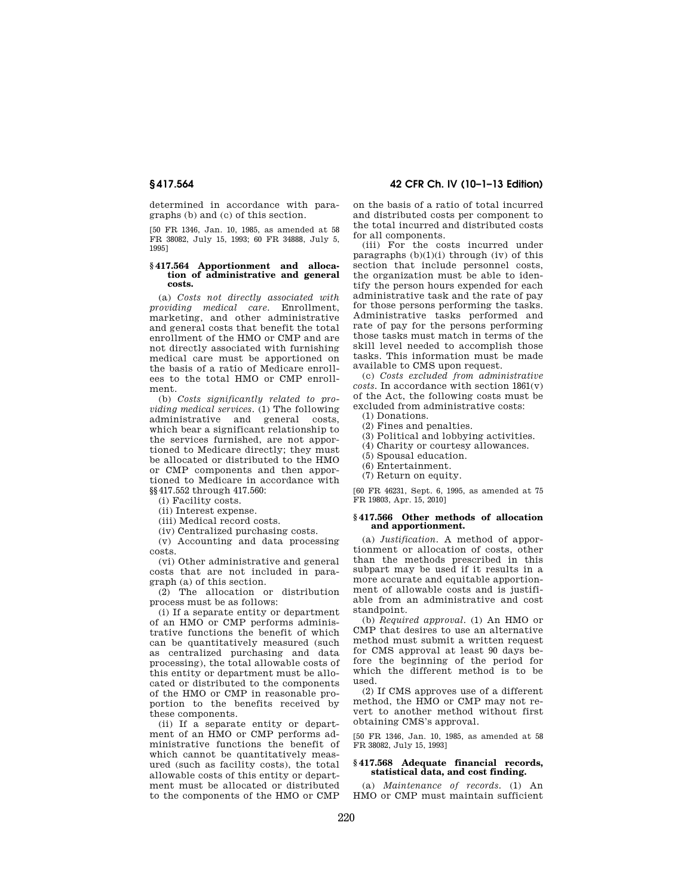determined in accordance with paragraphs (b) and (c) of this section.

[50 FR 1346, Jan. 10, 1985, as amended at 58 FR 38082, July 15, 1993; 60 FR 34888, July 5, 1995]

#### **§ 417.564 Apportionment and allocation of administrative and general costs.**

(a) *Costs not directly associated with providing medical care.* Enrollment, marketing, and other administrative and general costs that benefit the total enrollment of the HMO or CMP and are not directly associated with furnishing medical care must be apportioned on the basis of a ratio of Medicare enrollees to the total HMO or CMP enrollment.

(b) *Costs significantly related to providing medical services.* (1) The following administrative and general costs, which bear a significant relationship to the services furnished, are not apportioned to Medicare directly; they must be allocated or distributed to the HMO or CMP components and then apportioned to Medicare in accordance with §§417.552 through 417.560:

(i) Facility costs.

(ii) Interest expense.

(iii) Medical record costs.

(iv) Centralized purchasing costs.

(v) Accounting and data processing costs.

(vi) Other administrative and general costs that are not included in paragraph (a) of this section.

(2) The allocation or distribution process must be as follows:

(i) If a separate entity or department of an HMO or CMP performs administrative functions the benefit of which can be quantitatively measured (such as centralized purchasing and data processing), the total allowable costs of this entity or department must be allocated or distributed to the components of the HMO or CMP in reasonable proportion to the benefits received by these components.

(ii) If a separate entity or department of an HMO or CMP performs administrative functions the benefit of which cannot be quantitatively measured (such as facility costs), the total allowable costs of this entity or department must be allocated or distributed to the components of the HMO or CMP

**§ 417.564 42 CFR Ch. IV (10–1–13 Edition)** 

on the basis of a ratio of total incurred and distributed costs per component to the total incurred and distributed costs for all components.

(iii) For the costs incurred under paragraphs  $(b)(1)(i)$  through  $(iv)$  of this section that include personnel costs, the organization must be able to identify the person hours expended for each administrative task and the rate of pay for those persons performing the tasks. Administrative tasks performed and rate of pay for the persons performing those tasks must match in terms of the skill level needed to accomplish those tasks. This information must be made available to CMS upon request.

(c) *Costs excluded from administrative costs.* In accordance with section 1861(v) of the Act, the following costs must be excluded from administrative costs:

(1) Donations.

(2) Fines and penalties.

(3) Political and lobbying activities.

(4) Charity or courtesy allowances.

(5) Spousal education.

(6) Entertainment.

(7) Return on equity.

[60 FR 46231, Sept. 6, 1995, as amended at 75 FR 19803, Apr. 15, 2010]

## **§ 417.566 Other methods of allocation and apportionment.**

(a) *Justification.* A method of apportionment or allocation of costs, other than the methods prescribed in this subpart may be used if it results in a more accurate and equitable apportionment of allowable costs and is justifiable from an administrative and cost standpoint.

(b) *Required approval.* (1) An HMO or CMP that desires to use an alternative method must submit a written request for CMS approval at least 90 days before the beginning of the period for which the different method is to be used.

(2) If CMS approves use of a different method, the HMO or CMP may not revert to another method without first obtaining CMS's approval.

[50 FR 1346, Jan. 10, 1985, as amended at 58 FR 38082, July 15, 1993]

## **§ 417.568 Adequate financial records, statistical data, and cost finding.**

(a) *Maintenance of records.* (1) An HMO or CMP must maintain sufficient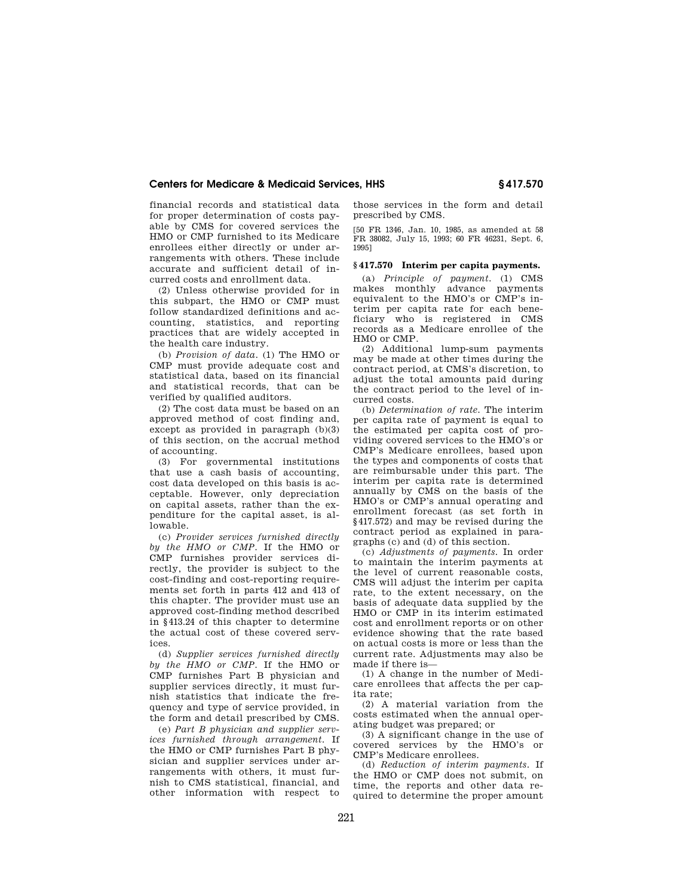financial records and statistical data for proper determination of costs payable by CMS for covered services the HMO or CMP furnished to its Medicare enrollees either directly or under arrangements with others. These include accurate and sufficient detail of incurred costs and enrollment data.

(2) Unless otherwise provided for in this subpart, the HMO or CMP must follow standardized definitions and accounting, statistics, and reporting practices that are widely accepted in the health care industry.

(b) *Provision of data.* (1) The HMO or CMP must provide adequate cost and statistical data, based on its financial and statistical records, that can be verified by qualified auditors.

(2) The cost data must be based on an approved method of cost finding and, except as provided in paragraph (b)(3) of this section, on the accrual method of accounting.

(3) For governmental institutions that use a cash basis of accounting, cost data developed on this basis is acceptable. However, only depreciation on capital assets, rather than the expenditure for the capital asset, is allowable.

(c) *Provider services furnished directly by the HMO or CMP.* If the HMO or CMP furnishes provider services directly, the provider is subject to the cost-finding and cost-reporting requirements set forth in parts 412 and 413 of this chapter. The provider must use an approved cost-finding method described in §413.24 of this chapter to determine the actual cost of these covered services.

(d) *Supplier services furnished directly by the HMO or CMP.* If the HMO or CMP furnishes Part B physician and supplier services directly, it must furnish statistics that indicate the frequency and type of service provided, in the form and detail prescribed by CMS.

(e) *Part B physician and supplier services furnished through arrangement.* If the HMO or CMP furnishes Part B physician and supplier services under arrangements with others, it must furnish to CMS statistical, financial, and other information with respect to

those services in the form and detail prescribed by CMS.

[50 FR 1346, Jan. 10, 1985, as amended at 58 FR 38082, July 15, 1993; 60 FR 46231, Sept. 6, 1995]

## **§ 417.570 Interim per capita payments.**

(a) *Principle of payment.* (1) CMS makes monthly advance payments equivalent to the HMO's or CMP's interim per capita rate for each beneficiary who is registered in CMS records as a Medicare enrollee of the HMO or CMP.

(2) Additional lump-sum payments may be made at other times during the contract period, at CMS's discretion, to adjust the total amounts paid during the contract period to the level of incurred costs.

(b) *Determination of rate.* The interim per capita rate of payment is equal to the estimated per capita cost of providing covered services to the HMO's or CMP's Medicare enrollees, based upon the types and components of costs that are reimbursable under this part. The interim per capita rate is determined annually by CMS on the basis of the HMO's or CMP's annual operating and enrollment forecast (as set forth in §417.572) and may be revised during the contract period as explained in paragraphs (c) and (d) of this section.

(c) *Adjustments of payments.* In order to maintain the interim payments at the level of current reasonable costs, CMS will adjust the interim per capita rate, to the extent necessary, on the basis of adequate data supplied by the HMO or CMP in its interim estimated cost and enrollment reports or on other evidence showing that the rate based on actual costs is more or less than the current rate. Adjustments may also be made if there is—

(1) A change in the number of Medicare enrollees that affects the per capita rate;

(2) A material variation from the costs estimated when the annual operating budget was prepared; or

(3) A significant change in the use of covered services by the HMO's or CMP's Medicare enrollees.

(d) *Reduction of interim payments.* If the HMO or CMP does not submit, on time, the reports and other data required to determine the proper amount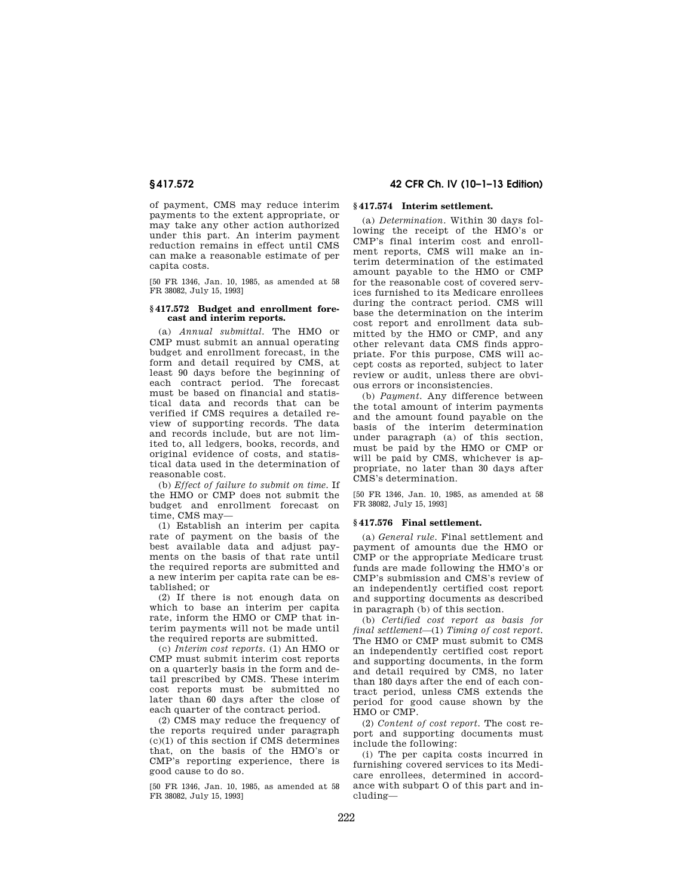of payment, CMS may reduce interim payments to the extent appropriate, or may take any other action authorized under this part. An interim payment reduction remains in effect until CMS can make a reasonable estimate of per capita costs.

[50 FR 1346, Jan. 10, 1985, as amended at 58 FR 38082, July 15, 1993]

## **§ 417.572 Budget and enrollment forecast and interim reports.**

(a) *Annual submittal.* The HMO or CMP must submit an annual operating budget and enrollment forecast, in the form and detail required by CMS, at least 90 days before the beginning of each contract period. The forecast must be based on financial and statistical data and records that can be verified if CMS requires a detailed review of supporting records. The data and records include, but are not limited to, all ledgers, books, records, and original evidence of costs, and statistical data used in the determination of reasonable cost.

(b) *Effect of failure to submit on time.* If the HMO or CMP does not submit the budget and enrollment forecast on time, CMS may—

(1) Establish an interim per capita rate of payment on the basis of the best available data and adjust payments on the basis of that rate until the required reports are submitted and a new interim per capita rate can be established; or

(2) If there is not enough data on which to base an interim per capita rate, inform the HMO or CMP that interim payments will not be made until the required reports are submitted.

(c) *Interim cost reports.* (1) An HMO or CMP must submit interim cost reports on a quarterly basis in the form and detail prescribed by CMS. These interim cost reports must be submitted no later than 60 days after the close of each quarter of the contract period.

(2) CMS may reduce the frequency of the reports required under paragraph (c)(1) of this section if CMS determines that, on the basis of the HMO's or CMP's reporting experience, there is good cause to do so.

[50 FR 1346, Jan. 10, 1985, as amended at 58 FR 38082, July 15, 1993]

# **§ 417.572 42 CFR Ch. IV (10–1–13 Edition)**

# **§ 417.574 Interim settlement.**

(a) *Determination.* Within 30 days following the receipt of the HMO's or CMP's final interim cost and enrollment reports, CMS will make an interim determination of the estimated amount payable to the HMO or CMP for the reasonable cost of covered services furnished to its Medicare enrollees during the contract period. CMS will base the determination on the interim cost report and enrollment data submitted by the HMO or CMP, and any other relevant data CMS finds appropriate. For this purpose, CMS will accept costs as reported, subject to later review or audit, unless there are obvious errors or inconsistencies.

(b) *Payment.* Any difference between the total amount of interim payments and the amount found payable on the basis of the interim determination under paragraph (a) of this section, must be paid by the HMO or CMP or will be paid by CMS, whichever is appropriate, no later than 30 days after CMS's determination.

[50 FR 1346, Jan. 10, 1985, as amended at 58 FR 38082, July 15, 1993]

## **§ 417.576 Final settlement.**

(a) *General rule.* Final settlement and payment of amounts due the HMO or CMP or the appropriate Medicare trust funds are made following the HMO's or CMP's submission and CMS's review of an independently certified cost report and supporting documents as described in paragraph (b) of this section.

(b) *Certified cost report as basis for final settlement*—(1) *Timing of cost report.*  The HMO or CMP must submit to CMS an independently certified cost report and supporting documents, in the form and detail required by CMS, no later than 180 days after the end of each contract period, unless CMS extends the period for good cause shown by the HMO or CMP.

(2) *Content of cost report.* The cost report and supporting documents must include the following:

(i) The per capita costs incurred in furnishing covered services to its Medicare enrollees, determined in accordance with subpart O of this part and including—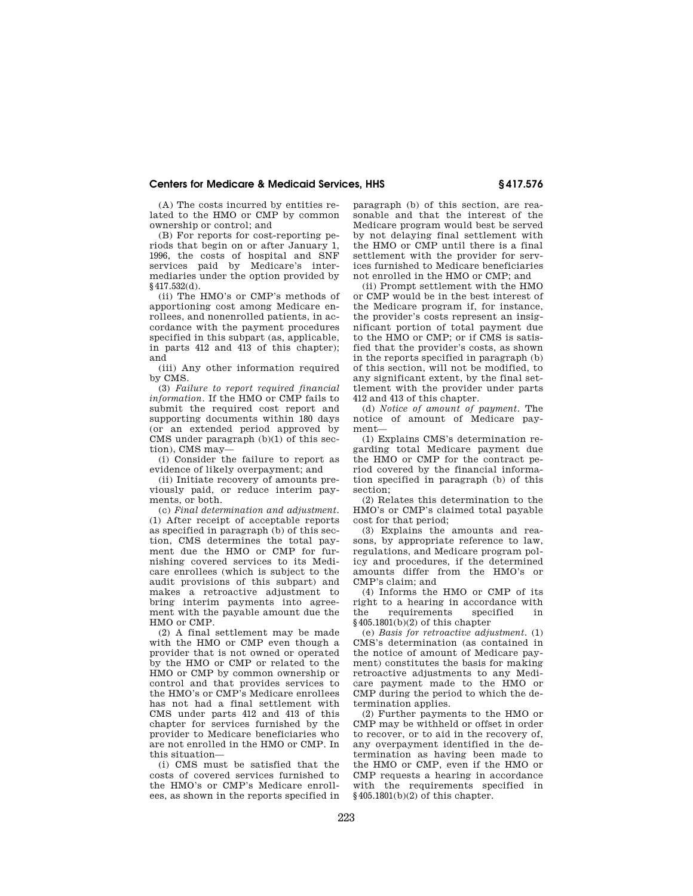(A) The costs incurred by entities related to the HMO or CMP by common ownership or control; and

(B) For reports for cost-reporting periods that begin on or after January 1, 1996, the costs of hospital and SNF services paid by Medicare's intermediaries under the option provided by §417.532(d).

(ii) The HMO's or CMP's methods of apportioning cost among Medicare enrollees, and nonenrolled patients, in accordance with the payment procedures specified in this subpart (as, applicable, in parts 412 and 413 of this chapter); and

(iii) Any other information required by CMS.

(3) *Failure to report required financial information.* If the HMO or CMP fails to submit the required cost report and supporting documents within 180 days (or an extended period approved by CMS under paragraph (b)(1) of this section), CMS may—

(i) Consider the failure to report as evidence of likely overpayment; and

(ii) Initiate recovery of amounts previously paid, or reduce interim payments, or both.

(c) *Final determination and adjustment.*  (1) After receipt of acceptable reports as specified in paragraph (b) of this section, CMS determines the total payment due the HMO or CMP for furnishing covered services to its Medicare enrollees (which is subject to the audit provisions of this subpart) and makes a retroactive adjustment to bring interim payments into agreement with the payable amount due the HMO or CMP.

(2) A final settlement may be made with the HMO or CMP even though a provider that is not owned or operated by the HMO or CMP or related to the HMO or CMP by common ownership or control and that provides services to the HMO's or CMP's Medicare enrollees has not had a final settlement with CMS under parts 412 and 413 of this chapter for services furnished by the provider to Medicare beneficiaries who are not enrolled in the HMO or CMP. In this situation—

(i) CMS must be satisfied that the costs of covered services furnished to the HMO's or CMP's Medicare enrollees, as shown in the reports specified in

paragraph (b) of this section, are reasonable and that the interest of the Medicare program would best be served by not delaying final settlement with the HMO or CMP until there is a final settlement with the provider for services furnished to Medicare beneficiaries not enrolled in the HMO or CMP; and

(ii) Prompt settlement with the HMO or CMP would be in the best interest of the Medicare program if, for instance, the provider's costs represent an insignificant portion of total payment due to the HMO or CMP; or if CMS is satisfied that the provider's costs, as shown in the reports specified in paragraph (b) of this section, will not be modified, to any significant extent, by the final settlement with the provider under parts 412 and 413 of this chapter.

(d) *Notice of amount of payment.* The notice of amount of Medicare payment—

(1) Explains CMS's determination regarding total Medicare payment due the HMO or CMP for the contract period covered by the financial information specified in paragraph (b) of this section;

(2) Relates this determination to the HMO's or CMP's claimed total payable cost for that period;

(3) Explains the amounts and reasons, by appropriate reference to law, regulations, and Medicare program policy and procedures, if the determined amounts differ from the HMO's or CMP's claim; and

(4) Informs the HMO or CMP of its right to a hearing in accordance with the requirements specified in §405.1801(b)(2) of this chapter

(e) *Basis for retroactive adjustment.* (1) CMS's determination (as contained in the notice of amount of Medicare payment) constitutes the basis for making retroactive adjustments to any Medicare payment made to the HMO or CMP during the period to which the determination applies.

(2) Further payments to the HMO or CMP may be withheld or offset in order to recover, or to aid in the recovery of, any overpayment identified in the determination as having been made to the HMO or CMP, even if the HMO or CMP requests a hearing in accordance with the requirements specified in §405.1801(b)(2) of this chapter.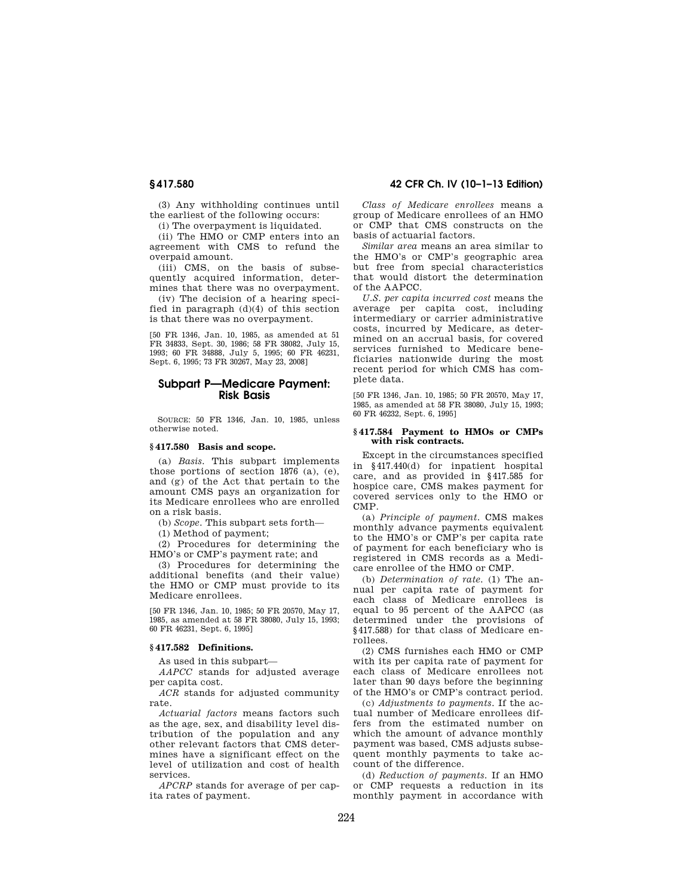(3) Any withholding continues until the earliest of the following occurs:

(i) The overpayment is liquidated.

(ii) The HMO or CMP enters into an agreement with CMS to refund the overpaid amount.

(iii) CMS, on the basis of subsequently acquired information, determines that there was no overpayment.

(iv) The decision of a hearing specified in paragraph  $(d)(4)$  of this section is that there was no overpayment.

[50 FR 1346, Jan. 10, 1985, as amended at 51 FR 34833, Sept. 30, 1986; 58 FR 38082, July 15, 1993; 60 FR 34888, July 5, 1995; 60 FR 46231, Sept. 6, 1995; 73 FR 30267, May 23, 2008]

# **Subpart P—Medicare Payment: Risk Basis**

SOURCE: 50 FR 1346, Jan. 10, 1985, unless otherwise noted.

## **§ 417.580 Basis and scope.**

(a) *Basis.* This subpart implements those portions of section 1876 (a), (e), and (g) of the Act that pertain to the amount CMS pays an organization for its Medicare enrollees who are enrolled on a risk basis.

(b) *Scope.* This subpart sets forth—

(1) Method of payment;

(2) Procedures for determining the HMO's or CMP's payment rate; and

(3) Procedures for determining the additional benefits (and their value) the HMO or CMP must provide to its Medicare enrollees.

[50 FR 1346, Jan. 10, 1985; 50 FR 20570, May 17, 1985, as amended at 58 FR 38080, July 15, 1993; 60 FR 46231, Sept. 6, 1995]

#### **§ 417.582 Definitions.**

As used in this subpart—

*AAPCC* stands for adjusted average per capita cost.

*ACR* stands for adjusted community rate.

*Actuarial factors* means factors such as the age, sex, and disability level distribution of the population and any other relevant factors that CMS determines have a significant effect on the level of utilization and cost of health services.

*APCRP* stands for average of per capita rates of payment.

# **§ 417.580 42 CFR Ch. IV (10–1–13 Edition)**

*Class of Medicare enrollees* means a group of Medicare enrollees of an HMO or CMP that CMS constructs on the basis of actuarial factors.

*Similar area* means an area similar to the HMO's or CMP's geographic area but free from special characteristics that would distort the determination of the AAPCC.

*U.S. per capita incurred cost* means the average per capita cost, including intermediary or carrier administrative costs, incurred by Medicare, as determined on an accrual basis, for covered services furnished to Medicare beneficiaries nationwide during the most recent period for which CMS has complete data.

[50 FR 1346, Jan. 10, 1985; 50 FR 20570, May 17, 1985, as amended at 58 FR 38080, July 15, 1993; 60 FR 46232, Sept. 6, 1995]

#### **§ 417.584 Payment to HMOs or CMPs with risk contracts.**

Except in the circumstances specified in §417.440(d) for inpatient hospital care, and as provided in §417.585 for hospice care, CMS makes payment for covered services only to the HMO or CMP.

(a) *Principle of payment.* CMS makes monthly advance payments equivalent to the HMO's or CMP's per capita rate of payment for each beneficiary who is registered in CMS records as a Medicare enrollee of the HMO or CMP.

(b) *Determination of rate.* (1) The annual per capita rate of payment for each class of Medicare enrollees is equal to 95 percent of the AAPCC (as determined under the provisions of §417.588) for that class of Medicare enrollees.

(2) CMS furnishes each HMO or CMP with its per capita rate of payment for each class of Medicare enrollees not later than 90 days before the beginning of the HMO's or CMP's contract period.

(c) *Adjustments to payments.* If the actual number of Medicare enrollees differs from the estimated number on which the amount of advance monthly payment was based, CMS adjusts subsequent monthly payments to take account of the difference.

(d) *Reduction of payments.* If an HMO or CMP requests a reduction in its monthly payment in accordance with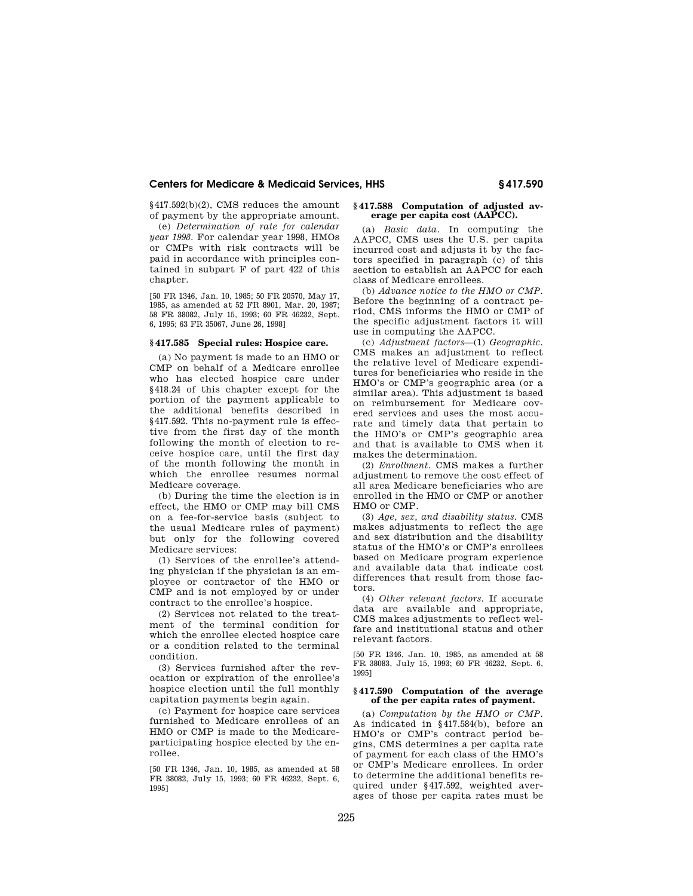§417.592(b)(2), CMS reduces the amount of payment by the appropriate amount.

(e) *Determination of rate for calendar year 1998.* For calendar year 1998, HMOs or CMPs with risk contracts will be paid in accordance with principles contained in subpart F of part 422 of this chapter.

[50 FR 1346, Jan. 10, 1985; 50 FR 20570, May 17, 1985, as amended at 52 FR 8901, Mar. 20, 1987; 58 FR 38082, July 15, 1993; 60 FR 46232, Sept. 6, 1995; 63 FR 35067, June 26, 1998]

# **§ 417.585 Special rules: Hospice care.**

(a) No payment is made to an HMO or CMP on behalf of a Medicare enrollee who has elected hospice care under §418.24 of this chapter except for the portion of the payment applicable to the additional benefits described in §417.592. This no-payment rule is effective from the first day of the month following the month of election to receive hospice care, until the first day of the month following the month in which the enrollee resumes normal Medicare coverage.

(b) During the time the election is in effect, the HMO or CMP may bill CMS on a fee-for-service basis (subject to the usual Medicare rules of payment) but only for the following covered Medicare services:

(1) Services of the enrollee's attending physician if the physician is an employee or contractor of the HMO or CMP and is not employed by or under contract to the enrollee's hospice.

(2) Services not related to the treatment of the terminal condition for which the enrollee elected hospice care or a condition related to the terminal condition.

(3) Services furnished after the revocation or expiration of the enrollee's hospice election until the full monthly capitation payments begin again.

(c) Payment for hospice care services furnished to Medicare enrollees of an HMO or CMP is made to the Medicareparticipating hospice elected by the enrollee.

[50 FR 1346, Jan. 10, 1985, as amended at 58 FR 38082, July 15, 1993; 60 FR 46232, Sept. 6, 1995]

# **§ 417.588 Computation of adjusted average per capita cost (AAPCC).**

(a) *Basic data.* In computing the AAPCC, CMS uses the U.S. per capita incurred cost and adjusts it by the factors specified in paragraph (c) of this section to establish an AAPCC for each class of Medicare enrollees.

(b) *Advance notice to the HMO or CMP.*  Before the beginning of a contract period, CMS informs the HMO or CMP of the specific adjustment factors it will use in computing the AAPCC.

(c) *Adjustment factors*—(1) *Geographic.*  CMS makes an adjustment to reflect the relative level of Medicare expenditures for beneficiaries who reside in the HMO's or CMP's geographic area (or a similar area). This adjustment is based on reimbursement for Medicare covered services and uses the most accurate and timely data that pertain to the HMO's or CMP's geographic area and that is available to CMS when it makes the determination.

(2) *Enrollment.* CMS makes a further adjustment to remove the cost effect of all area Medicare beneficiaries who are enrolled in the HMO or CMP or another HMO or CMP.

(3) *Age, sex, and disability status.* CMS makes adjustments to reflect the age and sex distribution and the disability status of the HMO's or CMP's enrollees based on Medicare program experience and available data that indicate cost differences that result from those factors.

(4) *Other relevant factors.* If accurate data are available and appropriate, CMS makes adjustments to reflect welfare and institutional status and other relevant factors.

[50 FR 1346, Jan. 10, 1985, as amended at 58 FR 38083, July 15, 1993; 60 FR 46232, Sept. 6, 1995]

## **§ 417.590 Computation of the average of the per capita rates of payment.**

(a) *Computation by the HMO or CMP.*  As indicated in §417.584(b), before an HMO's or CMP's contract period begins, CMS determines a per capita rate of payment for each class of the HMO's or CMP's Medicare enrollees. In order to determine the additional benefits required under §417.592, weighted averages of those per capita rates must be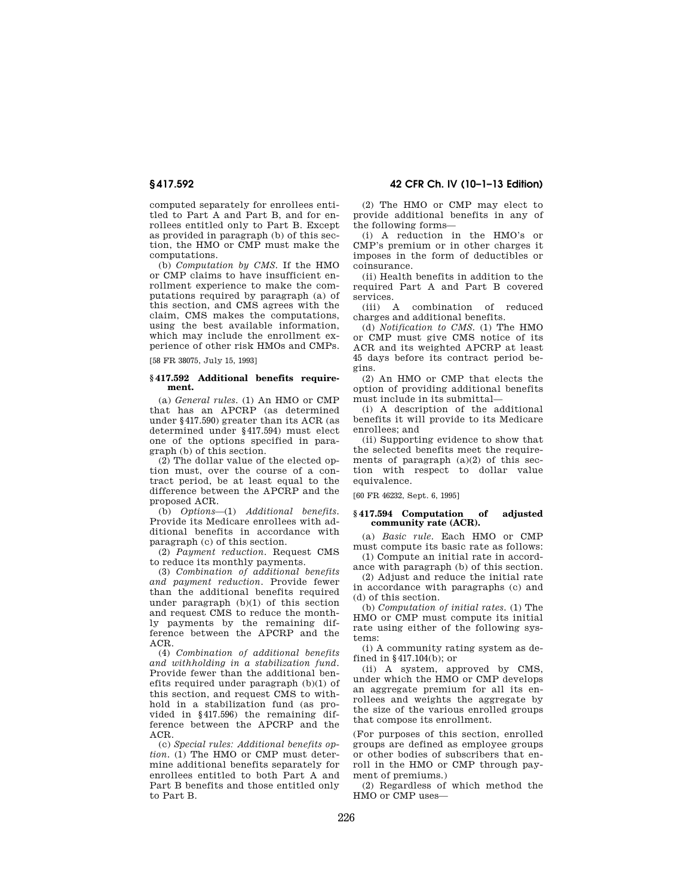computed separately for enrollees entitled to Part A and Part B, and for enrollees entitled only to Part B. Except as provided in paragraph (b) of this section, the HMO or CMP must make the computations.

(b) *Computation by CMS.* If the HMO or CMP claims to have insufficient enrollment experience to make the computations required by paragraph (a) of this section, and CMS agrees with the claim, CMS makes the computations, using the best available information, which may include the enrollment experience of other risk HMOs and CMPs.

[58 FR 38075, July 15, 1993]

#### **§ 417.592 Additional benefits requirement.**

(a) *General rules.* (1) An HMO or CMP that has an APCRP (as determined under §417.590) greater than its ACR (as determined under §417.594) must elect one of the options specified in paragraph (b) of this section.

(2) The dollar value of the elected option must, over the course of a contract period, be at least equal to the difference between the APCRP and the proposed ACR.

(b) *Options*—(1) *Additional benefits.*  Provide its Medicare enrollees with additional benefits in accordance with paragraph (c) of this section.

(2) *Payment reduction.* Request CMS to reduce its monthly payments.

(3) *Combination of additional benefits and payment reduction.* Provide fewer than the additional benefits required under paragraph (b)(1) of this section and request CMS to reduce the monthly payments by the remaining difference between the APCRP and the ACR.

(4) *Combination of additional benefits and withholding in a stabilization fund.*  Provide fewer than the additional benefits required under paragraph (b)(1) of this section, and request CMS to withhold in a stabilization fund (as provided in §417.596) the remaining difference between the APCRP and the ACR.

(c) *Special rules: Additional benefits option.* (1) The HMO or CMP must determine additional benefits separately for enrollees entitled to both Part A and Part B benefits and those entitled only to Part B.

**§ 417.592 42 CFR Ch. IV (10–1–13 Edition)** 

(2) The HMO or CMP may elect to provide additional benefits in any of the following forms—

(i) A reduction in the HMO's or CMP's premium or in other charges it imposes in the form of deductibles or coinsurance.

(ii) Health benefits in addition to the required Part A and Part B covered services.

(iii) A combination of reduced charges and additional benefits.

(d) *Notification to CMS.* (1) The HMO or CMP must give CMS notice of its ACR and its weighted APCRP at least 45 days before its contract period begins.

(2) An HMO or CMP that elects the option of providing additional benefits must include in its submittal—

(i) A description of the additional benefits it will provide to its Medicare enrollees; and

(ii) Supporting evidence to show that the selected benefits meet the requirements of paragraph  $(a)(2)$  of this section with respect to dollar value equivalence.

[60 FR 46232, Sept. 6, 1995]

## **§ 417.594 Computation of adjusted community rate (ACR).**

(a) *Basic rule.* Each HMO or CMP must compute its basic rate as follows:

(1) Compute an initial rate in accordance with paragraph (b) of this section.

(2) Adjust and reduce the initial rate in accordance with paragraphs (c) and (d) of this section.

(b) *Computation of initial rates.* (1) The HMO or CMP must compute its initial rate using either of the following systems:

(i) A community rating system as defined in §417.104(b); or

(ii) A system, approved by CMS, under which the HMO or CMP develops an aggregate premium for all its enrollees and weights the aggregate by the size of the various enrolled groups that compose its enrollment.

(For purposes of this section, enrolled groups are defined as employee groups or other bodies of subscribers that enroll in the HMO or CMP through payment of premiums.)

(2) Regardless of which method the HMO or CMP uses—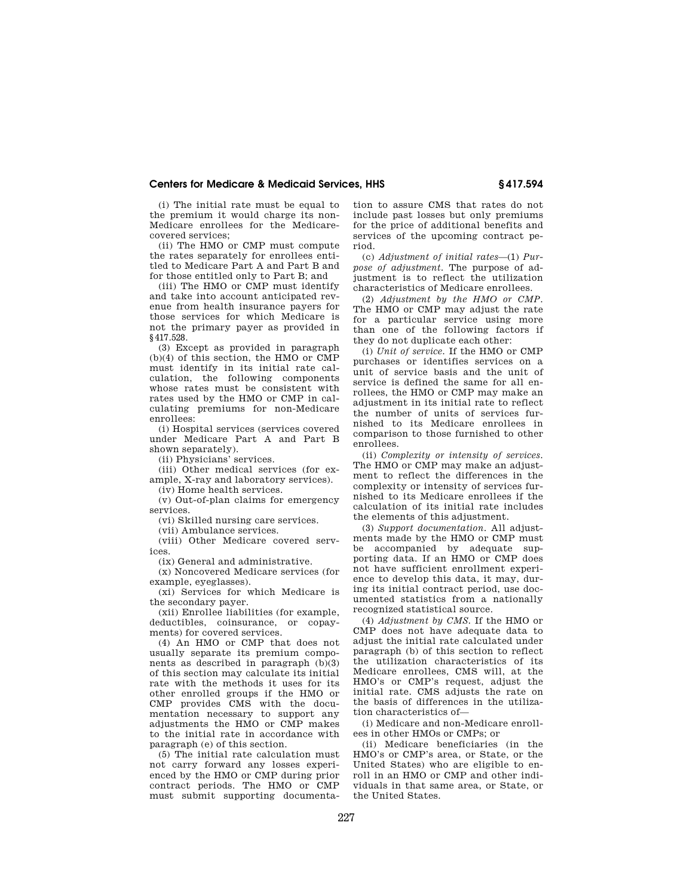(i) The initial rate must be equal to the premium it would charge its non-Medicare enrollees for the Medicarecovered services;

(ii) The HMO or CMP must compute the rates separately for enrollees entitled to Medicare Part A and Part B and for those entitled only to Part B; and

(iii) The HMO or CMP must identify and take into account anticipated revenue from health insurance payers for those services for which Medicare is not the primary payer as provided in §417.528.

(3) Except as provided in paragraph (b)(4) of this section, the HMO or CMP must identify in its initial rate calculation, the following components whose rates must be consistent with rates used by the HMO or CMP in calculating premiums for non-Medicare enrollees:

(i) Hospital services (services covered under Medicare Part A and Part B shown separately).

(ii) Physicians' services.

(iii) Other medical services (for example, X-ray and laboratory services).

(iv) Home health services.

(v) Out-of-plan claims for emergency services.

(vi) Skilled nursing care services.

(vii) Ambulance services.

(viii) Other Medicare covered services.

(ix) General and administrative.

(x) Noncovered Medicare services (for

example, eyeglasses). (xi) Services for which Medicare is the secondary payer.

(xii) Enrollee liabilities (for example, deductibles, coinsurance, or copayments) for covered services.

(4) An HMO or CMP that does not usually separate its premium components as described in paragraph (b)(3) of this section may calculate its initial rate with the methods it uses for its other enrolled groups if the HMO or CMP provides CMS with the documentation necessary to support any adjustments the HMO or CMP makes to the initial rate in accordance with paragraph (e) of this section.

(5) The initial rate calculation must not carry forward any losses experienced by the HMO or CMP during prior contract periods. The HMO or CMP must submit supporting documentation to assure CMS that rates do not include past losses but only premiums for the price of additional benefits and services of the upcoming contract period.

(c) *Adjustment of initial rates*—(1) *Purpose of adjustment.* The purpose of adjustment is to reflect the utilization characteristics of Medicare enrollees.

(2) *Adjustment by the HMO or CMP.*  The HMO or CMP may adjust the rate for a particular service using more than one of the following factors if they do not duplicate each other:

(i) *Unit of service.* If the HMO or CMP purchases or identifies services on a unit of service basis and the unit of service is defined the same for all enrollees, the HMO or CMP may make an adjustment in its initial rate to reflect the number of units of services furnished to its Medicare enrollees in comparison to those furnished to other enrollees.

(ii) *Complexity or intensity of services.*  The HMO or CMP may make an adjustment to reflect the differences in the complexity or intensity of services furnished to its Medicare enrollees if the calculation of its initial rate includes the elements of this adjustment.

(3) *Support documentation.* All adjustments made by the HMO or CMP must be accompanied by adequate supporting data. If an HMO or CMP does not have sufficient enrollment experience to develop this data, it may, during its initial contract period, use documented statistics from a nationally recognized statistical source.

(4) *Adjustment by CMS.* If the HMO or CMP does not have adequate data to adjust the initial rate calculated under paragraph (b) of this section to reflect the utilization characteristics of its Medicare enrollees, CMS will, at the HMO's or CMP's request, adjust the initial rate. CMS adjusts the rate on the basis of differences in the utilization characteristics of—

(i) Medicare and non-Medicare enrollees in other HMOs or CMPs; or

(ii) Medicare beneficiaries (in the HMO's or CMP's area, or State, or the United States) who are eligible to enroll in an HMO or CMP and other individuals in that same area, or State, or the United States.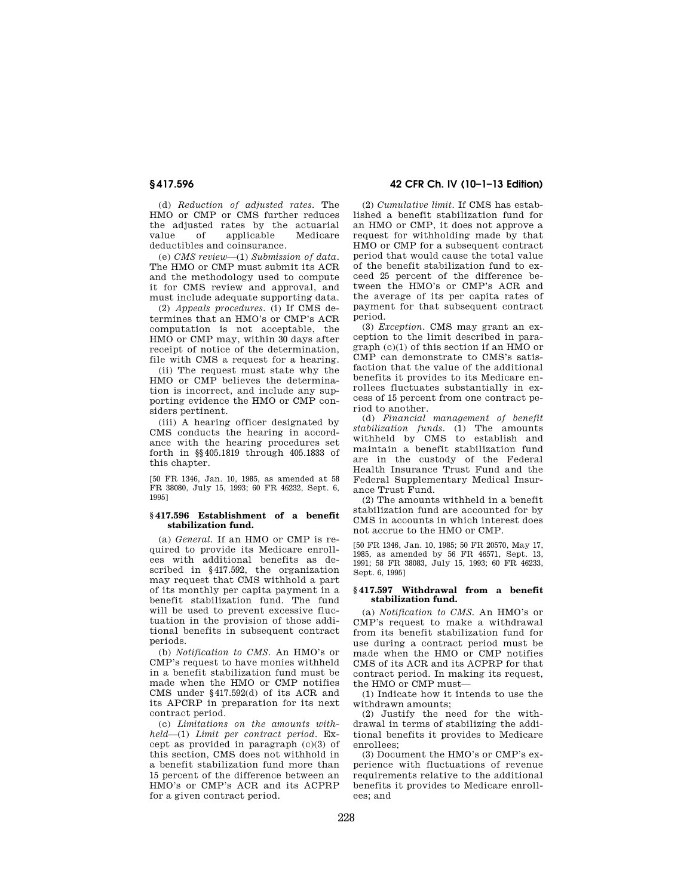(d) *Reduction of adjusted rates.* The HMO or CMP or CMS further reduces the adjusted rates by the actuarial<br>value of applicable Medicare applicable deductibles and coinsurance.

(e) *CMS review*—(1) *Submission of data.*  The HMO or CMP must submit its ACR and the methodology used to compute it for CMS review and approval, and must include adequate supporting data.

(2) *Appeals procedures.* (i) If CMS determines that an HMO's or CMP's ACR computation is not acceptable, the HMO or CMP may, within 30 days after receipt of notice of the determination, file with CMS a request for a hearing.

(ii) The request must state why the HMO or CMP believes the determination is incorrect, and include any supporting evidence the HMO or CMP considers pertinent.

(iii) A hearing officer designated by CMS conducts the hearing in accordance with the hearing procedures set forth in §§405.1819 through 405.1833 of this chapter.

[50 FR 1346, Jan. 10, 1985, as amended at 58 FR 38080, July 15, 1993; 60 FR 46232, Sept. 6, 1995]

## **§ 417.596 Establishment of a benefit stabilization fund.**

(a) *General.* If an HMO or CMP is required to provide its Medicare enrollees with additional benefits as described in §417.592, the organization may request that CMS withhold a part of its monthly per capita payment in a benefit stabilization fund. The fund will be used to prevent excessive fluctuation in the provision of those additional benefits in subsequent contract periods.

(b) *Notification to CMS.* An HMO's or CMP's request to have monies withheld in a benefit stabilization fund must be made when the HMO or CMP notifies CMS under §417.592(d) of its ACR and its APCRP in preparation for its next contract period.

(c) *Limitations on the amounts withheld*—(1) *Limit per contract period.* Except as provided in paragraph (c)(3) of this section, CMS does not withhold in a benefit stabilization fund more than 15 percent of the difference between an HMO's or CMP's ACR and its ACPRP for a given contract period.

**§ 417.596 42 CFR Ch. IV (10–1–13 Edition)** 

(2) *Cumulative limit.* If CMS has established a benefit stabilization fund for an HMO or CMP, it does not approve a request for withholding made by that HMO or CMP for a subsequent contract period that would cause the total value of the benefit stabilization fund to exceed 25 percent of the difference between the HMO's or CMP's ACR and the average of its per capita rates of payment for that subsequent contract period.

(3) *Exception.* CMS may grant an exception to the limit described in paragraph (c)(1) of this section if an HMO or CMP can demonstrate to CMS's satisfaction that the value of the additional benefits it provides to its Medicare enrollees fluctuates substantially in excess of 15 percent from one contract period to another.

(d) *Financial management of benefit stabilization funds.* (1) The amounts withheld by CMS to establish and maintain a benefit stabilization fund are in the custody of the Federal Health Insurance Trust Fund and the Federal Supplementary Medical Insurance Trust Fund.

(2) The amounts withheld in a benefit stabilization fund are accounted for by CMS in accounts in which interest does not accrue to the HMO or CMP.

[50 FR 1346, Jan. 10, 1985; 50 FR 20570, May 17, 1985, as amended by 56 FR 46571, Sept. 13, 1991; 58 FR 38083, July 15, 1993; 60 FR 46233, Sept. 6, 1995]

# **§ 417.597 Withdrawal from a benefit stabilization fund.**

(a) *Notification to CMS.* An HMO's or CMP's request to make a withdrawal from its benefit stabilization fund for use during a contract period must be made when the HMO or CMP notifies CMS of its ACR and its ACPRP for that contract period. In making its request, the HMO or CMP must—

(1) Indicate how it intends to use the withdrawn amounts;

(2) Justify the need for the withdrawal in terms of stabilizing the additional benefits it provides to Medicare enrollees;

(3) Document the HMO's or CMP's experience with fluctuations of revenue requirements relative to the additional benefits it provides to Medicare enrollees; and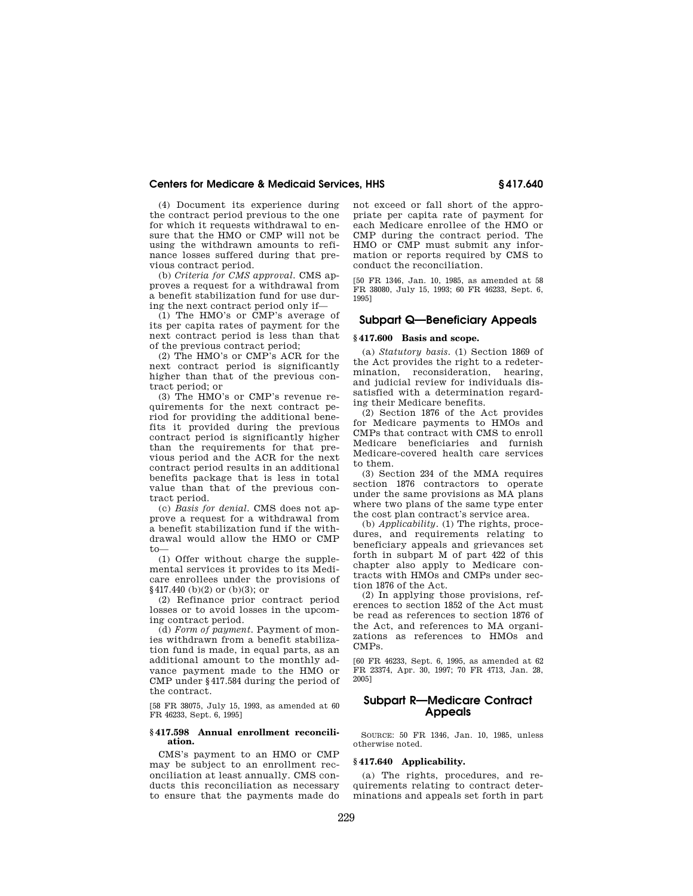(4) Document its experience during the contract period previous to the one for which it requests withdrawal to ensure that the HMO or CMP will not be using the withdrawn amounts to refinance losses suffered during that previous contract period.

(b) *Criteria for CMS approval.* CMS approves a request for a withdrawal from a benefit stabilization fund for use during the next contract period only if—

(1) The HMO's or CMP's average of its per capita rates of payment for the next contract period is less than that of the previous contract period;

(2) The HMO's or CMP's ACR for the next contract period is significantly higher than that of the previous contract period; or

(3) The HMO's or CMP's revenue requirements for the next contract period for providing the additional benefits it provided during the previous contract period is significantly higher than the requirements for that previous period and the ACR for the next contract period results in an additional benefits package that is less in total value than that of the previous contract period.

(c) *Basis for denial.* CMS does not approve a request for a withdrawal from a benefit stabilization fund if the withdrawal would allow the HMO or CMP to—

(1) Offer without charge the supplemental services it provides to its Medicare enrollees under the provisions of §417.440 (b)(2) or (b)(3); or

(2) Refinance prior contract period losses or to avoid losses in the upcoming contract period.

(d) *Form of payment.* Payment of monies withdrawn from a benefit stabilization fund is made, in equal parts, as an additional amount to the monthly advance payment made to the HMO or CMP under §417.584 during the period of the contract.

[58 FR 38075, July 15, 1993, as amended at 60 FR 46233, Sept. 6, 1995]

## **§ 417.598 Annual enrollment reconciliation.**

CMS's payment to an HMO or CMP may be subject to an enrollment reconciliation at least annually. CMS conducts this reconciliation as necessary to ensure that the payments made do not exceed or fall short of the appropriate per capita rate of payment for each Medicare enrollee of the HMO or CMP during the contract period. The HMO or CMP must submit any information or reports required by CMS to conduct the reconciliation.

[50 FR 1346, Jan. 10, 1985, as amended at 58 FR 38080, July 15, 1993; 60 FR 46233, Sept. 6, 1995]

# **Subpart Q—Beneficiary Appeals**

### **§ 417.600 Basis and scope.**

(a) *Statutory basis.* (1) Section 1869 of the Act provides the right to a redetermination, reconsideration, hearing, and judicial review for individuals dissatisfied with a determination regarding their Medicare benefits.

(2) Section 1876 of the Act provides for Medicare payments to HMOs and CMPs that contract with CMS to enroll Medicare beneficiaries and furnish Medicare-covered health care services to them.

(3) Section 234 of the MMA requires section 1876 contractors to operate under the same provisions as MA plans where two plans of the same type enter the cost plan contract's service area.

(b) *Applicability.* (1) The rights, procedures, and requirements relating to beneficiary appeals and grievances set forth in subpart M of part 422 of this chapter also apply to Medicare contracts with HMOs and CMPs under section 1876 of the Act.

(2) In applying those provisions, references to section 1852 of the Act must be read as references to section 1876 of the Act, and references to MA organizations as references to HMOs and CMPs.

[60 FR 46233, Sept. 6, 1995, as amended at 62 FR 23374, Apr. 30, 1997; 70 FR 4713, Jan. 28, 2005]

# **Subpart R—Medicare Contract Appeals**

SOURCE: 50 FR 1346, Jan. 10, 1985, unless otherwise noted.

# **§ 417.640 Applicability.**

(a) The rights, procedures, and requirements relating to contract determinations and appeals set forth in part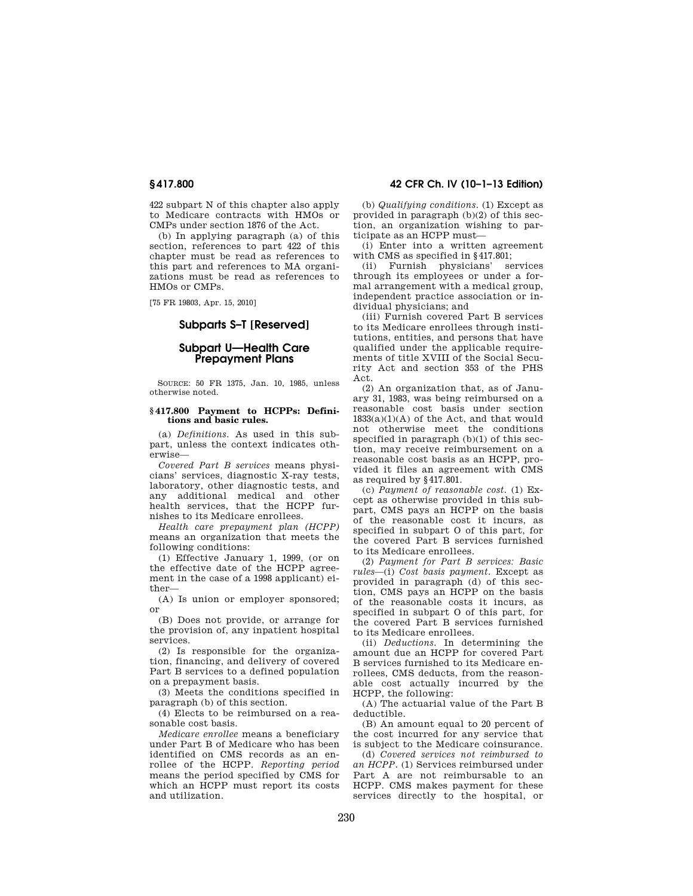422 subpart N of this chapter also apply to Medicare contracts with HMOs or CMPs under section 1876 of the Act.

(b) In applying paragraph (a) of this section, references to part 422 of this chapter must be read as references to this part and references to MA organizations must be read as references to HMOs or CMPs.

[75 FR 19803, Apr. 15, 2010]

# **Subparts S–T [Reserved]**

# **Subpart U—Health Care Prepayment Plans**

SOURCE: 50 FR 1375, Jan. 10, 1985, unless otherwise noted.

## **§ 417.800 Payment to HCPPs: Definitions and basic rules.**

(a) *Definitions.* As used in this subpart, unless the context indicates otherwise—

*Covered Part B services* means physicians' services, diagnostic X-ray tests, laboratory, other diagnostic tests, and any additional medical and other health services, that the HCPP furnishes to its Medicare enrollees.

*Health care prepayment plan (HCPP)*  means an organization that meets the following conditions:

(1) Effective January 1, 1999, (or on the effective date of the HCPP agreement in the case of a 1998 applicant) either—

(A) Is union or employer sponsored; or

(B) Does not provide, or arrange for the provision of, any inpatient hospital services.

(2) Is responsible for the organization, financing, and delivery of covered Part B services to a defined population on a prepayment basis.

(3) Meets the conditions specified in paragraph (b) of this section.

(4) Elects to be reimbursed on a reasonable cost basis.

*Medicare enrollee* means a beneficiary under Part B of Medicare who has been identified on CMS records as an enrollee of the HCPP. *Reporting period*  means the period specified by CMS for which an HCPP must report its costs and utilization.

# **§ 417.800 42 CFR Ch. IV (10–1–13 Edition)**

(b) *Qualifying conditions.* (1) Except as provided in paragraph (b)(2) of this section, an organization wishing to participate as an HCPP must—

(i) Enter into a written agreement with CMS as specified in §417.801;<br>(ii) Furnish physicians' services

(ii) Furnish physicians' through its employees or under a formal arrangement with a medical group, independent practice association or individual physicians; and

(iii) Furnish covered Part B services to its Medicare enrollees through institutions, entities, and persons that have qualified under the applicable requirements of title XVIII of the Social Security Act and section 353 of the PHS Act.

(2) An organization that, as of January 31, 1983, was being reimbursed on a reasonable cost basis under section  $1833(a)(1)(A)$  of the Act, and that would not otherwise meet the conditions specified in paragraph (b)(1) of this section, may receive reimbursement on a reasonable cost basis as an HCPP, provided it files an agreement with CMS as required by §417.801.

(c) *Payment of reasonable cost.* (1) Except as otherwise provided in this subpart, CMS pays an HCPP on the basis of the reasonable cost it incurs, as specified in subpart O of this part, for the covered Part B services furnished to its Medicare enrollees.

(2) *Payment for Part B services: Basic rules*—(i) *Cost basis payment.* Except as provided in paragraph (d) of this section, CMS pays an HCPP on the basis of the reasonable costs it incurs, as specified in subpart O of this part, for the covered Part B services furnished to its Medicare enrollees.

(ii) *Deductions.* In determining the amount due an HCPP for covered Part B services furnished to its Medicare enrollees, CMS deducts, from the reasonable cost actually incurred by the HCPP, the following:

(A) The actuarial value of the Part B deductible.

(B) An amount equal to 20 percent of the cost incurred for any service that is subject to the Medicare coinsurance.

(d) *Covered services not reimbursed to an HCPP.* (1) Services reimbursed under Part A are not reimbursable to an HCPP. CMS makes payment for these services directly to the hospital, or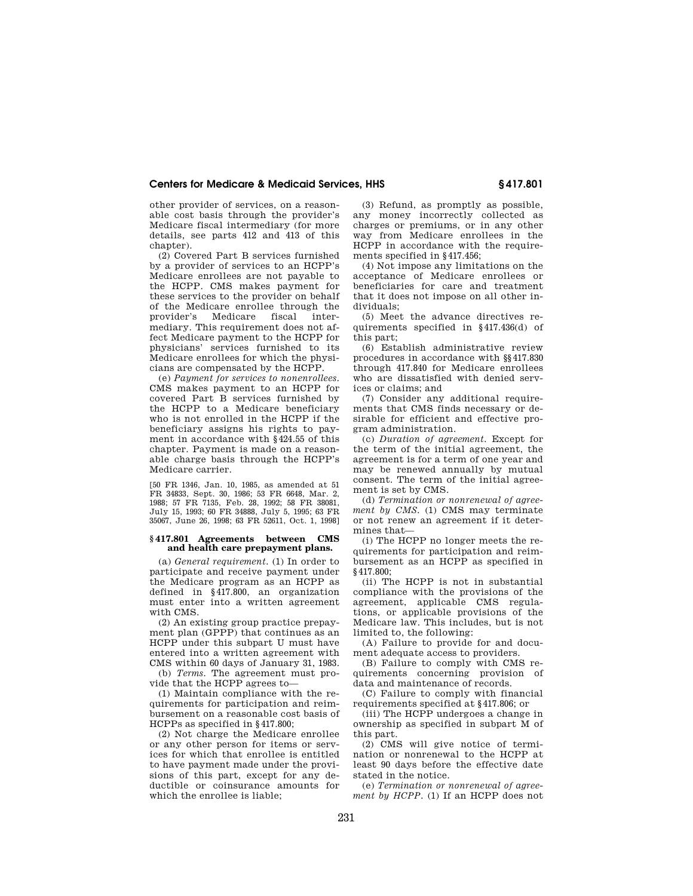other provider of services, on a reasonable cost basis through the provider's Medicare fiscal intermediary (for more details, see parts 412 and 413 of this chapter).

(2) Covered Part B services furnished by a provider of services to an HCPP's Medicare enrollees are not payable to the HCPP. CMS makes payment for these services to the provider on behalf of the Medicare enrollee through the<br>provider's Medicare fiscal inter-Medicare fiscal mediary. This requirement does not affect Medicare payment to the HCPP for physicians' services furnished to its Medicare enrollees for which the physicians are compensated by the HCPP.

(e) *Payment for services to nonenrollees.*  CMS makes payment to an HCPP for covered Part B services furnished by the HCPP to a Medicare beneficiary who is not enrolled in the HCPP if the beneficiary assigns his rights to payment in accordance with §424.55 of this chapter. Payment is made on a reasonable charge basis through the HCPP's Medicare carrier.

[50 FR 1346, Jan. 10, 1985, as amended at 51 FR 34833, Sept. 30, 1986; 53 FR 6648, Mar. 2, 1988; 57 FR 7135, Feb. 28, 1992; 58 FR 38081, July 15, 1993; 60 FR 34888, July 5, 1995; 63 FR 35067, June 26, 1998; 63 FR 52611, Oct. 1, 1998]

## **§ 417.801 Agreements between CMS and health care prepayment plans.**

(a) *General requirement.* (1) In order to participate and receive payment under the Medicare program as an HCPP as defined in §417.800, an organization must enter into a written agreement with CMS.

(2) An existing group practice prepayment plan (GPPP) that continues as an HCPP under this subpart U must have entered into a written agreement with CMS within 60 days of January 31, 1983.

(b) *Terms.* The agreement must provide that the HCPP agrees to—

(1) Maintain compliance with the requirements for participation and reimbursement on a reasonable cost basis of HCPPs as specified in §417.800;

(2) Not charge the Medicare enrollee or any other person for items or services for which that enrollee is entitled to have payment made under the provisions of this part, except for any deductible or coinsurance amounts for which the enrollee is liable;

(3) Refund, as promptly as possible, any money incorrectly collected as charges or premiums, or in any other way from Medicare enrollees in the HCPP in accordance with the requirements specified in §417.456;

(4) Not impose any limitations on the acceptance of Medicare enrollees or beneficiaries for care and treatment that it does not impose on all other individuals;

(5) Meet the advance directives requirements specified in §417.436(d) of this part;

(6) Establish administrative review procedures in accordance with §§417.830 through 417.840 for Medicare enrollees who are dissatisfied with denied services or claims; and

(7) Consider any additional requirements that CMS finds necessary or desirable for efficient and effective program administration.

(c) *Duration of agreement.* Except for the term of the initial agreement, the agreement is for a term of one year and may be renewed annually by mutual consent. The term of the initial agreement is set by CMS.

(d) *Termination or nonrenewal of agreement by CMS.* (1) CMS may terminate or not renew an agreement if it determines that—

(i) The HCPP no longer meets the requirements for participation and reimbursement as an HCPP as specified in §417.800;

(ii) The HCPP is not in substantial compliance with the provisions of the agreement, applicable CMS regulations, or applicable provisions of the Medicare law. This includes, but is not limited to, the following:

(A) Failure to provide for and document adequate access to providers.

(B) Failure to comply with CMS requirements concerning provision of data and maintenance of records.

(C) Failure to comply with financial requirements specified at §417.806; or

(iii) The HCPP undergoes a change in ownership as specified in subpart M of this part.

(2) CMS will give notice of termination or nonrenewal to the HCPP at least 90 days before the effective date stated in the notice.

(e) *Termination or nonrenewal of agreement by HCPP.* (1) If an HCPP does not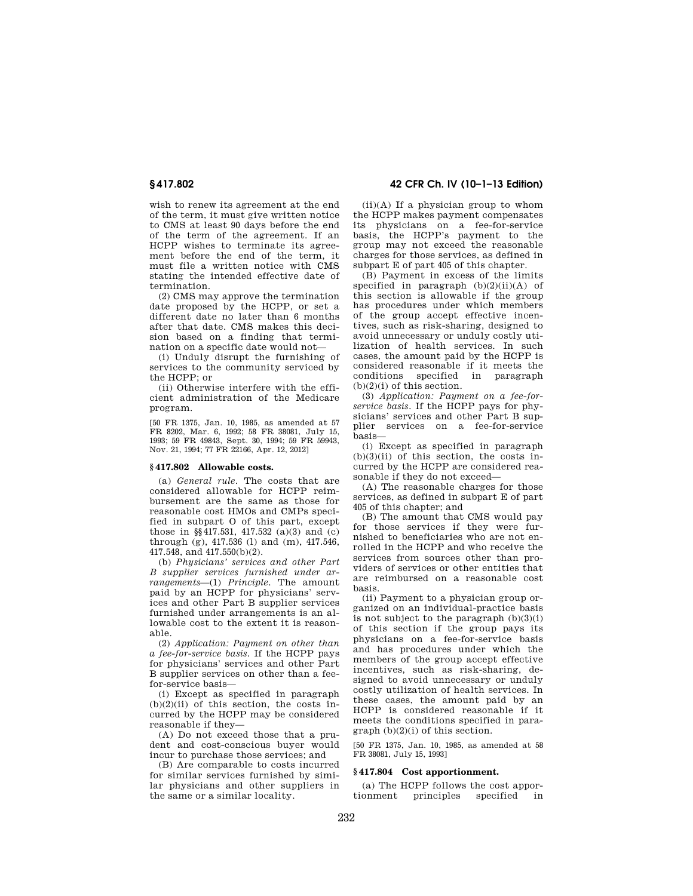wish to renew its agreement at the end of the term, it must give written notice to CMS at least 90 days before the end of the term of the agreement. If an HCPP wishes to terminate its agreement before the end of the term, it must file a written notice with CMS stating the intended effective date of termination.

(2) CMS may approve the termination date proposed by the HCPP, or set a different date no later than 6 months after that date. CMS makes this decision based on a finding that termination on a specific date would not—

(i) Unduly disrupt the furnishing of services to the community serviced by the HCPP; or

(ii) Otherwise interfere with the efficient administration of the Medicare program.

[50 FR 1375, Jan. 10, 1985, as amended at 57 FR 8202, Mar. 6, 1992; 58 FR 38081, July 15, 1993; 59 FR 49843, Sept. 30, 1994; 59 FR 59943, Nov. 21, 1994; 77 FR 22166, Apr. 12, 2012]

## **§ 417.802 Allowable costs.**

(a) *General rule.* The costs that are considered allowable for HCPP reimbursement are the same as those for reasonable cost HMOs and CMPs specified in subpart O of this part, except those in §§417.531, 417.532 (a)(3) and (c) through (g), 417.536 (l) and (m), 417.546, 417.548, and 417.550(b)(2).

(b) *Physicians' services and other Part B supplier services furnished under arrangements*—(1) *Principle.* The amount paid by an HCPP for physicians' services and other Part B supplier services furnished under arrangements is an allowable cost to the extent it is reasonable.

(2) *Application: Payment on other than a fee-for-service basis.* If the HCPP pays for physicians' services and other Part B supplier services on other than a feefor-service basis—

(i) Except as specified in paragraph  $(b)(2)(ii)$  of this section, the costs incurred by the HCPP may be considered reasonable if they—

(A) Do not exceed those that a prudent and cost-conscious buyer would incur to purchase those services; and

(B) Are comparable to costs incurred for similar services furnished by similar physicians and other suppliers in the same or a similar locality.

**§ 417.802 42 CFR Ch. IV (10–1–13 Edition)** 

 $(ii)(A)$  If a physician group to whom the HCPP makes payment compensates its physicians on a fee-for-service basis, the HCPP's payment to the group may not exceed the reasonable charges for those services, as defined in subpart E of part 405 of this chapter.

(B) Payment in excess of the limits specified in paragraph (b)(2)(ii)(A) of this section is allowable if the group has procedures under which members of the group accept effective incentives, such as risk-sharing, designed to avoid unnecessary or unduly costly utilization of health services. In such cases, the amount paid by the HCPP is considered reasonable if it meets the conditions specified in paragraph  $(b)(2)(i)$  of this section.

(3) *Application: Payment on a fee-forservice basis.* If the HCPP pays for physicians' services and other Part B supplier services on a fee-for-service basis—

(i) Except as specified in paragraph  $(b)(3)(ii)$  of this section, the costs incurred by the HCPP are considered reasonable if they do not exceed—

(A) The reasonable charges for those services, as defined in subpart E of part 405 of this chapter; and

(B) The amount that CMS would pay for those services if they were furnished to beneficiaries who are not enrolled in the HCPP and who receive the services from sources other than providers of services or other entities that are reimbursed on a reasonable cost basis.

(ii) Payment to a physician group organized on an individual-practice basis is not subject to the paragraph  $(b)(3)(i)$ of this section if the group pays its physicians on a fee-for-service basis and has procedures under which the members of the group accept effective incentives, such as risk-sharing, designed to avoid unnecessary or unduly costly utilization of health services. In these cases, the amount paid by an HCPP is considered reasonable if it meets the conditions specified in para $graph (b)(2)(i)$  of this section.

[50 FR 1375, Jan. 10, 1985, as amended at 58 FR 38081, July 15, 1993]

### **§ 417.804 Cost apportionment.**

(a) The HCPP follows the cost appor-<br>tionment principles specified in principles specified in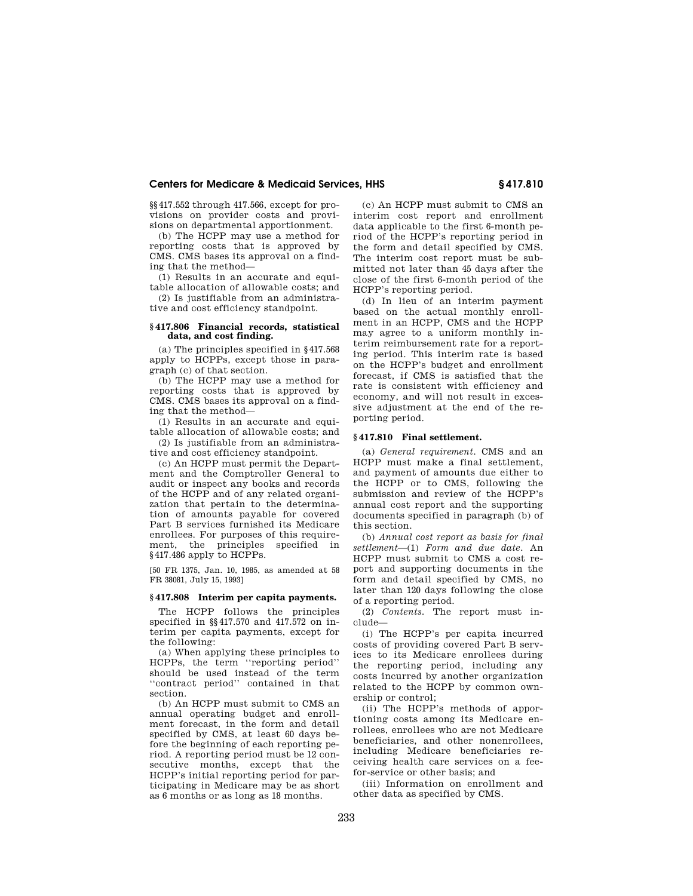§§417.552 through 417.566, except for provisions on provider costs and provisions on departmental apportionment.

(b) The HCPP may use a method for reporting costs that is approved by CMS. CMS bases its approval on a finding that the method—

(1) Results in an accurate and equitable allocation of allowable costs; and (2) Is justifiable from an administra-

tive and cost efficiency standpoint.

# **§ 417.806 Financial records, statistical data, and cost finding.**

(a) The principles specified in §417.568 apply to HCPPs, except those in paragraph (c) of that section.

(b) The HCPP may use a method for reporting costs that is approved by CMS. CMS bases its approval on a finding that the method—

(1) Results in an accurate and equitable allocation of allowable costs; and

(2) Is justifiable from an administrative and cost efficiency standpoint.

(c) An HCPP must permit the Department and the Comptroller General to audit or inspect any books and records of the HCPP and of any related organization that pertain to the determination of amounts payable for covered Part B services furnished its Medicare enrollees. For purposes of this requirement, the principles specified in §417.486 apply to HCPPs.

[50 FR 1375, Jan. 10, 1985, as amended at 58 FR 38081, July 15, 1993]

# **§ 417.808 Interim per capita payments.**

The HCPP follows the principles specified in §§417.570 and 417.572 on interim per capita payments, except for the following:

(a) When applying these principles to HCPPs, the term ''reporting period'' should be used instead of the term ''contract period'' contained in that section.

(b) An HCPP must submit to CMS an annual operating budget and enrollment forecast, in the form and detail specified by CMS, at least 60 days before the beginning of each reporting period. A reporting period must be 12 consecutive months, except that the HCPP's initial reporting period for participating in Medicare may be as short as 6 months or as long as 18 months.

(c) An HCPP must submit to CMS an interim cost report and enrollment data applicable to the first 6-month period of the HCPP's reporting period in the form and detail specified by CMS. The interim cost report must be submitted not later than 45 days after the close of the first 6-month period of the HCPP's reporting period.

(d) In lieu of an interim payment based on the actual monthly enrollment in an HCPP, CMS and the HCPP may agree to a uniform monthly interim reimbursement rate for a reporting period. This interim rate is based on the HCPP's budget and enrollment forecast, if CMS is satisfied that the rate is consistent with efficiency and economy, and will not result in excessive adjustment at the end of the reporting period.

# **§ 417.810 Final settlement.**

(a) *General requirement.* CMS and an HCPP must make a final settlement, and payment of amounts due either to the HCPP or to CMS, following the submission and review of the HCPP's annual cost report and the supporting documents specified in paragraph (b) of this section.

(b) *Annual cost report as basis for final settlement*—(1) *Form and due date.* An HCPP must submit to CMS a cost report and supporting documents in the form and detail specified by CMS, no later than 120 days following the close of a reporting period.

(2) *Contents.* The report must include—

(i) The HCPP's per capita incurred costs of providing covered Part B services to its Medicare enrollees during the reporting period, including any costs incurred by another organization related to the HCPP by common ownership or control;

(ii) The HCPP's methods of apportioning costs among its Medicare enrollees, enrollees who are not Medicare beneficiaries, and other nonenrollees, including Medicare beneficiaries receiving health care services on a feefor-service or other basis; and

(iii) Information on enrollment and other data as specified by CMS.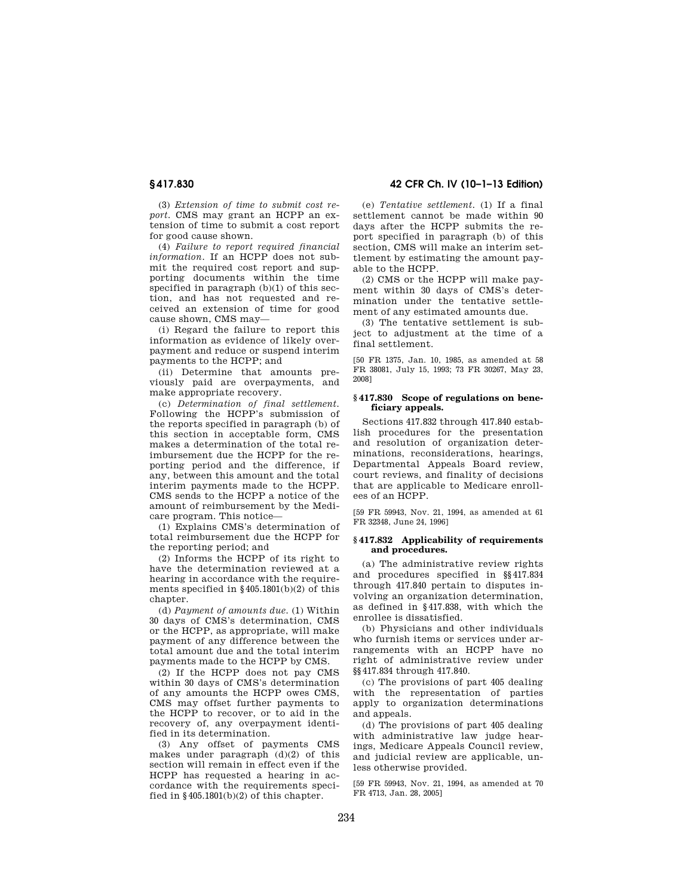(3) *Extension of time to submit cost report.* CMS may grant an HCPP an extension of time to submit a cost report for good cause shown.

(4) *Failure to report required financial information.* If an HCPP does not submit the required cost report and supporting documents within the time specified in paragraph (b)(1) of this section, and has not requested and received an extension of time for good cause shown, CMS may—

(i) Regard the failure to report this information as evidence of likely overpayment and reduce or suspend interim payments to the HCPP; and

(ii) Determine that amounts previously paid are overpayments, and make appropriate recovery.

(c) *Determination of final settlement.*  Following the HCPP's submission of the reports specified in paragraph (b) of this section in acceptable form, CMS makes a determination of the total reimbursement due the HCPP for the reporting period and the difference, if any, between this amount and the total interim payments made to the HCPP. CMS sends to the HCPP a notice of the amount of reimbursement by the Medicare program. This notice—

(1) Explains CMS's determination of total reimbursement due the HCPP for the reporting period; and

(2) Informs the HCPP of its right to have the determination reviewed at a hearing in accordance with the requirements specified in  $\S 405.1801(b)(2)$  of this chapter.

(d) *Payment of amounts due.* (1) Within 30 days of CMS's determination, CMS or the HCPP, as appropriate, will make payment of any difference between the total amount due and the total interim payments made to the HCPP by CMS.

(2) If the HCPP does not pay CMS within 30 days of CMS's determination of any amounts the HCPP owes CMS, CMS may offset further payments to the HCPP to recover, or to aid in the recovery of, any overpayment identified in its determination.

(3) Any offset of payments CMS makes under paragraph (d)(2) of this section will remain in effect even if the HCPP has requested a hearing in accordance with the requirements specified in §405.1801(b)(2) of this chapter.

**§ 417.830 42 CFR Ch. IV (10–1–13 Edition)** 

(e) *Tentative settlement.* (1) If a final settlement cannot be made within 90 days after the HCPP submits the report specified in paragraph (b) of this section, CMS will make an interim settlement by estimating the amount payable to the HCPP.

(2) CMS or the HCPP will make payment within 30 days of CMS's determination under the tentative settlement of any estimated amounts due.

(3) The tentative settlement is subject to adjustment at the time of a final settlement.

[50 FR 1375, Jan. 10, 1985, as amended at 58 FR 38081, July 15, 1993; 73 FR 30267, May 23, 2008]

# **§ 417.830 Scope of regulations on beneficiary appeals.**

Sections 417.832 through 417.840 establish procedures for the presentation and resolution of organization determinations, reconsiderations, hearings, Departmental Appeals Board review, court reviews, and finality of decisions that are applicable to Medicare enrollees of an HCPP.

[59 FR 59943, Nov. 21, 1994, as amended at 61 FR 32348, June 24, 1996]

## **§ 417.832 Applicability of requirements and procedures.**

(a) The administrative review rights and procedures specified in §§417.834 through 417.840 pertain to disputes involving an organization determination, as defined in §417.838, with which the enrollee is dissatisfied.

(b) Physicians and other individuals who furnish items or services under arrangements with an HCPP have no right of administrative review under §§417.834 through 417.840.

(c) The provisions of part 405 dealing with the representation of parties apply to organization determinations and appeals.

(d) The provisions of part 405 dealing with administrative law judge hearings, Medicare Appeals Council review, and judicial review are applicable, unless otherwise provided.

[59 FR 59943, Nov. 21, 1994, as amended at 70 FR 4713, Jan. 28, 2005]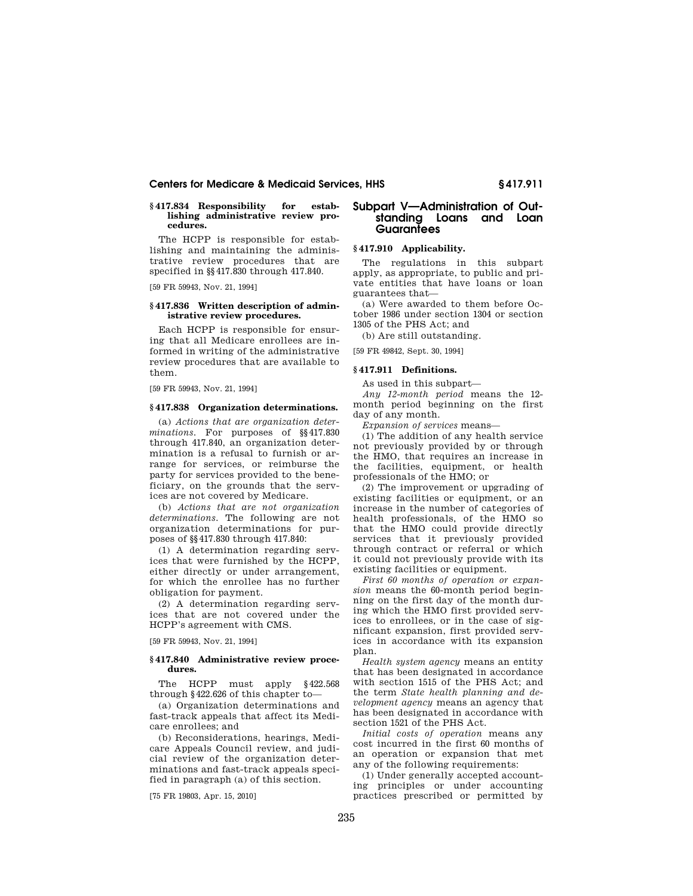# **§ 417.834 Responsibility for establishing administrative review procedures.**

The HCPP is responsible for establishing and maintaining the administrative review procedures that are specified in §§417.830 through 417.840.

[59 FR 59943, Nov. 21, 1994]

### **§ 417.836 Written description of administrative review procedures.**

Each HCPP is responsible for ensuring that all Medicare enrollees are informed in writing of the administrative review procedures that are available to them.

[59 FR 59943, Nov. 21, 1994]

### **§ 417.838 Organization determinations.**

(a) *Actions that are organization determinations.* For purposes of §§417.830 through 417.840, an organization determination is a refusal to furnish or arrange for services, or reimburse the party for services provided to the beneficiary, on the grounds that the services are not covered by Medicare.

(b) *Actions that are not organization determinations.* The following are not organization determinations for purposes of §§417.830 through 417.840:

(1) A determination regarding services that were furnished by the HCPP, either directly or under arrangement, for which the enrollee has no further obligation for payment.

(2) A determination regarding services that are not covered under the HCPP's agreement with CMS.

[59 FR 59943, Nov. 21, 1994]

# **§ 417.840 Administrative review procedures.**

The HCPP must apply §422.568 through §422.626 of this chapter to—

(a) Organization determinations and fast-track appeals that affect its Medicare enrollees; and

(b) Reconsiderations, hearings, Medicare Appeals Council review, and judicial review of the organization determinations and fast-track appeals specified in paragraph (a) of this section.

[75 FR 19803, Apr. 15, 2010]

# **Subpart V—Administration of Outstanding Loans and Loan Guarantees**

# **§ 417.910 Applicability.**

The regulations in this subpart apply, as appropriate, to public and private entities that have loans or loan guarantees that—

(a) Were awarded to them before October 1986 under section 1304 or section 1305 of the PHS Act; and

(b) Are still outstanding. [59 FR 49842, Sept. 30, 1994]

# **§ 417.911 Definitions.**

As used in this subpart—

*Any 12-month period* means the 12 month period beginning on the first day of any month.

*Expansion of services* means—

(1) The addition of any health service not previously provided by or through the HMO, that requires an increase in the facilities, equipment, or health professionals of the HMO; or

(2) The improvement or upgrading of existing facilities or equipment, or an increase in the number of categories of health professionals, of the HMO so that the HMO could provide directly services that it previously provided through contract or referral or which it could not previously provide with its existing facilities or equipment.

*First 60 months of operation or expansion* means the 60-month period beginning on the first day of the month during which the HMO first provided services to enrollees, or in the case of significant expansion, first provided services in accordance with its expansion plan.

*Health system agency* means an entity that has been designated in accordance with section 1515 of the PHS Act; and the term *State health planning and development agency* means an agency that has been designated in accordance with section 1521 of the PHS Act.

*Initial costs of operation* means any cost incurred in the first 60 months of an operation or expansion that met any of the following requirements:

(1) Under generally accepted accounting principles or under accounting practices prescribed or permitted by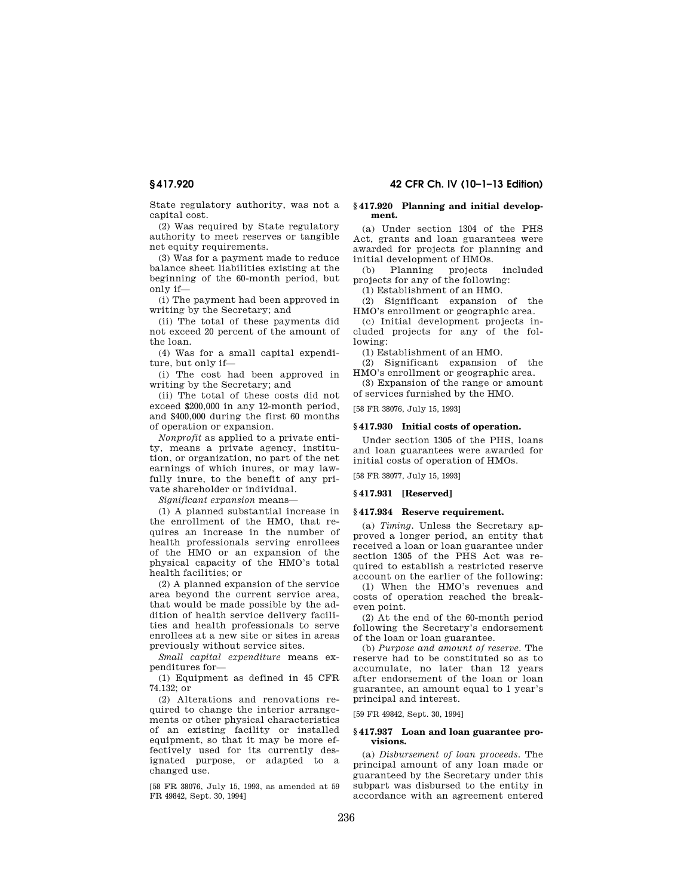# **§ 417.920 42 CFR Ch. IV (10–1–13 Edition)**

State regulatory authority, was not a capital cost.

(2) Was required by State regulatory authority to meet reserves or tangible net equity requirements.

(3) Was for a payment made to reduce balance sheet liabilities existing at the beginning of the 60-month period, but only if—

(i) The payment had been approved in writing by the Secretary; and

(ii) The total of these payments did not exceed 20 percent of the amount of the loan.

(4) Was for a small capital expenditure, but only if—

(i) The cost had been approved in writing by the Secretary; and

(ii) The total of these costs did not exceed \$200,000 in any 12-month period, and \$400,000 during the first 60 months of operation or expansion.

*Nonprofit* as applied to a private entity, means a private agency, institution, or organization, no part of the net earnings of which inures, or may lawfully inure, to the benefit of any private shareholder or individual.

*Significant expansion* means—

(1) A planned substantial increase in the enrollment of the HMO, that requires an increase in the number of health professionals serving enrollees of the HMO or an expansion of the physical capacity of the HMO's total health facilities; or

(2) A planned expansion of the service area beyond the current service area, that would be made possible by the addition of health service delivery facilities and health professionals to serve enrollees at a new site or sites in areas previously without service sites.

*Small capital expenditure* means expenditures for—

(1) Equipment as defined in 45 CFR 74.132; or

(2) Alterations and renovations required to change the interior arrangements or other physical characteristics of an existing facility or installed equipment, so that it may be more effectively used for its currently designated purpose, or adapted to a changed use.

[58 FR 38076, July 15, 1993, as amended at 59 FR 49842, Sept. 30, 1994]

### **§ 417.920 Planning and initial development.**

(a) Under section 1304 of the PHS Act, grants and loan guarantees were awarded for projects for planning and initial development of HMOs.

(b) Planning projects included projects for any of the following:

(1) Establishment of an HMO.

(2) Significant expansion of the HMO's enrollment or geographic area.

(c) Initial development projects included projects for any of the following:

(1) Establishment of an HMO.

(2) Significant expansion of the HMO's enrollment or geographic area.

(3) Expansion of the range or amount of services furnished by the HMO.

[58 FR 38076, July 15, 1993]

### **§ 417.930 Initial costs of operation.**

Under section 1305 of the PHS, loans and loan guarantees were awarded for initial costs of operation of HMOs.

[58 FR 38077, July 15, 1993]

# **§ 417.931 [Reserved]**

## **§ 417.934 Reserve requirement.**

(a) *Timing.* Unless the Secretary approved a longer period, an entity that received a loan or loan guarantee under section 1305 of the PHS Act was required to establish a restricted reserve account on the earlier of the following:

(1) When the HMO's revenues and costs of operation reached the breakeven point.

(2) At the end of the 60-month period following the Secretary's endorsement of the loan or loan guarantee.

(b) *Purpose and amount of reserve.* The reserve had to be constituted so as to accumulate, no later than 12 years after endorsement of the loan or loan guarantee, an amount equal to 1 year's principal and interest.

[59 FR 49842, Sept. 30, 1994]

## **§ 417.937 Loan and loan guarantee provisions.**

(a) *Disbursement of loan proceeds.* The principal amount of any loan made or guaranteed by the Secretary under this subpart was disbursed to the entity in accordance with an agreement entered